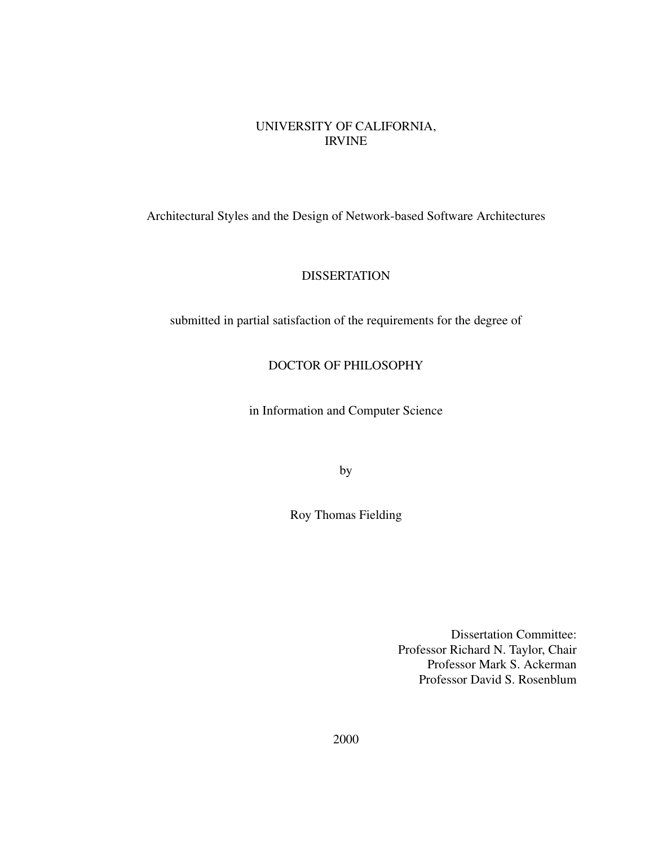#### UNIVERSITY OF CALIFORNIA, IRVINE

Architectural Styles and the Design of Network-based Software Architectures

### **DISSERTATION**

submitted in partial satisfaction of the requirements for the degree of

#### DOCTOR OF PHILOSOPHY

in Information and Computer Science

by

Roy Thomas Fielding

Dissertation Committee: Professor Richard N. Taylor, Chair Professor Mark S. Ackerman Professor David S. Rosenblum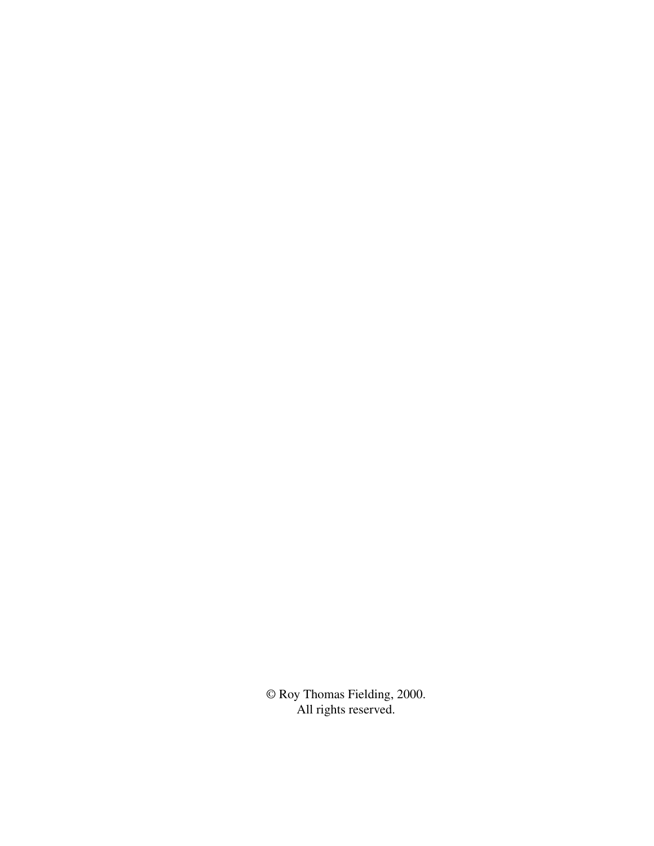© Roy Thomas Fielding, 2000. All rights reserved.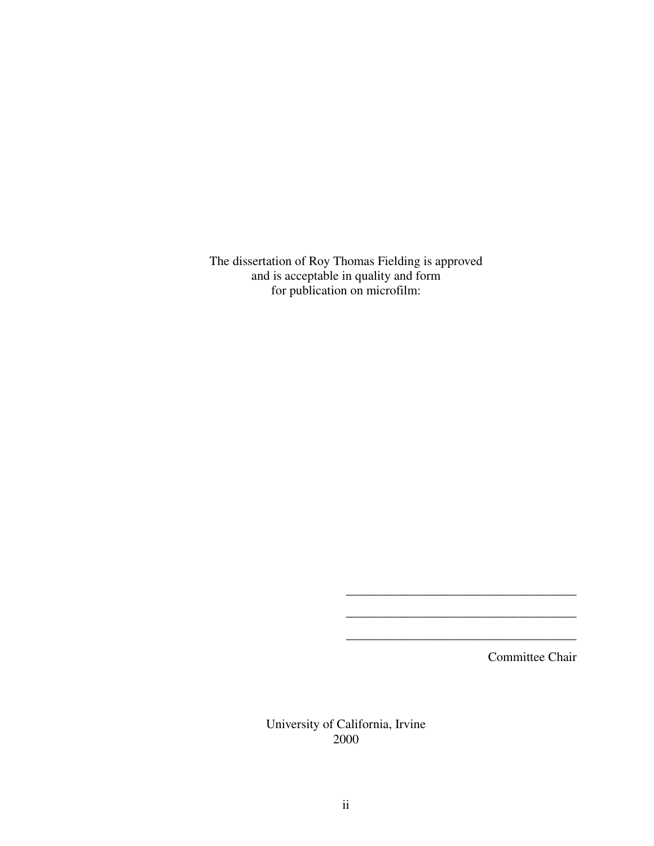The dissertation of Roy Thomas Fielding is approved and is acceptable in quality and form for publication on microfilm:

Committee Chair

\_\_\_\_\_\_\_\_\_\_\_\_\_\_\_\_\_\_\_\_\_\_\_\_\_\_\_\_\_\_\_\_\_\_\_\_

\_\_\_\_\_\_\_\_\_\_\_\_\_\_\_\_\_\_\_\_\_\_\_\_\_\_\_\_\_\_\_\_\_\_\_\_

\_\_\_\_\_\_\_\_\_\_\_\_\_\_\_\_\_\_\_\_\_\_\_\_\_\_\_\_\_\_\_\_\_\_\_\_

University of California, Irvine 2000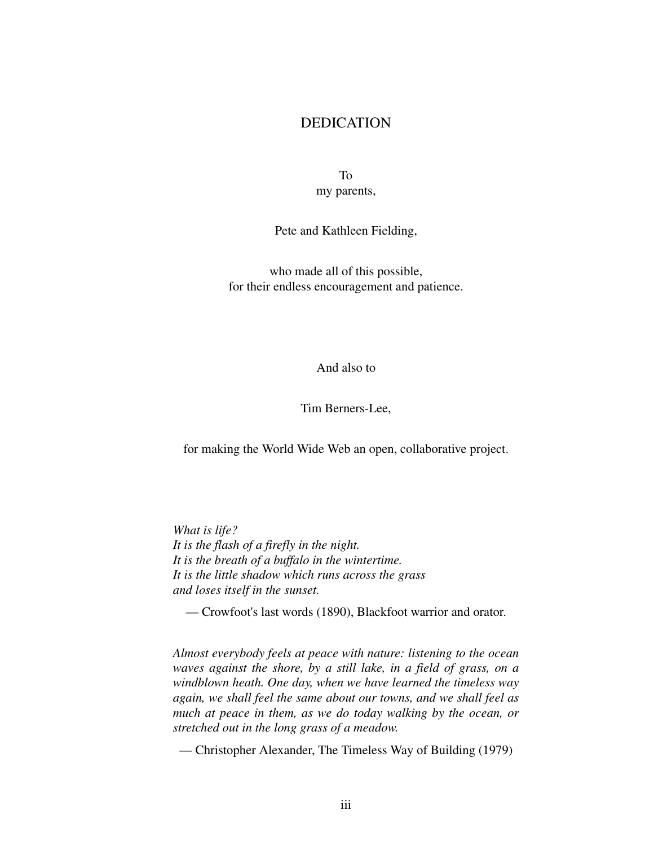#### DEDICATION

To my parents,

Pete and Kathleen Fielding,

who made all of this possible, for their endless encouragement and patience.

And also to

Tim Berners-Lee,

for making the World Wide Web an open, collaborative project.

*What is life? It is the flash of a firefly in the night. It is the breath of a buffalo in the wintertime. It is the little shadow which runs across the grass and loses itself in the sunset.*

— Crowfoot's last words (1890), Blackfoot warrior and orator.

*Almost everybody feels at peace with nature: listening to the ocean waves against the shore, by a still lake, in a field of grass, on a windblown heath. One day, when we have learned the timeless way again, we shall feel the same about our towns, and we shall feel as much at peace in them, as we do today walking by the ocean, or stretched out in the long grass of a meadow.*

— Christopher Alexander, The Timeless Way of Building (1979)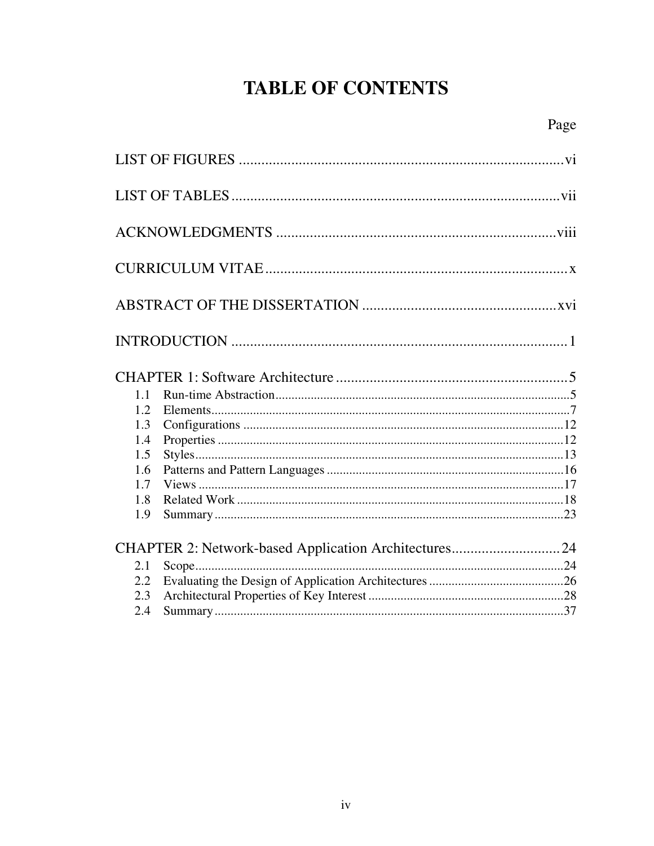# **TABLE OF CONTENTS**

| 1.1 |                                                      |  |
|-----|------------------------------------------------------|--|
| 1.2 |                                                      |  |
| 1.3 |                                                      |  |
| 1.4 |                                                      |  |
| 1.5 |                                                      |  |
| 1.6 |                                                      |  |
| 1.7 |                                                      |  |
| 1.8 |                                                      |  |
| 1.9 |                                                      |  |
|     | CHAPTER 2: Network-based Application Architectures24 |  |
| 2.1 |                                                      |  |
| 2.2 |                                                      |  |
| 2.3 |                                                      |  |
| 2.4 |                                                      |  |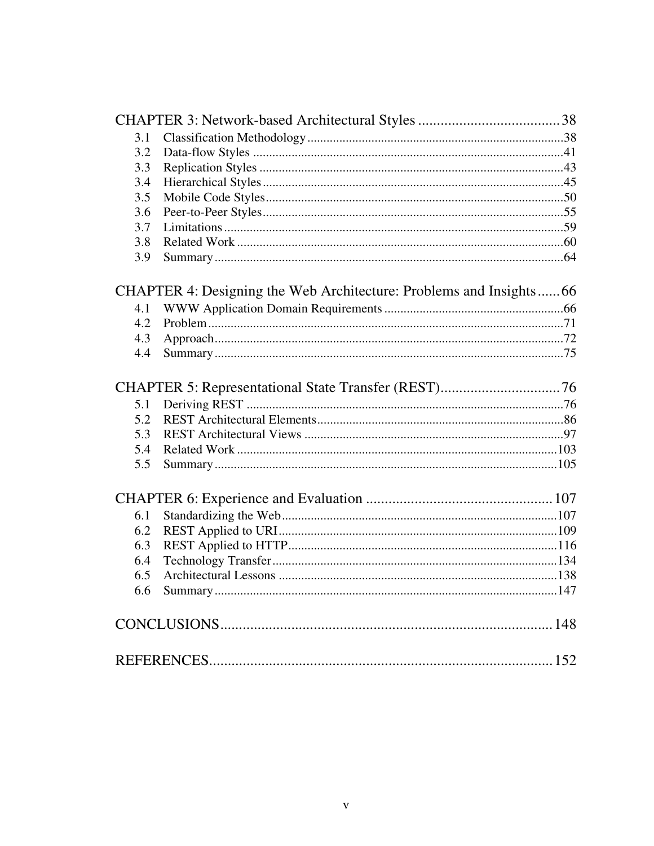| 3.1 |                                                                    |  |
|-----|--------------------------------------------------------------------|--|
| 3.2 |                                                                    |  |
| 3.3 |                                                                    |  |
| 3.4 |                                                                    |  |
| 3.5 |                                                                    |  |
| 3.6 |                                                                    |  |
| 3.7 |                                                                    |  |
| 3.8 |                                                                    |  |
| 3.9 |                                                                    |  |
|     | CHAPTER 4: Designing the Web Architecture: Problems and Insights66 |  |
| 4.1 |                                                                    |  |
| 4.2 |                                                                    |  |
| 4.3 |                                                                    |  |
| 4.4 |                                                                    |  |
|     |                                                                    |  |
| 5.1 |                                                                    |  |
| 5.2 |                                                                    |  |
| 5.3 |                                                                    |  |
| 5.4 |                                                                    |  |
| 5.5 |                                                                    |  |
|     |                                                                    |  |
| 6.1 |                                                                    |  |
| 6.2 |                                                                    |  |
| 6.3 |                                                                    |  |
| 6.4 |                                                                    |  |
| 6.5 |                                                                    |  |
| 6.6 |                                                                    |  |
|     |                                                                    |  |
|     |                                                                    |  |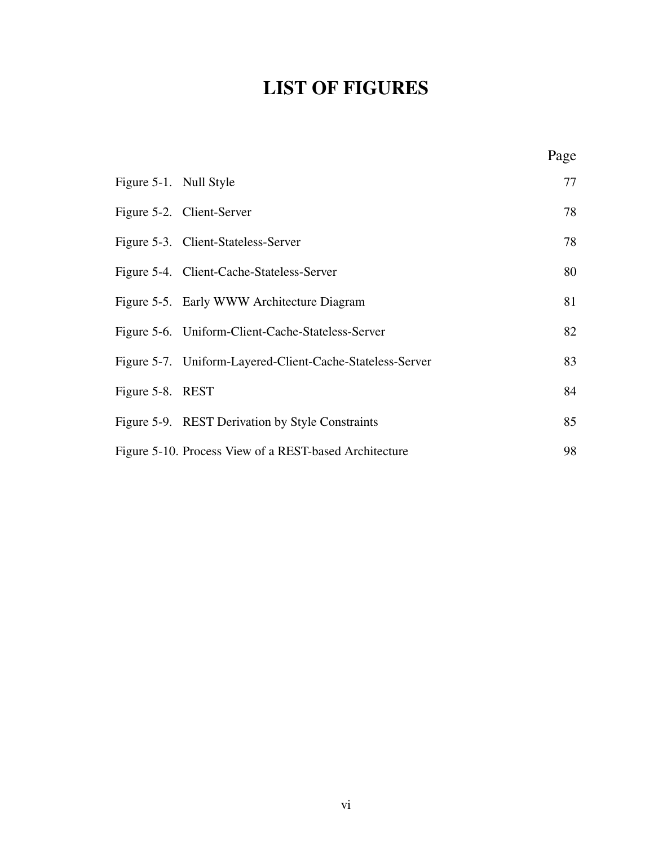# **LIST OF FIGURES**

<span id="page-6-0"></span>

| Figure 5-1. Null Style |                                                           | 77 |
|------------------------|-----------------------------------------------------------|----|
|                        | Figure 5-2. Client-Server                                 | 78 |
|                        | Figure 5-3. Client-Stateless-Server                       | 78 |
|                        | Figure 5-4. Client-Cache-Stateless-Server                 | 80 |
|                        | Figure 5-5. Early WWW Architecture Diagram                | 81 |
|                        | Figure 5-6. Uniform-Client-Cache-Stateless-Server         | 82 |
|                        | Figure 5-7. Uniform-Layered-Client-Cache-Stateless-Server | 83 |
| Figure 5-8. REST       |                                                           | 84 |
|                        | Figure 5-9. REST Derivation by Style Constraints          | 85 |
|                        | Figure 5-10. Process View of a REST-based Architecture    | 98 |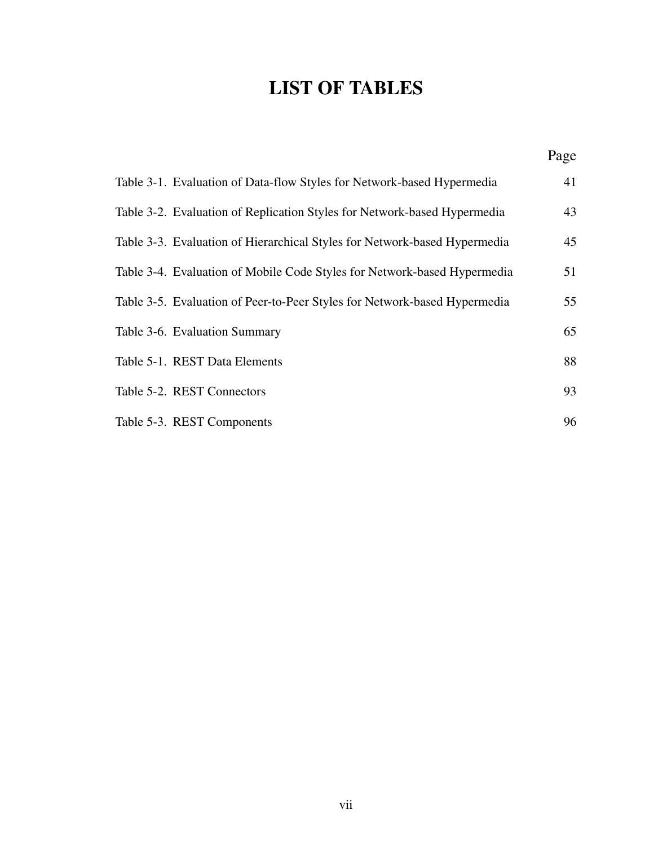# **LIST OF TABLES**

<span id="page-7-0"></span>

|                                                                           | Page |
|---------------------------------------------------------------------------|------|
| Table 3-1. Evaluation of Data-flow Styles for Network-based Hypermedia    | 41   |
| Table 3-2. Evaluation of Replication Styles for Network-based Hypermedia  | 43   |
| Table 3-3. Evaluation of Hierarchical Styles for Network-based Hypermedia | 45   |
| Table 3-4. Evaluation of Mobile Code Styles for Network-based Hypermedia  | 51   |
| Table 3-5. Evaluation of Peer-to-Peer Styles for Network-based Hypermedia | 55   |
| Table 3-6. Evaluation Summary                                             | 65   |
| Table 5-1. REST Data Elements                                             | 88   |
| Table 5-2. REST Connectors                                                | 93   |
| Table 5-3. REST Components                                                | 96   |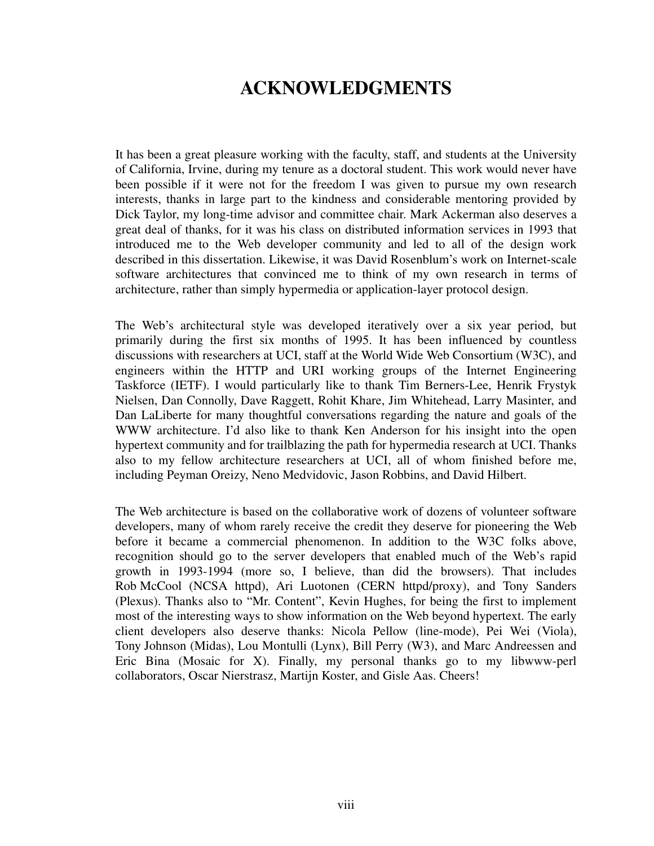## **ACKNOWLEDGMENTS**

<span id="page-8-0"></span>It has been a great pleasure working with the faculty, staff, and students at the University of California, Irvine, during my tenure as a doctoral student. This work would never have been possible if it were not for the freedom I was given to pursue my own research interests, thanks in large part to the kindness and considerable mentoring provided by Dick Taylor, my long-time advisor and committee chair. Mark Ackerman also deserves a great deal of thanks, for it was his class on distributed information services in 1993 that introduced me to the Web developer community and led to all of the design work described in this dissertation. Likewise, it was David Rosenblum's work on Internet-scale software architectures that convinced me to think of my own research in terms of architecture, rather than simply hypermedia or application-layer protocol design.

The Web's architectural style was developed iteratively over a six year period, but primarily during the first six months of 1995. It has been influenced by countless discussions with researchers at UCI, staff at the World Wide Web Consortium (W3C), and engineers within the HTTP and URI working groups of the Internet Engineering Taskforce (IETF). I would particularly like to thank Tim Berners-Lee, Henrik Frystyk Nielsen, Dan Connolly, Dave Raggett, Rohit Khare, Jim Whitehead, Larry Masinter, and Dan LaLiberte for many thoughtful conversations regarding the nature and goals of the WWW architecture. I'd also like to thank Ken Anderson for his insight into the open hypertext community and for trailblazing the path for hypermedia research at UCI. Thanks also to my fellow architecture researchers at UCI, all of whom finished before me, including Peyman Oreizy, Neno Medvidovic, Jason Robbins, and David Hilbert.

The Web architecture is based on the collaborative work of dozens of volunteer software developers, many of whom rarely receive the credit they deserve for pioneering the Web before it became a commercial phenomenon. In addition to the W3C folks above, recognition should go to the server developers that enabled much of the Web's rapid growth in 1993-1994 (more so, I believe, than did the browsers). That includes Rob McCool (NCSA httpd), Ari Luotonen (CERN httpd/proxy), and Tony Sanders (Plexus). Thanks also to "Mr. Content", Kevin Hughes, for being the first to implement most of the interesting ways to show information on the Web beyond hypertext. The early client developers also deserve thanks: Nicola Pellow (line-mode), Pei Wei (Viola), Tony Johnson (Midas), Lou Montulli (Lynx), Bill Perry (W3), and Marc Andreessen and Eric Bina (Mosaic for X). Finally, my personal thanks go to my libwww-perl collaborators, Oscar Nierstrasz, Martijn Koster, and Gisle Aas. Cheers!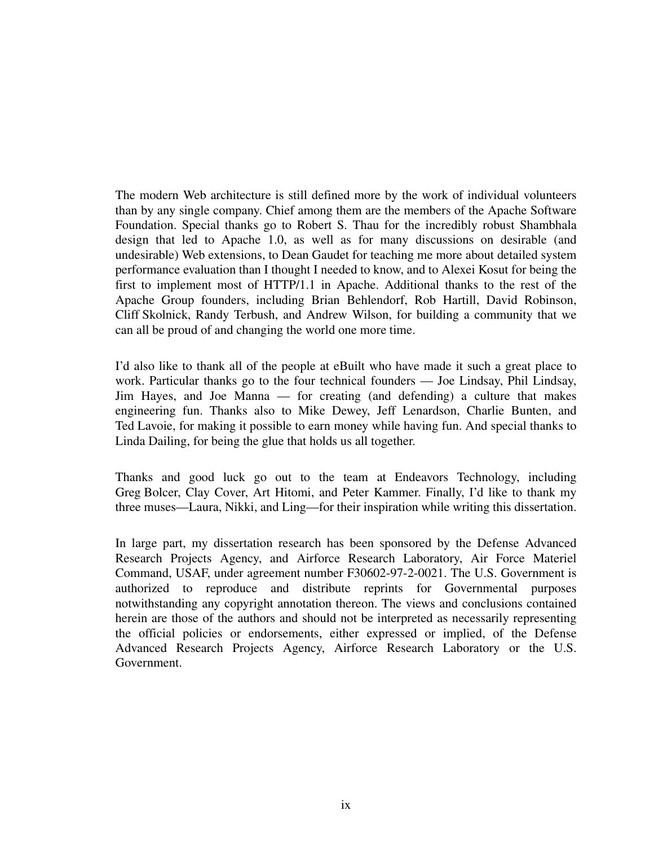The modern Web architecture is still defined more by the work of individual volunteers than by any single company. Chief among them are the members of the Apache Software Foundation. Special thanks go to Robert S. Thau for the incredibly robust Shambhala design that led to Apache 1.0, as well as for many discussions on desirable (and undesirable) Web extensions, to Dean Gaudet for teaching me more about detailed system performance evaluation than I thought I needed to know, and to Alexei Kosut for being the first to implement most of HTTP/1.1 in Apache. Additional thanks to the rest of the Apache Group founders, including Brian Behlendorf, Rob Hartill, David Robinson, Cliff Skolnick, Randy Terbush, and Andrew Wilson, for building a community that we can all be proud of and changing the world one more time.

I'd also like to thank all of the people at eBuilt who have made it such a great place to work. Particular thanks go to the four technical founders — Joe Lindsay, Phil Lindsay, Jim Hayes, and Joe Manna — for creating (and defending) a culture that makes engineering fun. Thanks also to Mike Dewey, Jeff Lenardson, Charlie Bunten, and Ted Lavoie, for making it possible to earn money while having fun. And special thanks to Linda Dailing, for being the glue that holds us all together.

Thanks and good luck go out to the team at Endeavors Technology, including Greg Bolcer, Clay Cover, Art Hitomi, and Peter Kammer. Finally, I'd like to thank my three muses—Laura, Nikki, and Ling—for their inspiration while writing this dissertation.

In large part, my dissertation research has been sponsored by the Defense Advanced Research Projects Agency, and Airforce Research Laboratory, Air Force Materiel Command, USAF, under agreement number F30602-97-2-0021. The U.S. Government is authorized to reproduce and distribute reprints for Governmental purposes notwithstanding any copyright annotation thereon. The views and conclusions contained herein are those of the authors and should not be interpreted as necessarily representing the official policies or endorsements, either expressed or implied, of the Defense Advanced Research Projects Agency, Airforce Research Laboratory or the U.S. Government.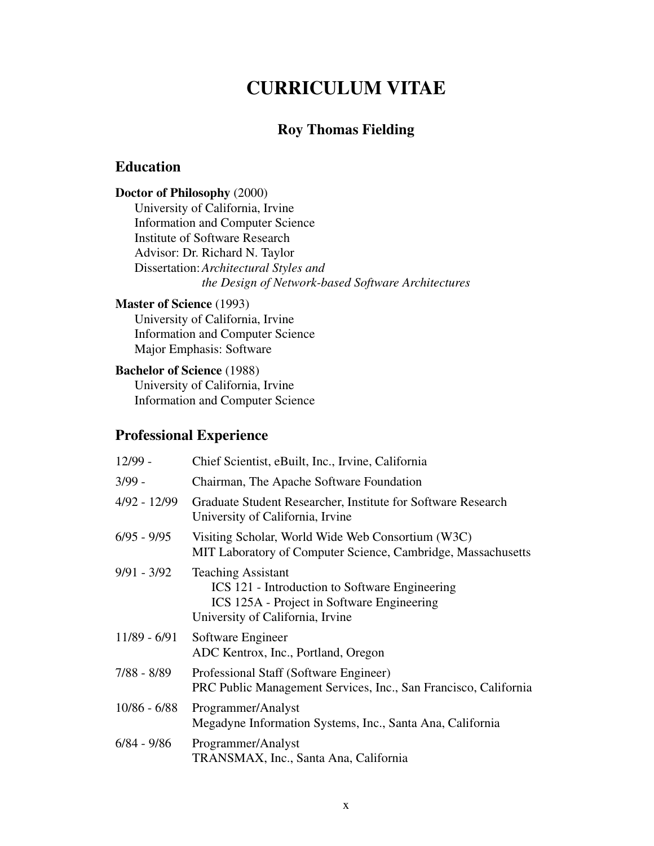## **CURRICULUM VITAE**

## **Roy Thomas Fielding**

## <span id="page-10-0"></span>**Education**

#### **Doctor of Philosophy** (2000)

University of California, Irvine Information and Computer Science Institute of Software Research Advisor: Dr. Richard N. Taylor Dissertation:*Architectural Styles and the Design of Network-based Software Architectures*

#### **Master of Science** (1993)

University of California, Irvine Information and Computer Science Major Emphasis: Software

#### **Bachelor of Science** (1988)

University of California, Irvine Information and Computer Science

## **Professional Experience**

| $12/99 -$      | Chief Scientist, eBuilt, Inc., Irvine, California                                                                                                             |
|----------------|---------------------------------------------------------------------------------------------------------------------------------------------------------------|
| $3/99 -$       | Chairman, The Apache Software Foundation                                                                                                                      |
| $4/92 - 12/99$ | Graduate Student Researcher, Institute for Software Research<br>University of California, Irvine                                                              |
| $6/95 - 9/95$  | Visiting Scholar, World Wide Web Consortium (W3C)<br>MIT Laboratory of Computer Science, Cambridge, Massachusetts                                             |
| $9/91 - 3/92$  | <b>Teaching Assistant</b><br>ICS 121 - Introduction to Software Engineering<br>ICS 125A - Project in Software Engineering<br>University of California, Irvine |
| 11/89 - 6/91   | Software Engineer<br>ADC Kentrox, Inc., Portland, Oregon                                                                                                      |
| $7/88 - 8/89$  | Professional Staff (Software Engineer)<br>PRC Public Management Services, Inc., San Francisco, California                                                     |
| $10/86 - 6/88$ | Programmer/Analyst<br>Megadyne Information Systems, Inc., Santa Ana, California                                                                               |
| $6/84 - 9/86$  | Programmer/Analyst<br>TRANSMAX, Inc., Santa Ana, California                                                                                                   |
|                |                                                                                                                                                               |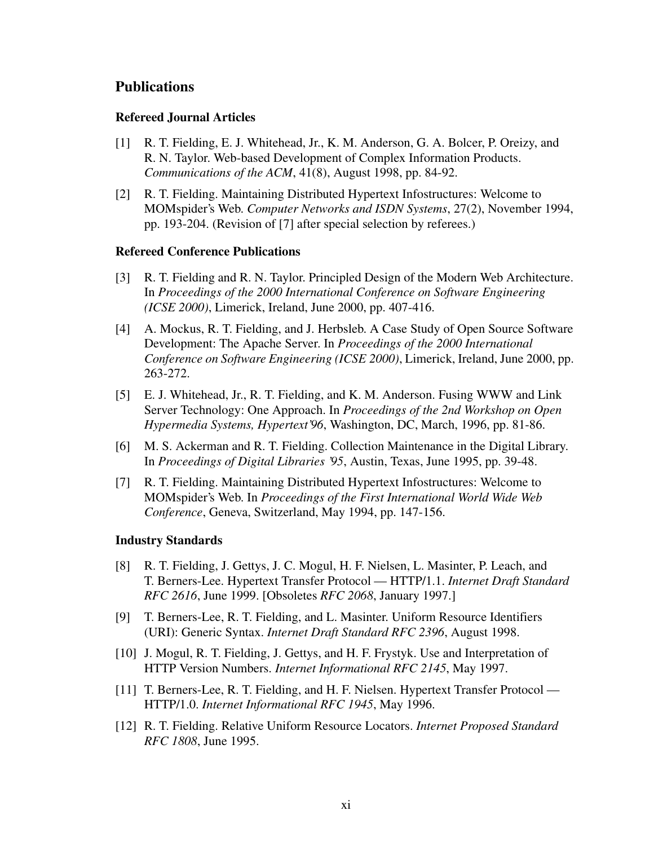### **Publications**

#### **Refereed Journal Articles**

- [1] R. T. Fielding, E. J. Whitehead, Jr., K. M. Anderson, G. A. Bolcer, P. Oreizy, and R. N. Taylor. Web-based Development of Complex Information Products. *Communications of the ACM*, 41(8), August 1998, pp. 84-92.
- [2] R. T. Fielding. Maintaining Distributed Hypertext Infostructures: Welcome to MOMspider's Web. *Computer Networks and ISDN Systems*, 27(2), November 1994, pp. 193-204. (Revision of [\[7](#page-11-0)] after special selection by referees.)

#### **Refereed Conference Publications**

- [3] R. T. Fielding and R. N. Taylor. Principled Design of the Modern Web Architecture. In *Proceedings of the 2000 International Conference on Software Engineering (ICSE 2000)*, Limerick, Ireland, June 2000, pp. 407-416.
- [4] A. Mockus, R. T. Fielding, and J. Herbsleb. A Case Study of Open Source Software Development: The Apache Server. In *Proceedings of the 2000 International Conference on Software Engineering (ICSE 2000)*, Limerick, Ireland, June 2000, pp. 263-272.
- [5] E. J. Whitehead, Jr., R. T. Fielding, and K. M. Anderson. Fusing WWW and Link Server Technology: One Approach. In *Proceedings of the 2nd Workshop on Open Hypermedia Systems, Hypertext'96*, Washington, DC, March, 1996, pp. 81-86.
- [6] M. S. Ackerman and R. T. Fielding. Collection Maintenance in the Digital Library. In *Proceedings of Digital Libraries '95*, Austin, Texas, June 1995, pp. 39-48.
- <span id="page-11-0"></span>[7] R. T. Fielding. Maintaining Distributed Hypertext Infostructures: Welcome to MOMspider's Web. In *Proceedings of the First International World Wide Web Conference*, Geneva, Switzerland, May 1994, pp. 147-156.

#### **Industry Standards**

- [8] R. T. Fielding, J. Gettys, J. C. Mogul, H. F. Nielsen, L. Masinter, P. Leach, and T. Berners-Lee. Hypertext Transfer Protocol — HTTP/1.1. *Internet Draft Standard RFC 2616*, June 1999. [Obsoletes *RFC 2068*, January 1997.]
- [9] T. Berners-Lee, R. T. Fielding, and L. Masinter. Uniform Resource Identifiers (URI): Generic Syntax. *Internet Draft Standard RFC 2396*, August 1998.
- [10] J. Mogul, R. T. Fielding, J. Gettys, and H. F. Frystyk. Use and Interpretation of HTTP Version Numbers. *Internet Informational RFC 2145*, May 1997.
- [11] T. Berners-Lee, R. T. Fielding, and H. F. Nielsen. Hypertext Transfer Protocol HTTP/1.0. *Internet Informational RFC 1945*, May 1996.
- [12] R. T. Fielding. Relative Uniform Resource Locators. *Internet Proposed Standard RFC 1808*, June 1995.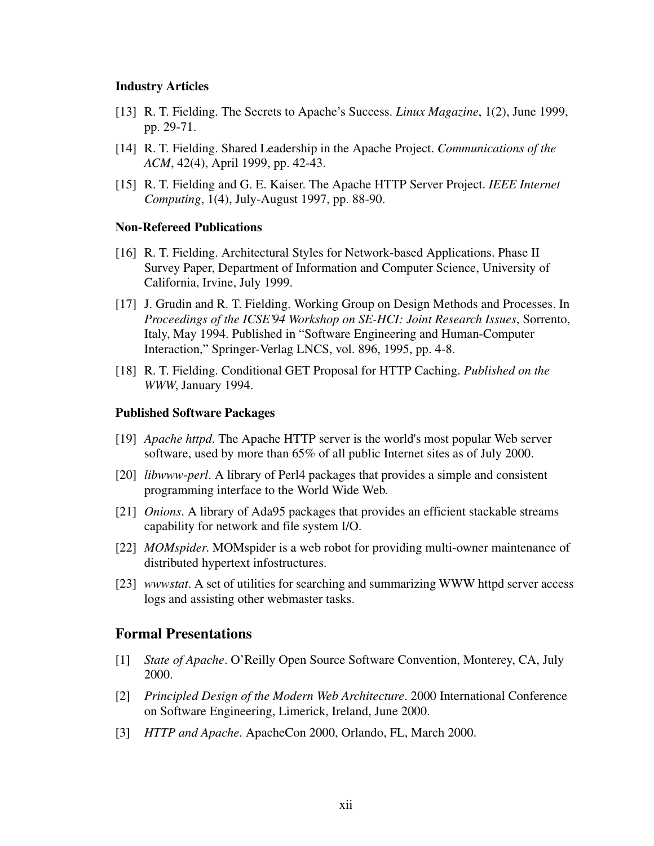#### **Industry Articles**

- [13] R. T. Fielding. The Secrets to Apache's Success. *Linux Magazine*, 1(2), June 1999, pp. 29-71.
- [14] R. T. Fielding. Shared Leadership in the Apache Project. *Communications of the ACM*, 42(4), April 1999, pp. 42-43.
- [15] R. T. Fielding and G. E. Kaiser. The Apache HTTP Server Project. *IEEE Internet Computing*, 1(4), July-August 1997, pp. 88-90.

#### **Non-Refereed Publications**

- [16] R. T. Fielding. Architectural Styles for Network-based Applications. Phase II Survey Paper, Department of Information and Computer Science, University of California, Irvine, July 1999.
- [17] J. Grudin and R. T. Fielding. Working Group on Design Methods and Processes. In *Proceedings of the ICSE'94 Workshop on SE-HCI: Joint Research Issues*, Sorrento, Italy, May 1994. Published in "Software Engineering and Human-Computer Interaction," Springer-Verlag LNCS, vol. 896, 1995, pp. 4-8.
- [18] R. T. Fielding. Conditional GET Proposal for HTTP Caching. *Published on the WWW*, January 1994.

#### **Published Software Packages**

- [19] *Apache httpd*. The Apache HTTP server is the world's most popular Web server software, used by more than 65% of all public Internet sites as of July 2000.
- [20] *libwww-perl*. A library of Perl4 packages that provides a simple and consistent programming interface to the World Wide Web.
- [21] *Onions*. A library of Ada95 packages that provides an efficient stackable streams capability for network and file system I/O.
- [22] *MOMspider*. MOMspider is a web robot for providing multi-owner maintenance of distributed hypertext infostructures.
- [23] *wwwstat*. A set of utilities for searching and summarizing WWW httpd server access logs and assisting other webmaster tasks.

#### **Formal Presentations**

- [1] *State of Apache*. O'Reilly Open Source Software Convention, Monterey, CA, July 2000.
- [2] *Principled Design of the Modern Web Architecture*. 2000 International Conference on Software Engineering, Limerick, Ireland, June 2000.
- [3] *HTTP and Apache*. ApacheCon 2000, Orlando, FL, March 2000.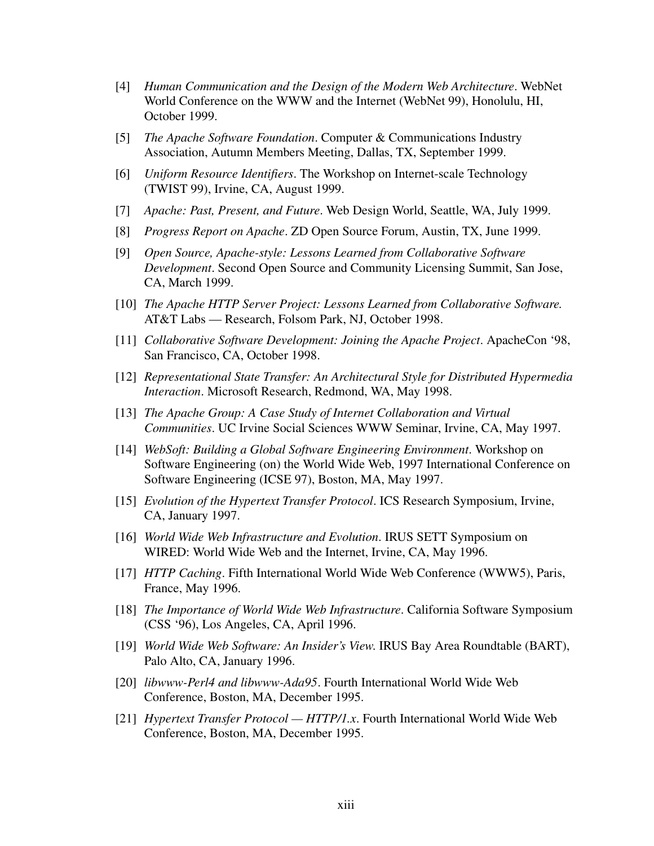- [4] *Human Communication and the Design of the Modern Web Architecture*. WebNet World Conference on the WWW and the Internet (WebNet 99), Honolulu, HI, October 1999.
- [5] *The Apache Software Foundation*. Computer & Communications Industry Association, Autumn Members Meeting, Dallas, TX, September 1999.
- [6] *Uniform Resource Identifiers*. The Workshop on Internet-scale Technology (TWIST 99), Irvine, CA, August 1999.
- [7] *Apache: Past, Present, and Future*. Web Design World, Seattle, WA, July 1999.
- [8] *Progress Report on Apache*. ZD Open Source Forum, Austin, TX, June 1999.
- [9] *Open Source, Apache-style: Lessons Learned from Collaborative Software Development*. Second Open Source and Community Licensing Summit, San Jose, CA, March 1999.
- [10] *The Apache HTTP Server Project: Lessons Learned from Collaborative Software.* AT&T Labs — Research, Folsom Park, NJ, October 1998.
- [11] *Collaborative Software Development: Joining the Apache Project*. ApacheCon '98, San Francisco, CA, October 1998.
- [12] *Representational State Transfer: An Architectural Style for Distributed Hypermedia Interaction*. Microsoft Research, Redmond, WA, May 1998.
- [13] *The Apache Group: A Case Study of Internet Collaboration and Virtual Communities*. UC Irvine Social Sciences WWW Seminar, Irvine, CA, May 1997.
- [14] *WebSoft: Building a Global Software Engineering Environment*. Workshop on Software Engineering (on) the World Wide Web, 1997 International Conference on Software Engineering (ICSE 97), Boston, MA, May 1997.
- [15] *Evolution of the Hypertext Transfer Protocol*. ICS Research Symposium, Irvine, CA, January 1997.
- [16] *World Wide Web Infrastructure and Evolution*. IRUS SETT Symposium on WIRED: World Wide Web and the Internet, Irvine, CA, May 1996.
- [17] *HTTP Caching*. Fifth International World Wide Web Conference (WWW5), Paris, France, May 1996.
- [18] *The Importance of World Wide Web Infrastructure*. California Software Symposium (CSS '96), Los Angeles, CA, April 1996.
- [19] *World Wide Web Software: An Insider's View*. IRUS Bay Area Roundtable (BART), Palo Alto, CA, January 1996.
- [20] *libwww-Perl4 and libwww-Ada95*. Fourth International World Wide Web Conference, Boston, MA, December 1995.
- [21] *Hypertext Transfer Protocol HTTP/1.x*. Fourth International World Wide Web Conference, Boston, MA, December 1995.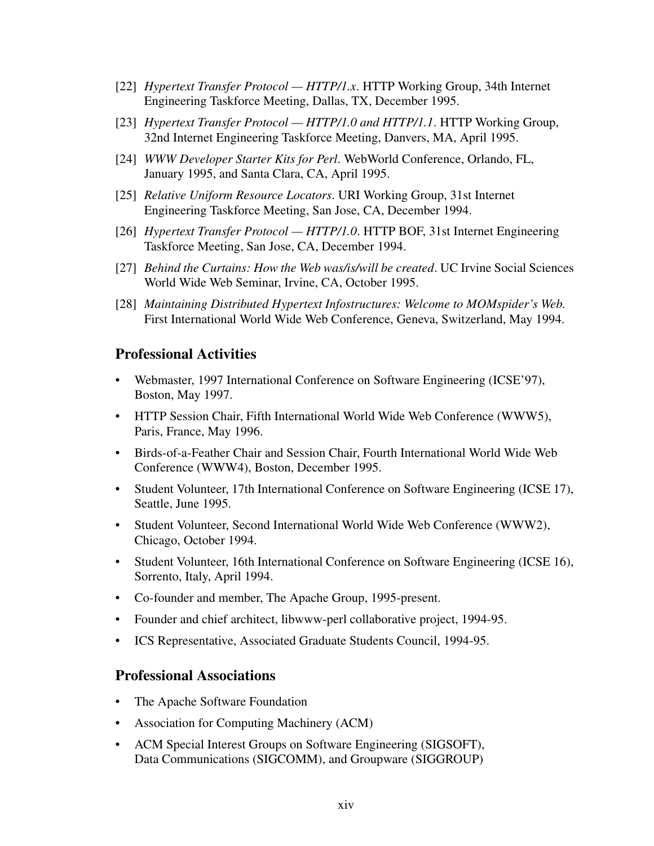- [22] *Hypertext Transfer Protocol HTTP/1.x*. HTTP Working Group, 34th Internet Engineering Taskforce Meeting, Dallas, TX, December 1995.
- [23] *Hypertext Transfer Protocol HTTP/1.0 and HTTP/1.1*. HTTP Working Group, 32nd Internet Engineering Taskforce Meeting, Danvers, MA, April 1995.
- [24] *WWW Developer Starter Kits for Perl*. WebWorld Conference, Orlando, FL, January 1995, and Santa Clara, CA, April 1995.
- [25] *Relative Uniform Resource Locators*. URI Working Group, 31st Internet Engineering Taskforce Meeting, San Jose, CA, December 1994.
- [26] *Hypertext Transfer Protocol HTTP/1.0*. HTTP BOF, 31st Internet Engineering Taskforce Meeting, San Jose, CA, December 1994.
- [27] *Behind the Curtains: How the Web was/is/will be created*. UC Irvine Social Sciences World Wide Web Seminar, Irvine, CA, October 1995.
- [28] *Maintaining Distributed Hypertext Infostructures: Welcome to MOMspider's Web*. First International World Wide Web Conference, Geneva, Switzerland, May 1994.

#### **Professional Activities**

- Webmaster, 1997 International Conference on Software Engineering (ICSE'97), Boston, May 1997.
- HTTP Session Chair, Fifth International World Wide Web Conference (WWW5), Paris, France, May 1996.
- Birds-of-a-Feather Chair and Session Chair, Fourth International World Wide Web Conference (WWW4), Boston, December 1995.
- Student Volunteer, 17th International Conference on Software Engineering (ICSE 17), Seattle, June 1995.
- Student Volunteer, Second International World Wide Web Conference (WWW2), Chicago, October 1994.
- Student Volunteer, 16th International Conference on Software Engineering (ICSE 16), Sorrento, Italy, April 1994.
- Co-founder and member, The Apache Group, 1995-present.
- Founder and chief architect, libwww-perl collaborative project, 1994-95.
- ICS Representative, Associated Graduate Students Council, 1994-95.

#### **Professional Associations**

- The Apache Software Foundation
- Association for Computing Machinery (ACM)
- ACM Special Interest Groups on Software Engineering (SIGSOFT), Data Communications (SIGCOMM), and Groupware (SIGGROUP)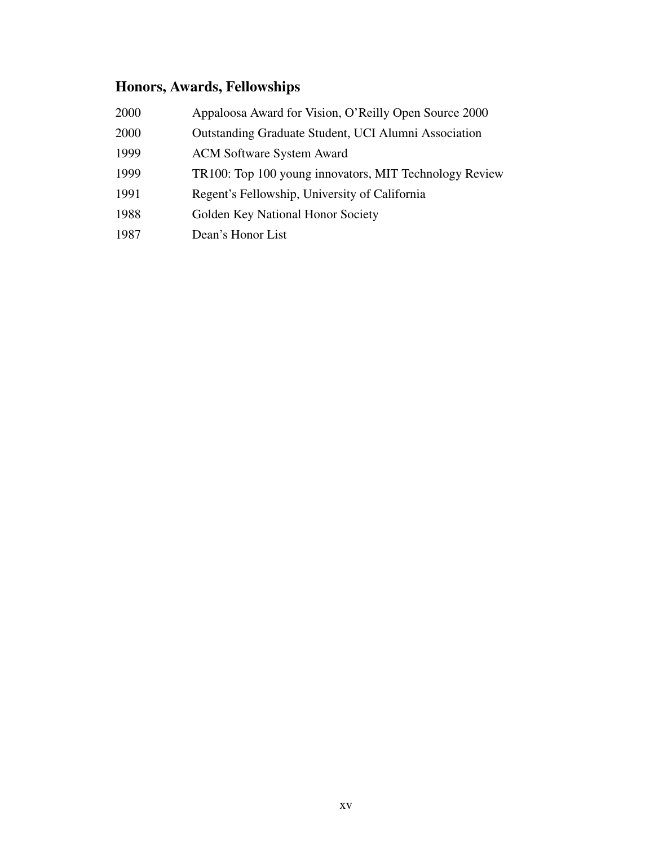## **Honors, Awards, Fellowships**

| 2000 | Appaloosa Award for Vision, O'Reilly Open Source 2000  |
|------|--------------------------------------------------------|
| 2000 | Outstanding Graduate Student, UCI Alumni Association   |
| 1999 | <b>ACM Software System Award</b>                       |
| 1999 | TR100: Top 100 young innovators, MIT Technology Review |
| 1991 | Regent's Fellowship, University of California          |
| 1988 | Golden Key National Honor Society                      |
| 1987 | Dean's Honor List                                      |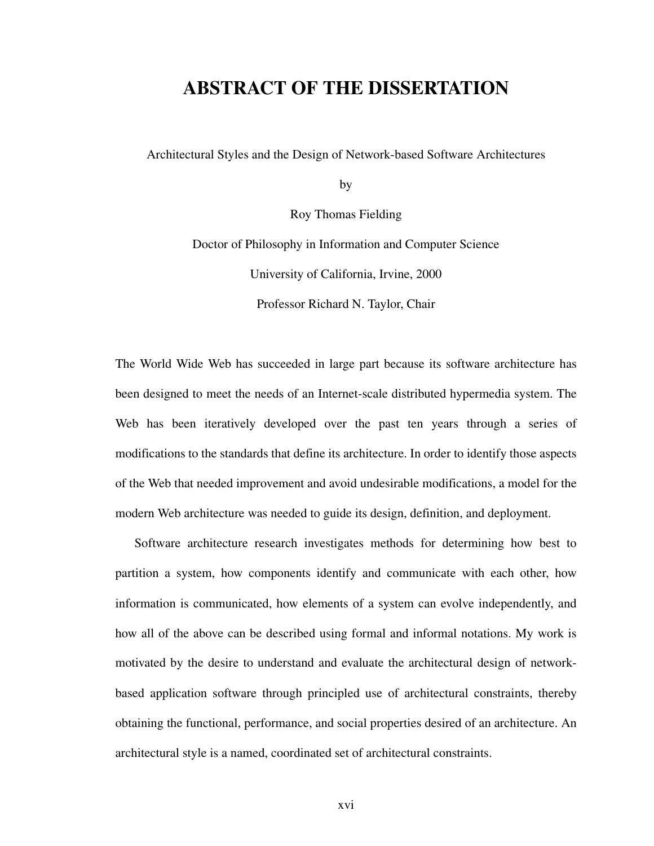## <span id="page-16-0"></span>**ABSTRACT OF THE DISSERTATION**

Architectural Styles and the Design of Network-based Software Architectures

by

Roy Thomas Fielding

Doctor of Philosophy in Information and Computer Science University of California, Irvine, 2000

Professor Richard N. Taylor, Chair

The World Wide Web has succeeded in large part because its software architecture has been designed to meet the needs of an Internet-scale distributed hypermedia system. The Web has been iteratively developed over the past ten years through a series of modifications to the standards that define its architecture. In order to identify those aspects of the Web that needed improvement and avoid undesirable modifications, a model for the modern Web architecture was needed to guide its design, definition, and deployment.

Software architecture research investigates methods for determining how best to partition a system, how components identify and communicate with each other, how information is communicated, how elements of a system can evolve independently, and how all of the above can be described using formal and informal notations. My work is motivated by the desire to understand and evaluate the architectural design of networkbased application software through principled use of architectural constraints, thereby obtaining the functional, performance, and social properties desired of an architecture. An architectural style is a named, coordinated set of architectural constraints.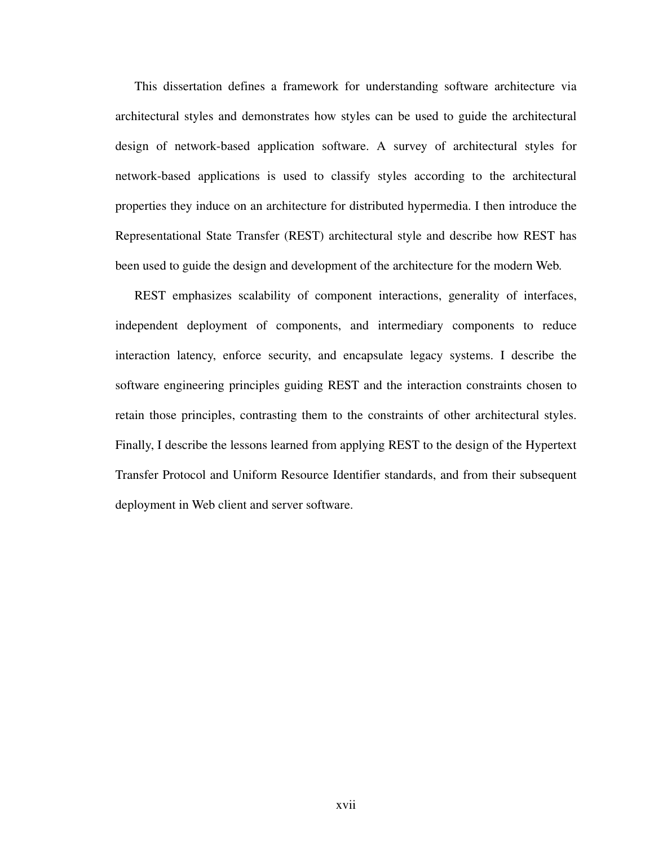This dissertation defines a framework for understanding software architecture via architectural styles and demonstrates how styles can be used to guide the architectural design of network-based application software. A survey of architectural styles for network-based applications is used to classify styles according to the architectural properties they induce on an architecture for distributed hypermedia. I then introduce the Representational State Transfer (REST) architectural style and describe how REST has been used to guide the design and development of the architecture for the modern Web.

REST emphasizes scalability of component interactions, generality of interfaces, independent deployment of components, and intermediary components to reduce interaction latency, enforce security, and encapsulate legacy systems. I describe the software engineering principles guiding REST and the interaction constraints chosen to retain those principles, contrasting them to the constraints of other architectural styles. Finally, I describe the lessons learned from applying REST to the design of the Hypertext Transfer Protocol and Uniform Resource Identifier standards, and from their subsequent deployment in Web client and server software.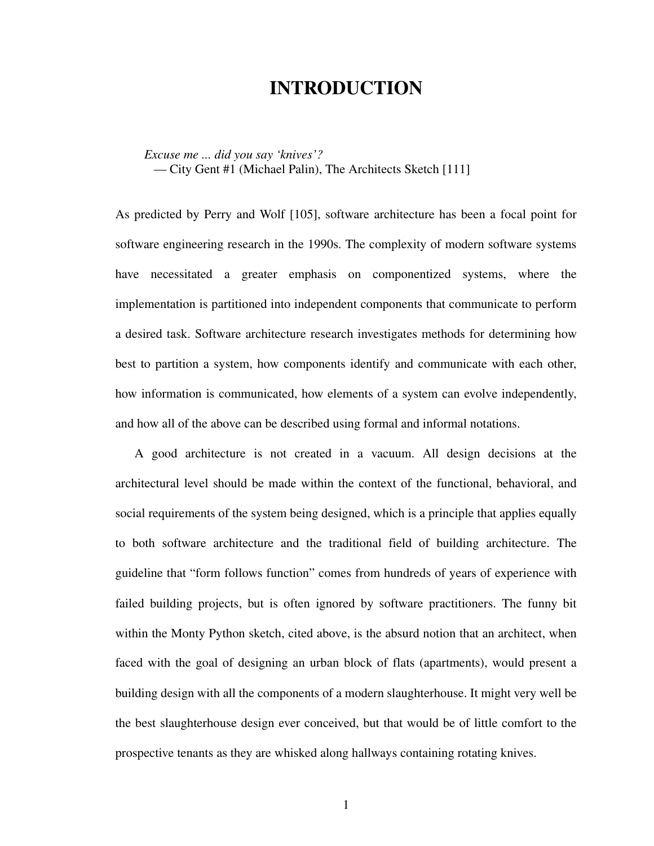## **INTRODUCTION**

<span id="page-18-0"></span>*Excuse me ... did you say 'knives'?*

— City Gent #1 (Michael Palin), The Architects Sketch [\[111](#page-177-1)]

As predicted by Perry and Wolf [\[105](#page-177-0)], software architecture has been a focal point for software engineering research in the 1990s. The complexity of modern software systems have necessitated a greater emphasis on componentized systems, where the implementation is partitioned into independent components that communicate to perform a desired task. Software architecture research investigates methods for determining how best to partition a system, how components identify and communicate with each other, how information is communicated, how elements of a system can evolve independently, and how all of the above can be described using formal and informal notations.

A good architecture is not created in a vacuum. All design decisions at the architectural level should be made within the context of the functional, behavioral, and social requirements of the system being designed, which is a principle that applies equally to both software architecture and the traditional field of building architecture. The guideline that "form follows function" comes from hundreds of years of experience with failed building projects, but is often ignored by software practitioners. The funny bit within the Monty Python sketch, cited above, is the absurd notion that an architect, when faced with the goal of designing an urban block of flats (apartments), would present a building design with all the components of a modern slaughterhouse. It might very well be the best slaughterhouse design ever conceived, but that would be of little comfort to the prospective tenants as they are whisked along hallways containing rotating knives.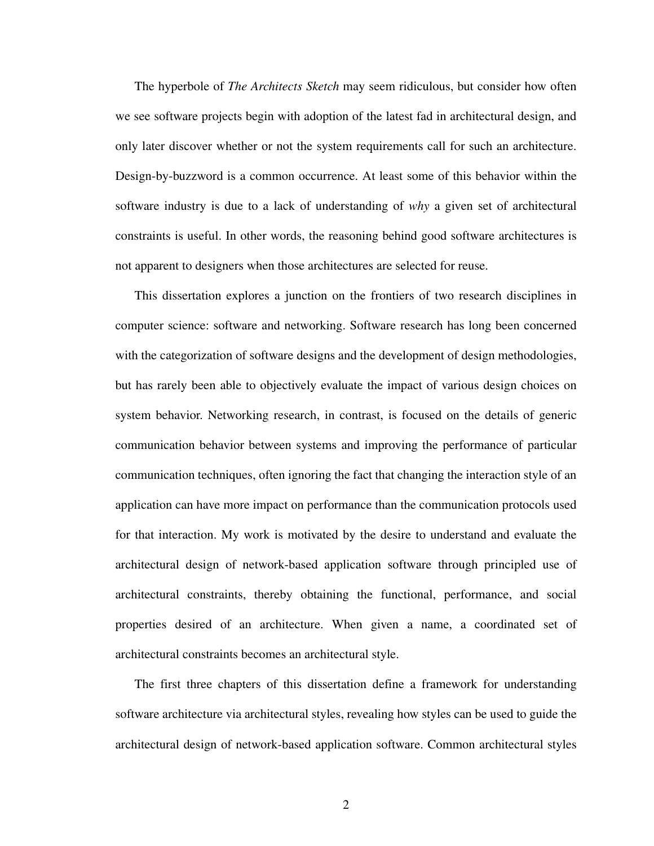The hyperbole of *The Architects Sketch* may seem ridiculous, but consider how often we see software projects begin with adoption of the latest fad in architectural design, and only later discover whether or not the system requirements call for such an architecture. Design-by-buzzword is a common occurrence. At least some of this behavior within the software industry is due to a lack of understanding of *why* a given set of architectural constraints is useful. In other words, the reasoning behind good software architectures is not apparent to designers when those architectures are selected for reuse.

This dissertation explores a junction on the frontiers of two research disciplines in computer science: software and networking. Software research has long been concerned with the categorization of software designs and the development of design methodologies, but has rarely been able to objectively evaluate the impact of various design choices on system behavior. Networking research, in contrast, is focused on the details of generic communication behavior between systems and improving the performance of particular communication techniques, often ignoring the fact that changing the interaction style of an application can have more impact on performance than the communication protocols used for that interaction. My work is motivated by the desire to understand and evaluate the architectural design of network-based application software through principled use of architectural constraints, thereby obtaining the functional, performance, and social properties desired of an architecture. When given a name, a coordinated set of architectural constraints becomes an architectural style.

The first three chapters of this dissertation define a framework for understanding software architecture via architectural styles, revealing how styles can be used to guide the architectural design of network-based application software. Common architectural styles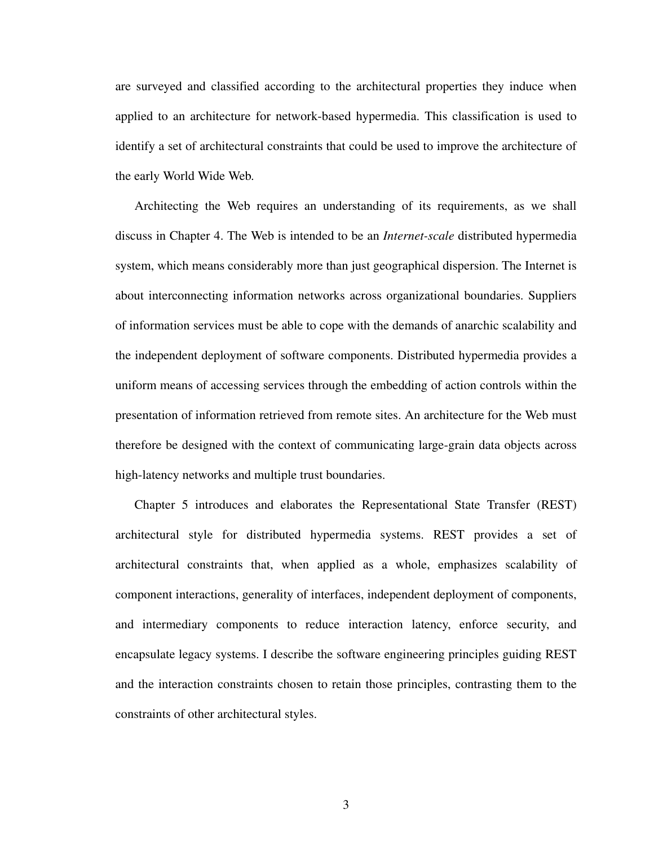are surveyed and classified according to the architectural properties they induce when applied to an architecture for network-based hypermedia. This classification is used to identify a set of architectural constraints that could be used to improve the architecture of the early World Wide Web.

Architecting the Web requires an understanding of its requirements, as we shall discuss in Chapter 4. The Web is intended to be an *Internet-scale* distributed hypermedia system, which means considerably more than just geographical dispersion. The Internet is about interconnecting information networks across organizational boundaries. Suppliers of information services must be able to cope with the demands of anarchic scalability and the independent deployment of software components. Distributed hypermedia provides a uniform means of accessing services through the embedding of action controls within the presentation of information retrieved from remote sites. An architecture for the Web must therefore be designed with the context of communicating large-grain data objects across high-latency networks and multiple trust boundaries.

Chapter 5 introduces and elaborates the Representational State Transfer (REST) architectural style for distributed hypermedia systems. REST provides a set of architectural constraints that, when applied as a whole, emphasizes scalability of component interactions, generality of interfaces, independent deployment of components, and intermediary components to reduce interaction latency, enforce security, and encapsulate legacy systems. I describe the software engineering principles guiding REST and the interaction constraints chosen to retain those principles, contrasting them to the constraints of other architectural styles.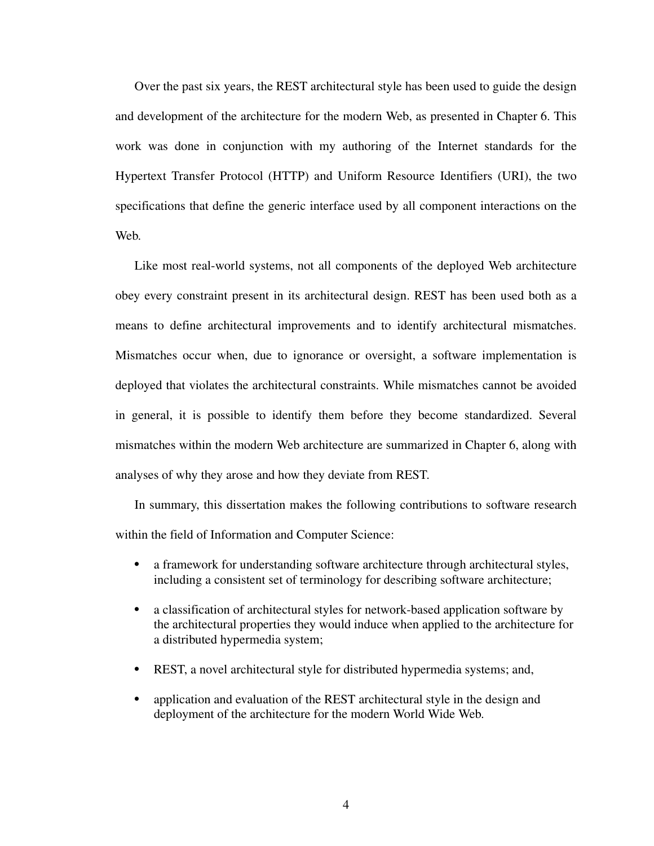Over the past six years, the REST architectural style has been used to guide the design and development of the architecture for the modern Web, as presented in Chapter 6. This work was done in conjunction with my authoring of the Internet standards for the Hypertext Transfer Protocol (HTTP) and Uniform Resource Identifiers (URI), the two specifications that define the generic interface used by all component interactions on the Web.

Like most real-world systems, not all components of the deployed Web architecture obey every constraint present in its architectural design. REST has been used both as a means to define architectural improvements and to identify architectural mismatches. Mismatches occur when, due to ignorance or oversight, a software implementation is deployed that violates the architectural constraints. While mismatches cannot be avoided in general, it is possible to identify them before they become standardized. Several mismatches within the modern Web architecture are summarized in Chapter 6, along with analyses of why they arose and how they deviate from REST.

In summary, this dissertation makes the following contributions to software research within the field of Information and Computer Science:

- a framework for understanding software architecture through architectural styles, including a consistent set of terminology for describing software architecture;
- a classification of architectural styles for network-based application software by the architectural properties they would induce when applied to the architecture for a distributed hypermedia system;
- REST, a novel architectural style for distributed hypermedia systems; and,
- application and evaluation of the REST architectural style in the design and deployment of the architecture for the modern World Wide Web.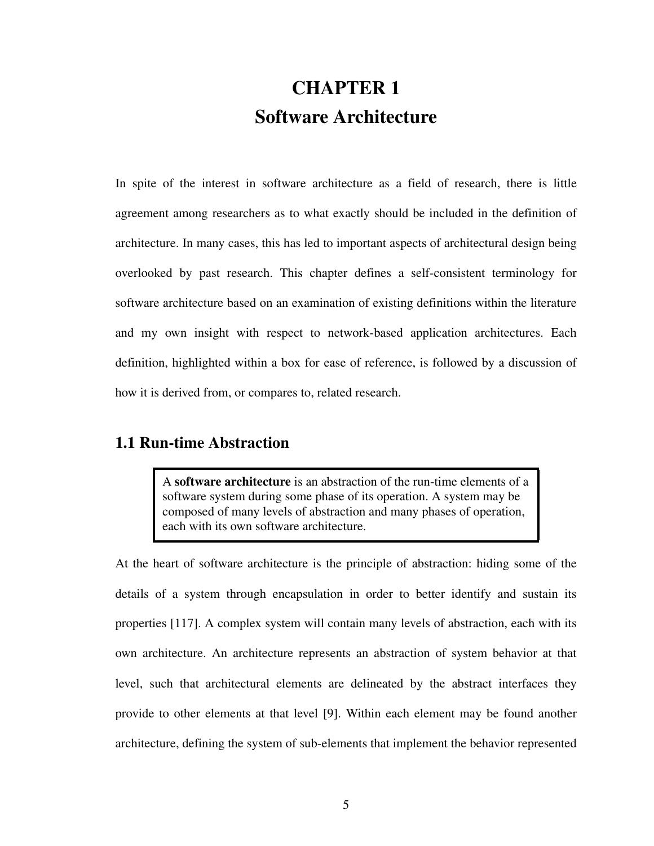# **CHAPTER 1 Software Architecture**

<span id="page-22-1"></span><span id="page-22-0"></span>In spite of the interest in software architecture as a field of research, there is little agreement among researchers as to what exactly should be included in the definition of architecture. In many cases, this has led to important aspects of architectural design being overlooked by past research. This chapter defines a self-consistent terminology for software architecture based on an examination of existing definitions within the literature and my own insight with respect to network-based application architectures. Each definition, highlighted within a box for ease of reference, is followed by a discussion of how it is derived from, or compares to, related research.

### <span id="page-22-2"></span>**1.1 Run-time Abstraction**

A **software architecture** is an abstraction of the run-time elements of a software system during some phase of its operation. A system may be composed of many levels of abstraction and many phases of operation, each with its own software architecture.

At the heart of software architecture is the principle of abstraction: hiding some of the details of a system through encapsulation in order to better identify and sustain its properties [\[117](#page-178-0)]. A complex system will contain many levels of abstraction, each with its own architecture. An architecture represents an abstraction of system behavior at that level, such that architectural elements are delineated by the abstract interfaces they provide to other elements at that level [[9\]](#page-169-1). Within each element may be found another architecture, defining the system of sub-elements that implement the behavior represented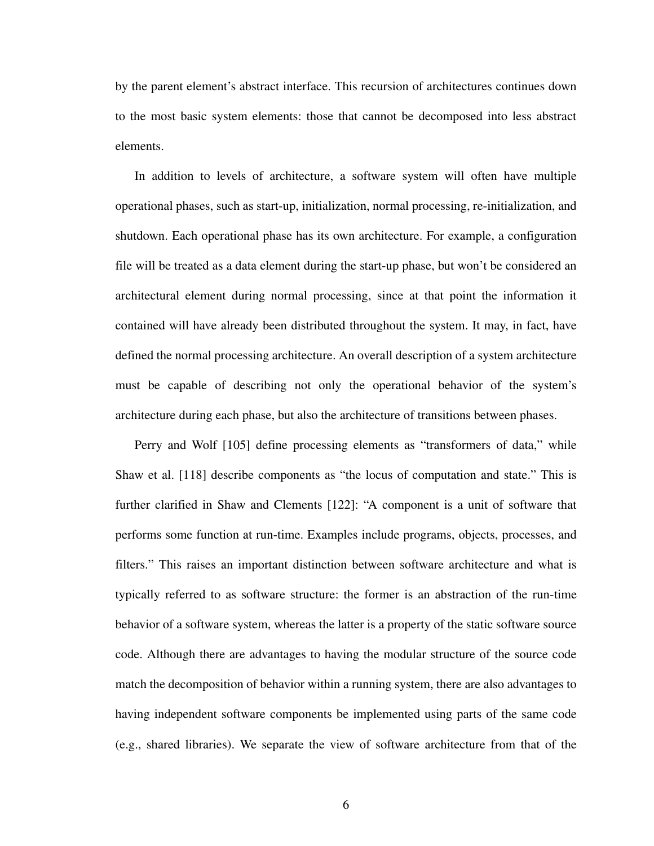by the parent element's abstract interface. This recursion of architectures continues down to the most basic system elements: those that cannot be decomposed into less abstract elements.

In addition to levels of architecture, a software system will often have multiple operational phases, such as start-up, initialization, normal processing, re-initialization, and shutdown. Each operational phase has its own architecture. For example, a configuration file will be treated as a data element during the start-up phase, but won't be considered an architectural element during normal processing, since at that point the information it contained will have already been distributed throughout the system. It may, in fact, have defined the normal processing architecture. An overall description of a system architecture must be capable of describing not only the operational behavior of the system's architecture during each phase, but also the architecture of transitions between phases.

Perry and Wolf [\[105](#page-177-0)] define processing elements as "transformers of data," while Shaw et al. [[118\]](#page-178-2) describe components as "the locus of computation and state." This is further clarified in Shaw and Clements [\[122](#page-178-1)]: "A component is a unit of software that performs some function at run-time. Examples include programs, objects, processes, and filters." This raises an important distinction between software architecture and what is typically referred to as software structure: the former is an abstraction of the run-time behavior of a software system, whereas the latter is a property of the static software source code. Although there are advantages to having the modular structure of the source code match the decomposition of behavior within a running system, there are also advantages to having independent software components be implemented using parts of the same code (e.g., shared libraries). We separate the view of software architecture from that of the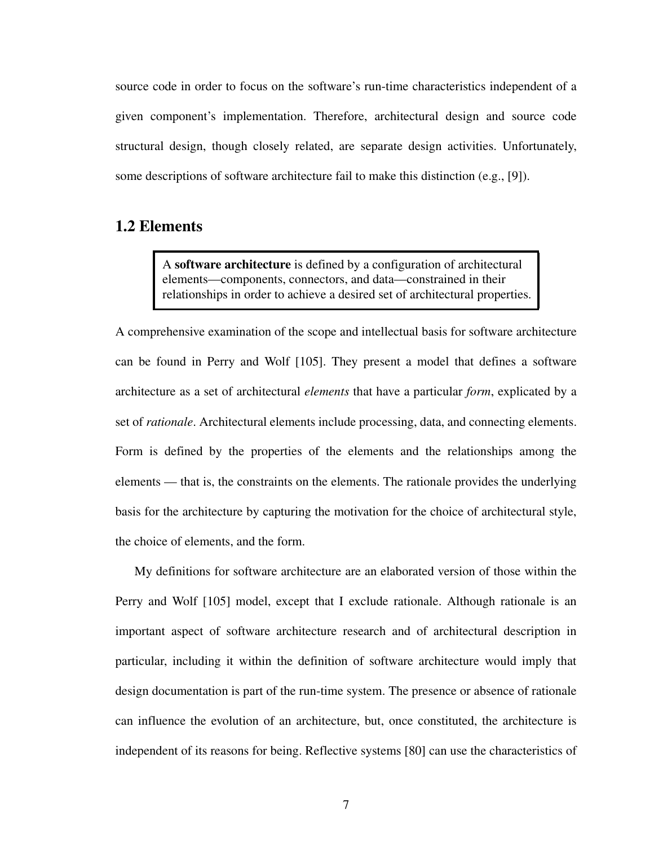source code in order to focus on the software's run-time characteristics independent of a given component's implementation. Therefore, architectural design and source code structural design, though closely related, are separate design activities. Unfortunately, some descriptions of software architecture fail to make this distinction (e.g., [\[9](#page-169-1)]).

## <span id="page-24-0"></span>**1.2 Elements**

A **software architecture** is defined by a configuration of architectural elements—components, connectors, and data—constrained in their relationships in order to achieve a desired set of architectural properties.

A comprehensive examination of the scope and intellectual basis for software architecture can be found in Perry and Wolf [\[105](#page-177-0)]. They present a model that defines a software architecture as a set of architectural *elements* that have a particular *form*, explicated by a set of *rationale*. Architectural elements include processing, data, and connecting elements. Form is defined by the properties of the elements and the relationships among the elements — that is, the constraints on the elements. The rationale provides the underlying basis for the architecture by capturing the motivation for the choice of architectural style, the choice of elements, and the form.

My definitions for software architecture are an elaborated version of those within the Perry and Wolf [[105\]](#page-177-0) model, except that I exclude rationale. Although rationale is an important aspect of software architecture research and of architectural description in particular, including it within the definition of software architecture would imply that design documentation is part of the run-time system. The presence or absence of rationale can influence the evolution of an architecture, but, once constituted, the architecture is independent of its reasons for being. Reflective systems [[80\]](#page-175-0) can use the characteristics of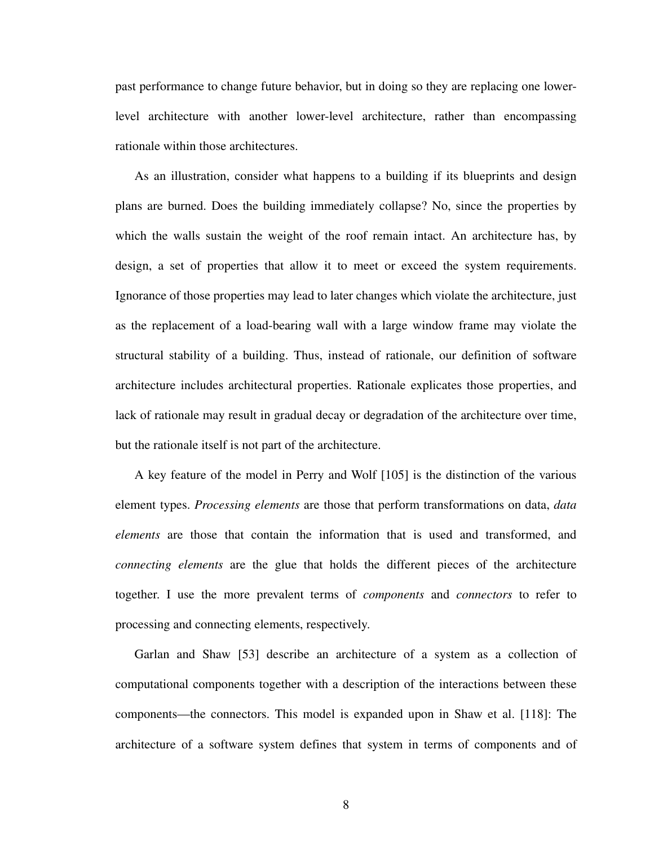past performance to change future behavior, but in doing so they are replacing one lowerlevel architecture with another lower-level architecture, rather than encompassing rationale within those architectures.

As an illustration, consider what happens to a building if its blueprints and design plans are burned. Does the building immediately collapse? No, since the properties by which the walls sustain the weight of the roof remain intact. An architecture has, by design, a set of properties that allow it to meet or exceed the system requirements. Ignorance of those properties may lead to later changes which violate the architecture, just as the replacement of a load-bearing wall with a large window frame may violate the structural stability of a building. Thus, instead of rationale, our definition of software architecture includes architectural properties. Rationale explicates those properties, and lack of rationale may result in gradual decay or degradation of the architecture over time, but the rationale itself is not part of the architecture.

A key feature of the model in Perry and Wolf [[105\]](#page-177-0) is the distinction of the various element types. *Processing elements* are those that perform transformations on data, *data elements* are those that contain the information that is used and transformed, and *connecting elements* are the glue that holds the different pieces of the architecture together. I use the more prevalent terms of *components* and *connectors* to refer to processing and connecting elements, respectively.

Garlan and Shaw [[53\]](#page-173-0) describe an architecture of a system as a collection of computational components together with a description of the interactions between these components—the connectors. This model is expanded upon in Shaw et al. [\[118](#page-178-2)]: The architecture of a software system defines that system in terms of components and of

8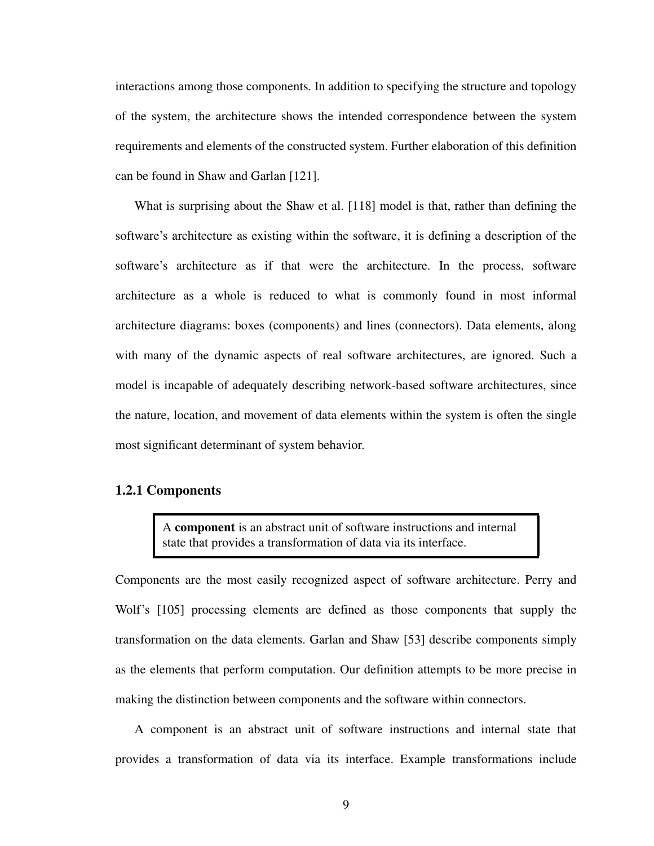interactions among those components. In addition to specifying the structure and topology of the system, the architecture shows the intended correspondence between the system requirements and elements of the constructed system. Further elaboration of this definition can be found in Shaw and Garlan [[121\]](#page-178-3).

What is surprising about the Shaw et al. [[118\]](#page-178-2) model is that, rather than defining the software's architecture as existing within the software, it is defining a description of the software's architecture as if that were the architecture. In the process, software architecture as a whole is reduced to what is commonly found in most informal architecture diagrams: boxes (components) and lines (connectors). Data elements, along with many of the dynamic aspects of real software architectures, are ignored. Such a model is incapable of adequately describing network-based software architectures, since the nature, location, and movement of data elements within the system is often the single most significant determinant of system behavior.

#### **1.2.1 Components**

A **component** is an abstract unit of software instructions and internal state that provides a transformation of data via its interface.

Components are the most easily recognized aspect of software architecture. Perry and Wolf's [[105\]](#page-177-0) processing elements are defined as those components that supply the transformation on the data elements. Garlan and Shaw [\[53](#page-173-0)] describe components simply as the elements that perform computation. Our definition attempts to be more precise in making the distinction between components and the software within connectors.

A component is an abstract unit of software instructions and internal state that provides a transformation of data via its interface. Example transformations include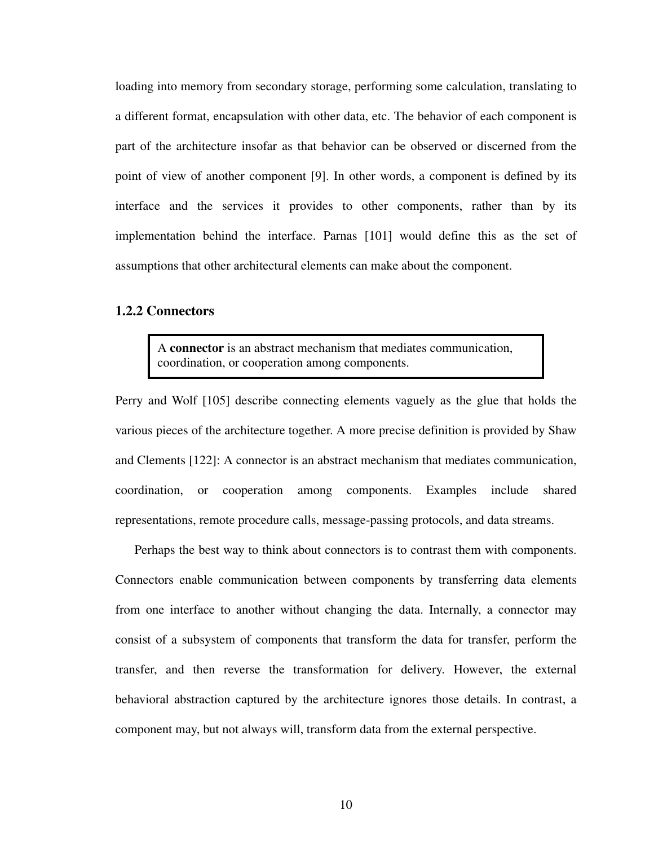loading into memory from secondary storage, performing some calculation, translating to a different format, encapsulation with other data, etc. The behavior of each component is part of the architecture insofar as that behavior can be observed or discerned from the point of view of another component [\[9](#page-169-1)]. In other words, a component is defined by its interface and the services it provides to other components, rather than by its implementation behind the interface. Parnas [\[101](#page-176-0)] would define this as the set of assumptions that other architectural elements can make about the component.

#### **1.2.2 Connectors**

A **connector** is an abstract mechanism that mediates communication, coordination, or cooperation among components.

Perry and Wolf [\[105](#page-177-0)] describe connecting elements vaguely as the glue that holds the various pieces of the architecture together. A more precise definition is provided by Shaw and Clements [[122\]](#page-178-1): A connector is an abstract mechanism that mediates communication, coordination, or cooperation among components. Examples include shared representations, remote procedure calls, message-passing protocols, and data streams.

Perhaps the best way to think about connectors is to contrast them with components. Connectors enable communication between components by transferring data elements from one interface to another without changing the data. Internally, a connector may consist of a subsystem of components that transform the data for transfer, perform the transfer, and then reverse the transformation for delivery. However, the external behavioral abstraction captured by the architecture ignores those details. In contrast, a component may, but not always will, transform data from the external perspective.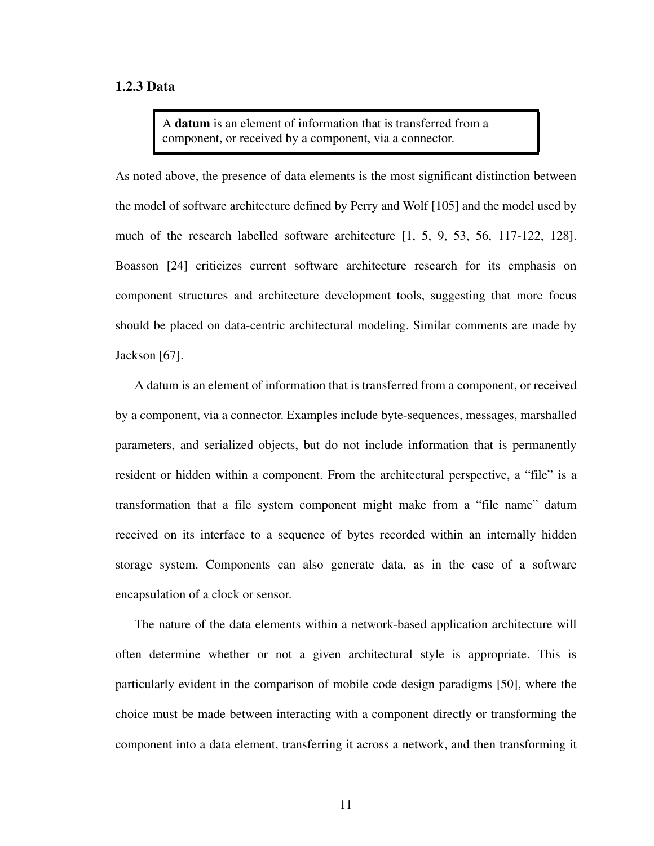#### **1.2.3 Data**

A **datum** is an element of information that is transferred from a component, or received by a component, via a connector.

As noted above, the presence of data elements is the most significant distinction between the model of software architecture defined by Perry and Wolf [[105\]](#page-177-0) and the model used by much of the research labelled software architecture [\[1](#page-169-2), [5](#page-169-3), [9,](#page-169-1) [53,](#page-173-0) [56](#page-173-1), [117](#page-178-0)[-122](#page-178-1), [128](#page-179-0)]. Boasson [\[24](#page-170-0)] criticizes current software architecture research for its emphasis on component structures and architecture development tools, suggesting that more focus should be placed on data-centric architectural modeling. Similar comments are made by Jackson [[67\]](#page-174-0).

A datum is an element of information that is transferred from a component, or received by a component, via a connector. Examples include byte-sequences, messages, marshalled parameters, and serialized objects, but do not include information that is permanently resident or hidden within a component. From the architectural perspective, a "file" is a transformation that a file system component might make from a "file name" datum received on its interface to a sequence of bytes recorded within an internally hidden storage system. Components can also generate data, as in the case of a software encapsulation of a clock or sensor.

The nature of the data elements within a network-based application architecture will often determine whether or not a given architectural style is appropriate. This is particularly evident in the comparison of mobile code design paradigms [\[50](#page-172-0)], where the choice must be made between interacting with a component directly or transforming the component into a data element, transferring it across a network, and then transforming it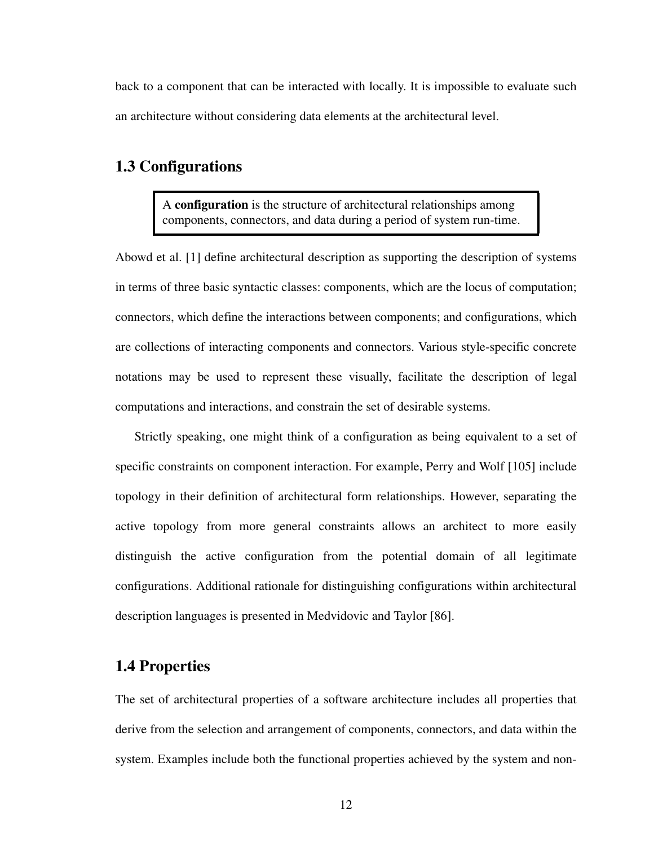back to a component that can be interacted with locally. It is impossible to evaluate such an architecture without considering data elements at the architectural level.

## <span id="page-29-0"></span>**1.3 Configurations**

A **configuration** is the structure of architectural relationships among components, connectors, and data during a period of system run-time.

Abowd et al. [[1](#page-169-2)] define architectural description as supporting the description of systems in terms of three basic syntactic classes: components, which are the locus of computation; connectors, which define the interactions between components; and configurations, which are collections of interacting components and connectors. Various style-specific concrete notations may be used to represent these visually, facilitate the description of legal computations and interactions, and constrain the set of desirable systems.

Strictly speaking, one might think of a configuration as being equivalent to a set of specific constraints on component interaction. For example, Perry and Wolf [[105\]](#page-177-0) include topology in their definition of architectural form relationships. However, separating the active topology from more general constraints allows an architect to more easily distinguish the active configuration from the potential domain of all legitimate configurations. Additional rationale for distinguishing configurations within architectural description languages is presented in Medvidovic and Taylor [[86\]](#page-175-1).

## <span id="page-29-1"></span>**1.4 Properties**

The set of architectural properties of a software architecture includes all properties that derive from the selection and arrangement of components, connectors, and data within the system. Examples include both the functional properties achieved by the system and non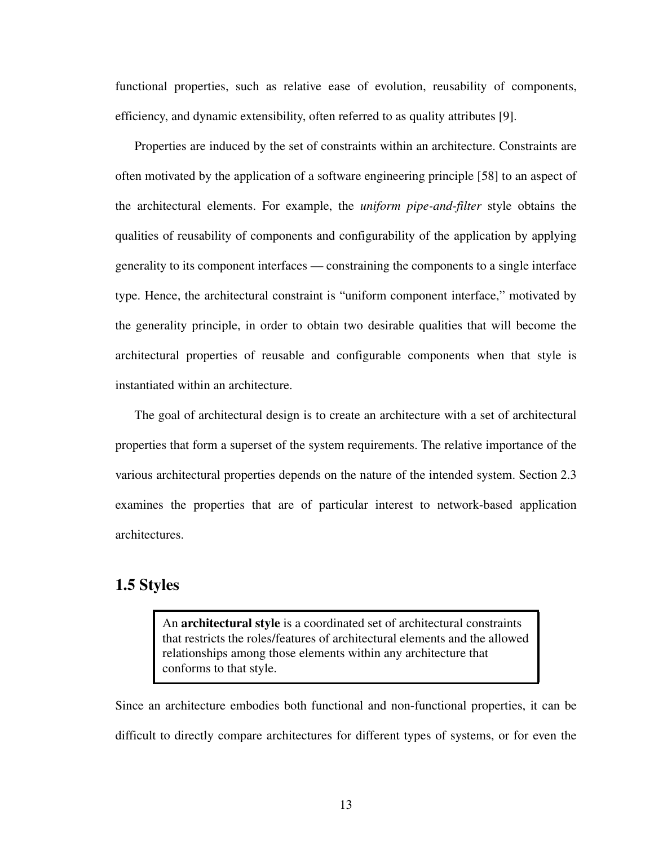functional properties, such as relative ease of evolution, reusability of components, efficiency, and dynamic extensibility, often referred to as quality attributes [\[9](#page-169-1)].

Properties are induced by the set of constraints within an architecture. Constraints are often motivated by the application of a software engineering principle [[58\]](#page-173-2) to an aspect of the architectural elements. For example, the *uniform pipe-and-filter* style obtains the qualities of reusability of components and configurability of the application by applying generality to its component interfaces — constraining the components to a single interface type. Hence, the architectural constraint is "uniform component interface," motivated by the generality principle, in order to obtain two desirable qualities that will become the architectural properties of reusable and configurable components when that style is instantiated within an architecture.

The goal of architectural design is to create an architecture with a set of architectural properties that form a superset of the system requirements. The relative importance of the various architectural properties depends on the nature of the intended system. [Section 2.3](#page-45-1) examines the properties that are of particular interest to network-based application architectures.

## <span id="page-30-0"></span>**1.5 Styles**

An **architectural style** is a coordinated set of architectural constraints that restricts the roles/features of architectural elements and the allowed relationships among those elements within any architecture that conforms to that style.

Since an architecture embodies both functional and non-functional properties, it can be difficult to directly compare architectures for different types of systems, or for even the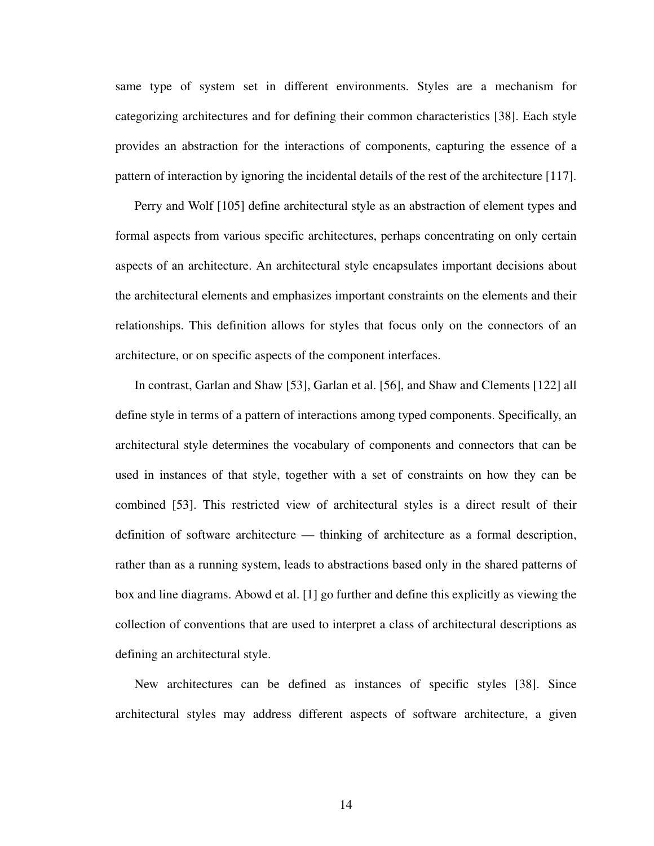same type of system set in different environments. Styles are a mechanism for categorizing architectures and for defining their common characteristics [[38\]](#page-172-1). Each style provides an abstraction for the interactions of components, capturing the essence of a pattern of interaction by ignoring the incidental details of the rest of the architecture [[117\]](#page-178-0).

Perry and Wolf [\[105](#page-177-0)] define architectural style as an abstraction of element types and formal aspects from various specific architectures, perhaps concentrating on only certain aspects of an architecture. An architectural style encapsulates important decisions about the architectural elements and emphasizes important constraints on the elements and their relationships. This definition allows for styles that focus only on the connectors of an architecture, or on specific aspects of the component interfaces.

In contrast, Garlan and Shaw [[53\]](#page-173-0), Garlan et al. [\[56](#page-173-1)], and Shaw and Clements [\[122](#page-178-1)] all define style in terms of a pattern of interactions among typed components. Specifically, an architectural style determines the vocabulary of components and connectors that can be used in instances of that style, together with a set of constraints on how they can be combined [\[53](#page-173-0)]. This restricted view of architectural styles is a direct result of their definition of software architecture — thinking of architecture as a formal description, rather than as a running system, leads to abstractions based only in the shared patterns of box and line diagrams. Abowd et al. [\[1](#page-169-2)] go further and define this explicitly as viewing the collection of conventions that are used to interpret a class of architectural descriptions as defining an architectural style.

New architectures can be defined as instances of specific styles [\[38](#page-172-1)]. Since architectural styles may address different aspects of software architecture, a given

14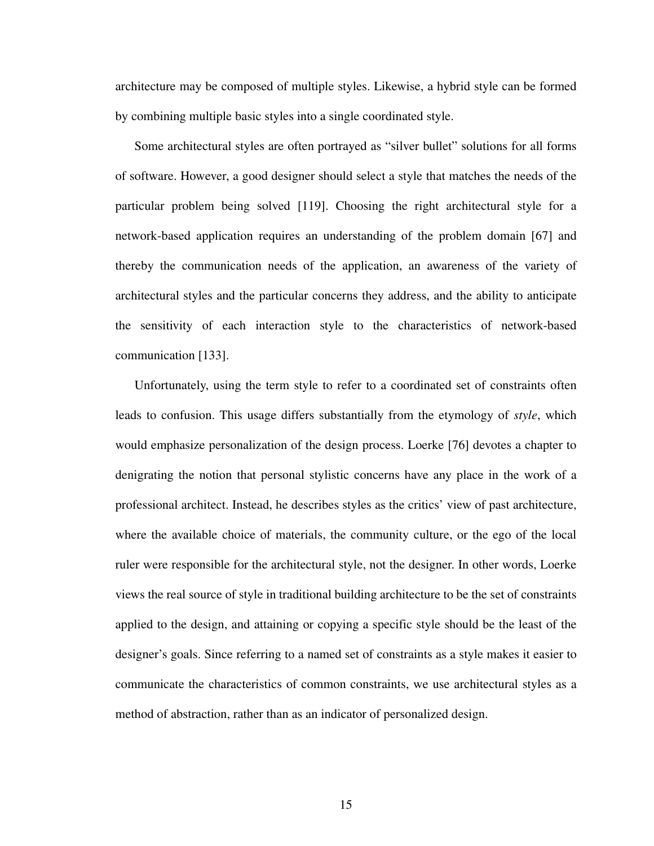architecture may be composed of multiple styles. Likewise, a hybrid style can be formed by combining multiple basic styles into a single coordinated style.

Some architectural styles are often portrayed as "silver bullet" solutions for all forms of software. However, a good designer should select a style that matches the needs of the particular problem being solved [[119\]](#page-178-4). Choosing the right architectural style for a network-based application requires an understanding of the problem domain [[67\]](#page-174-0) and thereby the communication needs of the application, an awareness of the variety of architectural styles and the particular concerns they address, and the ability to anticipate the sensitivity of each interaction style to the characteristics of network-based communication [[133\]](#page-179-1).

Unfortunately, using the term style to refer to a coordinated set of constraints often leads to confusion. This usage differs substantially from the etymology of *style*, which would emphasize personalization of the design process. Loerke [[76\]](#page-175-2) devotes a chapter to denigrating the notion that personal stylistic concerns have any place in the work of a professional architect. Instead, he describes styles as the critics' view of past architecture, where the available choice of materials, the community culture, or the ego of the local ruler were responsible for the architectural style, not the designer. In other words, Loerke views the real source of style in traditional building architecture to be the set of constraints applied to the design, and attaining or copying a specific style should be the least of the designer's goals. Since referring to a named set of constraints as a style makes it easier to communicate the characteristics of common constraints, we use architectural styles as a method of abstraction, rather than as an indicator of personalized design.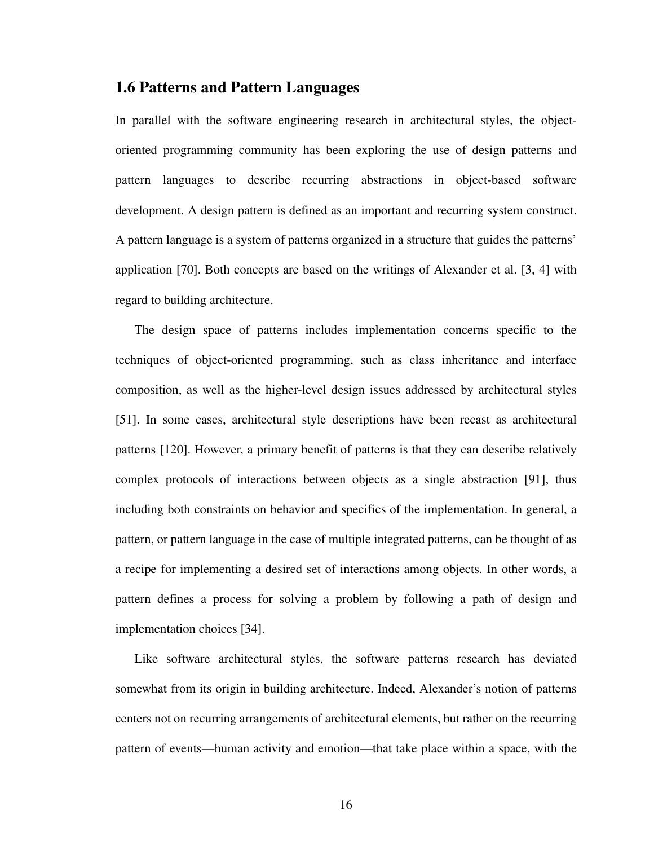## <span id="page-33-0"></span>**1.6 Patterns and Pattern Languages**

In parallel with the software engineering research in architectural styles, the objectoriented programming community has been exploring the use of design patterns and pattern languages to describe recurring abstractions in object-based software development. A design pattern is defined as an important and recurring system construct. A pattern language is a system of patterns organized in a structure that guides the patterns' application [\[70](#page-174-1)]. Both concepts are based on the writings of Alexander et al. [\[3](#page-169-4), [4\]](#page-169-5) with regard to building architecture.

The design space of patterns includes implementation concerns specific to the techniques of object-oriented programming, such as class inheritance and interface composition, as well as the higher-level design issues addressed by architectural styles [\[51](#page-173-3)]. In some cases, architectural style descriptions have been recast as architectural patterns [[120\]](#page-178-5). However, a primary benefit of patterns is that they can describe relatively complex protocols of interactions between objects as a single abstraction [[91\]](#page-176-1), thus including both constraints on behavior and specifics of the implementation. In general, a pattern, or pattern language in the case of multiple integrated patterns, can be thought of as a recipe for implementing a desired set of interactions among objects. In other words, a pattern defines a process for solving a problem by following a path of design and implementation choices [\[34](#page-171-0)].

Like software architectural styles, the software patterns research has deviated somewhat from its origin in building architecture. Indeed, Alexander's notion of patterns centers not on recurring arrangements of architectural elements, but rather on the recurring pattern of events—human activity and emotion—that take place within a space, with the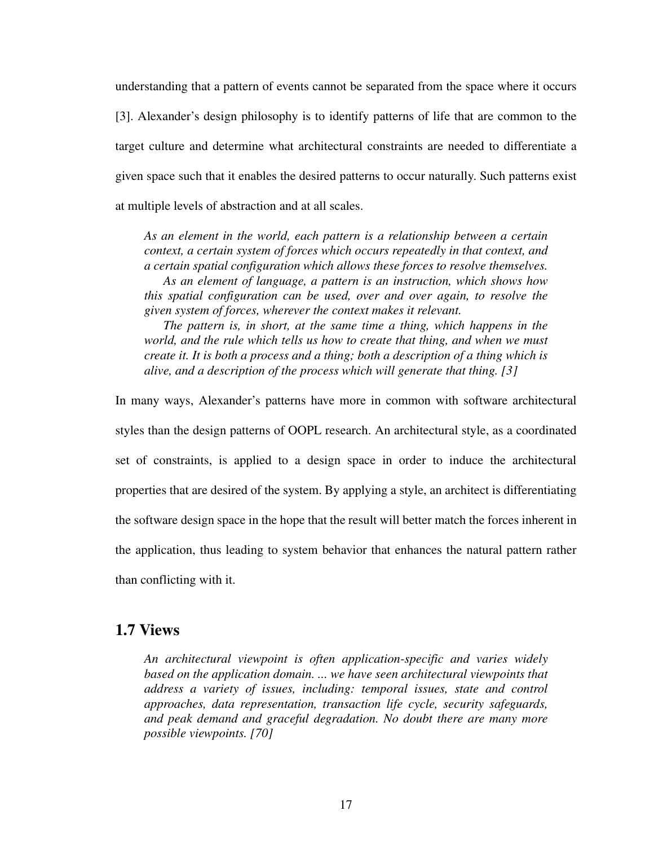understanding that a pattern of events cannot be separated from the space where it occurs [\[3](#page-169-4)]. Alexander's design philosophy is to identify patterns of life that are common to the target culture and determine what architectural constraints are needed to differentiate a given space such that it enables the desired patterns to occur naturally. Such patterns exist at multiple levels of abstraction and at all scales.

*As an element in the world, each pattern is a relationship between a certain context, a certain system of forces which occurs repeatedly in that context, and a certain spatial configuration which allows these forces to resolve themselves. As an element of language, a pattern is an instruction, which shows how this spatial configuration can be used, over and over again, to resolve the given system of forces, wherever the context makes it relevant.*

*The pattern is, in short, at the same time a thing, which happens in the world, and the rule which tells us how to create that thing, and when we must create it. It is both a process and a thing; both a description of a thing which is alive, and a description of the process which will generate that thing. [\[3](#page-169-4)]*

In many ways, Alexander's patterns have more in common with software architectural styles than the design patterns of OOPL research. An architectural style, as a coordinated set of constraints, is applied to a design space in order to induce the architectural properties that are desired of the system. By applying a style, an architect is differentiating the software design space in the hope that the result will better match the forces inherent in the application, thus leading to system behavior that enhances the natural pattern rather than conflicting with it.

### <span id="page-34-0"></span>**1.7 Views**

*An architectural viewpoint is often application-specific and varies widely based on the application domain. ... we have seen architectural viewpoints that address a variety of issues, including: temporal issues, state and control approaches, data representation, transaction life cycle, security safeguards, and peak demand and graceful degradation. No doubt there are many more possible viewpoints. [\[70](#page-174-1)]*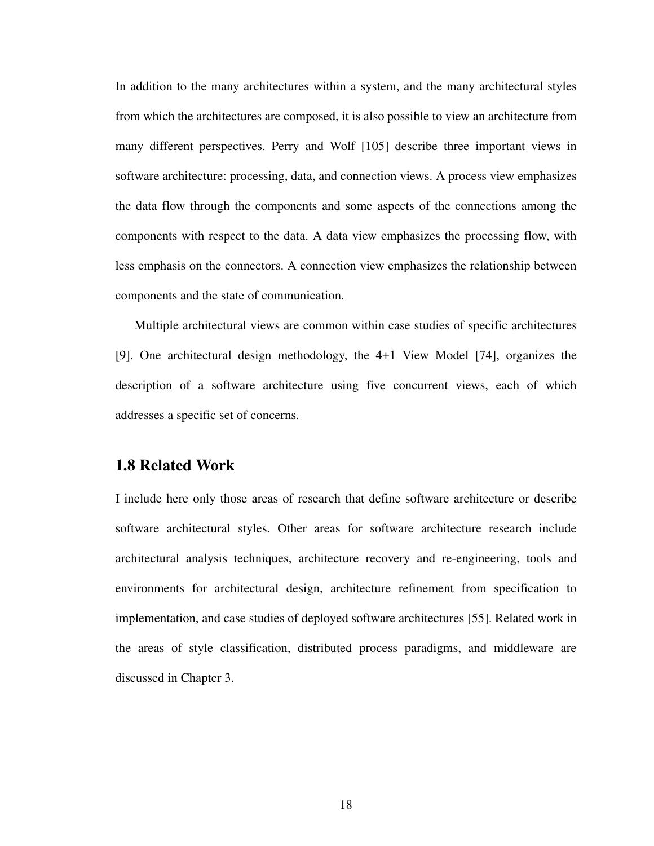In addition to the many architectures within a system, and the many architectural styles from which the architectures are composed, it is also possible to view an architecture from many different perspectives. Perry and Wolf [\[105](#page-177-0)] describe three important views in software architecture: processing, data, and connection views. A process view emphasizes the data flow through the components and some aspects of the connections among the components with respect to the data. A data view emphasizes the processing flow, with less emphasis on the connectors. A connection view emphasizes the relationship between components and the state of communication.

Multiple architectural views are common within case studies of specific architectures [\[9](#page-169-1)]. One architectural design methodology, the 4+1 View Model [[74\]](#page-174-2), organizes the description of a software architecture using five concurrent views, each of which addresses a specific set of concerns.

### <span id="page-35-0"></span>**1.8 Related Work**

I include here only those areas of research that define software architecture or describe software architectural styles. Other areas for software architecture research include architectural analysis techniques, architecture recovery and re-engineering, tools and environments for architectural design, architecture refinement from specification to implementation, and case studies of deployed software architectures [[55\]](#page-173-4). Related work in the areas of style classification, distributed process paradigms, and middleware are discussed in [Chapter 3](#page-55-3).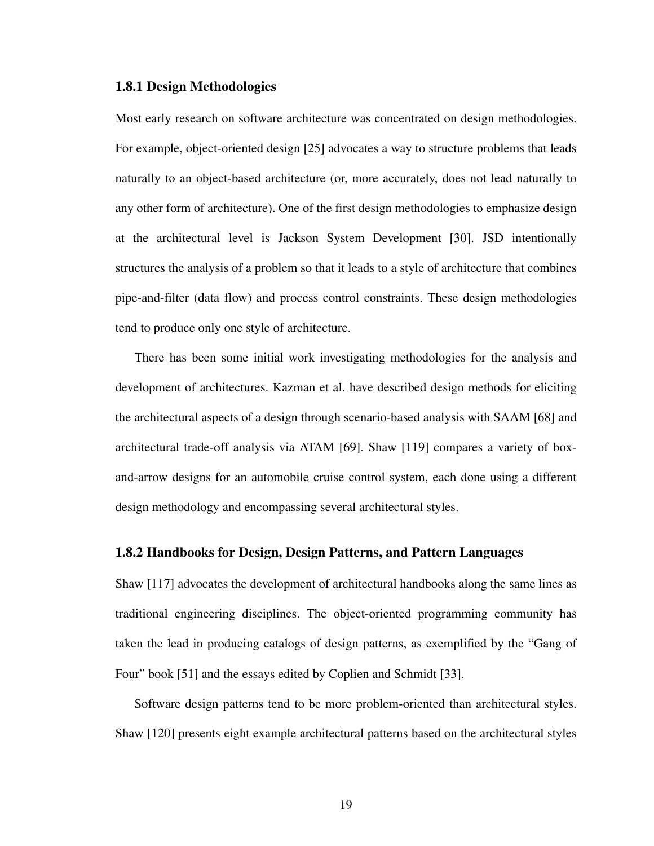### **1.8.1 Design Methodologies**

Most early research on software architecture was concentrated on design methodologies. For example, object-oriented design [\[25](#page-171-0)] advocates a way to structure problems that leads naturally to an object-based architecture (or, more accurately, does not lead naturally to any other form of architecture). One of the first design methodologies to emphasize design at the architectural level is Jackson System Development [[30](#page-171-1)]. JSD intentionally structures the analysis of a problem so that it leads to a style of architecture that combines pipe-and-filter (data flow) and process control constraints. These design methodologies tend to produce only one style of architecture.

There has been some initial work investigating methodologies for the analysis and development of architectures. Kazman et al. have described design methods for eliciting the architectural aspects of a design through scenario-based analysis with SAAM [[68\]](#page-174-0) and architectural trade-off analysis via ATAM [[69\]](#page-174-1). Shaw [[119\]](#page-178-1) compares a variety of boxand-arrow designs for an automobile cruise control system, each done using a different design methodology and encompassing several architectural styles.

### **1.8.2 Handbooks for Design, Design Patterns, and Pattern Languages**

Shaw [[117\]](#page-178-0) advocates the development of architectural handbooks along the same lines as traditional engineering disciplines. The object-oriented programming community has taken the lead in producing catalogs of design patterns, as exemplified by the "Gang of Four" book [[51\]](#page-173-0) and the essays edited by Coplien and Schmidt [[33\]](#page-171-2).

Software design patterns tend to be more problem-oriented than architectural styles. Shaw [[120\]](#page-178-2) presents eight example architectural patterns based on the architectural styles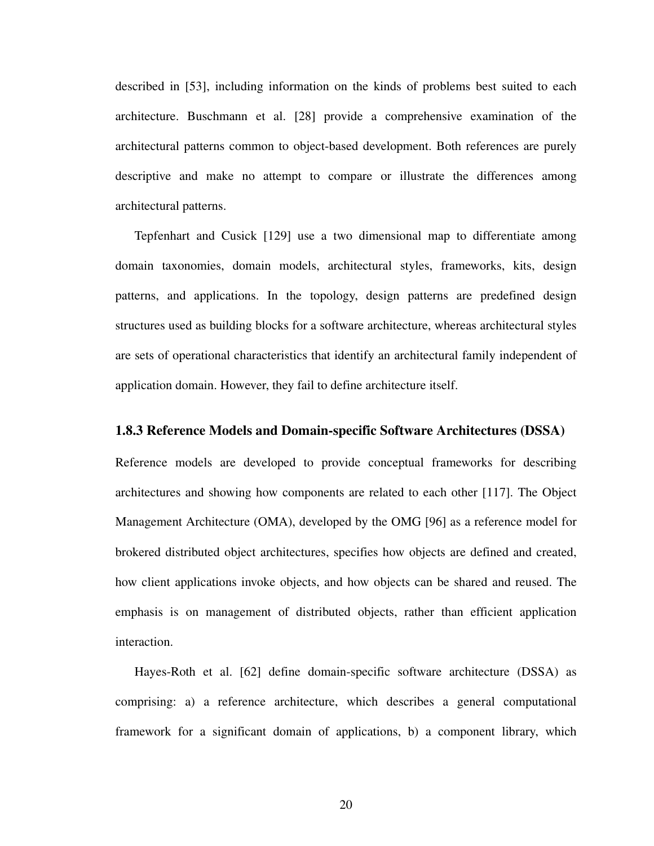described in [\[53](#page-173-2)], including information on the kinds of problems best suited to each architecture. Buschmann et al. [[28\]](#page-171-3) provide a comprehensive examination of the architectural patterns common to object-based development. Both references are purely descriptive and make no attempt to compare or illustrate the differences among architectural patterns.

Tepfenhart and Cusick [[129\]](#page-179-0) use a two dimensional map to differentiate among domain taxonomies, domain models, architectural styles, frameworks, kits, design patterns, and applications. In the topology, design patterns are predefined design structures used as building blocks for a software architecture, whereas architectural styles are sets of operational characteristics that identify an architectural family independent of application domain. However, they fail to define architecture itself.

# **1.8.3 Reference Models and Domain-specific Software Architectures (DSSA)**

Reference models are developed to provide conceptual frameworks for describing architectures and showing how components are related to each other [[117\]](#page-178-0). The Object Management Architecture (OMA), developed by the OMG [\[96](#page-176-0)] as a reference model for brokered distributed object architectures, specifies how objects are defined and created, how client applications invoke objects, and how objects can be shared and reused. The emphasis is on management of distributed objects, rather than efficient application interaction.

Hayes-Roth et al. [[62\]](#page-173-1) define domain-specific software architecture (DSSA) as comprising: a) a reference architecture, which describes a general computational framework for a significant domain of applications, b) a component library, which

20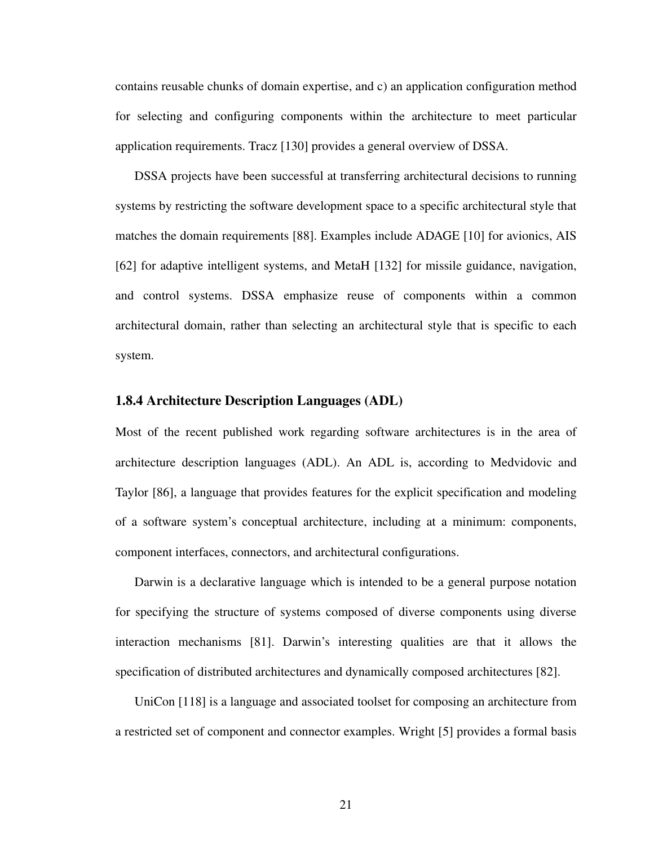contains reusable chunks of domain expertise, and c) an application configuration method for selecting and configuring components within the architecture to meet particular application requirements. Tracz [[130\]](#page-179-1) provides a general overview of DSSA.

DSSA projects have been successful at transferring architectural decisions to running systems by restricting the software development space to a specific architectural style that matches the domain requirements [[88\]](#page-175-3). Examples include ADAGE [[10\]](#page-169-0) for avionics, AIS [\[62](#page-173-1)] for adaptive intelligent systems, and MetaH [\[132](#page-179-2)] for missile guidance, navigation, and control systems. DSSA emphasize reuse of components within a common architectural domain, rather than selecting an architectural style that is specific to each system.

# **1.8.4 Architecture Description Languages (ADL)**

Most of the recent published work regarding software architectures is in the area of architecture description languages (ADL). An ADL is, according to Medvidovic and Taylor [[86\]](#page-175-2), a language that provides features for the explicit specification and modeling of a software system's conceptual architecture, including at a minimum: components, component interfaces, connectors, and architectural configurations.

Darwin is a declarative language which is intended to be a general purpose notation for specifying the structure of systems composed of diverse components using diverse interaction mechanisms [\[81](#page-175-0)]. Darwin's interesting qualities are that it allows the specification of distributed architectures and dynamically composed architectures [[82](#page-175-1)].

UniCon [\[118](#page-178-3)] is a language and associated toolset for composing an architecture from a restricted set of component and connector examples. Wright [[5\]](#page-169-1) provides a formal basis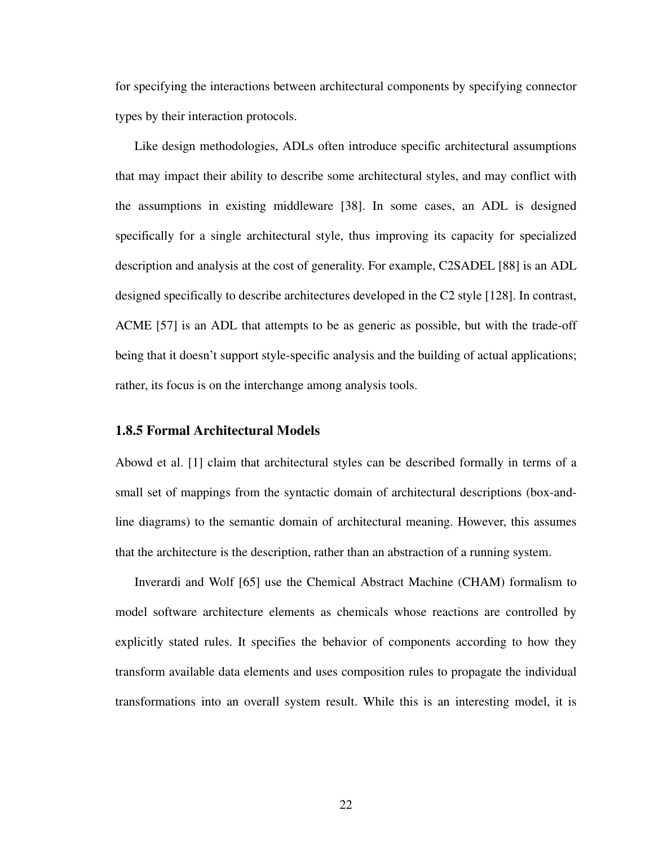for specifying the interactions between architectural components by specifying connector types by their interaction protocols.

Like design methodologies, ADLs often introduce specific architectural assumptions that may impact their ability to describe some architectural styles, and may conflict with the assumptions in existing middleware [\[38](#page-172-0)]. In some cases, an ADL is designed specifically for a single architectural style, thus improving its capacity for specialized description and analysis at the cost of generality. For example, C2SADEL [[88\]](#page-175-3) is an ADL designed specifically to describe architectures developed in the C2 style [\[128](#page-179-3)]. In contrast, ACME [\[57](#page-173-3)] is an ADL that attempts to be as generic as possible, but with the trade-off being that it doesn't support style-specific analysis and the building of actual applications; rather, its focus is on the interchange among analysis tools.

### **1.8.5 Formal Architectural Models**

Abowd et al. [\[1](#page-169-2)] claim that architectural styles can be described formally in terms of a small set of mappings from the syntactic domain of architectural descriptions (box-andline diagrams) to the semantic domain of architectural meaning. However, this assumes that the architecture is the description, rather than an abstraction of a running system.

Inverardi and Wolf [\[65](#page-174-2)] use the Chemical Abstract Machine (CHAM) formalism to model software architecture elements as chemicals whose reactions are controlled by explicitly stated rules. It specifies the behavior of components according to how they transform available data elements and uses composition rules to propagate the individual transformations into an overall system result. While this is an interesting model, it is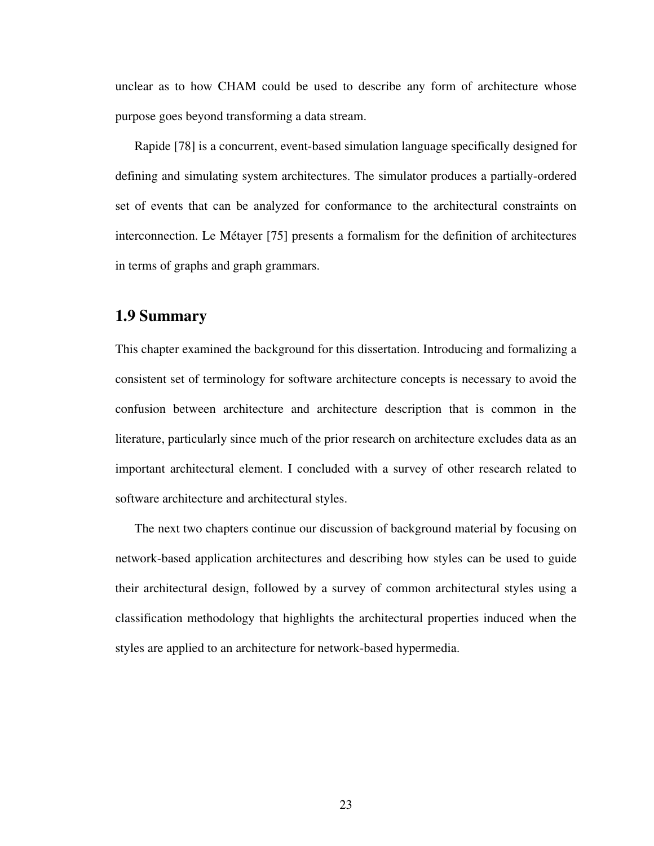unclear as to how CHAM could be used to describe any form of architecture whose purpose goes beyond transforming a data stream.

Rapide [\[78\]](#page-175-4) is a concurrent, event-based simulation language specifically designed for defining and simulating system architectures. The simulator produces a partially-ordered set of events that can be analyzed for conformance to the architectural constraints on interconnection. Le Métayer [[75\]](#page-174-3) presents a formalism for the definition of architectures in terms of graphs and graph grammars.

# **1.9 Summary**

This chapter examined the background for this dissertation. Introducing and formalizing a consistent set of terminology for software architecture concepts is necessary to avoid the confusion between architecture and architecture description that is common in the literature, particularly since much of the prior research on architecture excludes data as an important architectural element. I concluded with a survey of other research related to software architecture and architectural styles.

The next two chapters continue our discussion of background material by focusing on network-based application architectures and describing how styles can be used to guide their architectural design, followed by a survey of common architectural styles using a classification methodology that highlights the architectural properties induced when the styles are applied to an architecture for network-based hypermedia.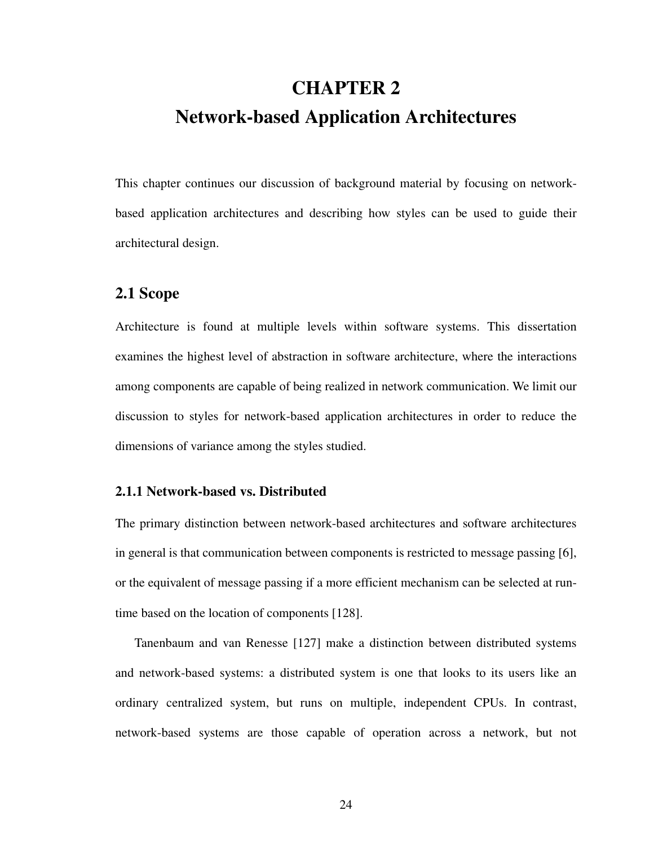# **CHAPTER 2 Network-based Application Architectures**

This chapter continues our discussion of background material by focusing on networkbased application architectures and describing how styles can be used to guide their architectural design.

# **2.1 Scope**

Architecture is found at multiple levels within software systems. This dissertation examines the highest level of abstraction in software architecture, where the interactions among components are capable of being realized in network communication. We limit our discussion to styles for network-based application architectures in order to reduce the dimensions of variance among the styles studied.

# **2.1.1 Network-based vs. Distributed**

The primary distinction between network-based architectures and software architectures in general is that communication between components is restricted to message passing [[6](#page-169-3)], or the equivalent of message passing if a more efficient mechanism can be selected at runtime based on the location of components [[128\]](#page-179-3).

Tanenbaum and van Renesse [\[127](#page-178-4)] make a distinction between distributed systems and network-based systems: a distributed system is one that looks to its users like an ordinary centralized system, but runs on multiple, independent CPUs. In contrast, network-based systems are those capable of operation across a network, but not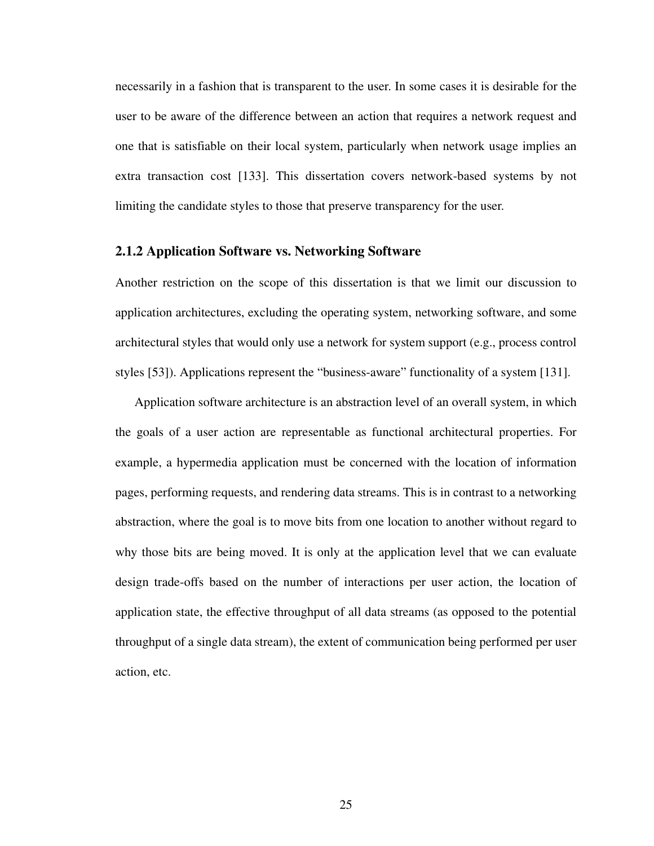necessarily in a fashion that is transparent to the user. In some cases it is desirable for the user to be aware of the difference between an action that requires a network request and one that is satisfiable on their local system, particularly when network usage implies an extra transaction cost [[133](#page-179-5)]. This dissertation covers network-based systems by not limiting the candidate styles to those that preserve transparency for the user.

# **2.1.2 Application Software vs. Networking Software**

Another restriction on the scope of this dissertation is that we limit our discussion to application architectures, excluding the operating system, networking software, and some architectural styles that would only use a network for system support (e.g., process control styles [\[53](#page-173-2)]). Applications represent the "business-aware" functionality of a system [[131\]](#page-179-4).

Application software architecture is an abstraction level of an overall system, in which the goals of a user action are representable as functional architectural properties. For example, a hypermedia application must be concerned with the location of information pages, performing requests, and rendering data streams. This is in contrast to a networking abstraction, where the goal is to move bits from one location to another without regard to why those bits are being moved. It is only at the application level that we can evaluate design trade-offs based on the number of interactions per user action, the location of application state, the effective throughput of all data streams (as opposed to the potential throughput of a single data stream), the extent of communication being performed per user action, etc.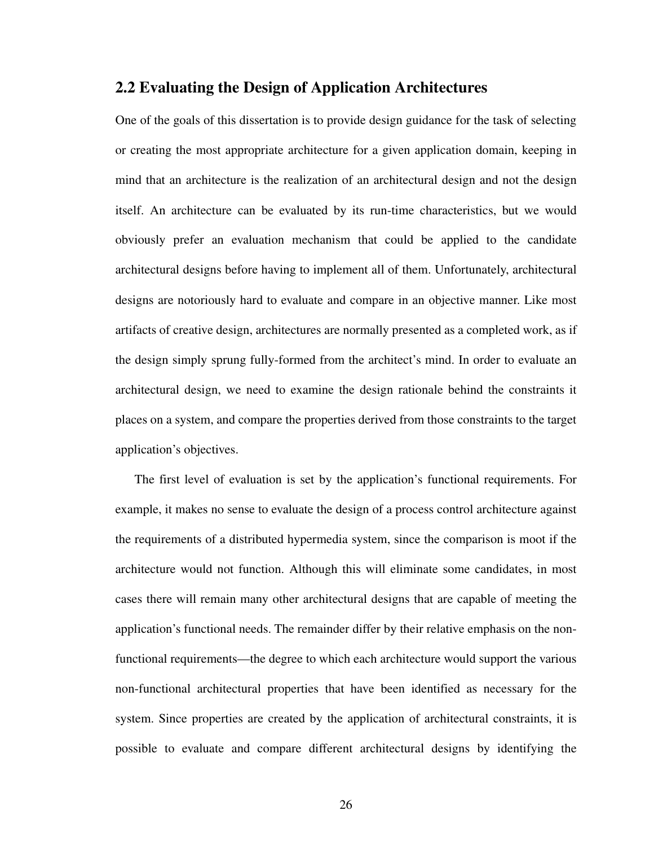# <span id="page-43-0"></span>**2.2 Evaluating the Design of Application Architectures**

One of the goals of this dissertation is to provide design guidance for the task of selecting or creating the most appropriate architecture for a given application domain, keeping in mind that an architecture is the realization of an architectural design and not the design itself. An architecture can be evaluated by its run-time characteristics, but we would obviously prefer an evaluation mechanism that could be applied to the candidate architectural designs before having to implement all of them. Unfortunately, architectural designs are notoriously hard to evaluate and compare in an objective manner. Like most artifacts of creative design, architectures are normally presented as a completed work, as if the design simply sprung fully-formed from the architect's mind. In order to evaluate an architectural design, we need to examine the design rationale behind the constraints it places on a system, and compare the properties derived from those constraints to the target application's objectives.

The first level of evaluation is set by the application's functional requirements. For example, it makes no sense to evaluate the design of a process control architecture against the requirements of a distributed hypermedia system, since the comparison is moot if the architecture would not function. Although this will eliminate some candidates, in most cases there will remain many other architectural designs that are capable of meeting the application's functional needs. The remainder differ by their relative emphasis on the nonfunctional requirements—the degree to which each architecture would support the various non-functional architectural properties that have been identified as necessary for the system. Since properties are created by the application of architectural constraints, it is possible to evaluate and compare different architectural designs by identifying the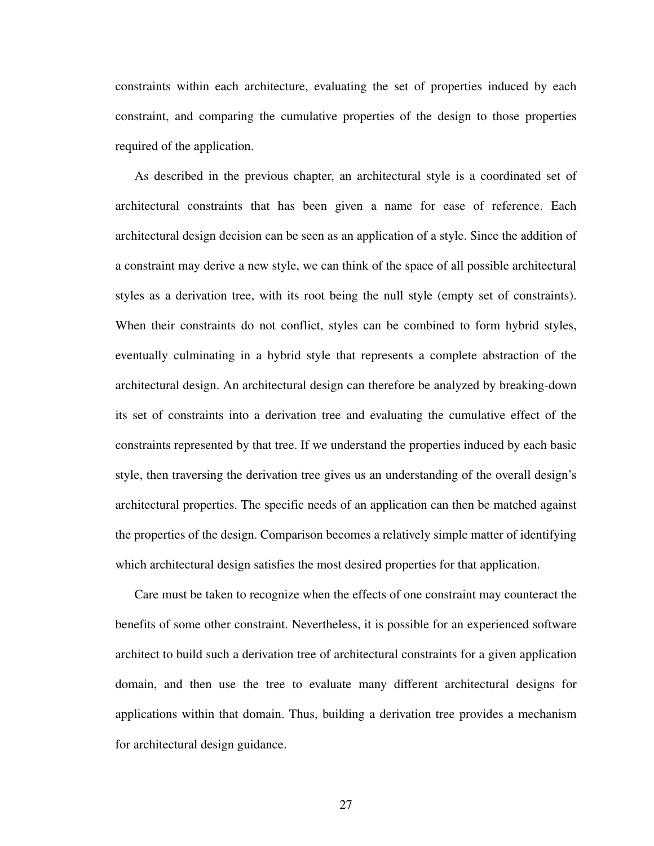constraints within each architecture, evaluating the set of properties induced by each constraint, and comparing the cumulative properties of the design to those properties required of the application.

As described in the previous chapter, an architectural style is a coordinated set of architectural constraints that has been given a name for ease of reference. Each architectural design decision can be seen as an application of a style. Since the addition of a constraint may derive a new style, we can think of the space of all possible architectural styles as a derivation tree, with its root being the null style (empty set of constraints). When their constraints do not conflict, styles can be combined to form hybrid styles, eventually culminating in a hybrid style that represents a complete abstraction of the architectural design. An architectural design can therefore be analyzed by breaking-down its set of constraints into a derivation tree and evaluating the cumulative effect of the constraints represented by that tree. If we understand the properties induced by each basic style, then traversing the derivation tree gives us an understanding of the overall design's architectural properties. The specific needs of an application can then be matched against the properties of the design. Comparison becomes a relatively simple matter of identifying which architectural design satisfies the most desired properties for that application.

Care must be taken to recognize when the effects of one constraint may counteract the benefits of some other constraint. Nevertheless, it is possible for an experienced software architect to build such a derivation tree of architectural constraints for a given application domain, and then use the tree to evaluate many different architectural designs for applications within that domain. Thus, building a derivation tree provides a mechanism for architectural design guidance.

27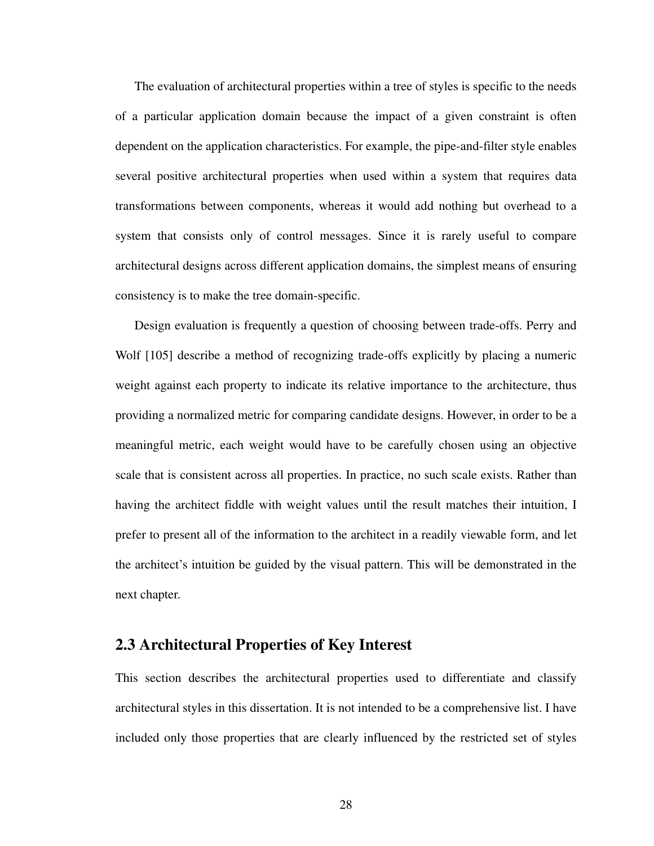The evaluation of architectural properties within a tree of styles is specific to the needs of a particular application domain because the impact of a given constraint is often dependent on the application characteristics. For example, the pipe-and-filter style enables several positive architectural properties when used within a system that requires data transformations between components, whereas it would add nothing but overhead to a system that consists only of control messages. Since it is rarely useful to compare architectural designs across different application domains, the simplest means of ensuring consistency is to make the tree domain-specific.

Design evaluation is frequently a question of choosing between trade-offs. Perry and Wolf [\[105\]](#page-177-0) describe a method of recognizing trade-offs explicitly by placing a numeric weight against each property to indicate its relative importance to the architecture, thus providing a normalized metric for comparing candidate designs. However, in order to be a meaningful metric, each weight would have to be carefully chosen using an objective scale that is consistent across all properties. In practice, no such scale exists. Rather than having the architect fiddle with weight values until the result matches their intuition, I prefer to present all of the information to the architect in a readily viewable form, and let the architect's intuition be guided by the visual pattern. This will be demonstrated in the next chapter.

# **2.3 Architectural Properties of Key Interest**

This section describes the architectural properties used to differentiate and classify architectural styles in this dissertation. It is not intended to be a comprehensive list. I have included only those properties that are clearly influenced by the restricted set of styles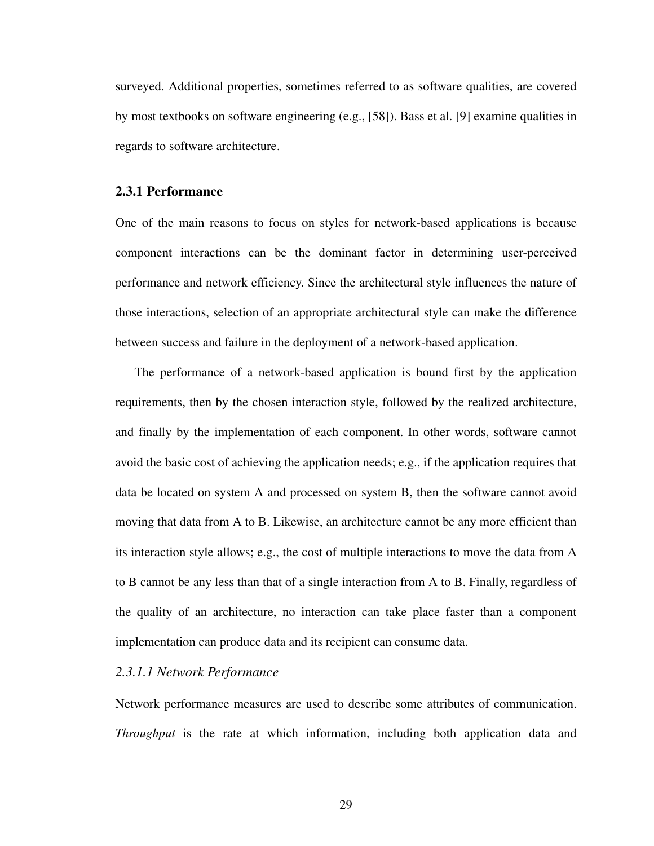surveyed. Additional properties, sometimes referred to as software qualities, are covered by most textbooks on software engineering (e.g., [[58\]](#page-173-4)). Bass et al. [[9\]](#page-169-4) examine qualities in regards to software architecture.

# **2.3.1 Performance**

One of the main reasons to focus on styles for network-based applications is because component interactions can be the dominant factor in determining user-perceived performance and network efficiency. Since the architectural style influences the nature of those interactions, selection of an appropriate architectural style can make the difference between success and failure in the deployment of a network-based application.

The performance of a network-based application is bound first by the application requirements, then by the chosen interaction style, followed by the realized architecture, and finally by the implementation of each component. In other words, software cannot avoid the basic cost of achieving the application needs; e.g., if the application requires that data be located on system A and processed on system B, then the software cannot avoid moving that data from A to B. Likewise, an architecture cannot be any more efficient than its interaction style allows; e.g., the cost of multiple interactions to move the data from A to B cannot be any less than that of a single interaction from A to B. Finally, regardless of the quality of an architecture, no interaction can take place faster than a component implementation can produce data and its recipient can consume data.

# *2.3.1.1 Network Performance*

Network performance measures are used to describe some attributes of communication. *Throughput* is the rate at which information, including both application data and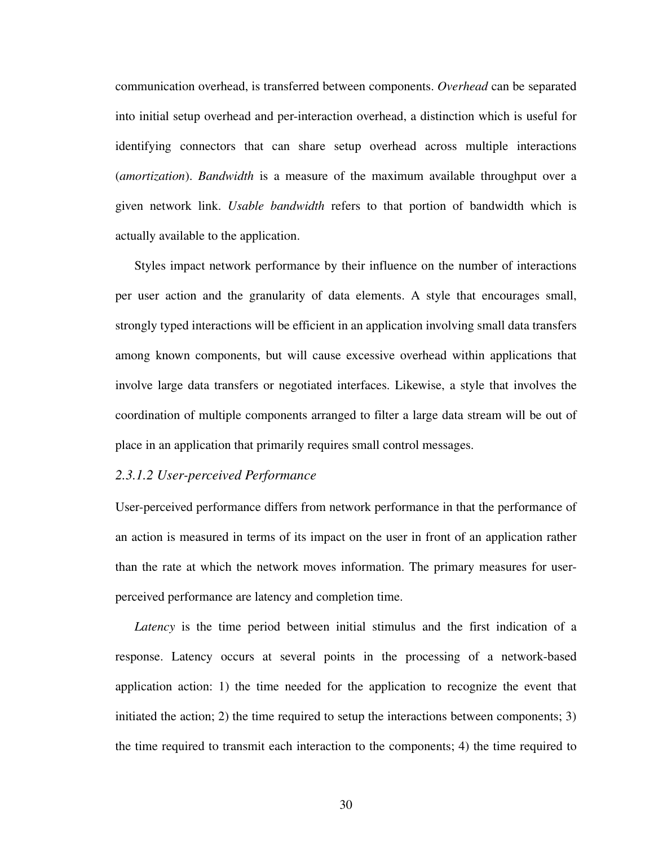communication overhead, is transferred between components. *Overhead* can be separated into initial setup overhead and per-interaction overhead, a distinction which is useful for identifying connectors that can share setup overhead across multiple interactions (*amortization*). *Bandwidth* is a measure of the maximum available throughput over a given network link. *Usable bandwidth* refers to that portion of bandwidth which is actually available to the application.

Styles impact network performance by their influence on the number of interactions per user action and the granularity of data elements. A style that encourages small, strongly typed interactions will be efficient in an application involving small data transfers among known components, but will cause excessive overhead within applications that involve large data transfers or negotiated interfaces. Likewise, a style that involves the coordination of multiple components arranged to filter a large data stream will be out of place in an application that primarily requires small control messages.

## *2.3.1.2 User-perceived Performance*

User-perceived performance differs from network performance in that the performance of an action is measured in terms of its impact on the user in front of an application rather than the rate at which the network moves information. The primary measures for userperceived performance are latency and completion time.

*Latency* is the time period between initial stimulus and the first indication of a response. Latency occurs at several points in the processing of a network-based application action: 1) the time needed for the application to recognize the event that initiated the action; 2) the time required to setup the interactions between components; 3) the time required to transmit each interaction to the components; 4) the time required to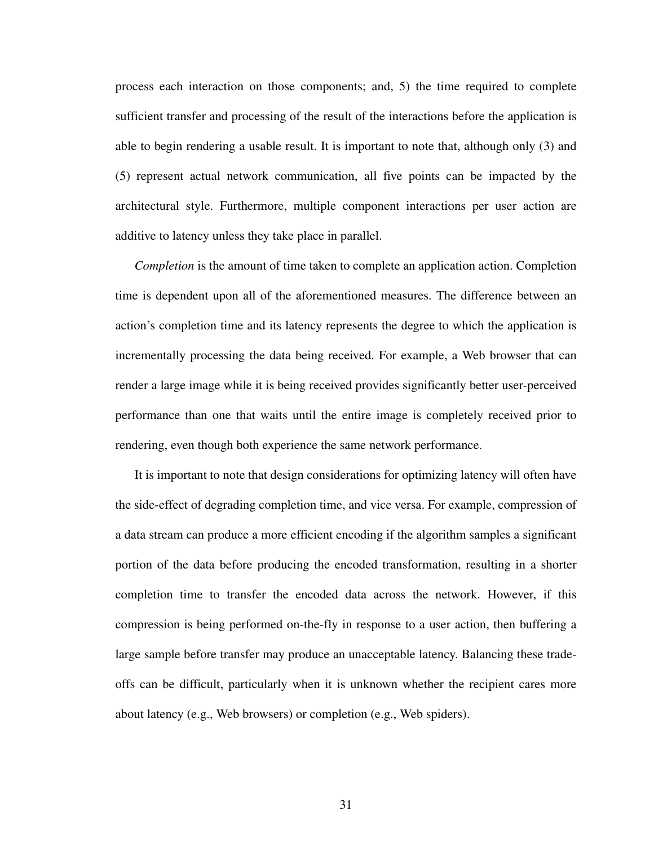process each interaction on those components; and, 5) the time required to complete sufficient transfer and processing of the result of the interactions before the application is able to begin rendering a usable result. It is important to note that, although only (3) and (5) represent actual network communication, all five points can be impacted by the architectural style. Furthermore, multiple component interactions per user action are additive to latency unless they take place in parallel.

*Completion* is the amount of time taken to complete an application action. Completion time is dependent upon all of the aforementioned measures. The difference between an action's completion time and its latency represents the degree to which the application is incrementally processing the data being received. For example, a Web browser that can render a large image while it is being received provides significantly better user-perceived performance than one that waits until the entire image is completely received prior to rendering, even though both experience the same network performance.

It is important to note that design considerations for optimizing latency will often have the side-effect of degrading completion time, and vice versa. For example, compression of a data stream can produce a more efficient encoding if the algorithm samples a significant portion of the data before producing the encoded transformation, resulting in a shorter completion time to transfer the encoded data across the network. However, if this compression is being performed on-the-fly in response to a user action, then buffering a large sample before transfer may produce an unacceptable latency. Balancing these tradeoffs can be difficult, particularly when it is unknown whether the recipient cares more about latency (e.g., Web browsers) or completion (e.g., Web spiders).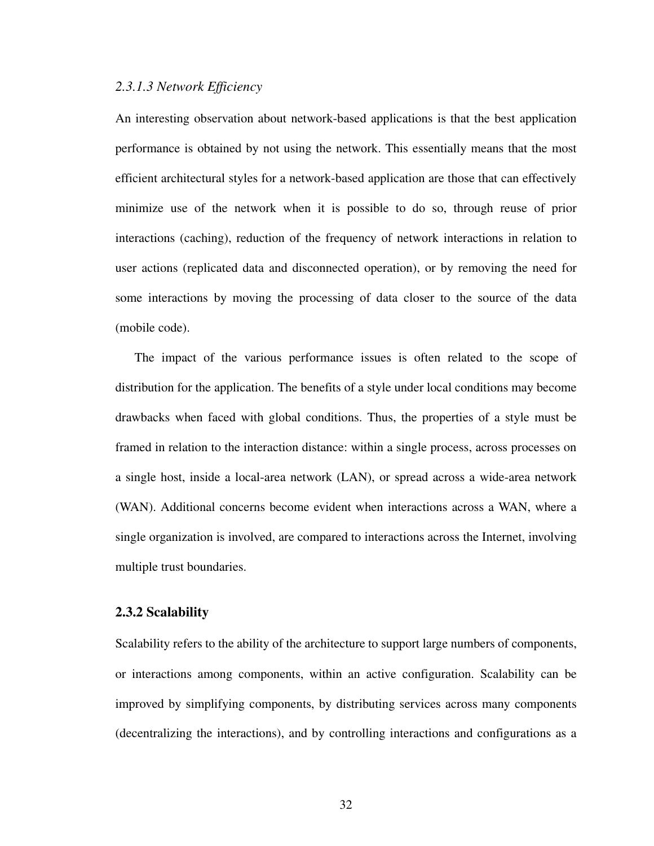# *2.3.1.3 Network Efficiency*

An interesting observation about network-based applications is that the best application performance is obtained by not using the network. This essentially means that the most efficient architectural styles for a network-based application are those that can effectively minimize use of the network when it is possible to do so, through reuse of prior interactions (caching), reduction of the frequency of network interactions in relation to user actions (replicated data and disconnected operation), or by removing the need for some interactions by moving the processing of data closer to the source of the data (mobile code).

The impact of the various performance issues is often related to the scope of distribution for the application. The benefits of a style under local conditions may become drawbacks when faced with global conditions. Thus, the properties of a style must be framed in relation to the interaction distance: within a single process, across processes on a single host, inside a local-area network (LAN), or spread across a wide-area network (WAN). Additional concerns become evident when interactions across a WAN, where a single organization is involved, are compared to interactions across the Internet, involving multiple trust boundaries.

## **2.3.2 Scalability**

Scalability refers to the ability of the architecture to support large numbers of components, or interactions among components, within an active configuration. Scalability can be improved by simplifying components, by distributing services across many components (decentralizing the interactions), and by controlling interactions and configurations as a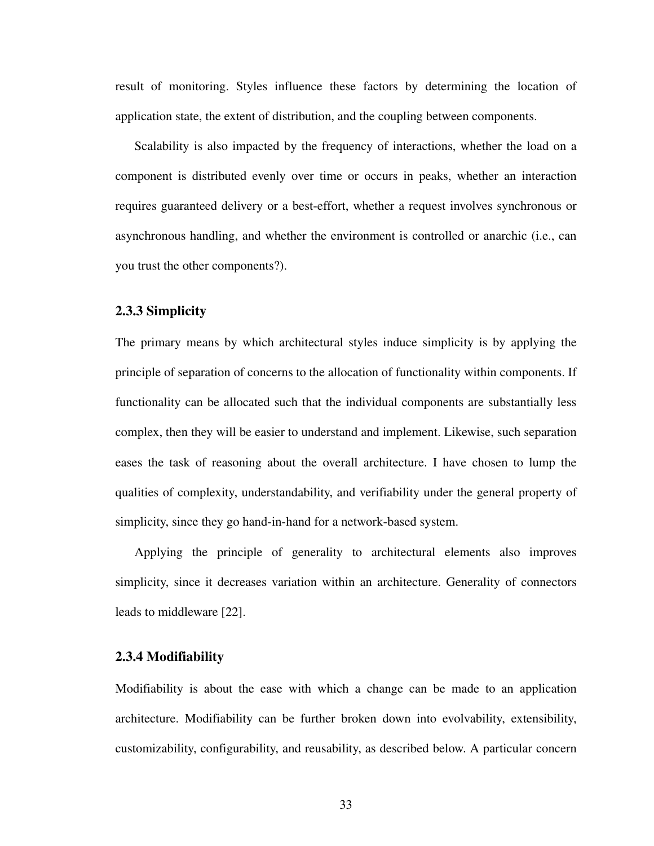result of monitoring. Styles influence these factors by determining the location of application state, the extent of distribution, and the coupling between components.

Scalability is also impacted by the frequency of interactions, whether the load on a component is distributed evenly over time or occurs in peaks, whether an interaction requires guaranteed delivery or a best-effort, whether a request involves synchronous or asynchronous handling, and whether the environment is controlled or anarchic (i.e., can you trust the other components?).

### **2.3.3 Simplicity**

The primary means by which architectural styles induce simplicity is by applying the principle of separation of concerns to the allocation of functionality within components. If functionality can be allocated such that the individual components are substantially less complex, then they will be easier to understand and implement. Likewise, such separation eases the task of reasoning about the overall architecture. I have chosen to lump the qualities of complexity, understandability, and verifiability under the general property of simplicity, since they go hand-in-hand for a network-based system.

Applying the principle of generality to architectural elements also improves simplicity, since it decreases variation within an architecture. Generality of connectors leads to middleware [\[22](#page-170-0)].

### **2.3.4 Modifiability**

Modifiability is about the ease with which a change can be made to an application architecture. Modifiability can be further broken down into evolvability, extensibility, customizability, configurability, and reusability, as described below. A particular concern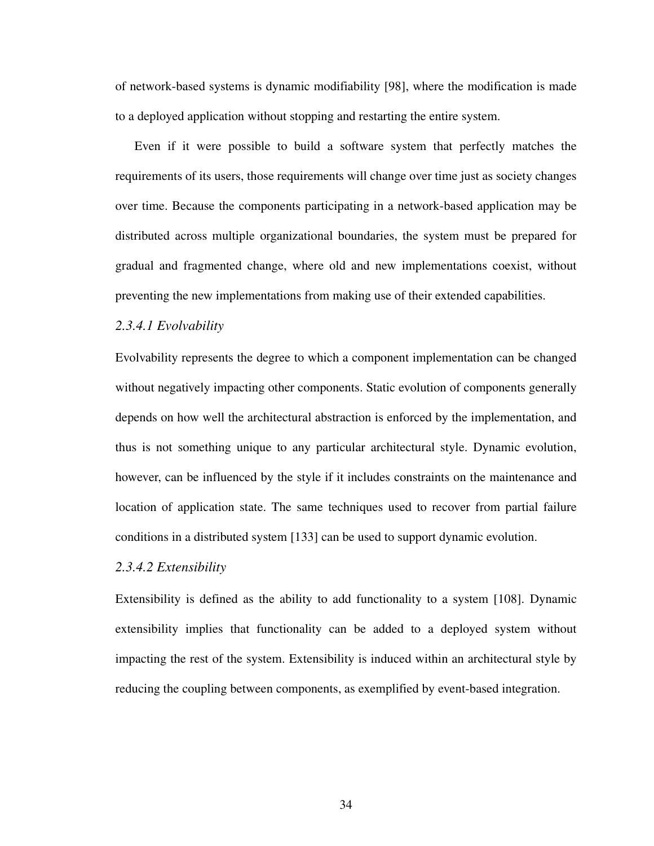of network-based systems is dynamic modifiability [[98\]](#page-176-1), where the modification is made to a deployed application without stopping and restarting the entire system.

Even if it were possible to build a software system that perfectly matches the requirements of its users, those requirements will change over time just as society changes over time. Because the components participating in a network-based application may be distributed across multiple organizational boundaries, the system must be prepared for gradual and fragmented change, where old and new implementations coexist, without preventing the new implementations from making use of their extended capabilities.

## *2.3.4.1 Evolvability*

Evolvability represents the degree to which a component implementation can be changed without negatively impacting other components. Static evolution of components generally depends on how well the architectural abstraction is enforced by the implementation, and thus is not something unique to any particular architectural style. Dynamic evolution, however, can be influenced by the style if it includes constraints on the maintenance and location of application state. The same techniques used to recover from partial failure conditions in a distributed system [[133\]](#page-179-5) can be used to support dynamic evolution.

# *2.3.4.2 Extensibility*

Extensibility is defined as the ability to add functionality to a system [\[108](#page-177-1)]. Dynamic extensibility implies that functionality can be added to a deployed system without impacting the rest of the system. Extensibility is induced within an architectural style by reducing the coupling between components, as exemplified by event-based integration.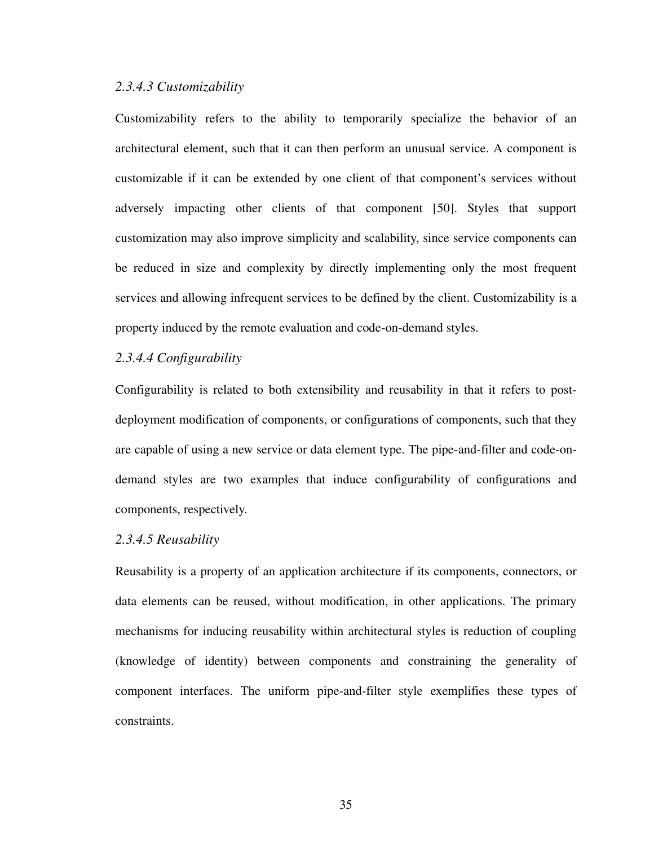# *2.3.4.3 Customizability*

Customizability refers to the ability to temporarily specialize the behavior of an architectural element, such that it can then perform an unusual service. A component is customizable if it can be extended by one client of that component's services without adversely impacting other clients of that component [\[50](#page-172-1)]. Styles that support customization may also improve simplicity and scalability, since service components can be reduced in size and complexity by directly implementing only the most frequent services and allowing infrequent services to be defined by the client. Customizability is a property induced by the remote evaluation and code-on-demand styles.

# *2.3.4.4 Configurability*

Configurability is related to both extensibility and reusability in that it refers to postdeployment modification of components, or configurations of components, such that they are capable of using a new service or data element type. The pipe-and-filter and code-ondemand styles are two examples that induce configurability of configurations and components, respectively.

# *2.3.4.5 Reusability*

Reusability is a property of an application architecture if its components, connectors, or data elements can be reused, without modification, in other applications. The primary mechanisms for inducing reusability within architectural styles is reduction of coupling (knowledge of identity) between components and constraining the generality of component interfaces. The uniform pipe-and-filter style exemplifies these types of constraints.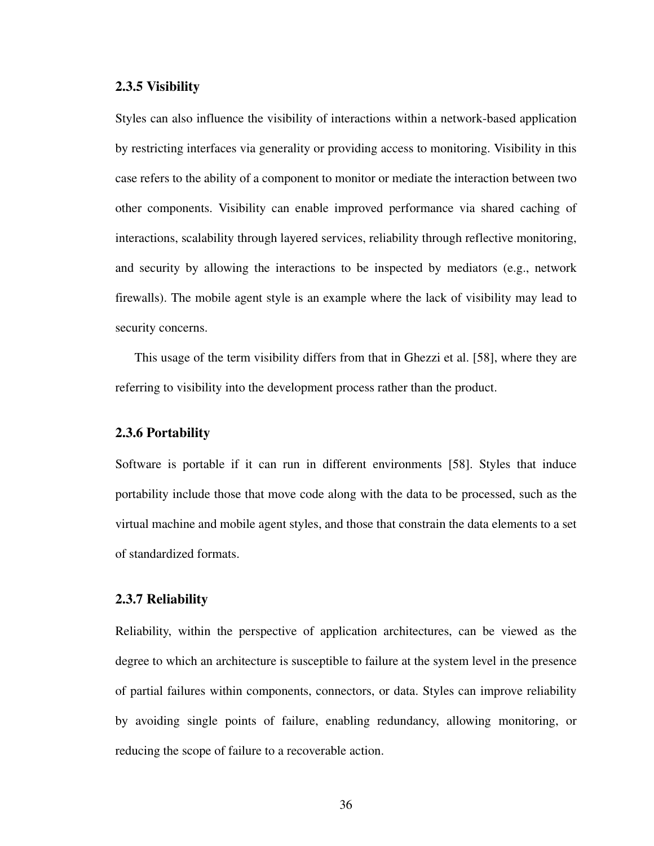### **2.3.5 Visibility**

Styles can also influence the visibility of interactions within a network-based application by restricting interfaces via generality or providing access to monitoring. Visibility in this case refers to the ability of a component to monitor or mediate the interaction between two other components. Visibility can enable improved performance via shared caching of interactions, scalability through layered services, reliability through reflective monitoring, and security by allowing the interactions to be inspected by mediators (e.g., network firewalls). The mobile agent style is an example where the lack of visibility may lead to security concerns.

This usage of the term visibility differs from that in Ghezzi et al. [[58\]](#page-173-4), where they are referring to visibility into the development process rather than the product.

## **2.3.6 Portability**

Software is portable if it can run in different environments [[58\]](#page-173-4). Styles that induce portability include those that move code along with the data to be processed, such as the virtual machine and mobile agent styles, and those that constrain the data elements to a set of standardized formats.

# **2.3.7 Reliability**

Reliability, within the perspective of application architectures, can be viewed as the degree to which an architecture is susceptible to failure at the system level in the presence of partial failures within components, connectors, or data. Styles can improve reliability by avoiding single points of failure, enabling redundancy, allowing monitoring, or reducing the scope of failure to a recoverable action.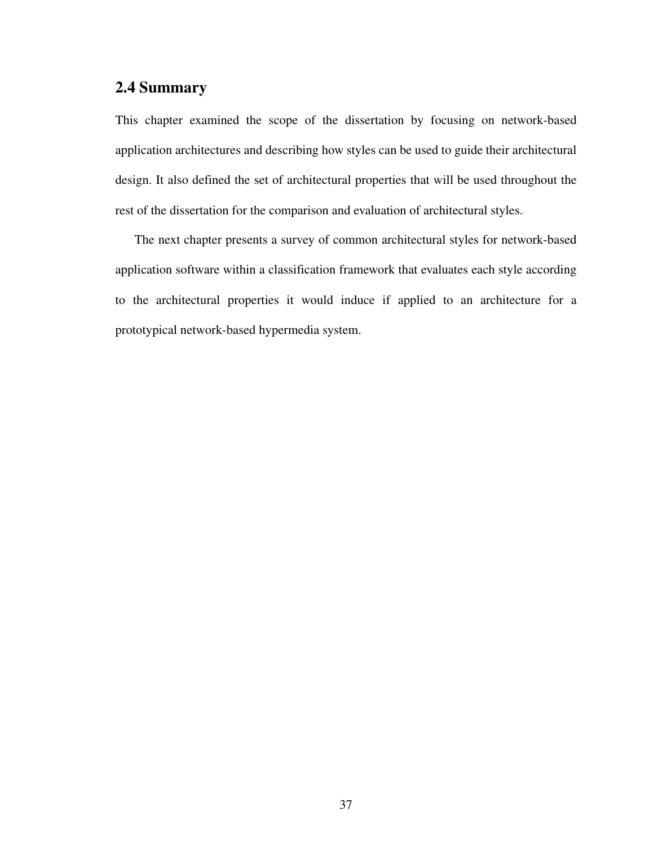# **2.4 Summary**

This chapter examined the scope of the dissertation by focusing on network-based application architectures and describing how styles can be used to guide their architectural design. It also defined the set of architectural properties that will be used throughout the rest of the dissertation for the comparison and evaluation of architectural styles.

The next chapter presents a survey of common architectural styles for network-based application software within a classification framework that evaluates each style according to the architectural properties it would induce if applied to an architecture for a prototypical network-based hypermedia system.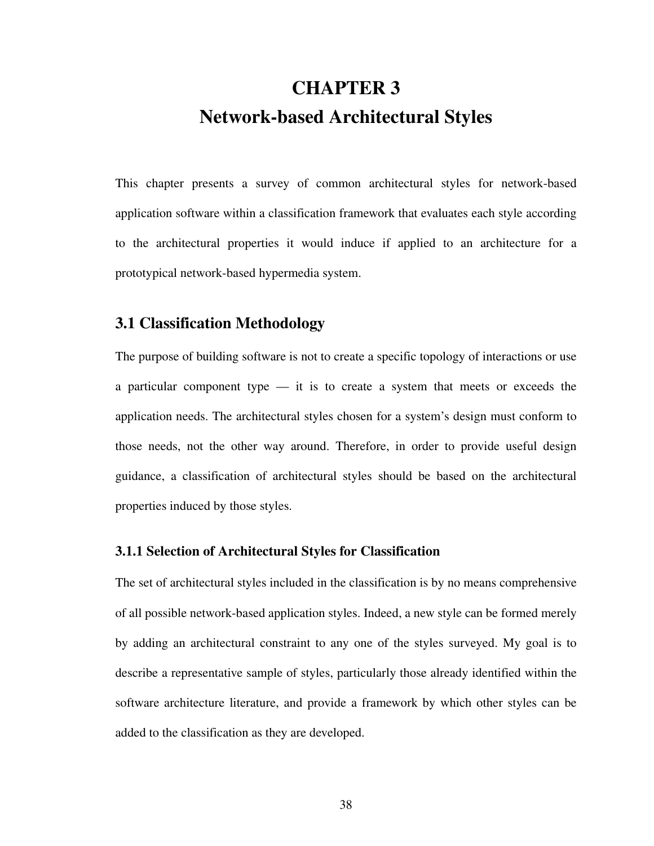# **CHAPTER 3 Network-based Architectural Styles**

This chapter presents a survey of common architectural styles for network-based application software within a classification framework that evaluates each style according to the architectural properties it would induce if applied to an architecture for a prototypical network-based hypermedia system.

# **3.1 Classification Methodology**

The purpose of building software is not to create a specific topology of interactions or use a particular component type — it is to create a system that meets or exceeds the application needs. The architectural styles chosen for a system's design must conform to those needs, not the other way around. Therefore, in order to provide useful design guidance, a classification of architectural styles should be based on the architectural properties induced by those styles.

# **3.1.1 Selection of Architectural Styles for Classification**

The set of architectural styles included in the classification is by no means comprehensive of all possible network-based application styles. Indeed, a new style can be formed merely by adding an architectural constraint to any one of the styles surveyed. My goal is to describe a representative sample of styles, particularly those already identified within the software architecture literature, and provide a framework by which other styles can be added to the classification as they are developed.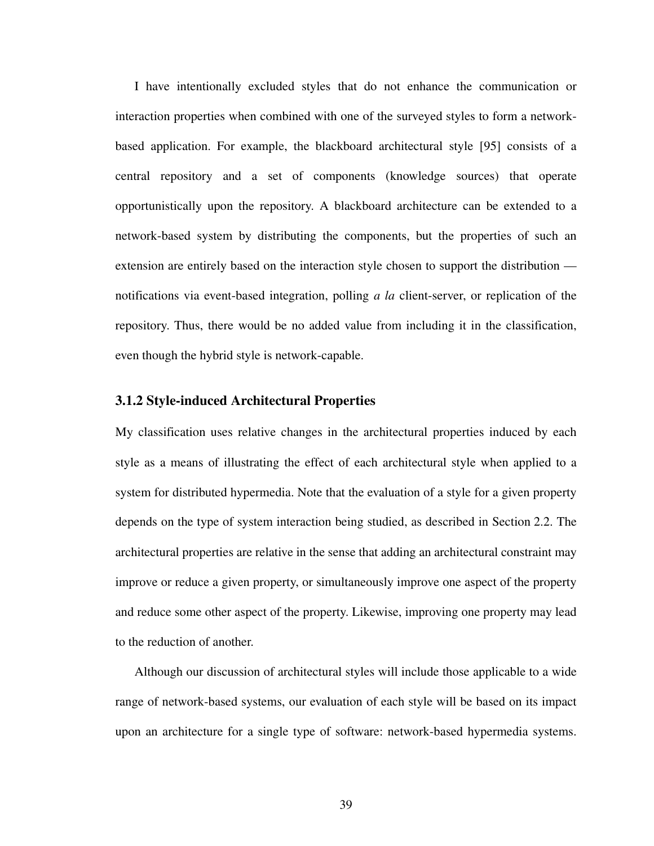I have intentionally excluded styles that do not enhance the communication or interaction properties when combined with one of the surveyed styles to form a networkbased application. For example, the blackboard architectural style [\[95](#page-176-2)] consists of a central repository and a set of components (knowledge sources) that operate opportunistically upon the repository. A blackboard architecture can be extended to a network-based system by distributing the components, but the properties of such an extension are entirely based on the interaction style chosen to support the distribution notifications via event-based integration, polling *a la* client-server, or replication of the repository. Thus, there would be no added value from including it in the classification, even though the hybrid style is network-capable.

# **3.1.2 Style-induced Architectural Properties**

My classification uses relative changes in the architectural properties induced by each style as a means of illustrating the effect of each architectural style when applied to a system for distributed hypermedia. Note that the evaluation of a style for a given property depends on the type of system interaction being studied, as described in [Section 2.2.](#page-43-0) The architectural properties are relative in the sense that adding an architectural constraint may improve or reduce a given property, or simultaneously improve one aspect of the property and reduce some other aspect of the property. Likewise, improving one property may lead to the reduction of another.

Although our discussion of architectural styles will include those applicable to a wide range of network-based systems, our evaluation of each style will be based on its impact upon an architecture for a single type of software: network-based hypermedia systems.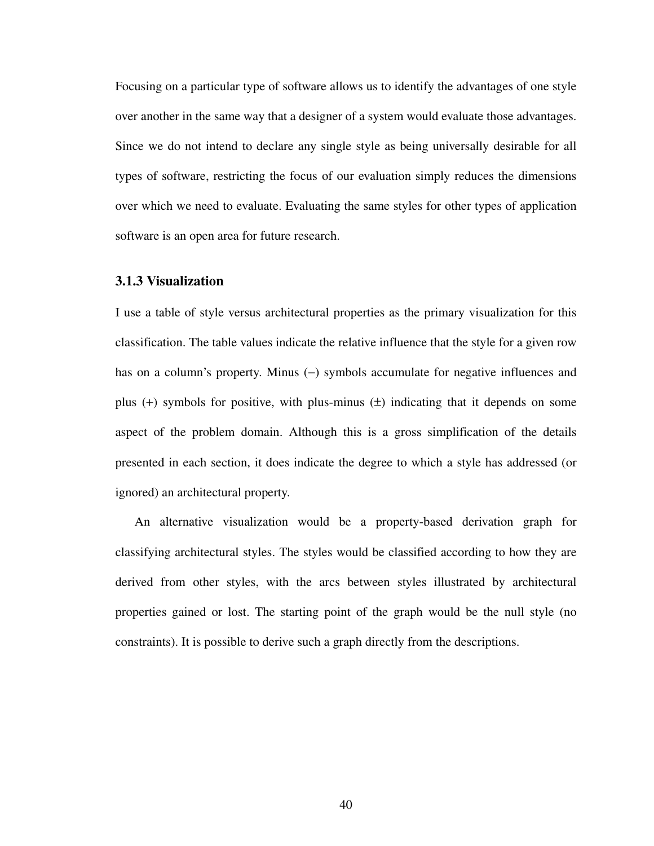Focusing on a particular type of software allows us to identify the advantages of one style over another in the same way that a designer of a system would evaluate those advantages. Since we do not intend to declare any single style as being universally desirable for all types of software, restricting the focus of our evaluation simply reduces the dimensions over which we need to evaluate. Evaluating the same styles for other types of application software is an open area for future research.

# **3.1.3 Visualization**

I use a table of style versus architectural properties as the primary visualization for this classification. The table values indicate the relative influence that the style for a given row has on a column's property. Minus (−) symbols accumulate for negative influences and plus  $(+)$  symbols for positive, with plus-minus  $(±)$  indicating that it depends on some aspect of the problem domain. Although this is a gross simplification of the details presented in each section, it does indicate the degree to which a style has addressed (or ignored) an architectural property.

An alternative visualization would be a property-based derivation graph for classifying architectural styles. The styles would be classified according to how they are derived from other styles, with the arcs between styles illustrated by architectural properties gained or lost. The starting point of the graph would be the null style (no constraints). It is possible to derive such a graph directly from the descriptions.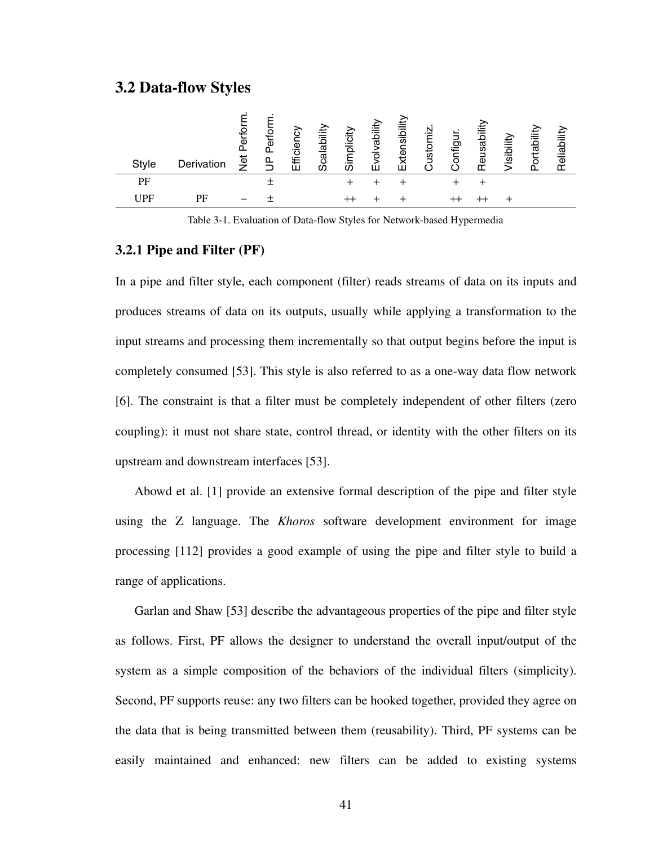# **3.2 Data-flow Styles**

| Style | Derivation | Perfor<br><b>Jer</b> | ৯<br>௳ | ৯<br>.<br>ت<br>₽<br>ĤI | bility<br>ω<br>हु<br>O | plicity<br>ഗ | bility<br>ত<br>ш | nsibility<br>xter<br>ĤН | ∑in<br>ustor | ήiρ<br>O | 흐<br>gal<br>_<br>$\overline{\mathbf{v}}$<br>۴ñ | Visibility | Portability | Reliability |
|-------|------------|----------------------|--------|------------------------|------------------------|--------------|------------------|-------------------------|--------------|----------|------------------------------------------------|------------|-------------|-------------|
| PF    |            |                      |        |                        |                        |              |                  |                         |              |          |                                                |            |             |             |
| UPF   | PF         |                      |        |                        |                        |              |                  |                         |              |          |                                                |            |             |             |

Table 3-1. Evaluation of Data-flow Styles for Network-based Hypermedia

# **3.2.1 Pipe and Filter (PF)**

In a pipe and filter style, each component (filter) reads streams of data on its inputs and produces streams of data on its outputs, usually while applying a transformation to the input streams and processing them incrementally so that output begins before the input is completely consumed [\[53](#page-173-2)]. This style is also referred to as a one-way data flow network [\[6](#page-169-3)]. The constraint is that a filter must be completely independent of other filters (zero coupling): it must not share state, control thread, or identity with the other filters on its upstream and downstream interfaces [\[53](#page-173-2)].

Abowd et al. [[1\]](#page-169-2) provide an extensive formal description of the pipe and filter style using the Z language. The *Khoros* software development environment for image processing [\[112](#page-177-2)] provides a good example of using the pipe and filter style to build a range of applications.

Garlan and Shaw [[53\]](#page-173-2) describe the advantageous properties of the pipe and filter style as follows. First, PF allows the designer to understand the overall input/output of the system as a simple composition of the behaviors of the individual filters (simplicity). Second, PF supports reuse: any two filters can be hooked together, provided they agree on the data that is being transmitted between them (reusability). Third, PF systems can be easily maintained and enhanced: new filters can be added to existing systems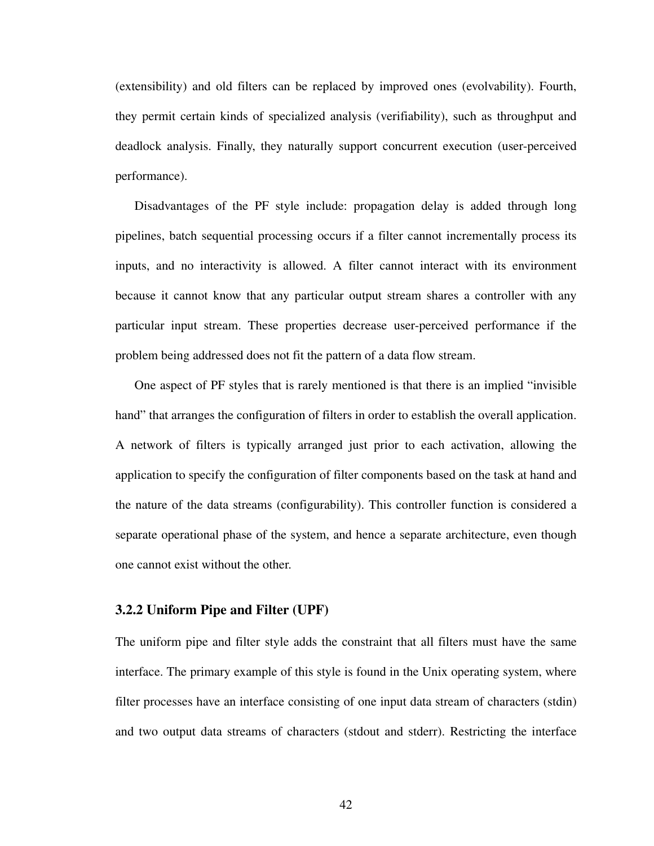(extensibility) and old filters can be replaced by improved ones (evolvability). Fourth, they permit certain kinds of specialized analysis (verifiability), such as throughput and deadlock analysis. Finally, they naturally support concurrent execution (user-perceived performance).

Disadvantages of the PF style include: propagation delay is added through long pipelines, batch sequential processing occurs if a filter cannot incrementally process its inputs, and no interactivity is allowed. A filter cannot interact with its environment because it cannot know that any particular output stream shares a controller with any particular input stream. These properties decrease user-perceived performance if the problem being addressed does not fit the pattern of a data flow stream.

One aspect of PF styles that is rarely mentioned is that there is an implied "invisible hand" that arranges the configuration of filters in order to establish the overall application. A network of filters is typically arranged just prior to each activation, allowing the application to specify the configuration of filter components based on the task at hand and the nature of the data streams (configurability). This controller function is considered a separate operational phase of the system, and hence a separate architecture, even though one cannot exist without the other.

## **3.2.2 Uniform Pipe and Filter (UPF)**

The uniform pipe and filter style adds the constraint that all filters must have the same interface. The primary example of this style is found in the Unix operating system, where filter processes have an interface consisting of one input data stream of characters (stdin) and two output data streams of characters (stdout and stderr). Restricting the interface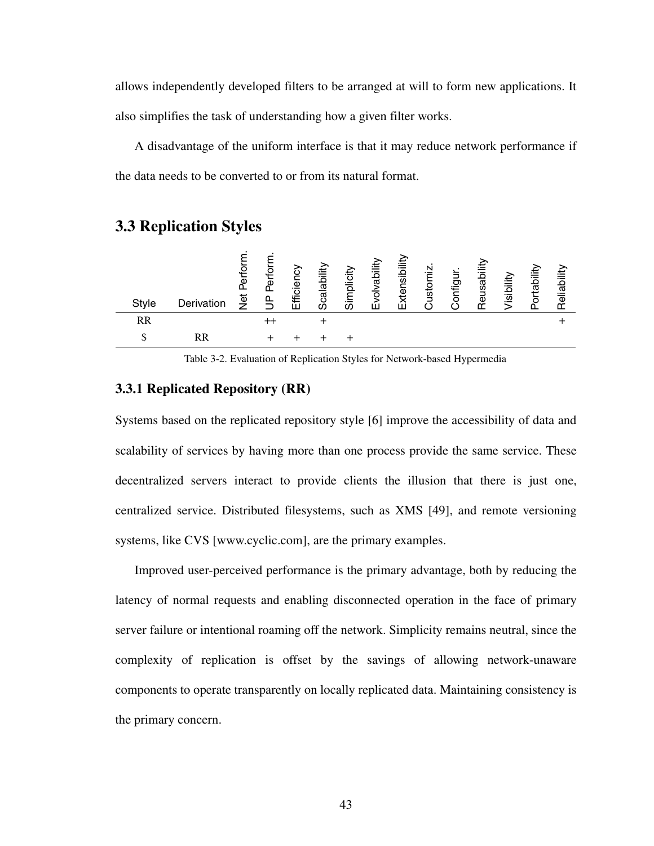allows independently developed filters to be arranged at will to form new applications. It also simplifies the task of understanding how a given filter works.

A disadvantage of the uniform interface is that it may reduce network performance if the data needs to be converted to or from its natural format.

# **3.3 Replication Styles**

| <b>Style</b> | Derivation | Perfor<br>Jet | $\circ$<br>Φ<br>௳ | cien<br>€<br>ш | alability<br>ت<br>ഗ | plicity<br>$-$<br>ഗ | vability<br>$\overline{\circ}$<br>'' | nsibility<br>xtei | N<br>≔<br>sto<br>-<br>ــ | lugitr<br>o | ھَ<br>gau<br>Φ<br>ᡤ | /isibility | iit<br><u>raj</u><br>ōς | bility<br>elial<br>$\tau$ |
|--------------|------------|---------------|-------------------|----------------|---------------------|---------------------|--------------------------------------|-------------------|--------------------------|-------------|---------------------|------------|-------------------------|---------------------------|
| <b>RR</b>    |            |               |                   |                |                     |                     |                                      |                   |                          |             |                     |            |                         |                           |
|              | RR         |               |                   |                |                     |                     |                                      |                   |                          |             |                     |            |                         |                           |

Table 3-2. Evaluation of Replication Styles for Network-based Hypermedia

# **3.3.1 Replicated Repository (RR)**

Systems based on the replicated repository style [[6\]](#page-169-3) improve the accessibility of data and scalability of services by having more than one process provide the same service. These decentralized servers interact to provide clients the illusion that there is just one, centralized service. Distributed filesystems, such as XMS [\[49](#page-172-2)], and remote versioning systems, like CVS [www.cyclic.com], are the primary examples.

Improved user-perceived performance is the primary advantage, both by reducing the latency of normal requests and enabling disconnected operation in the face of primary server failure or intentional roaming off the network. Simplicity remains neutral, since the complexity of replication is offset by the savings of allowing network-unaware components to operate transparently on locally replicated data. Maintaining consistency is the primary concern.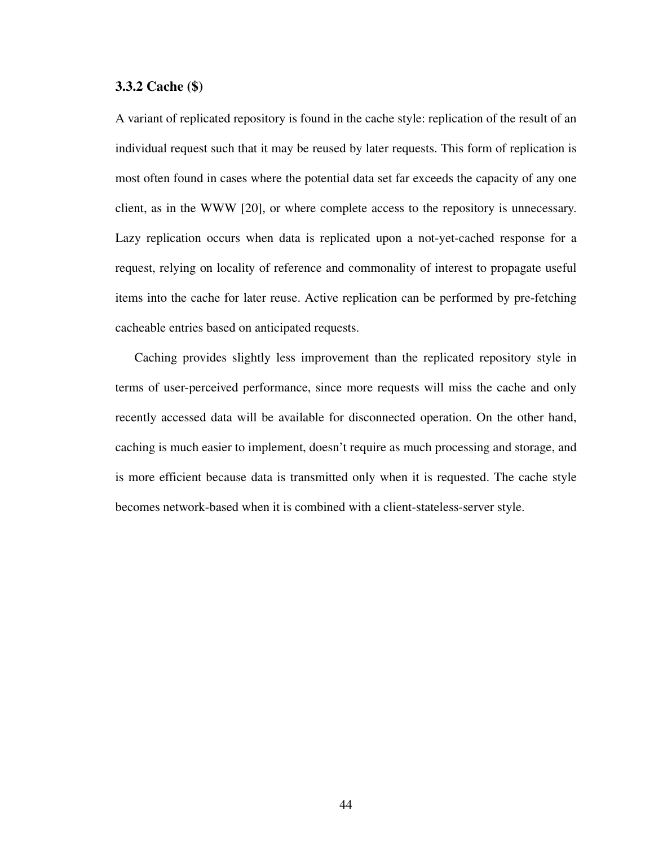# **3.3.2 Cache (\$)**

A variant of replicated repository is found in the cache style: replication of the result of an individual request such that it may be reused by later requests. This form of replication is most often found in cases where the potential data set far exceeds the capacity of any one client, as in the WWW [[20\]](#page-170-1), or where complete access to the repository is unnecessary. Lazy replication occurs when data is replicated upon a not-yet-cached response for a request, relying on locality of reference and commonality of interest to propagate useful items into the cache for later reuse. Active replication can be performed by pre-fetching cacheable entries based on anticipated requests.

Caching provides slightly less improvement than the replicated repository style in terms of user-perceived performance, since more requests will miss the cache and only recently accessed data will be available for disconnected operation. On the other hand, caching is much easier to implement, doesn't require as much processing and storage, and is more efficient because data is transmitted only when it is requested. The cache style becomes network-based when it is combined with a client-stateless-server style.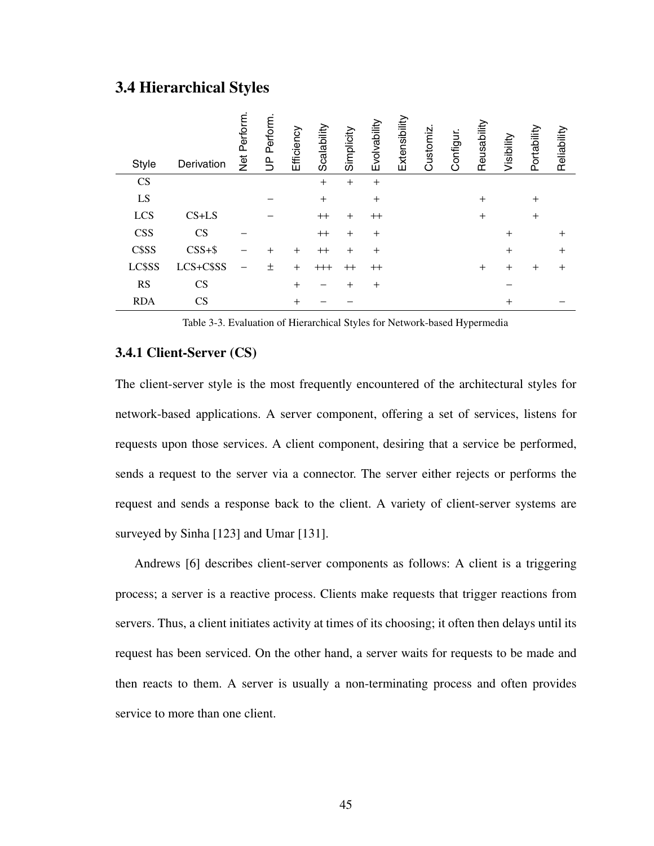# **3.4 Hierarchical Styles**

| <b>Style</b> | Derivation             | Perform.<br>Net | Perform.<br>$\overline{D}$ | Efficiency | Scalability | Simplicity | Evolvability | Extensibility | Customiz | Configur. | Reusability | Visibility     | Portability | Reliability |
|--------------|------------------------|-----------------|----------------------------|------------|-------------|------------|--------------|---------------|----------|-----------|-------------|----------------|-------------|-------------|
| <b>CS</b>    |                        |                 |                            |            | $+$         | $+$        | $+$          |               |          |           |             |                |             |             |
| LS           |                        |                 |                            |            | $+$         |            | $+$          |               |          |           | $+$         |                | $+$         |             |
| LCS          | $CS+LS$                |                 |                            |            | $^{++}$     | $+$        | $^{++}$      |               |          |           | $+$         |                | $\pm$       |             |
| <b>CSS</b>   | <b>CS</b>              |                 |                            |            | $^{++}$     | $+$        | $^{+}$       |               |          |           |             | $\ddot{}$      |             | $+$         |
| C\$SS        | $CSS + $$              |                 | $\ddot{}$                  | $^{+}$     | $^{++}$     | $+$        | $\ddot{}$    |               |          |           |             | $\ddot{}$      |             | $+$         |
| LC\$SS       | LCS+C\$SS              |                 | 土                          | $^{+}$     | $^{+++}$    | $^{++}$    | $^{++}$      |               |          |           | $+$         | $^{+}$         | $+$         | $+$         |
| <b>RS</b>    | CS                     |                 |                            | $^{+}$     |             | $\ddot{}$  | $^{+}$       |               |          |           |             |                |             |             |
| <b>RDA</b>   | $\mathbf{C}\mathbf{S}$ |                 |                            | $^{+}$     |             |            |              |               |          |           |             | $\overline{+}$ |             |             |

Table 3-3. Evaluation of Hierarchical Styles for Network-based Hypermedia

# **3.4.1 Client-Server (CS)**

The client-server style is the most frequently encountered of the architectural styles for network-based applications. A server component, offering a set of services, listens for requests upon those services. A client component, desiring that a service be performed, sends a request to the server via a connector. The server either rejects or performs the request and sends a response back to the client. A variety of client-server systems are surveyed by Sinha [\[123](#page-178-5)] and Umar [[131\]](#page-179-4).

Andrews [[6\]](#page-169-3) describes client-server components as follows: A client is a triggering process; a server is a reactive process. Clients make requests that trigger reactions from servers. Thus, a client initiates activity at times of its choosing; it often then delays until its request has been serviced. On the other hand, a server waits for requests to be made and then reacts to them. A server is usually a non-terminating process and often provides service to more than one client.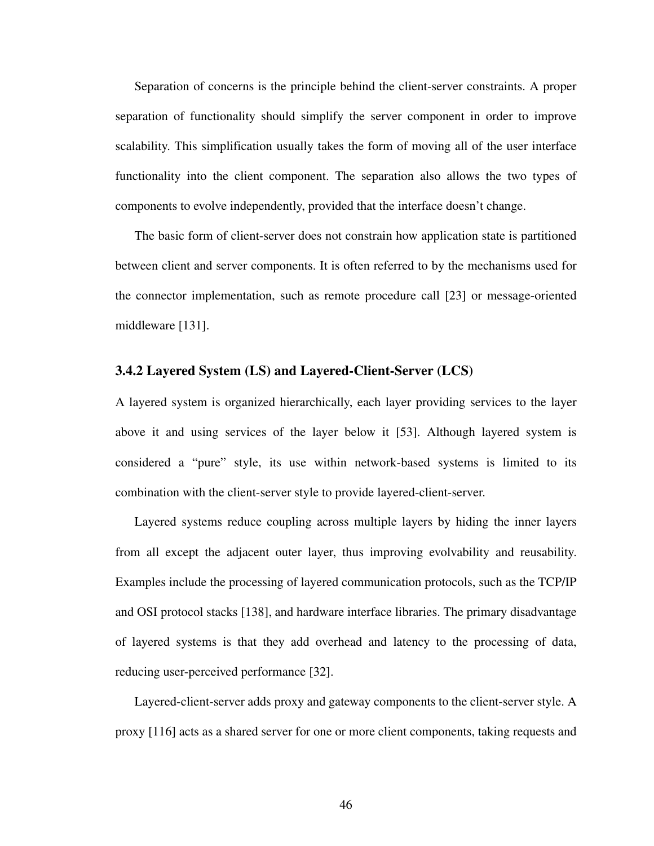Separation of concerns is the principle behind the client-server constraints. A proper separation of functionality should simplify the server component in order to improve scalability. This simplification usually takes the form of moving all of the user interface functionality into the client component. The separation also allows the two types of components to evolve independently, provided that the interface doesn't change.

The basic form of client-server does not constrain how application state is partitioned between client and server components. It is often referred to by the mechanisms used for the connector implementation, such as remote procedure call [[23\]](#page-170-2) or message-oriented middleware [\[131](#page-179-4)].

# **3.4.2 Layered System (LS) and Layered-Client-Server (LCS)**

A layered system is organized hierarchically, each layer providing services to the layer above it and using services of the layer below it [[53\]](#page-173-2). Although layered system is considered a "pure" style, its use within network-based systems is limited to its combination with the client-server style to provide layered-client-server.

Layered systems reduce coupling across multiple layers by hiding the inner layers from all except the adjacent outer layer, thus improving evolvability and reusability. Examples include the processing of layered communication protocols, such as the TCP/IP and OSI protocol stacks [[138\]](#page-179-6), and hardware interface libraries. The primary disadvantage of layered systems is that they add overhead and latency to the processing of data, reducing user-perceived performance [\[32](#page-171-4)].

Layered-client-server adds proxy and gateway components to the client-server style. A proxy [[116\]](#page-178-6) acts as a shared server for one or more client components, taking requests and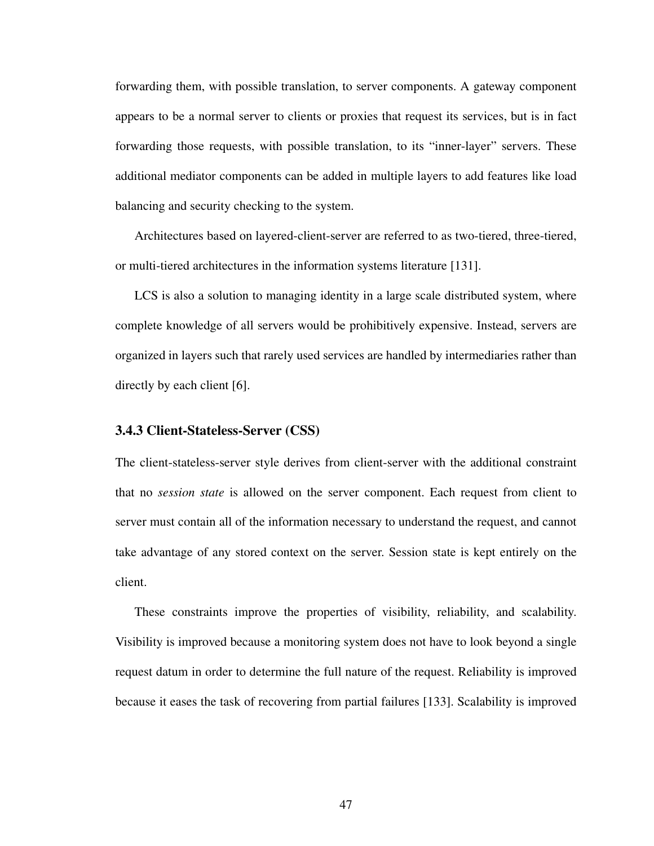forwarding them, with possible translation, to server components. A gateway component appears to be a normal server to clients or proxies that request its services, but is in fact forwarding those requests, with possible translation, to its "inner-layer" servers. These additional mediator components can be added in multiple layers to add features like load balancing and security checking to the system.

Architectures based on layered-client-server are referred to as two-tiered, three-tiered, or multi-tiered architectures in the information systems literature [[131\]](#page-179-4).

LCS is also a solution to managing identity in a large scale distributed system, where complete knowledge of all servers would be prohibitively expensive. Instead, servers are organized in layers such that rarely used services are handled by intermediaries rather than directly by each client [\[6](#page-169-3)].

# **3.4.3 Client-Stateless-Server (CSS)**

The client-stateless-server style derives from client-server with the additional constraint that no *session state* is allowed on the server component. Each request from client to server must contain all of the information necessary to understand the request, and cannot take advantage of any stored context on the server. Session state is kept entirely on the client.

These constraints improve the properties of visibility, reliability, and scalability. Visibility is improved because a monitoring system does not have to look beyond a single request datum in order to determine the full nature of the request. Reliability is improved because it eases the task of recovering from partial failures [\[133](#page-179-5)]. Scalability is improved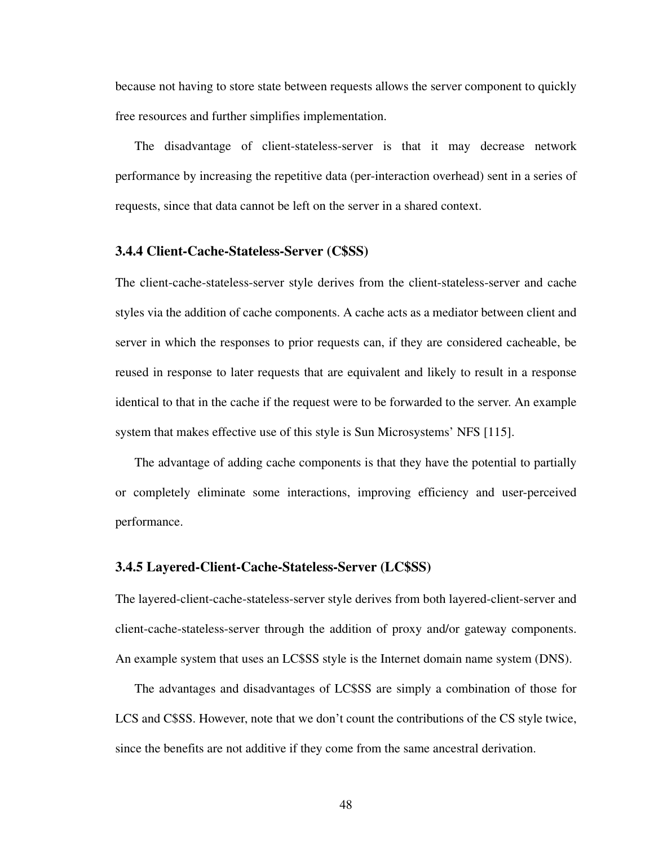because not having to store state between requests allows the server component to quickly free resources and further simplifies implementation.

The disadvantage of client-stateless-server is that it may decrease network performance by increasing the repetitive data (per-interaction overhead) sent in a series of requests, since that data cannot be left on the server in a shared context.

### **3.4.4 Client-Cache-Stateless-Server (C\$SS)**

The client-cache-stateless-server style derives from the client-stateless-server and cache styles via the addition of cache components. A cache acts as a mediator between client and server in which the responses to prior requests can, if they are considered cacheable, be reused in response to later requests that are equivalent and likely to result in a response identical to that in the cache if the request were to be forwarded to the server. An example system that makes effective use of this style is Sun Microsystems' NFS [[115\]](#page-178-7).

The advantage of adding cache components is that they have the potential to partially or completely eliminate some interactions, improving efficiency and user-perceived performance.

## **3.4.5 Layered-Client-Cache-Stateless-Server (LC\$SS)**

The layered-client-cache-stateless-server style derives from both layered-client-server and client-cache-stateless-server through the addition of proxy and/or gateway components. An example system that uses an LC\$SS style is the Internet domain name system (DNS).

The advantages and disadvantages of LC\$SS are simply a combination of those for LCS and C\$SS. However, note that we don't count the contributions of the CS style twice, since the benefits are not additive if they come from the same ancestral derivation.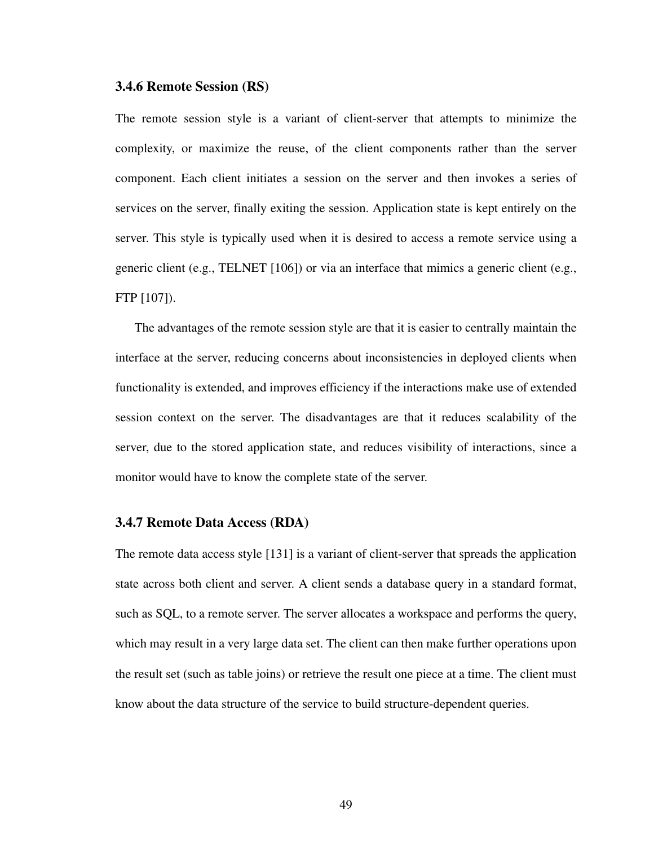### **3.4.6 Remote Session (RS)**

The remote session style is a variant of client-server that attempts to minimize the complexity, or maximize the reuse, of the client components rather than the server component. Each client initiates a session on the server and then invokes a series of services on the server, finally exiting the session. Application state is kept entirely on the server. This style is typically used when it is desired to access a remote service using a generic client (e.g., TELNET [\[106](#page-177-4)]) or via an interface that mimics a generic client (e.g., FTP [[107\]](#page-177-3)).

The advantages of the remote session style are that it is easier to centrally maintain the interface at the server, reducing concerns about inconsistencies in deployed clients when functionality is extended, and improves efficiency if the interactions make use of extended session context on the server. The disadvantages are that it reduces scalability of the server, due to the stored application state, and reduces visibility of interactions, since a monitor would have to know the complete state of the server.

### **3.4.7 Remote Data Access (RDA)**

The remote data access style [[131\]](#page-179-4) is a variant of client-server that spreads the application state across both client and server. A client sends a database query in a standard format, such as SQL, to a remote server. The server allocates a workspace and performs the query, which may result in a very large data set. The client can then make further operations upon the result set (such as table joins) or retrieve the result one piece at a time. The client must know about the data structure of the service to build structure-dependent queries.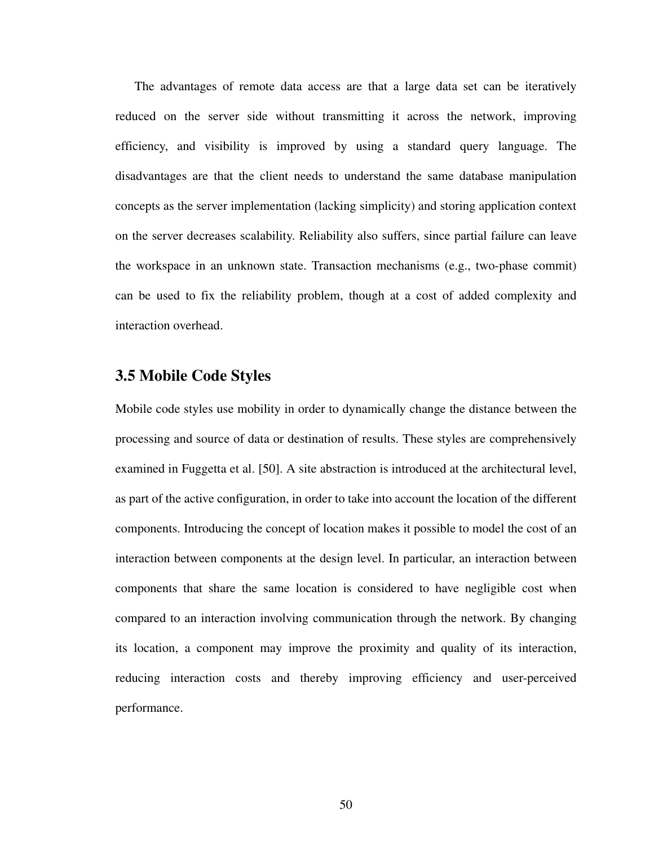The advantages of remote data access are that a large data set can be iteratively reduced on the server side without transmitting it across the network, improving efficiency, and visibility is improved by using a standard query language. The disadvantages are that the client needs to understand the same database manipulation concepts as the server implementation (lacking simplicity) and storing application context on the server decreases scalability. Reliability also suffers, since partial failure can leave the workspace in an unknown state. Transaction mechanisms (e.g., two-phase commit) can be used to fix the reliability problem, though at a cost of added complexity and interaction overhead.

# **3.5 Mobile Code Styles**

Mobile code styles use mobility in order to dynamically change the distance between the processing and source of data or destination of results. These styles are comprehensively examined in Fuggetta et al. [[50\]](#page-172-1). A site abstraction is introduced at the architectural level, as part of the active configuration, in order to take into account the location of the different components. Introducing the concept of location makes it possible to model the cost of an interaction between components at the design level. In particular, an interaction between components that share the same location is considered to have negligible cost when compared to an interaction involving communication through the network. By changing its location, a component may improve the proximity and quality of its interaction, reducing interaction costs and thereby improving efficiency and user-perceived performance.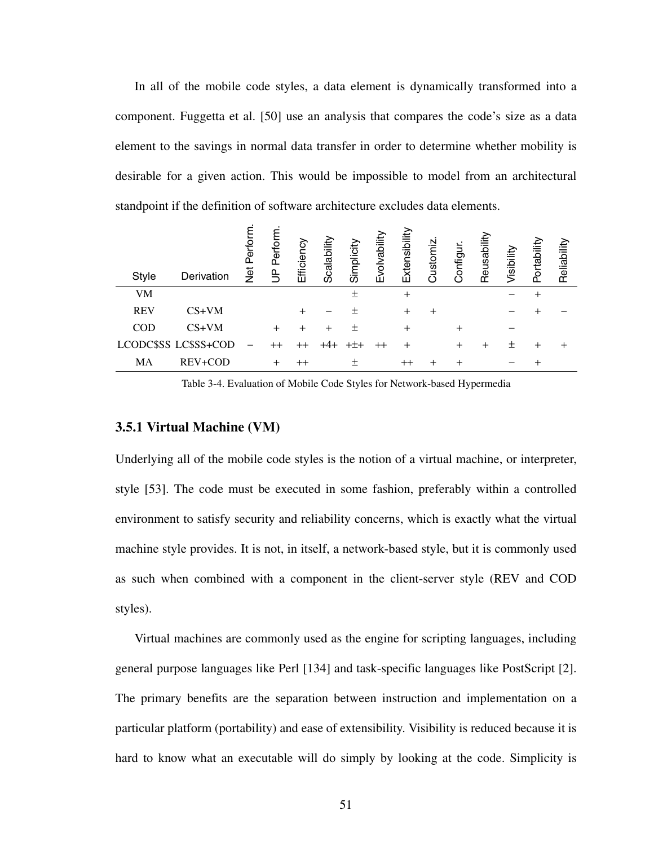In all of the mobile code styles, a data element is dynamically transformed into a component. Fuggetta et al. [[50\]](#page-172-1) use an analysis that compares the code's size as a data element to the savings in normal data transfer in order to determine whether mobility is desirable for a given action. This would be impossible to model from an architectural standpoint if the definition of software architecture excludes data elements.

| <b>Style</b> | Derivation           | Perfor<br>Net | erforn<br>$\frac{\rho}{\rho}$ | Efficienc   | Scalability | Simplicity | volvabilit<br>ш | Extensibility  | Customiz | Configur. | Reusability | Visibility | Portabilit | Reliability |
|--------------|----------------------|---------------|-------------------------------|-------------|-------------|------------|-----------------|----------------|----------|-----------|-------------|------------|------------|-------------|
| <b>VM</b>    |                      |               |                               |             |             |            |                 | $\overline{+}$ |          |           |             |            |            |             |
| <b>REV</b>   | $CS+VM$              |               |                               |             |             |            |                 | ┿              |          |           |             |            |            |             |
| <b>COD</b>   | $CS+VM$              |               | $\pm$                         | ┿           |             |            |                 | ┿              |          | $\,{}^+$  |             |            |            |             |
|              | LCODC\$SS LC\$SS+COD |               | $^{++}$                       |             |             |            |                 |                |          | $^{+}$    |             | ┿          |            |             |
| MA           | REV+COD              |               | $^{+}$                        | $^{\rm ++}$ |             |            |                 |                |          |           |             |            |            |             |
|              |                      |               |                               |             |             |            |                 |                |          |           |             |            |            |             |

Table 3-4. Evaluation of Mobile Code Styles for Network-based Hypermedia

### **3.5.1 Virtual Machine (VM)**

Underlying all of the mobile code styles is the notion of a virtual machine, or interpreter, style [\[53](#page-173-2)]. The code must be executed in some fashion, preferably within a controlled environment to satisfy security and reliability concerns, which is exactly what the virtual machine style provides. It is not, in itself, a network-based style, but it is commonly used as such when combined with a component in the client-server style (REV and COD styles).

Virtual machines are commonly used as the engine for scripting languages, including general purpose languages like Perl [[134\]](#page-179-7) and task-specific languages like PostScript [[2](#page-169-5)]. The primary benefits are the separation between instruction and implementation on a particular platform (portability) and ease of extensibility. Visibility is reduced because it is hard to know what an executable will do simply by looking at the code. Simplicity is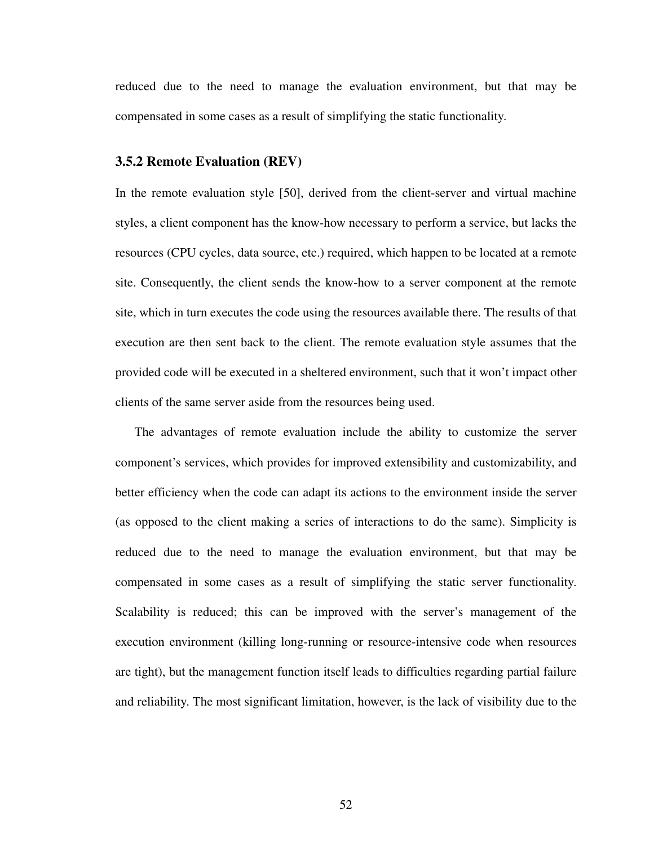reduced due to the need to manage the evaluation environment, but that may be compensated in some cases as a result of simplifying the static functionality.

### **3.5.2 Remote Evaluation (REV)**

In the remote evaluation style [[50\]](#page-172-1), derived from the client-server and virtual machine styles, a client component has the know-how necessary to perform a service, but lacks the resources (CPU cycles, data source, etc.) required, which happen to be located at a remote site. Consequently, the client sends the know-how to a server component at the remote site, which in turn executes the code using the resources available there. The results of that execution are then sent back to the client. The remote evaluation style assumes that the provided code will be executed in a sheltered environment, such that it won't impact other clients of the same server aside from the resources being used.

The advantages of remote evaluation include the ability to customize the server component's services, which provides for improved extensibility and customizability, and better efficiency when the code can adapt its actions to the environment inside the server (as opposed to the client making a series of interactions to do the same). Simplicity is reduced due to the need to manage the evaluation environment, but that may be compensated in some cases as a result of simplifying the static server functionality. Scalability is reduced; this can be improved with the server's management of the execution environment (killing long-running or resource-intensive code when resources are tight), but the management function itself leads to difficulties regarding partial failure and reliability. The most significant limitation, however, is the lack of visibility due to the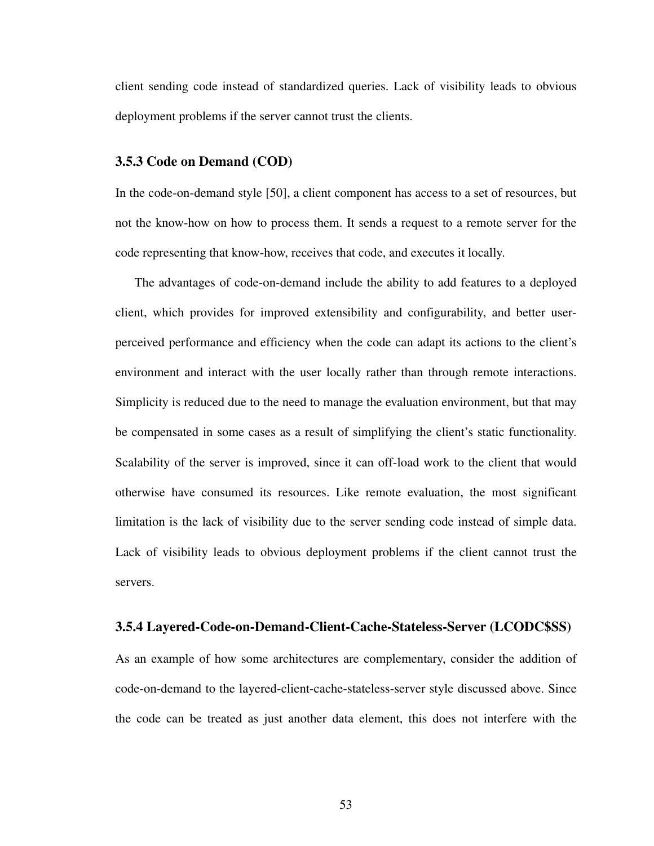client sending code instead of standardized queries. Lack of visibility leads to obvious deployment problems if the server cannot trust the clients.

## **3.5.3 Code on Demand (COD)**

In the code-on-demand style [[50\]](#page-172-1), a client component has access to a set of resources, but not the know-how on how to process them. It sends a request to a remote server for the code representing that know-how, receives that code, and executes it locally.

The advantages of code-on-demand include the ability to add features to a deployed client, which provides for improved extensibility and configurability, and better userperceived performance and efficiency when the code can adapt its actions to the client's environment and interact with the user locally rather than through remote interactions. Simplicity is reduced due to the need to manage the evaluation environment, but that may be compensated in some cases as a result of simplifying the client's static functionality. Scalability of the server is improved, since it can off-load work to the client that would otherwise have consumed its resources. Like remote evaluation, the most significant limitation is the lack of visibility due to the server sending code instead of simple data. Lack of visibility leads to obvious deployment problems if the client cannot trust the servers.

# **3.5.4 Layered-Code-on-Demand-Client-Cache-Stateless-Server (LCODC\$SS)**

As an example of how some architectures are complementary, consider the addition of code-on-demand to the layered-client-cache-stateless-server style discussed above. Since the code can be treated as just another data element, this does not interfere with the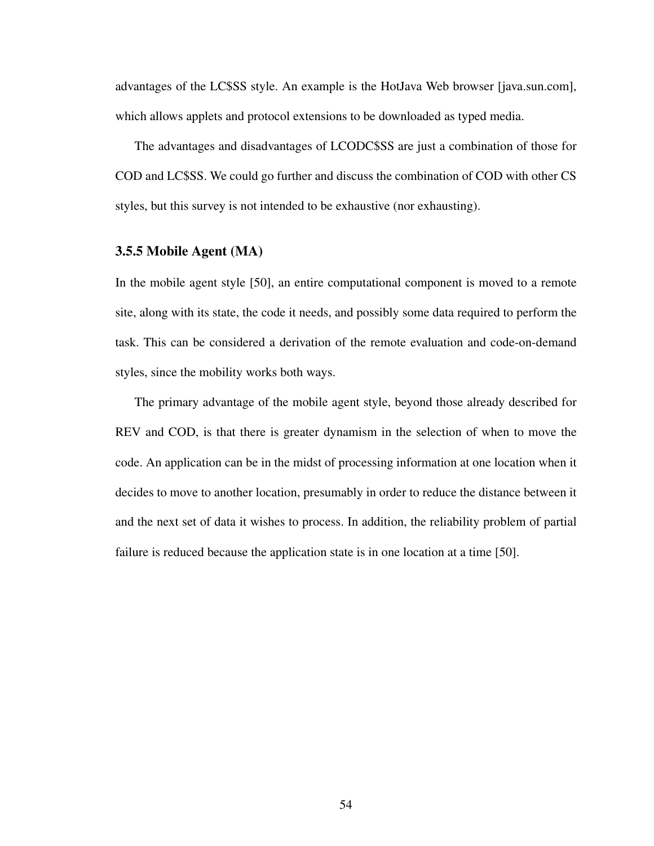advantages of the LC\$SS style. An example is the HotJava Web browser [java.sun.com], which allows applets and protocol extensions to be downloaded as typed media.

The advantages and disadvantages of LCODC\$SS are just a combination of those for COD and LC\$SS. We could go further and discuss the combination of COD with other CS styles, but this survey is not intended to be exhaustive (nor exhausting).

# **3.5.5 Mobile Agent (MA)**

In the mobile agent style [[50\]](#page-172-1), an entire computational component is moved to a remote site, along with its state, the code it needs, and possibly some data required to perform the task. This can be considered a derivation of the remote evaluation and code-on-demand styles, since the mobility works both ways.

The primary advantage of the mobile agent style, beyond those already described for REV and COD, is that there is greater dynamism in the selection of when to move the code. An application can be in the midst of processing information at one location when it decides to move to another location, presumably in order to reduce the distance between it and the next set of data it wishes to process. In addition, the reliability problem of partial failure is reduced because the application state is in one location at a time [[50\]](#page-172-1).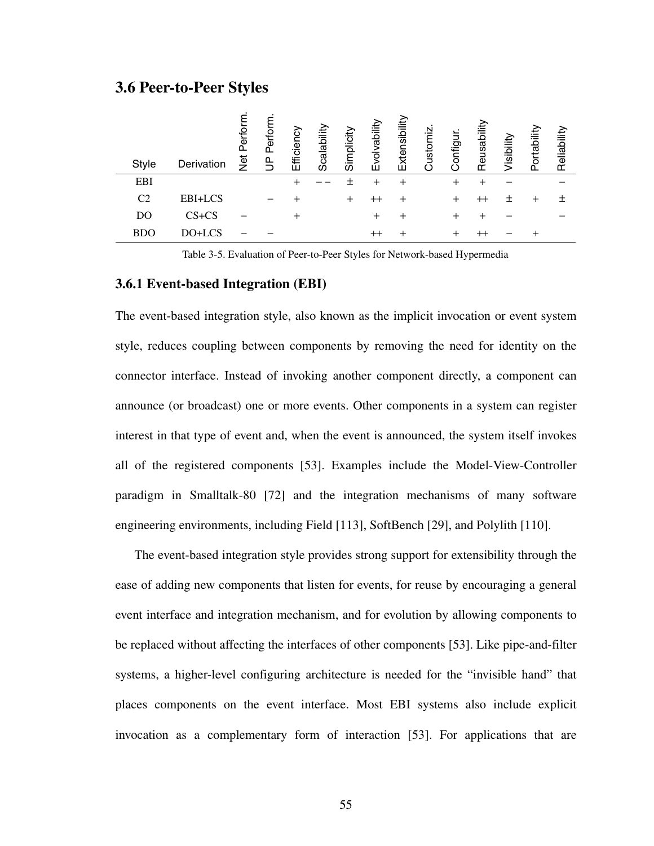# **3.6 Peer-to-Peer Styles**

| <b>Style</b>   | Derivation | Perform<br><b>by</b> | Perform<br>൨ | Efficienc | calability<br>O | Simplicity | rability<br>इ<br>ш | Extensibility | ustomiz | ungihoo | Reusabi | Visibility | Portability | Reliability |  |
|----------------|------------|----------------------|--------------|-----------|-----------------|------------|--------------------|---------------|---------|---------|---------|------------|-------------|-------------|--|
| EBI            |            |                      |              |           |                 |            | $^{\mathrm{+}}$    |               |         |         |         |            |             |             |  |
| C <sub>2</sub> | EBI+LCS    |                      |              |           |                 | $^+$       | $^{\rm ++}$        | $^+$          |         |         |         |            | ┿           |             |  |
| DO             | $CS + CS$  |                      |              | ┿         |                 |            | $^+$               | +             |         |         |         |            |             |             |  |
| <b>BDO</b>     | DO+LCS     |                      |              |           |                 |            | $^{\rm ++}$        |               |         |         |         |            |             |             |  |

Table 3-5. Evaluation of Peer-to-Peer Styles for Network-based Hypermedia

#### **3.6.1 Event-based Integration (EBI)**

The event-based integration style, also known as the implicit invocation or event system style, reduces coupling between components by removing the need for identity on the connector interface. Instead of invoking another component directly, a component can announce (or broadcast) one or more events. Other components in a system can register interest in that type of event and, when the event is announced, the system itself invokes all of the registered components [\[53](#page-173-0)]. Examples include the Model-View-Controller paradigm in Smalltalk-80 [\[72](#page-174-0)] and the integration mechanisms of many software engineering environments, including Field [\[113](#page-177-0)], SoftBench [[29\]](#page-171-0), and Polylith [\[110](#page-177-1)].

The event-based integration style provides strong support for extensibility through the ease of adding new components that listen for events, for reuse by encouraging a general event interface and integration mechanism, and for evolution by allowing components to be replaced without affecting the interfaces of other components [\[53](#page-173-0)]. Like pipe-and-filter systems, a higher-level configuring architecture is needed for the "invisible hand" that places components on the event interface. Most EBI systems also include explicit invocation as a complementary form of interaction [[53\]](#page-173-0). For applications that are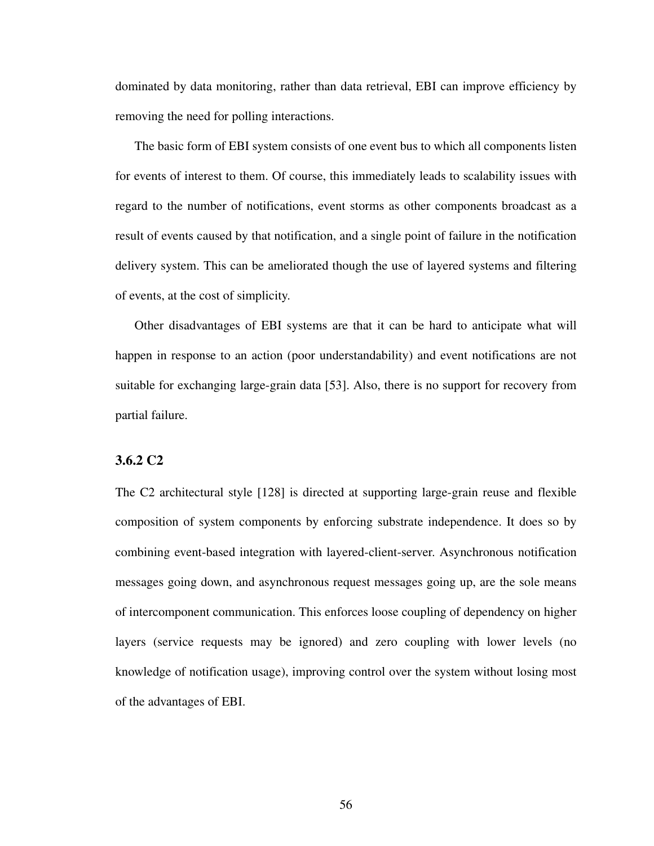dominated by data monitoring, rather than data retrieval, EBI can improve efficiency by removing the need for polling interactions.

The basic form of EBI system consists of one event bus to which all components listen for events of interest to them. Of course, this immediately leads to scalability issues with regard to the number of notifications, event storms as other components broadcast as a result of events caused by that notification, and a single point of failure in the notification delivery system. This can be ameliorated though the use of layered systems and filtering of events, at the cost of simplicity.

Other disadvantages of EBI systems are that it can be hard to anticipate what will happen in response to an action (poor understandability) and event notifications are not suitable for exchanging large-grain data [\[53](#page-173-0)]. Also, there is no support for recovery from partial failure.

## **3.6.2 C2**

The C2 architectural style [[128\]](#page-179-0) is directed at supporting large-grain reuse and flexible composition of system components by enforcing substrate independence. It does so by combining event-based integration with layered-client-server. Asynchronous notification messages going down, and asynchronous request messages going up, are the sole means of intercomponent communication. This enforces loose coupling of dependency on higher layers (service requests may be ignored) and zero coupling with lower levels (no knowledge of notification usage), improving control over the system without losing most of the advantages of EBI.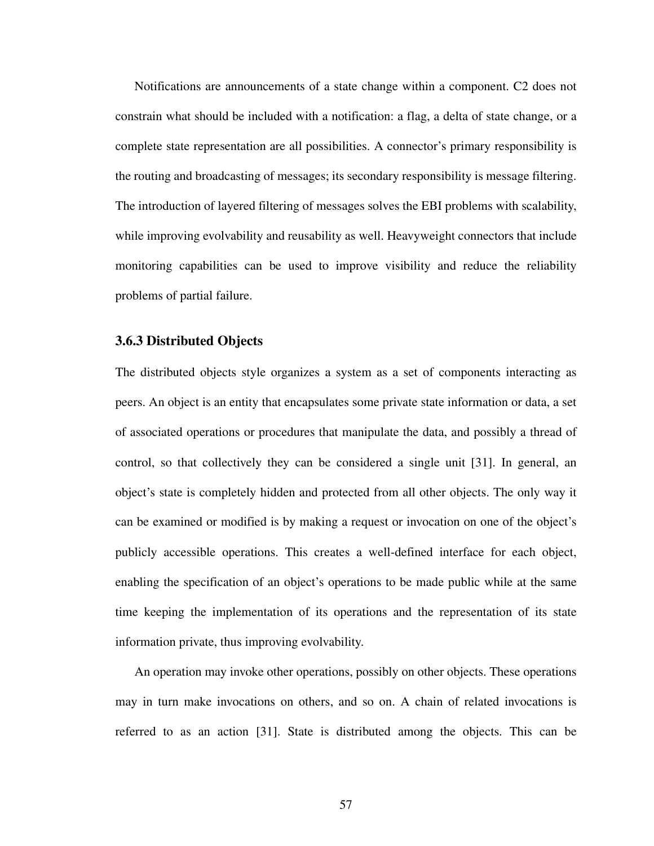Notifications are announcements of a state change within a component. C2 does not constrain what should be included with a notification: a flag, a delta of state change, or a complete state representation are all possibilities. A connector's primary responsibility is the routing and broadcasting of messages; its secondary responsibility is message filtering. The introduction of layered filtering of messages solves the EBI problems with scalability, while improving evolvability and reusability as well. Heavyweight connectors that include monitoring capabilities can be used to improve visibility and reduce the reliability problems of partial failure.

## **3.6.3 Distributed Objects**

The distributed objects style organizes a system as a set of components interacting as peers. An object is an entity that encapsulates some private state information or data, a set of associated operations or procedures that manipulate the data, and possibly a thread of control, so that collectively they can be considered a single unit [\[31](#page-171-1)]. In general, an object's state is completely hidden and protected from all other objects. The only way it can be examined or modified is by making a request or invocation on one of the object's publicly accessible operations. This creates a well-defined interface for each object, enabling the specification of an object's operations to be made public while at the same time keeping the implementation of its operations and the representation of its state information private, thus improving evolvability.

An operation may invoke other operations, possibly on other objects. These operations may in turn make invocations on others, and so on. A chain of related invocations is referred to as an action [[31\]](#page-171-1). State is distributed among the objects. This can be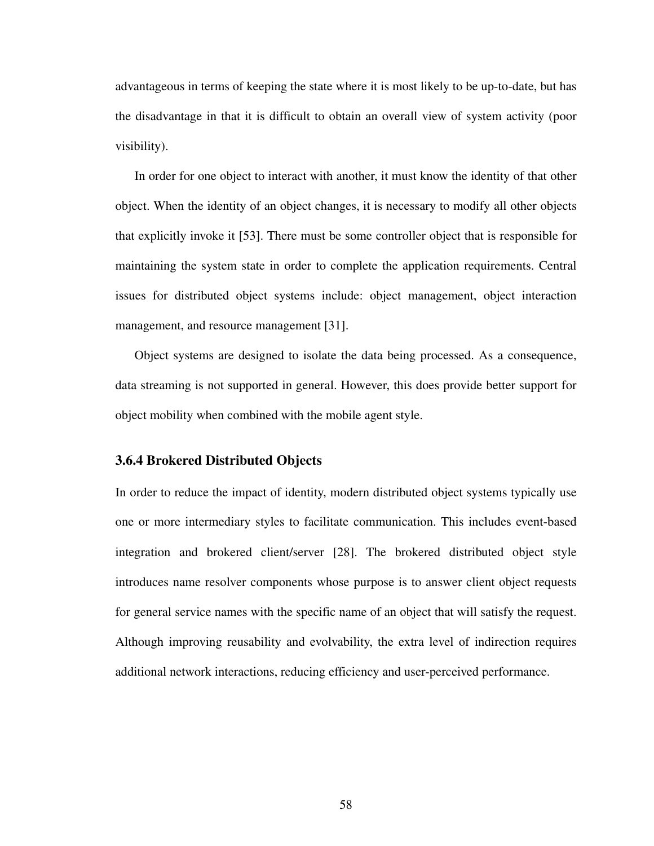advantageous in terms of keeping the state where it is most likely to be up-to-date, but has the disadvantage in that it is difficult to obtain an overall view of system activity (poor visibility).

In order for one object to interact with another, it must know the identity of that other object. When the identity of an object changes, it is necessary to modify all other objects that explicitly invoke it [[53\]](#page-173-0). There must be some controller object that is responsible for maintaining the system state in order to complete the application requirements. Central issues for distributed object systems include: object management, object interaction management, and resource management [\[31](#page-171-1)].

Object systems are designed to isolate the data being processed. As a consequence, data streaming is not supported in general. However, this does provide better support for object mobility when combined with the mobile agent style.

## **3.6.4 Brokered Distributed Objects**

In order to reduce the impact of identity, modern distributed object systems typically use one or more intermediary styles to facilitate communication. This includes event-based integration and brokered client/server [[28\]](#page-171-2). The brokered distributed object style introduces name resolver components whose purpose is to answer client object requests for general service names with the specific name of an object that will satisfy the request. Although improving reusability and evolvability, the extra level of indirection requires additional network interactions, reducing efficiency and user-perceived performance.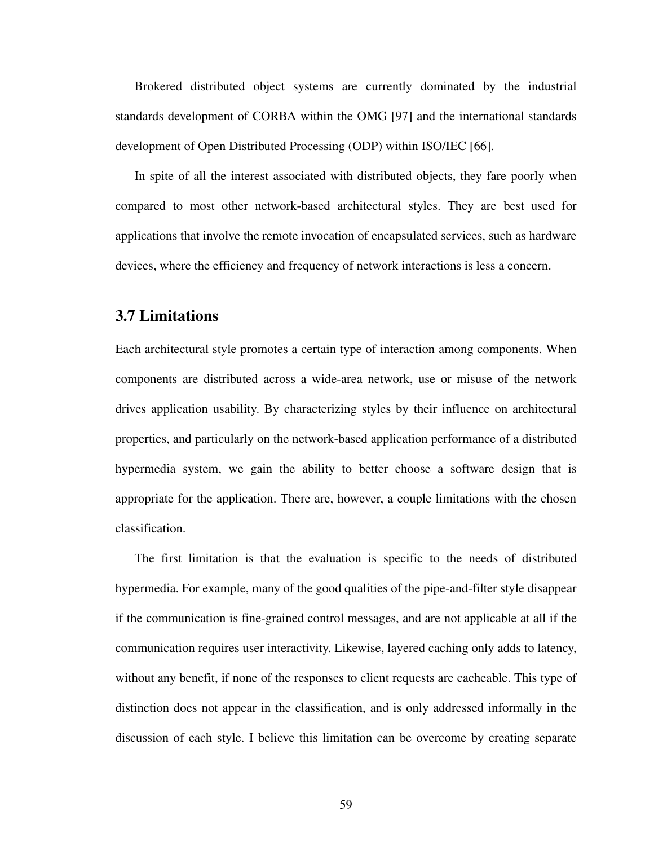Brokered distributed object systems are currently dominated by the industrial standards development of CORBA within the OMG [\[97](#page-176-0)] and the international standards development of Open Distributed Processing (ODP) within ISO/IEC [[66\]](#page-174-1).

In spite of all the interest associated with distributed objects, they fare poorly when compared to most other network-based architectural styles. They are best used for applications that involve the remote invocation of encapsulated services, such as hardware devices, where the efficiency and frequency of network interactions is less a concern.

## **3.7 Limitations**

Each architectural style promotes a certain type of interaction among components. When components are distributed across a wide-area network, use or misuse of the network drives application usability. By characterizing styles by their influence on architectural properties, and particularly on the network-based application performance of a distributed hypermedia system, we gain the ability to better choose a software design that is appropriate for the application. There are, however, a couple limitations with the chosen classification.

The first limitation is that the evaluation is specific to the needs of distributed hypermedia. For example, many of the good qualities of the pipe-and-filter style disappear if the communication is fine-grained control messages, and are not applicable at all if the communication requires user interactivity. Likewise, layered caching only adds to latency, without any benefit, if none of the responses to client requests are cacheable. This type of distinction does not appear in the classification, and is only addressed informally in the discussion of each style. I believe this limitation can be overcome by creating separate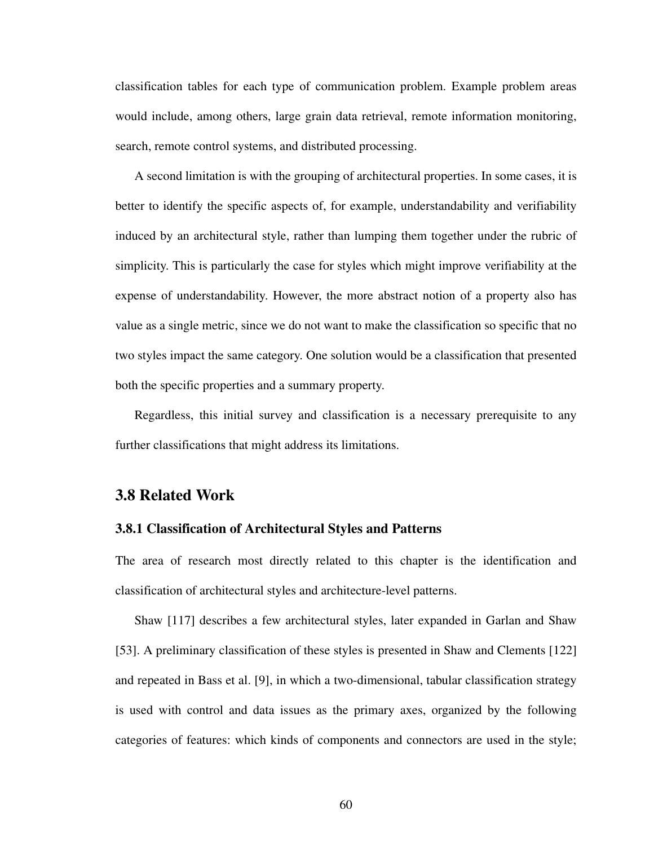classification tables for each type of communication problem. Example problem areas would include, among others, large grain data retrieval, remote information monitoring, search, remote control systems, and distributed processing.

A second limitation is with the grouping of architectural properties. In some cases, it is better to identify the specific aspects of, for example, understandability and verifiability induced by an architectural style, rather than lumping them together under the rubric of simplicity. This is particularly the case for styles which might improve verifiability at the expense of understandability. However, the more abstract notion of a property also has value as a single metric, since we do not want to make the classification so specific that no two styles impact the same category. One solution would be a classification that presented both the specific properties and a summary property.

Regardless, this initial survey and classification is a necessary prerequisite to any further classifications that might address its limitations.

## **3.8 Related Work**

#### **3.8.1 Classification of Architectural Styles and Patterns**

The area of research most directly related to this chapter is the identification and classification of architectural styles and architecture-level patterns.

Shaw [[117\]](#page-178-0) describes a few architectural styles, later expanded in Garlan and Shaw [\[53](#page-173-0)]. A preliminary classification of these styles is presented in Shaw and Clements [\[122](#page-178-1)] and repeated in Bass et al. [\[9](#page-169-0)], in which a two-dimensional, tabular classification strategy is used with control and data issues as the primary axes, organized by the following categories of features: which kinds of components and connectors are used in the style;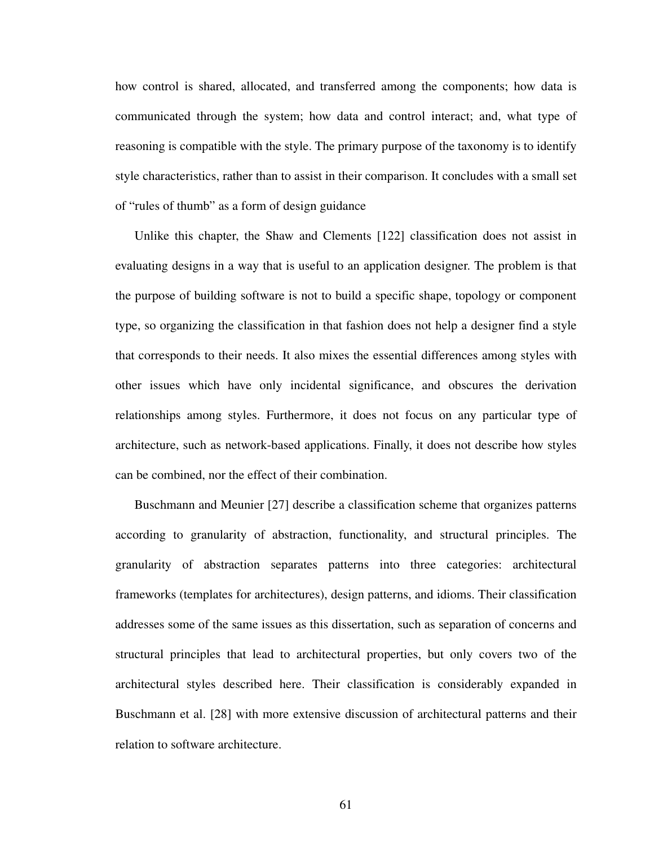how control is shared, allocated, and transferred among the components; how data is communicated through the system; how data and control interact; and, what type of reasoning is compatible with the style. The primary purpose of the taxonomy is to identify style characteristics, rather than to assist in their comparison. It concludes with a small set of "rules of thumb" as a form of design guidance

Unlike this chapter, the Shaw and Clements [\[122](#page-178-1)] classification does not assist in evaluating designs in a way that is useful to an application designer. The problem is that the purpose of building software is not to build a specific shape, topology or component type, so organizing the classification in that fashion does not help a designer find a style that corresponds to their needs. It also mixes the essential differences among styles with other issues which have only incidental significance, and obscures the derivation relationships among styles. Furthermore, it does not focus on any particular type of architecture, such as network-based applications. Finally, it does not describe how styles can be combined, nor the effect of their combination.

Buschmann and Meunier [[27\]](#page-171-3) describe a classification scheme that organizes patterns according to granularity of abstraction, functionality, and structural principles. The granularity of abstraction separates patterns into three categories: architectural frameworks (templates for architectures), design patterns, and idioms. Their classification addresses some of the same issues as this dissertation, such as separation of concerns and structural principles that lead to architectural properties, but only covers two of the architectural styles described here. Their classification is considerably expanded in Buschmann et al. [[28\]](#page-171-2) with more extensive discussion of architectural patterns and their relation to software architecture.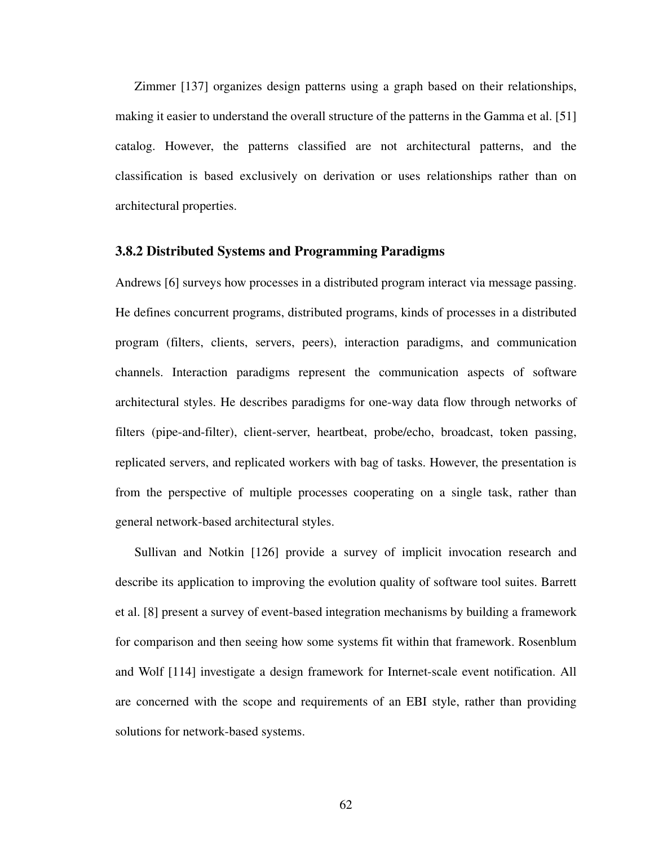Zimmer [\[137](#page-179-1)] organizes design patterns using a graph based on their relationships, making it easier to understand the overall structure of the patterns in the Gamma et al. [[51](#page-173-1)] catalog. However, the patterns classified are not architectural patterns, and the classification is based exclusively on derivation or uses relationships rather than on architectural properties.

#### **3.8.2 Distributed Systems and Programming Paradigms**

Andrews [\[6](#page-169-1)] surveys how processes in a distributed program interact via message passing. He defines concurrent programs, distributed programs, kinds of processes in a distributed program (filters, clients, servers, peers), interaction paradigms, and communication channels. Interaction paradigms represent the communication aspects of software architectural styles. He describes paradigms for one-way data flow through networks of filters (pipe-and-filter), client-server, heartbeat, probe/echo, broadcast, token passing, replicated servers, and replicated workers with bag of tasks. However, the presentation is from the perspective of multiple processes cooperating on a single task, rather than general network-based architectural styles.

Sullivan and Notkin [\[126](#page-178-2)] provide a survey of implicit invocation research and describe its application to improving the evolution quality of software tool suites. Barrett et al. [\[8](#page-169-2)] present a survey of event-based integration mechanisms by building a framework for comparison and then seeing how some systems fit within that framework. Rosenblum and Wolf [[114\]](#page-177-2) investigate a design framework for Internet-scale event notification. All are concerned with the scope and requirements of an EBI style, rather than providing solutions for network-based systems.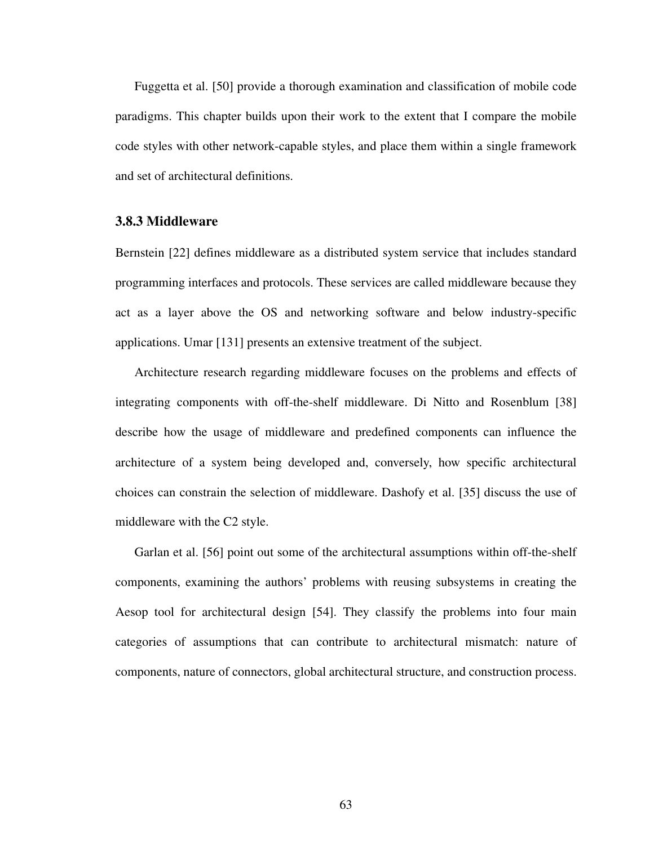Fuggetta et al. [[50\]](#page-172-0) provide a thorough examination and classification of mobile code paradigms. This chapter builds upon their work to the extent that I compare the mobile code styles with other network-capable styles, and place them within a single framework and set of architectural definitions.

## **3.8.3 Middleware**

Bernstein [[22\]](#page-170-0) defines middleware as a distributed system service that includes standard programming interfaces and protocols. These services are called middleware because they act as a layer above the OS and networking software and below industry-specific applications. Umar [\[131](#page-179-2)] presents an extensive treatment of the subject.

Architecture research regarding middleware focuses on the problems and effects of integrating components with off-the-shelf middleware. Di Nitto and Rosenblum [\[38](#page-172-1)] describe how the usage of middleware and predefined components can influence the architecture of a system being developed and, conversely, how specific architectural choices can constrain the selection of middleware. Dashofy et al. [[35\]](#page-171-4) discuss the use of middleware with the C2 style.

Garlan et al. [\[56](#page-173-3)] point out some of the architectural assumptions within off-the-shelf components, examining the authors' problems with reusing subsystems in creating the Aesop tool for architectural design [\[54](#page-173-2)]. They classify the problems into four main categories of assumptions that can contribute to architectural mismatch: nature of components, nature of connectors, global architectural structure, and construction process.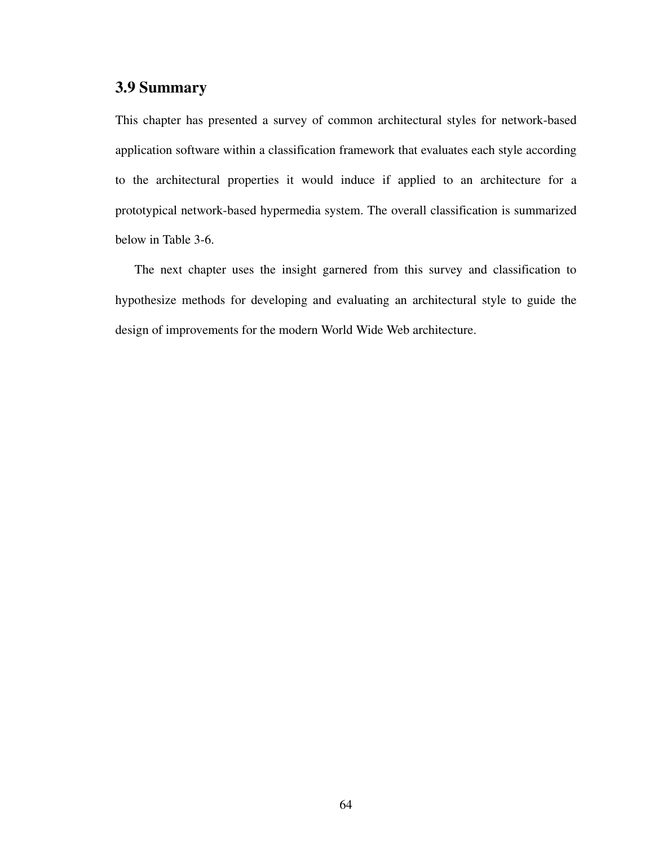# **3.9 Summary**

This chapter has presented a survey of common architectural styles for network-based application software within a classification framework that evaluates each style according to the architectural properties it would induce if applied to an architecture for a prototypical network-based hypermedia system. The overall classification is summarized below in [Table 3-6.](#page-82-0)

The next chapter uses the insight garnered from this survey and classification to hypothesize methods for developing and evaluating an architectural style to guide the design of improvements for the modern World Wide Web architecture.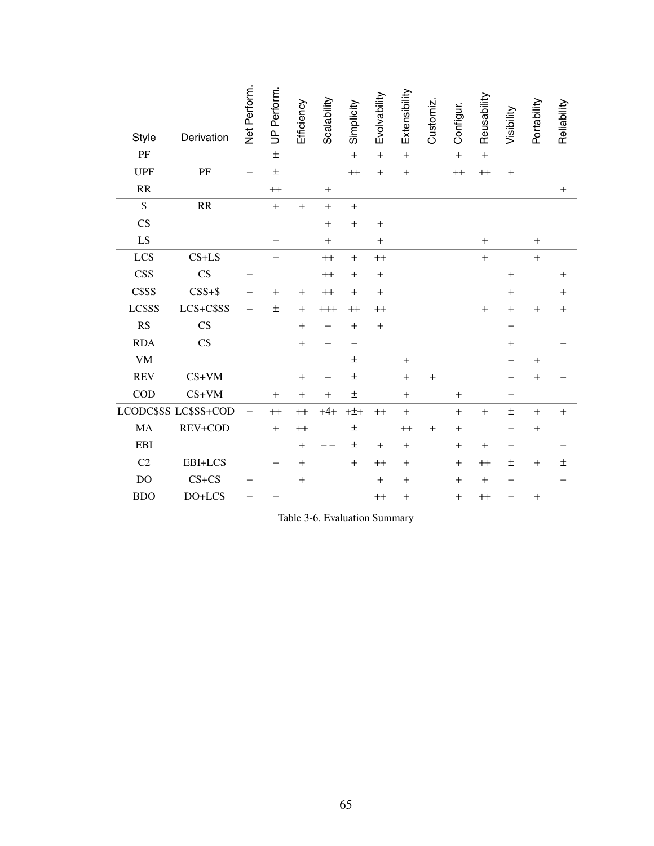|                                   |                                   | Net Perform. | UP Perform. | Efficiency       | Scalability | Simplicity       | Evolvability      | Extensibility     | Customiz | Configur.   | Reusability      | Visibility        | Portability       | Reliability       |
|-----------------------------------|-----------------------------------|--------------|-------------|------------------|-------------|------------------|-------------------|-------------------|----------|-------------|------------------|-------------------|-------------------|-------------------|
| <b>Style</b>                      | Derivation                        |              |             |                  |             |                  |                   |                   |          |             |                  |                   |                   |                   |
| PF                                |                                   |              | $\pm$       |                  |             | $\ddot{}$        | $\ddot{}$         | $\ddot{}$         |          | $\ddot{}$   | $\ddot{}$        |                   |                   |                   |
| <b>UPF</b>                        | PF                                |              | $\pm$       |                  |             | $+$              | $^{+}$            | $\! + \!$         |          | $^{\rm ++}$ | $^{++}$          | $\ddot{}$         |                   |                   |
| $\ensuremath{\mathsf{RR}}\xspace$ |                                   |              | $++$        |                  | $+$         |                  |                   |                   |          |             |                  |                   |                   | $\qquad \qquad +$ |
| $\mathsf{\$}$                     | $\ensuremath{\mathsf{RR}}\xspace$ |              | $+$         | $+$              | $+$         | $+$              |                   |                   |          |             |                  |                   |                   |                   |
| CS                                |                                   |              |             |                  | $+$         | $+$              | $+$               |                   |          |             |                  |                   |                   |                   |
| ${\rm LS}$                        |                                   |              |             |                  | $\ddot{}$   |                  | $+$               |                   |          |             | $+$              |                   | $\qquad \qquad +$ |                   |
| LCS                               | $CS+LS$                           |              |             |                  | $++$        | $+$              | $\qquad \qquad +$ |                   |          |             | $+$              |                   | $\qquad \qquad +$ |                   |
| <b>CSS</b>                        | $\overline{\text{CS}}$            |              |             |                  | $^{++}$     | $+$              | $^{+}$            |                   |          |             |                  | $\qquad \qquad +$ |                   | $\ddot{}$         |
| C\$SS                             | $CSS + $$                         |              | $+$         | $+$              | $^{++}$     | $^{+}$           | $+$               |                   |          |             |                  | $+$               |                   | $+$               |
| LC\$SS                            | LCS+C\$SS                         |              | $\pm$       | $\pm$            | $++$        | $^{++}$          | $++$              |                   |          |             | $\ddot{}$        | $\ddot{}$         | $\qquad \qquad +$ | $^{+}$            |
| RS                                | CS                                |              |             | $\! + \!$        |             | $\ddot{}$        | $\ddot{}$         |                   |          |             |                  |                   |                   |                   |
| <b>RDA</b>                        | CS                                |              |             | $+$              |             |                  |                   |                   |          |             |                  | $+$               |                   |                   |
| <b>VM</b>                         |                                   |              |             |                  |             | $\pm$            |                   | $\qquad \qquad +$ |          |             |                  |                   | $\! + \!$         |                   |
| <b>REV</b>                        | $CS+VM$                           |              |             | $+$              |             | $\pm$            |                   | $+$               | $+$      |             |                  |                   | $+$               |                   |
| COD                               | $CS+VM$                           |              | $+$         | $\! + \!$        | $\ddot{}$   | $\pm$            |                   | $+$               |          | $+$         |                  |                   |                   |                   |
|                                   | LCODC\$SS LC\$SS+COD              |              | $++$        | $++$             | $+4+$       | $+\pm$ +         | $++$              | $+$               |          | $+$         | $+$              | $\pm$             | $\qquad \qquad +$ | $^{+}$            |
| MA                                | REV+COD                           |              | $+$         | $^{++}$          |             | $\pm$            |                   | $^{++}$           | $^{+}$   | $+$         |                  |                   |                   |                   |
| <b>EBI</b>                        |                                   |              |             | $+$              |             | $\pm$            | $+$               | $+$               |          | $+$         | $+$              | -                 |                   |                   |
| C <sub>2</sub>                    | EBI+LCS                           |              |             | $\boldsymbol{+}$ |             | $\boldsymbol{+}$ | $^{++}$           | $\qquad \qquad +$ |          | $+$         | $^{\rm ++}$      | $\pm$             | $\boldsymbol{+}$  | $\pm$             |
| DO                                | $CS + CS$                         |              |             | $\boldsymbol{+}$ |             |                  | $+$               | $+$               |          | $+$         | $\boldsymbol{+}$ |                   |                   |                   |
| <b>BDO</b>                        | DO+LCS                            |              |             |                  |             |                  | $^{++}$           | $^{+}$            |          | $+$         | $^{++}$          |                   | $^{+}$            |                   |

<span id="page-82-0"></span>Table 3-6. Evaluation Summary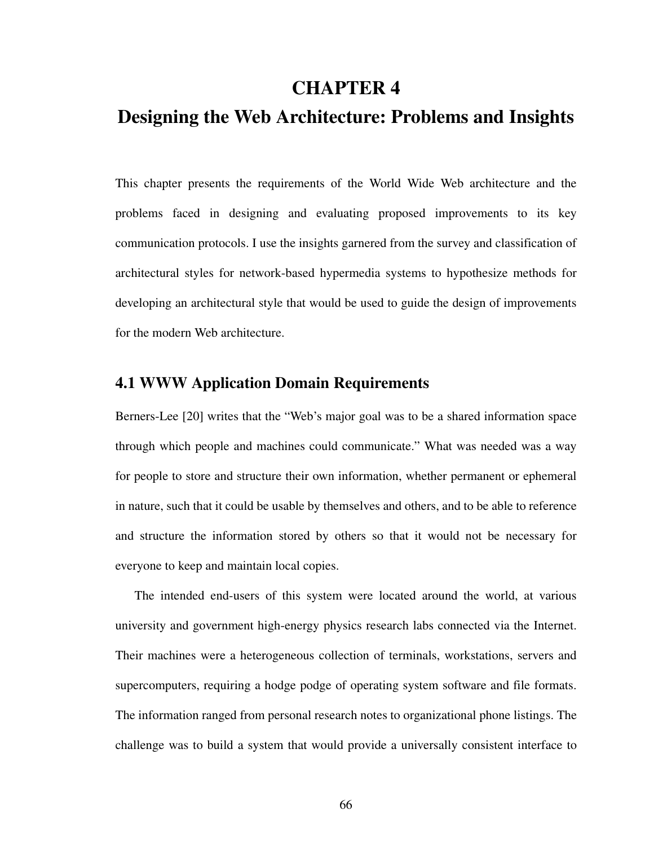# **CHAPTER 4**

# **Designing the Web Architecture: Problems and Insights**

This chapter presents the requirements of the World Wide Web architecture and the problems faced in designing and evaluating proposed improvements to its key communication protocols. I use the insights garnered from the survey and classification of architectural styles for network-based hypermedia systems to hypothesize methods for developing an architectural style that would be used to guide the design of improvements for the modern Web architecture.

# **4.1 WWW Application Domain Requirements**

Berners-Lee [[20\]](#page-170-1) writes that the "Web's major goal was to be a shared information space through which people and machines could communicate." What was needed was a way for people to store and structure their own information, whether permanent or ephemeral in nature, such that it could be usable by themselves and others, and to be able to reference and structure the information stored by others so that it would not be necessary for everyone to keep and maintain local copies.

The intended end-users of this system were located around the world, at various university and government high-energy physics research labs connected via the Internet. Their machines were a heterogeneous collection of terminals, workstations, servers and supercomputers, requiring a hodge podge of operating system software and file formats. The information ranged from personal research notes to organizational phone listings. The challenge was to build a system that would provide a universally consistent interface to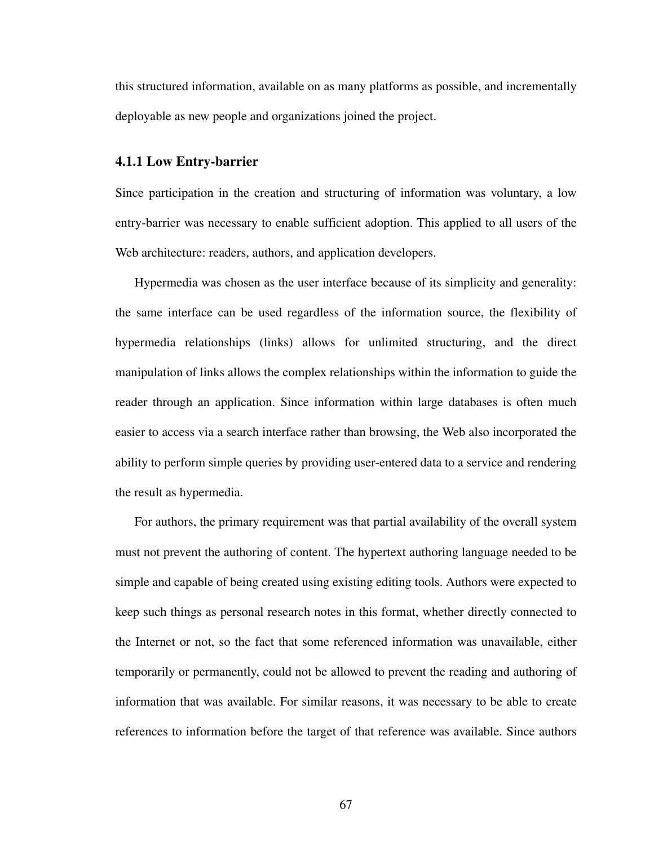this structured information, available on as many platforms as possible, and incrementally deployable as new people and organizations joined the project.

#### **4.1.1 Low Entry-barrier**

Since participation in the creation and structuring of information was voluntary, a low entry-barrier was necessary to enable sufficient adoption. This applied to all users of the Web architecture: readers, authors, and application developers.

Hypermedia was chosen as the user interface because of its simplicity and generality: the same interface can be used regardless of the information source, the flexibility of hypermedia relationships (links) allows for unlimited structuring, and the direct manipulation of links allows the complex relationships within the information to guide the reader through an application. Since information within large databases is often much easier to access via a search interface rather than browsing, the Web also incorporated the ability to perform simple queries by providing user-entered data to a service and rendering the result as hypermedia.

For authors, the primary requirement was that partial availability of the overall system must not prevent the authoring of content. The hypertext authoring language needed to be simple and capable of being created using existing editing tools. Authors were expected to keep such things as personal research notes in this format, whether directly connected to the Internet or not, so the fact that some referenced information was unavailable, either temporarily or permanently, could not be allowed to prevent the reading and authoring of information that was available. For similar reasons, it was necessary to be able to create references to information before the target of that reference was available. Since authors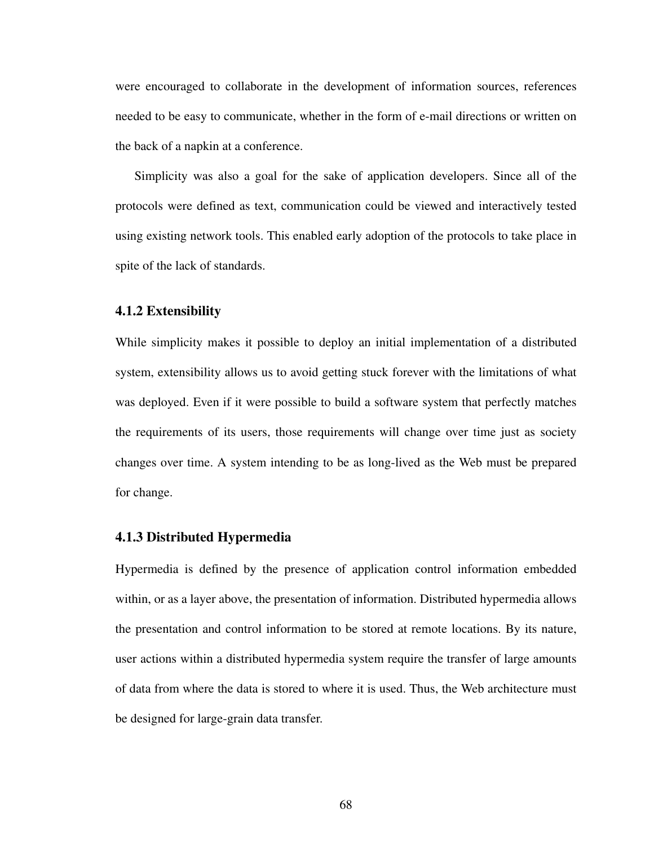were encouraged to collaborate in the development of information sources, references needed to be easy to communicate, whether in the form of e-mail directions or written on the back of a napkin at a conference.

Simplicity was also a goal for the sake of application developers. Since all of the protocols were defined as text, communication could be viewed and interactively tested using existing network tools. This enabled early adoption of the protocols to take place in spite of the lack of standards.

#### **4.1.2 Extensibility**

While simplicity makes it possible to deploy an initial implementation of a distributed system, extensibility allows us to avoid getting stuck forever with the limitations of what was deployed. Even if it were possible to build a software system that perfectly matches the requirements of its users, those requirements will change over time just as society changes over time. A system intending to be as long-lived as the Web must be prepared for change.

## **4.1.3 Distributed Hypermedia**

Hypermedia is defined by the presence of application control information embedded within, or as a layer above, the presentation of information. Distributed hypermedia allows the presentation and control information to be stored at remote locations. By its nature, user actions within a distributed hypermedia system require the transfer of large amounts of data from where the data is stored to where it is used. Thus, the Web architecture must be designed for large-grain data transfer.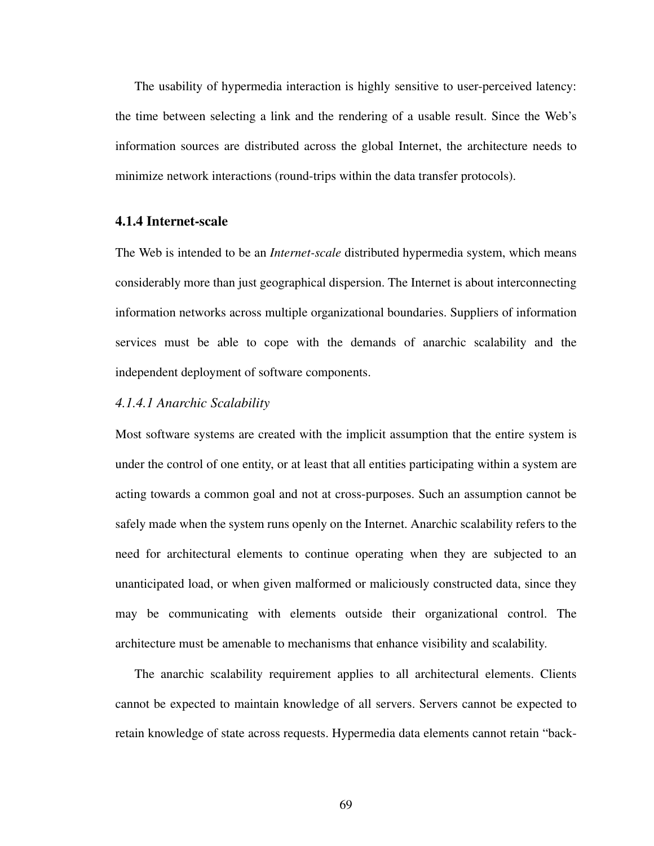The usability of hypermedia interaction is highly sensitive to user-perceived latency: the time between selecting a link and the rendering of a usable result. Since the Web's information sources are distributed across the global Internet, the architecture needs to minimize network interactions (round-trips within the data transfer protocols).

## **4.1.4 Internet-scale**

The Web is intended to be an *Internet-scale* distributed hypermedia system, which means considerably more than just geographical dispersion. The Internet is about interconnecting information networks across multiple organizational boundaries. Suppliers of information services must be able to cope with the demands of anarchic scalability and the independent deployment of software components.

## *4.1.4.1 Anarchic Scalability*

Most software systems are created with the implicit assumption that the entire system is under the control of one entity, or at least that all entities participating within a system are acting towards a common goal and not at cross-purposes. Such an assumption cannot be safely made when the system runs openly on the Internet. Anarchic scalability refers to the need for architectural elements to continue operating when they are subjected to an unanticipated load, or when given malformed or maliciously constructed data, since they may be communicating with elements outside their organizational control. The architecture must be amenable to mechanisms that enhance visibility and scalability.

The anarchic scalability requirement applies to all architectural elements. Clients cannot be expected to maintain knowledge of all servers. Servers cannot be expected to retain knowledge of state across requests. Hypermedia data elements cannot retain "back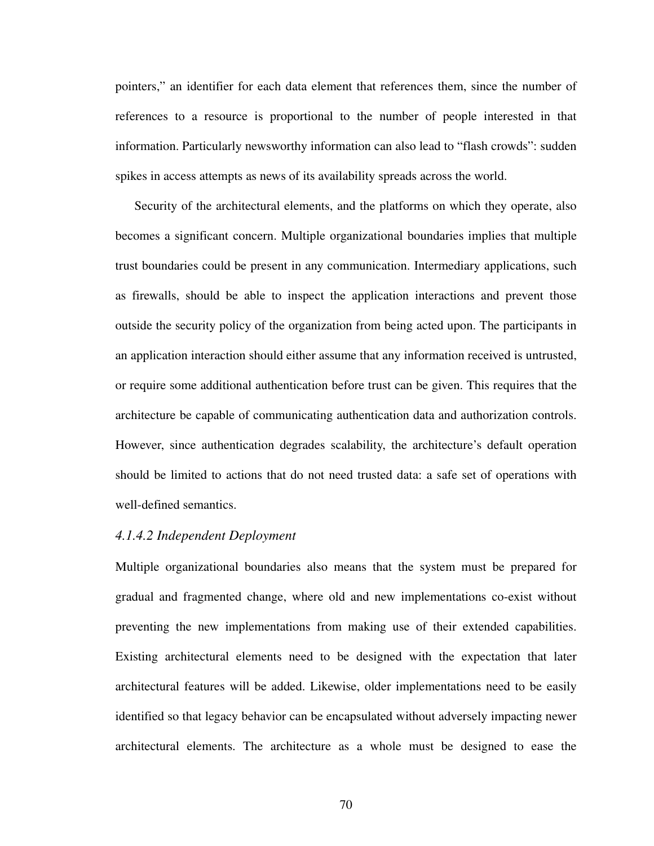pointers," an identifier for each data element that references them, since the number of references to a resource is proportional to the number of people interested in that information. Particularly newsworthy information can also lead to "flash crowds": sudden spikes in access attempts as news of its availability spreads across the world.

Security of the architectural elements, and the platforms on which they operate, also becomes a significant concern. Multiple organizational boundaries implies that multiple trust boundaries could be present in any communication. Intermediary applications, such as firewalls, should be able to inspect the application interactions and prevent those outside the security policy of the organization from being acted upon. The participants in an application interaction should either assume that any information received is untrusted, or require some additional authentication before trust can be given. This requires that the architecture be capable of communicating authentication data and authorization controls. However, since authentication degrades scalability, the architecture's default operation should be limited to actions that do not need trusted data: a safe set of operations with well-defined semantics.

#### *4.1.4.2 Independent Deployment*

Multiple organizational boundaries also means that the system must be prepared for gradual and fragmented change, where old and new implementations co-exist without preventing the new implementations from making use of their extended capabilities. Existing architectural elements need to be designed with the expectation that later architectural features will be added. Likewise, older implementations need to be easily identified so that legacy behavior can be encapsulated without adversely impacting newer architectural elements. The architecture as a whole must be designed to ease the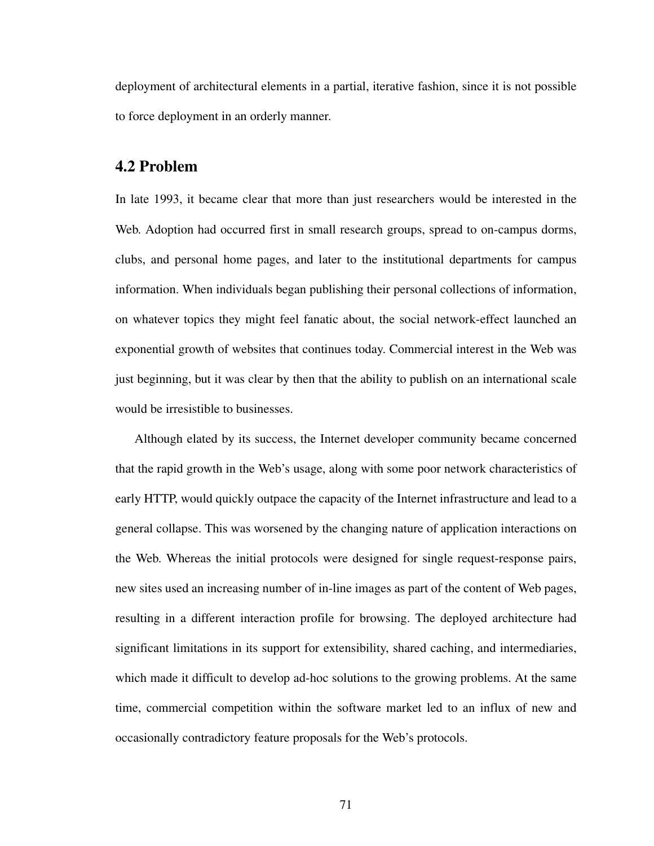deployment of architectural elements in a partial, iterative fashion, since it is not possible to force deployment in an orderly manner.

## **4.2 Problem**

In late 1993, it became clear that more than just researchers would be interested in the Web. Adoption had occurred first in small research groups, spread to on-campus dorms, clubs, and personal home pages, and later to the institutional departments for campus information. When individuals began publishing their personal collections of information, on whatever topics they might feel fanatic about, the social network-effect launched an exponential growth of websites that continues today. Commercial interest in the Web was just beginning, but it was clear by then that the ability to publish on an international scale would be irresistible to businesses.

Although elated by its success, the Internet developer community became concerned that the rapid growth in the Web's usage, along with some poor network characteristics of early HTTP, would quickly outpace the capacity of the Internet infrastructure and lead to a general collapse. This was worsened by the changing nature of application interactions on the Web. Whereas the initial protocols were designed for single request-response pairs, new sites used an increasing number of in-line images as part of the content of Web pages, resulting in a different interaction profile for browsing. The deployed architecture had significant limitations in its support for extensibility, shared caching, and intermediaries, which made it difficult to develop ad-hoc solutions to the growing problems. At the same time, commercial competition within the software market led to an influx of new and occasionally contradictory feature proposals for the Web's protocols.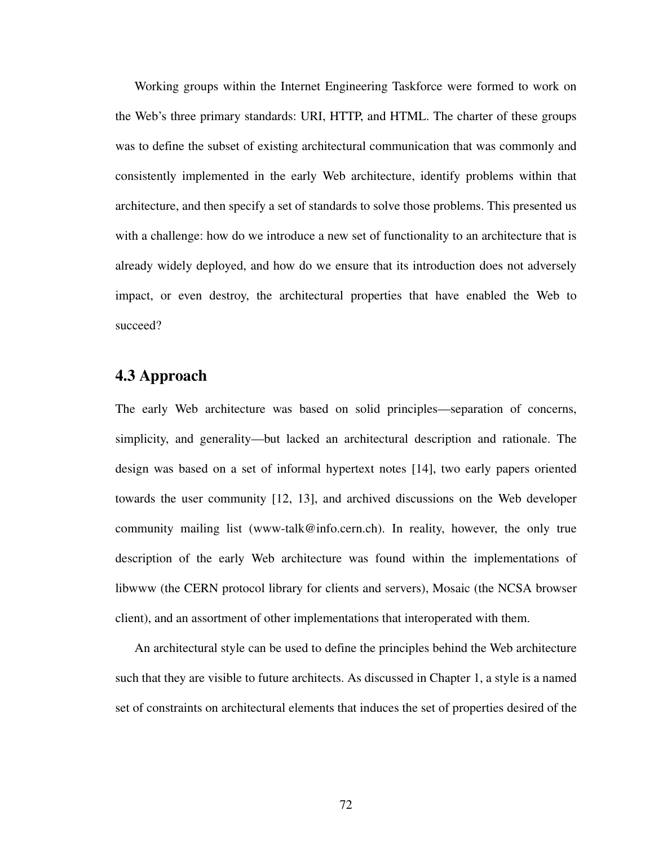Working groups within the Internet Engineering Taskforce were formed to work on the Web's three primary standards: URI, HTTP, and HTML. The charter of these groups was to define the subset of existing architectural communication that was commonly and consistently implemented in the early Web architecture, identify problems within that architecture, and then specify a set of standards to solve those problems. This presented us with a challenge: how do we introduce a new set of functionality to an architecture that is already widely deployed, and how do we ensure that its introduction does not adversely impact, or even destroy, the architectural properties that have enabled the Web to succeed?

# **4.3 Approach**

The early Web architecture was based on solid principles—separation of concerns, simplicity, and generality—but lacked an architectural description and rationale. The design was based on a set of informal hypertext notes [\[14](#page-170-2)], two early papers oriented towards the user community [[12,](#page-170-3) [13\]](#page-170-4), and archived discussions on the Web developer community mailing list (www-talk@info.cern.ch). In reality, however, the only true description of the early Web architecture was found within the implementations of libwww (the CERN protocol library for clients and servers), Mosaic (the NCSA browser client), and an assortment of other implementations that interoperated with them.

An architectural style can be used to define the principles behind the Web architecture such that they are visible to future architects. As discussed in Chapter 1, a style is a named set of constraints on architectural elements that induces the set of properties desired of the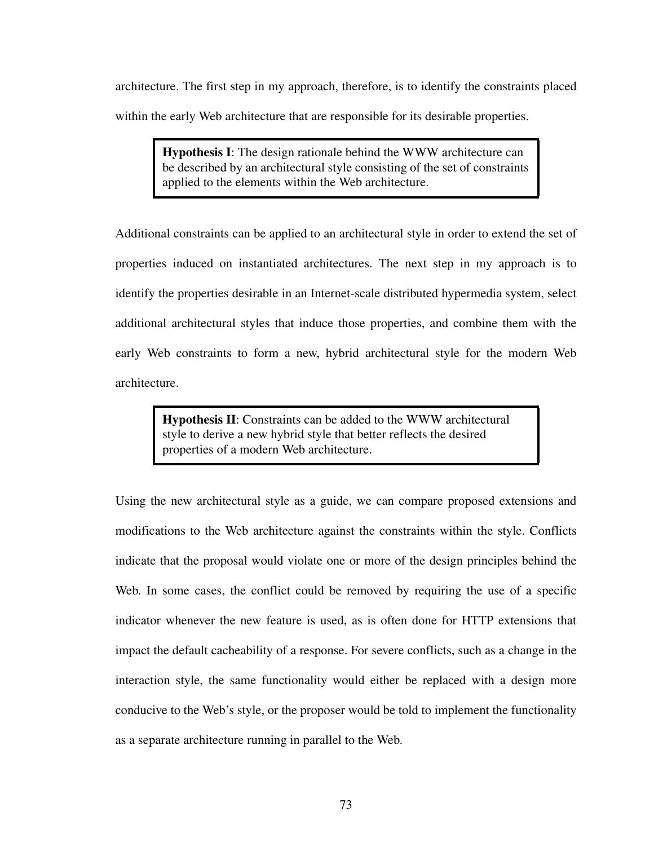architecture. The first step in my approach, therefore, is to identify the constraints placed within the early Web architecture that are responsible for its desirable properties.

> **Hypothesis I**: The design rationale behind the WWW architecture can be described by an architectural style consisting of the set of constraints applied to the elements within the Web architecture.

Additional constraints can be applied to an architectural style in order to extend the set of properties induced on instantiated architectures. The next step in my approach is to identify the properties desirable in an Internet-scale distributed hypermedia system, select additional architectural styles that induce those properties, and combine them with the early Web constraints to form a new, hybrid architectural style for the modern Web architecture.

> **Hypothesis II**: Constraints can be added to the WWW architectural style to derive a new hybrid style that better reflects the desired properties of a modern Web architecture.

Using the new architectural style as a guide, we can compare proposed extensions and modifications to the Web architecture against the constraints within the style. Conflicts indicate that the proposal would violate one or more of the design principles behind the Web. In some cases, the conflict could be removed by requiring the use of a specific indicator whenever the new feature is used, as is often done for HTTP extensions that impact the default cacheability of a response. For severe conflicts, such as a change in the interaction style, the same functionality would either be replaced with a design more conducive to the Web's style, or the proposer would be told to implement the functionality as a separate architecture running in parallel to the Web.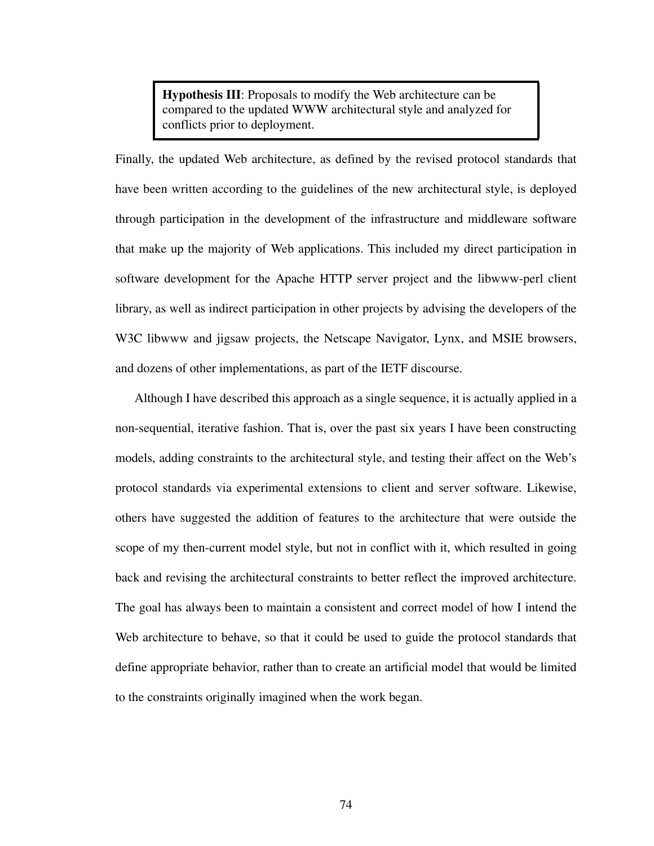**Hypothesis III**: Proposals to modify the Web architecture can be compared to the updated WWW architectural style and analyzed for conflicts prior to deployment.

Finally, the updated Web architecture, as defined by the revised protocol standards that have been written according to the guidelines of the new architectural style, is deployed through participation in the development of the infrastructure and middleware software that make up the majority of Web applications. This included my direct participation in software development for the Apache HTTP server project and the libwww-perl client library, as well as indirect participation in other projects by advising the developers of the W3C libwww and jigsaw projects, the Netscape Navigator, Lynx, and MSIE browsers, and dozens of other implementations, as part of the IETF discourse.

Although I have described this approach as a single sequence, it is actually applied in a non-sequential, iterative fashion. That is, over the past six years I have been constructing models, adding constraints to the architectural style, and testing their affect on the Web's protocol standards via experimental extensions to client and server software. Likewise, others have suggested the addition of features to the architecture that were outside the scope of my then-current model style, but not in conflict with it, which resulted in going back and revising the architectural constraints to better reflect the improved architecture. The goal has always been to maintain a consistent and correct model of how I intend the Web architecture to behave, so that it could be used to guide the protocol standards that define appropriate behavior, rather than to create an artificial model that would be limited to the constraints originally imagined when the work began.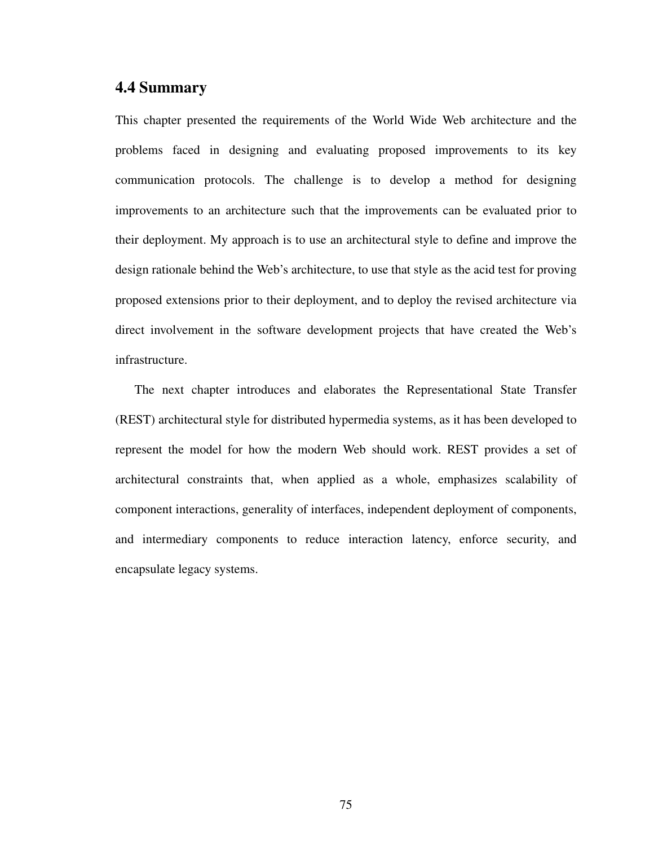# **4.4 Summary**

This chapter presented the requirements of the World Wide Web architecture and the problems faced in designing and evaluating proposed improvements to its key communication protocols. The challenge is to develop a method for designing improvements to an architecture such that the improvements can be evaluated prior to their deployment. My approach is to use an architectural style to define and improve the design rationale behind the Web's architecture, to use that style as the acid test for proving proposed extensions prior to their deployment, and to deploy the revised architecture via direct involvement in the software development projects that have created the Web's infrastructure.

The next chapter introduces and elaborates the Representational State Transfer (REST) architectural style for distributed hypermedia systems, as it has been developed to represent the model for how the modern Web should work. REST provides a set of architectural constraints that, when applied as a whole, emphasizes scalability of component interactions, generality of interfaces, independent deployment of components, and intermediary components to reduce interaction latency, enforce security, and encapsulate legacy systems.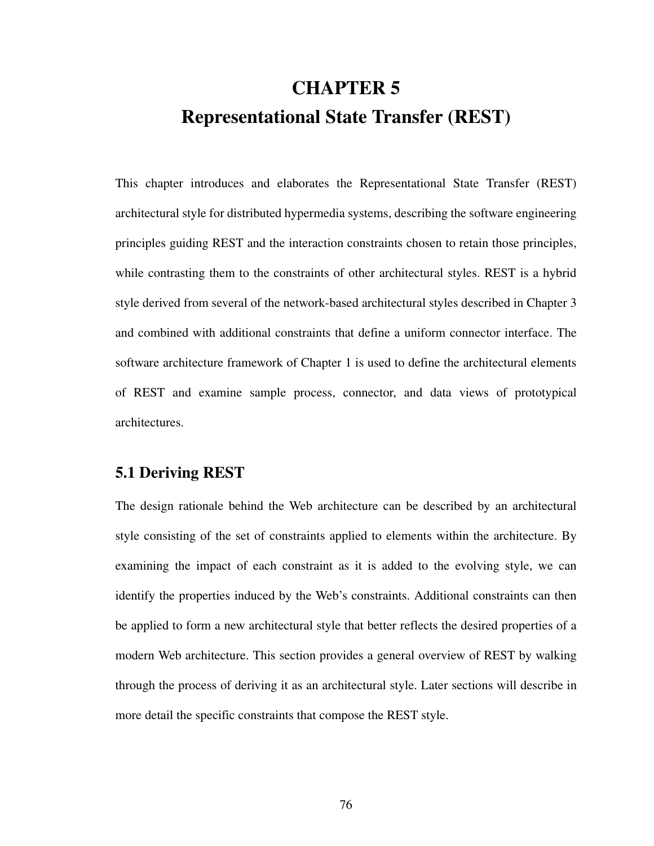# **CHAPTER 5 Representational State Transfer (REST)**

This chapter introduces and elaborates the Representational State Transfer (REST) architectural style for distributed hypermedia systems, describing the software engineering principles guiding REST and the interaction constraints chosen to retain those principles, while contrasting them to the constraints of other architectural styles. REST is a hybrid style derived from several of the network-based architectural styles described in Chapter 3 and combined with additional constraints that define a uniform connector interface. The software architecture framework of Chapter 1 is used to define the architectural elements of REST and examine sample process, connector, and data views of prototypical architectures.

# **5.1 Deriving REST**

The design rationale behind the Web architecture can be described by an architectural style consisting of the set of constraints applied to elements within the architecture. By examining the impact of each constraint as it is added to the evolving style, we can identify the properties induced by the Web's constraints. Additional constraints can then be applied to form a new architectural style that better reflects the desired properties of a modern Web architecture. This section provides a general overview of REST by walking through the process of deriving it as an architectural style. Later sections will describe in more detail the specific constraints that compose the REST style.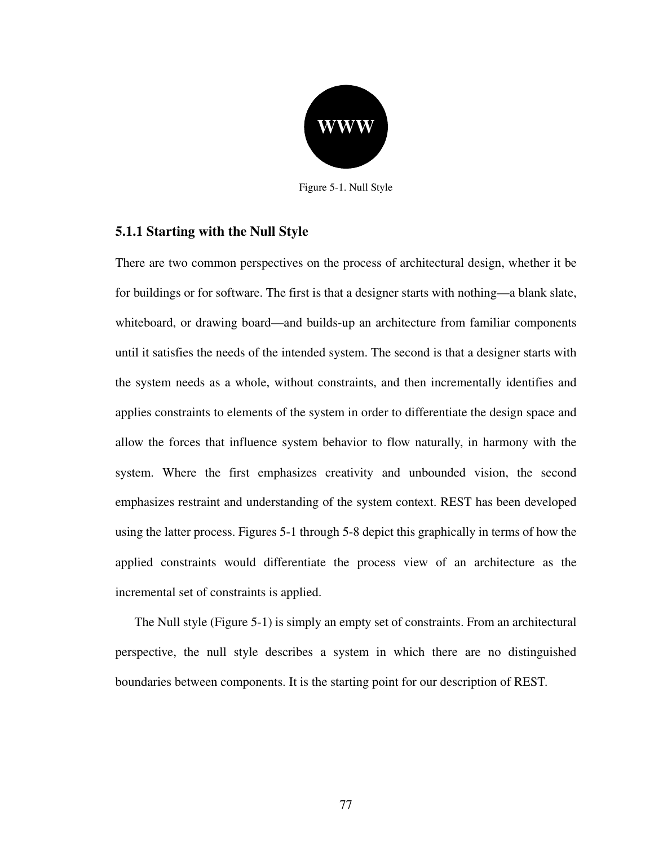

Figure 5-1. Null Style

## <span id="page-94-0"></span>**5.1.1 Starting with the Null Style**

There are two common perspectives on the process of architectural design, whether it be for buildings or for software. The first is that a designer starts with nothing—a blank slate, whiteboard, or drawing board—and builds-up an architecture from familiar components until it satisfies the needs of the intended system. The second is that a designer starts with the system needs as a whole, without constraints, and then incrementally identifies and applies constraints to elements of the system in order to differentiate the design space and allow the forces that influence system behavior to flow naturally, in harmony with the system. Where the first emphasizes creativity and unbounded vision, the second emphasizes restraint and understanding of the system context. REST has been developed using the latter process. Figures 5-1 through 5-8 depict this graphically in terms of how the applied constraints would differentiate the process view of an architecture as the incremental set of constraints is applied.

The Null style ([Figure 5-1\)](#page-94-0) is simply an empty set of constraints. From an architectural perspective, the null style describes a system in which there are no distinguished boundaries between components. It is the starting point for our description of REST.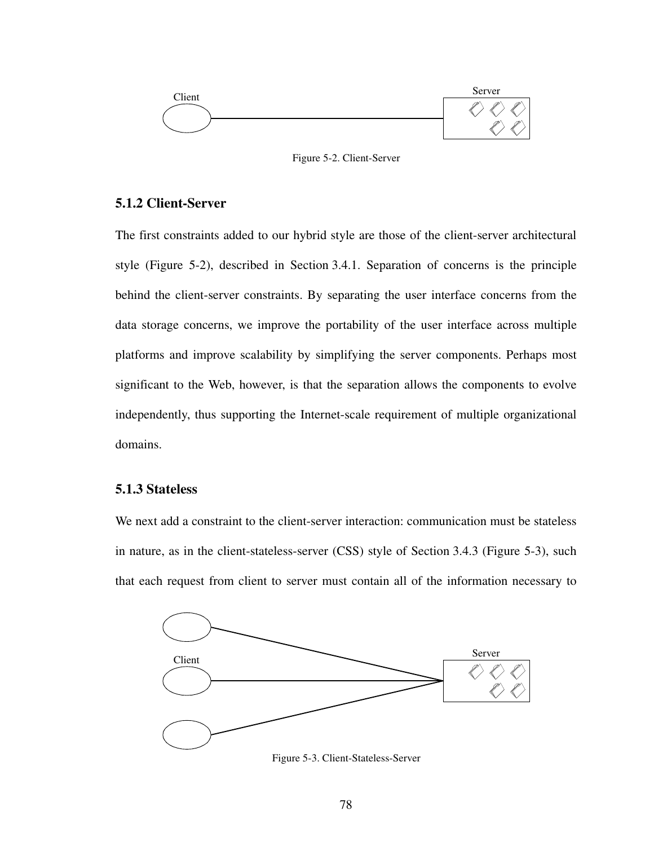

Figure 5-2. Client-Server

## <span id="page-95-0"></span>**5.1.2 Client-Server**

The first constraints added to our hybrid style are those of the client-server architectural style [\(Figure 5-2](#page-95-0)), described in [Section 3.4.1.](#page-62-0) Separation of concerns is the principle behind the client-server constraints. By separating the user interface concerns from the data storage concerns, we improve the portability of the user interface across multiple platforms and improve scalability by simplifying the server components. Perhaps most significant to the Web, however, is that the separation allows the components to evolve independently, thus supporting the Internet-scale requirement of multiple organizational domains.

## **5.1.3 Stateless**

We next add a constraint to the client-server interaction: communication must be stateless in nature, as in the client-stateless-server (CSS) style of [Section 3.4.3](#page-64-0) ([Figure 5-3](#page-95-1)), such that each request from client to server must contain all of the information necessary to

<span id="page-95-1"></span>

Figure 5-3. Client-Stateless-Server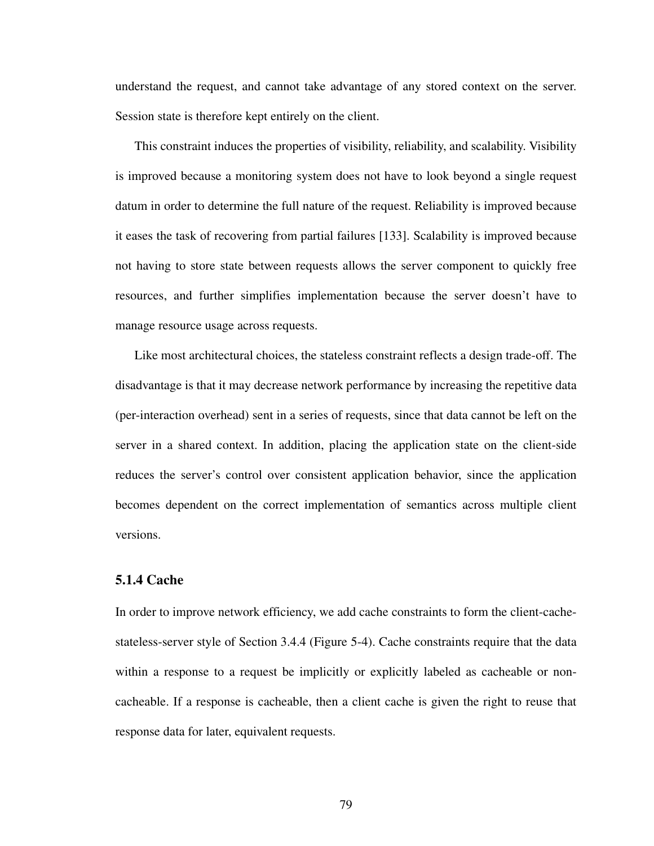understand the request, and cannot take advantage of any stored context on the server. Session state is therefore kept entirely on the client.

This constraint induces the properties of visibility, reliability, and scalability. Visibility is improved because a monitoring system does not have to look beyond a single request datum in order to determine the full nature of the request. Reliability is improved because it eases the task of recovering from partial failures [[133\]](#page-179-3). Scalability is improved because not having to store state between requests allows the server component to quickly free resources, and further simplifies implementation because the server doesn't have to manage resource usage across requests.

Like most architectural choices, the stateless constraint reflects a design trade-off. The disadvantage is that it may decrease network performance by increasing the repetitive data (per-interaction overhead) sent in a series of requests, since that data cannot be left on the server in a shared context. In addition, placing the application state on the client-side reduces the server's control over consistent application behavior, since the application becomes dependent on the correct implementation of semantics across multiple client versions.

## **5.1.4 Cache**

In order to improve network efficiency, we add cache constraints to form the client-cachestateless-server style of [Section 3.4.4](#page-65-0) ([Figure 5-4\)](#page-97-0). Cache constraints require that the data within a response to a request be implicitly or explicitly labeled as cacheable or noncacheable. If a response is cacheable, then a client cache is given the right to reuse that response data for later, equivalent requests.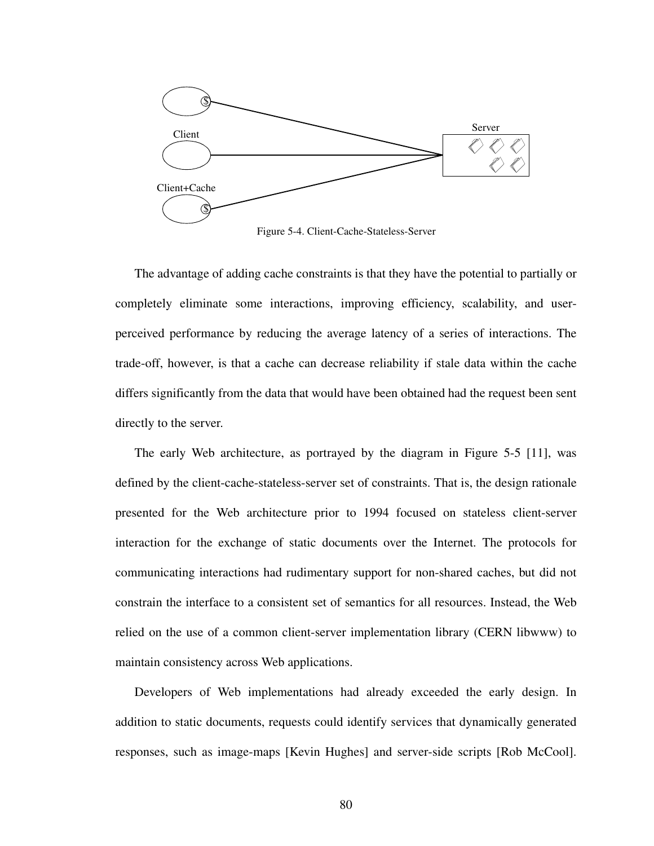

Figure 5-4. Client-Cache-Stateless-Server

<span id="page-97-0"></span>The advantage of adding cache constraints is that they have the potential to partially or completely eliminate some interactions, improving efficiency, scalability, and userperceived performance by reducing the average latency of a series of interactions. The trade-off, however, is that a cache can decrease reliability if stale data within the cache differs significantly from the data that would have been obtained had the request been sent directly to the server.

The early Web architecture, as portrayed by the diagram in [Figure 5-5](#page-98-0) [\[11](#page-170-5)], was defined by the client-cache-stateless-server set of constraints. That is, the design rationale presented for the Web architecture prior to 1994 focused on stateless client-server interaction for the exchange of static documents over the Internet. The protocols for communicating interactions had rudimentary support for non-shared caches, but did not constrain the interface to a consistent set of semantics for all resources. Instead, the Web relied on the use of a common client-server implementation library (CERN libwww) to maintain consistency across Web applications.

Developers of Web implementations had already exceeded the early design. In addition to static documents, requests could identify services that dynamically generated responses, such as image-maps [Kevin Hughes] and server-side scripts [Rob McCool].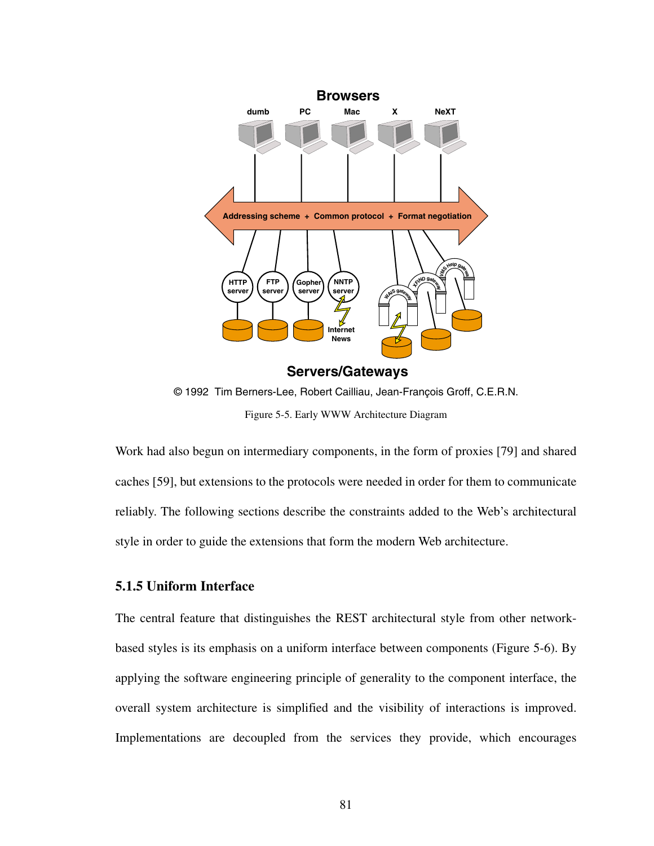

Figure 5-5. Early WWW Architecture Diagram

<span id="page-98-0"></span>Work had also begun on intermediary components, in the form of proxies [[79\]](#page-175-0) and shared caches [[59\]](#page-173-4), but extensions to the protocols were needed in order for them to communicate reliably. The following sections describe the constraints added to the Web's architectural style in order to guide the extensions that form the modern Web architecture.

## **5.1.5 Uniform Interface**

The central feature that distinguishes the REST architectural style from other networkbased styles is its emphasis on a uniform interface between components ([Figure 5-6\)](#page-99-0). By applying the software engineering principle of generality to the component interface, the overall system architecture is simplified and the visibility of interactions is improved. Implementations are decoupled from the services they provide, which encourages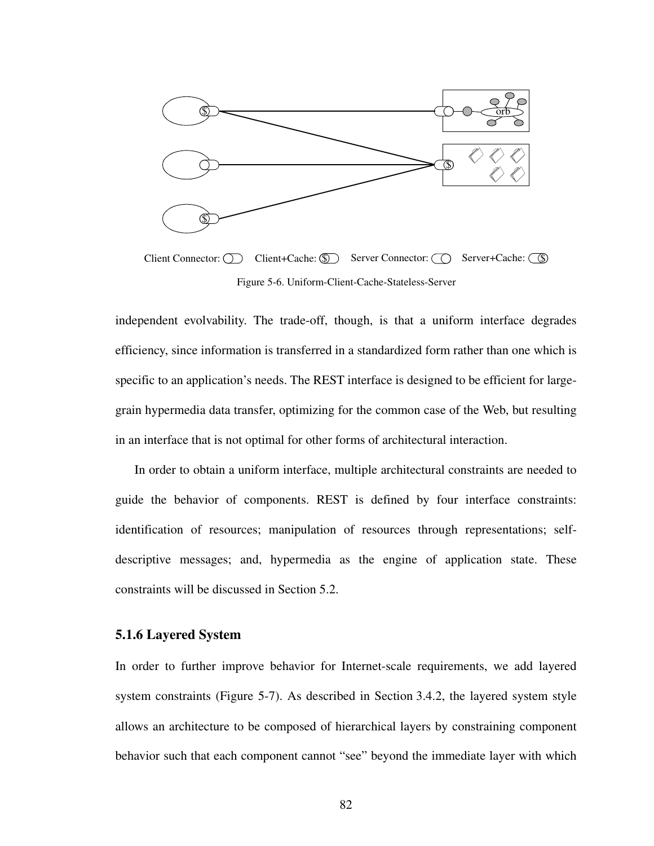

Figure 5-6. Uniform-Client-Cache-Stateless-Server

<span id="page-99-0"></span>independent evolvability. The trade-off, though, is that a uniform interface degrades efficiency, since information is transferred in a standardized form rather than one which is specific to an application's needs. The REST interface is designed to be efficient for largegrain hypermedia data transfer, optimizing for the common case of the Web, but resulting in an interface that is not optimal for other forms of architectural interaction.

In order to obtain a uniform interface, multiple architectural constraints are needed to guide the behavior of components. REST is defined by four interface constraints: identification of resources; manipulation of resources through representations; selfdescriptive messages; and, hypermedia as the engine of application state. These constraints will be discussed in [Section 5.2](#page-103-0).

## **5.1.6 Layered System**

In order to further improve behavior for Internet-scale requirements, we add layered system constraints ([Figure 5-7\)](#page-100-0). As described in [Section 3.4.2,](#page-63-0) the layered system style allows an architecture to be composed of hierarchical layers by constraining component behavior such that each component cannot "see" beyond the immediate layer with which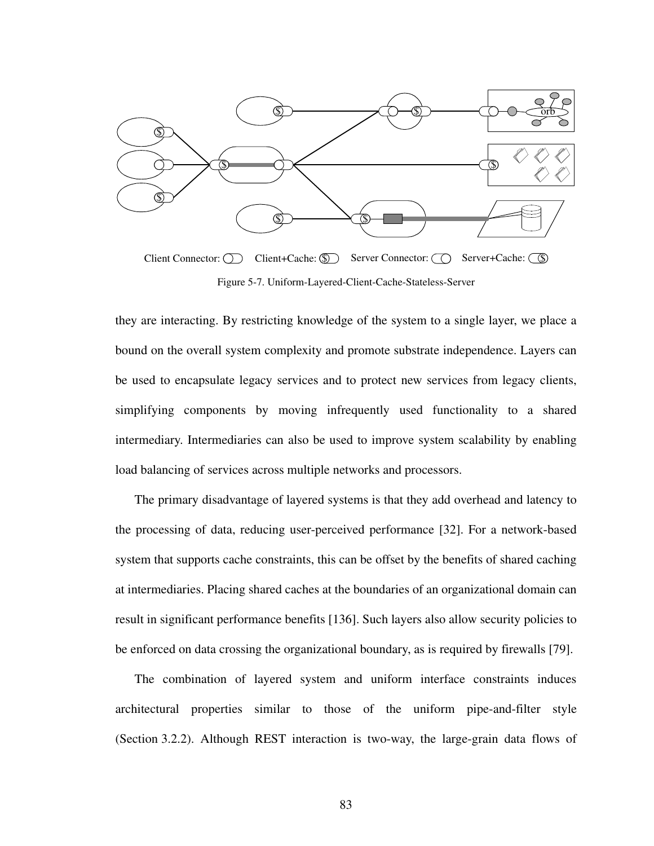

Figure 5-7. Uniform-Layered-Client-Cache-Stateless-Server

<span id="page-100-0"></span>they are interacting. By restricting knowledge of the system to a single layer, we place a bound on the overall system complexity and promote substrate independence. Layers can be used to encapsulate legacy services and to protect new services from legacy clients, simplifying components by moving infrequently used functionality to a shared intermediary. Intermediaries can also be used to improve system scalability by enabling load balancing of services across multiple networks and processors.

The primary disadvantage of layered systems is that they add overhead and latency to the processing of data, reducing user-perceived performance [\[32](#page-171-5)]. For a network-based system that supports cache constraints, this can be offset by the benefits of shared caching at intermediaries. Placing shared caches at the boundaries of an organizational domain can result in significant performance benefits [\[136](#page-179-4)]. Such layers also allow security policies to be enforced on data crossing the organizational boundary, as is required by firewalls [[79\]](#page-175-0).

The combination of layered system and uniform interface constraints induces architectural properties similar to those of the uniform pipe-and-filter style [\(Section 3.2.2\)](#page-59-0). Although REST interaction is two-way, the large-grain data flows of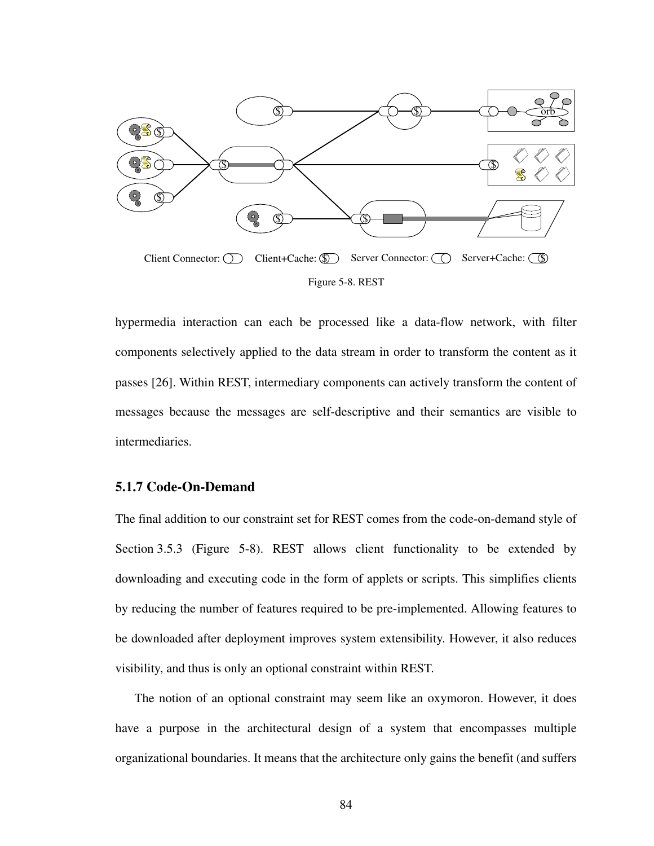

<span id="page-101-0"></span>hypermedia interaction can each be processed like a data-flow network, with filter components selectively applied to the data stream in order to transform the content as it passes [[26\]](#page-171-6). Within REST, intermediary components can actively transform the content of messages because the messages are self-descriptive and their semantics are visible to intermediaries.

## **5.1.7 Code-On-Demand**

The final addition to our constraint set for REST comes from the code-on-demand style of [Section 3.5.3](#page-70-0) ([Figure 5-8\)](#page-101-0). REST allows client functionality to be extended by downloading and executing code in the form of applets or scripts. This simplifies clients by reducing the number of features required to be pre-implemented. Allowing features to be downloaded after deployment improves system extensibility. However, it also reduces visibility, and thus is only an optional constraint within REST.

The notion of an optional constraint may seem like an oxymoron. However, it does have a purpose in the architectural design of a system that encompasses multiple organizational boundaries. It means that the architecture only gains the benefit (and suffers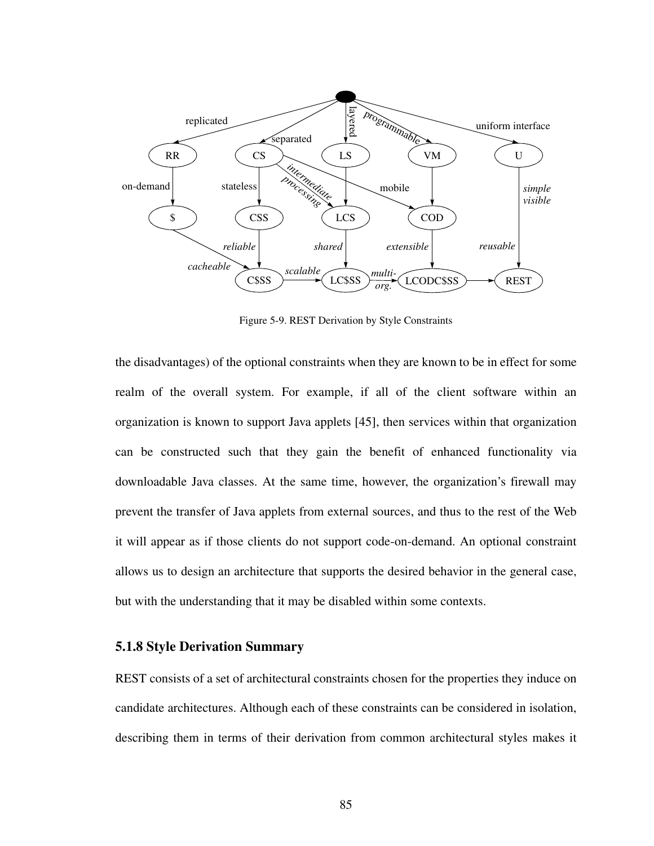

Figure 5-9. REST Derivation by Style Constraints

<span id="page-102-0"></span>the disadvantages) of the optional constraints when they are known to be in effect for some realm of the overall system. For example, if all of the client software within an organization is known to support Java applets [\[45](#page-172-2)], then services within that organization can be constructed such that they gain the benefit of enhanced functionality via downloadable Java classes. At the same time, however, the organization's firewall may prevent the transfer of Java applets from external sources, and thus to the rest of the Web it will appear as if those clients do not support code-on-demand. An optional constraint allows us to design an architecture that supports the desired behavior in the general case, but with the understanding that it may be disabled within some contexts.

### **5.1.8 Style Derivation Summary**

REST consists of a set of architectural constraints chosen for the properties they induce on candidate architectures. Although each of these constraints can be considered in isolation, describing them in terms of their derivation from common architectural styles makes it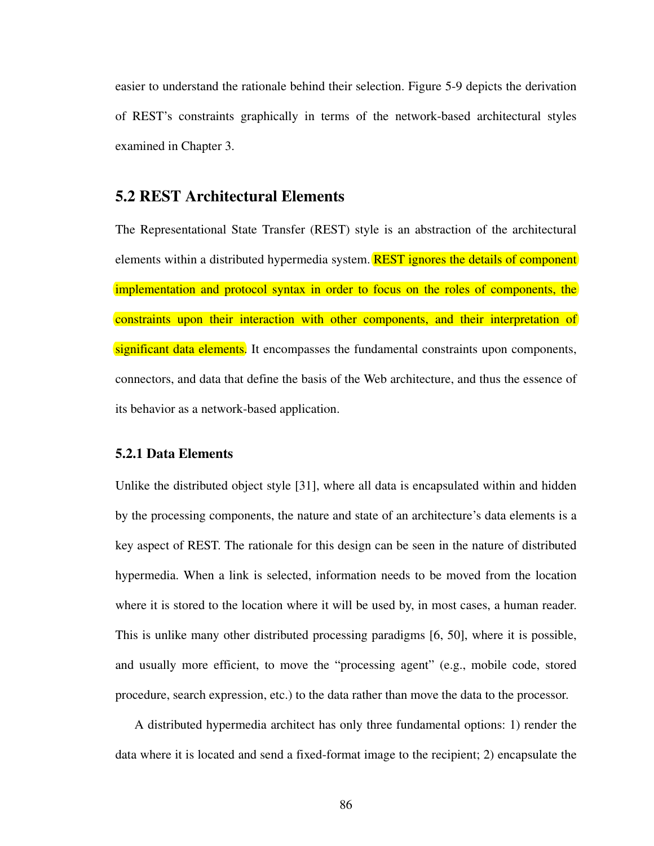easier to understand the rationale behind their selection. [Figure 5-9](#page-102-0) depicts the derivation of REST's constraints graphically in terms of the network-based architectural styles examined in Chapter 3.

## <span id="page-103-0"></span>**5.2 REST Architectural Elements**

The Representational State Transfer (REST) style is an abstraction of the architectural elements within a distributed hypermedia system. **REST** ignores the details of component implementation and protocol syntax in order to focus on the roles of components, the constraints upon their interaction with other components, and their interpretation of significant data elements. It encompasses the fundamental constraints upon components, connectors, and data that define the basis of the Web architecture, and thus the essence of its behavior as a network-based application.

## **5.2.1 Data Elements**

Unlike the distributed object style [\[31](#page-171-1)], where all data is encapsulated within and hidden by the processing components, the nature and state of an architecture's data elements is a key aspect of REST. The rationale for this design can be seen in the nature of distributed hypermedia. When a link is selected, information needs to be moved from the location where it is stored to the location where it will be used by, in most cases, a human reader. This is unlike many other distributed processing paradigms [\[6](#page-169-1), [50](#page-172-0)], where it is possible, and usually more efficient, to move the "processing agent" (e.g., mobile code, stored procedure, search expression, etc.) to the data rather than move the data to the processor.

A distributed hypermedia architect has only three fundamental options: 1) render the data where it is located and send a fixed-format image to the recipient; 2) encapsulate the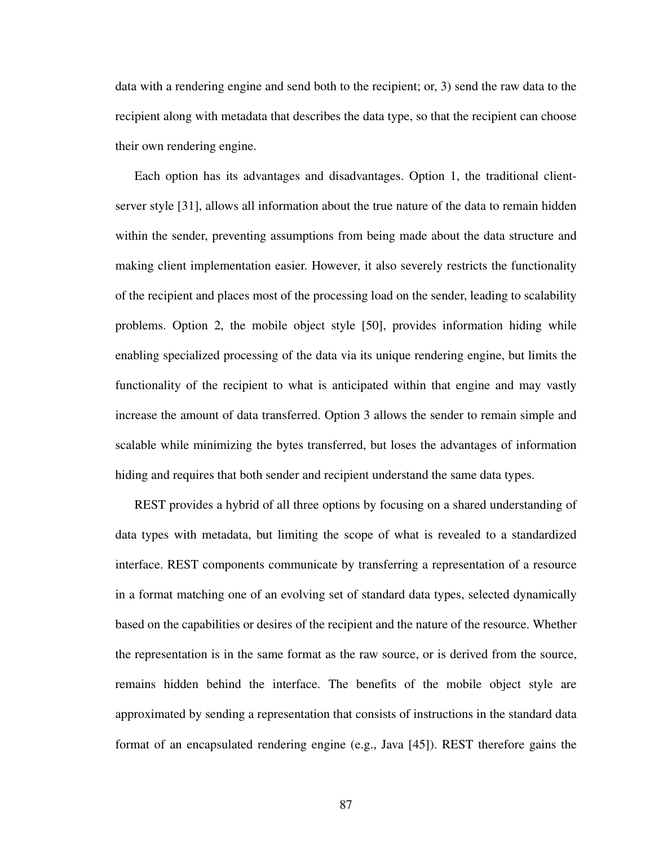data with a rendering engine and send both to the recipient; or, 3) send the raw data to the recipient along with metadata that describes the data type, so that the recipient can choose their own rendering engine.

Each option has its advantages and disadvantages. Option 1, the traditional clientserver style [\[31](#page-171-1)], allows all information about the true nature of the data to remain hidden within the sender, preventing assumptions from being made about the data structure and making client implementation easier. However, it also severely restricts the functionality of the recipient and places most of the processing load on the sender, leading to scalability problems. Option 2, the mobile object style [[50\]](#page-172-0), provides information hiding while enabling specialized processing of the data via its unique rendering engine, but limits the functionality of the recipient to what is anticipated within that engine and may vastly increase the amount of data transferred. Option 3 allows the sender to remain simple and scalable while minimizing the bytes transferred, but loses the advantages of information hiding and requires that both sender and recipient understand the same data types.

REST provides a hybrid of all three options by focusing on a shared understanding of data types with metadata, but limiting the scope of what is revealed to a standardized interface. REST components communicate by transferring a representation of a resource in a format matching one of an evolving set of standard data types, selected dynamically based on the capabilities or desires of the recipient and the nature of the resource. Whether the representation is in the same format as the raw source, or is derived from the source, remains hidden behind the interface. The benefits of the mobile object style are approximated by sending a representation that consists of instructions in the standard data format of an encapsulated rendering engine (e.g., Java [\[45](#page-172-2)]). REST therefore gains the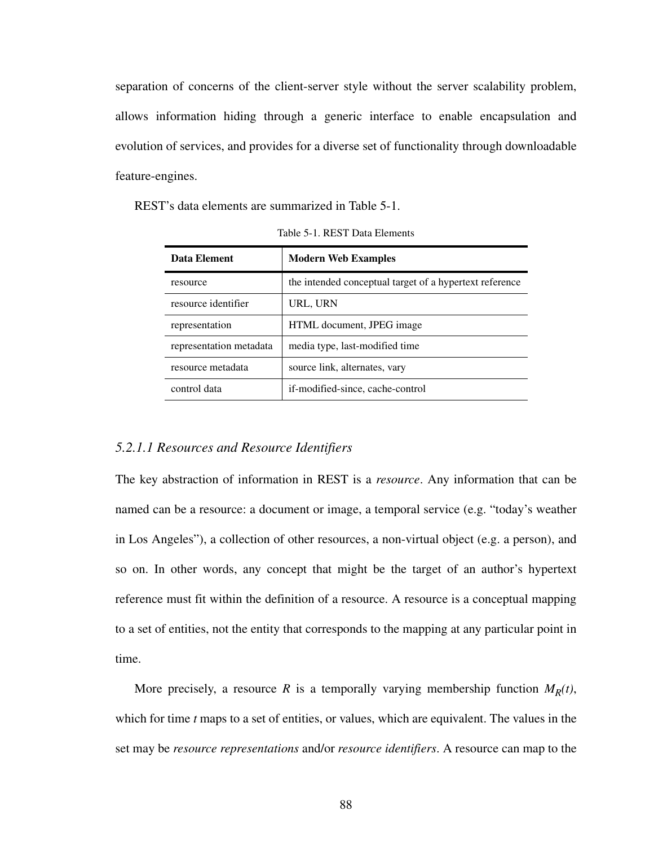separation of concerns of the client-server style without the server scalability problem, allows information hiding through a generic interface to enable encapsulation and evolution of services, and provides for a diverse set of functionality through downloadable feature-engines.

<span id="page-105-0"></span>REST's data elements are summarized in [Table 5-1.](#page-105-0)

| Data Element            | <b>Modern Web Examples</b>                              |  |  |  |  |  |  |
|-------------------------|---------------------------------------------------------|--|--|--|--|--|--|
| resource                | the intended conceptual target of a hypertext reference |  |  |  |  |  |  |
| resource identifier     | URL, URN                                                |  |  |  |  |  |  |
| representation          | HTML document, JPEG image                               |  |  |  |  |  |  |
| representation metadata | media type, last-modified time                          |  |  |  |  |  |  |
| resource metadata       | source link, alternates, vary                           |  |  |  |  |  |  |
| control data            | if-modified-since, cache-control                        |  |  |  |  |  |  |

Table 5-1. REST Data Elements

#### *5.2.1.1 Resources and Resource Identifiers*

The key abstraction of information in REST is a *resource*. Any information that can be named can be a resource: a document or image, a temporal service (e.g. "today's weather in Los Angeles"), a collection of other resources, a non-virtual object (e.g. a person), and so on. In other words, any concept that might be the target of an author's hypertext reference must fit within the definition of a resource. A resource is a conceptual mapping to a set of entities, not the entity that corresponds to the mapping at any particular point in time.

More precisely, a resource *R* is a temporally varying membership function  $M_R(t)$ , which for time *t* maps to a set of entities, or values, which are equivalent. The values in the set may be *resource representations* and/or *resource identifiers*. A resource can map to the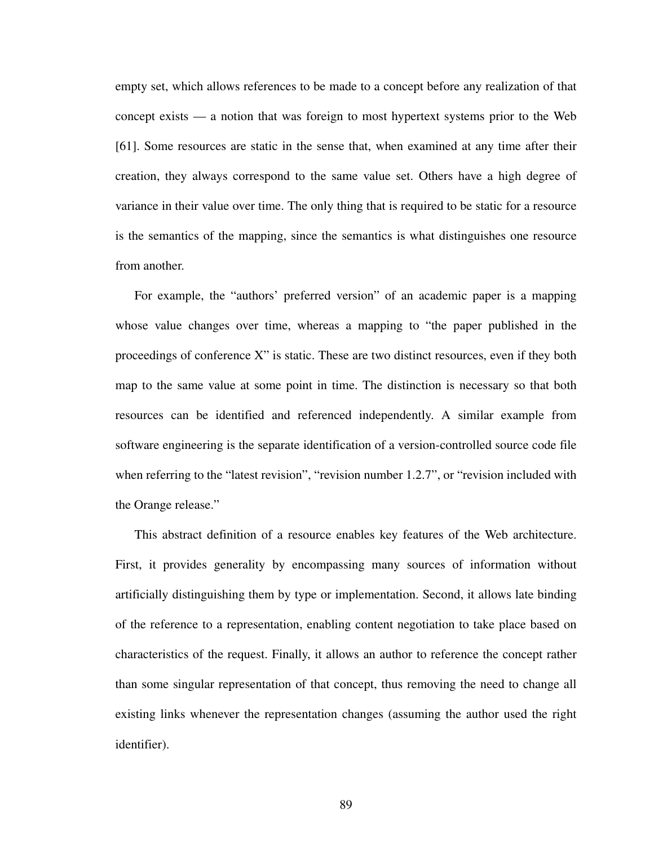empty set, which allows references to be made to a concept before any realization of that concept exists — a notion that was foreign to most hypertext systems prior to the Web [\[61\]](#page-173-5). Some resources are static in the sense that, when examined at any time after their creation, they always correspond to the same value set. Others have a high degree of variance in their value over time. The only thing that is required to be static for a resource is the semantics of the mapping, since the semantics is what distinguishes one resource from another.

For example, the "authors' preferred version" of an academic paper is a mapping whose value changes over time, whereas a mapping to "the paper published in the proceedings of conference X" is static. These are two distinct resources, even if they both map to the same value at some point in time. The distinction is necessary so that both resources can be identified and referenced independently. A similar example from software engineering is the separate identification of a version-controlled source code file when referring to the "latest revision", "revision number 1.2.7", or "revision included with the Orange release."

This abstract definition of a resource enables key features of the Web architecture. First, it provides generality by encompassing many sources of information without artificially distinguishing them by type or implementation. Second, it allows late binding of the reference to a representation, enabling content negotiation to take place based on characteristics of the request. Finally, it allows an author to reference the concept rather than some singular representation of that concept, thus removing the need to change all existing links whenever the representation changes (assuming the author used the right identifier).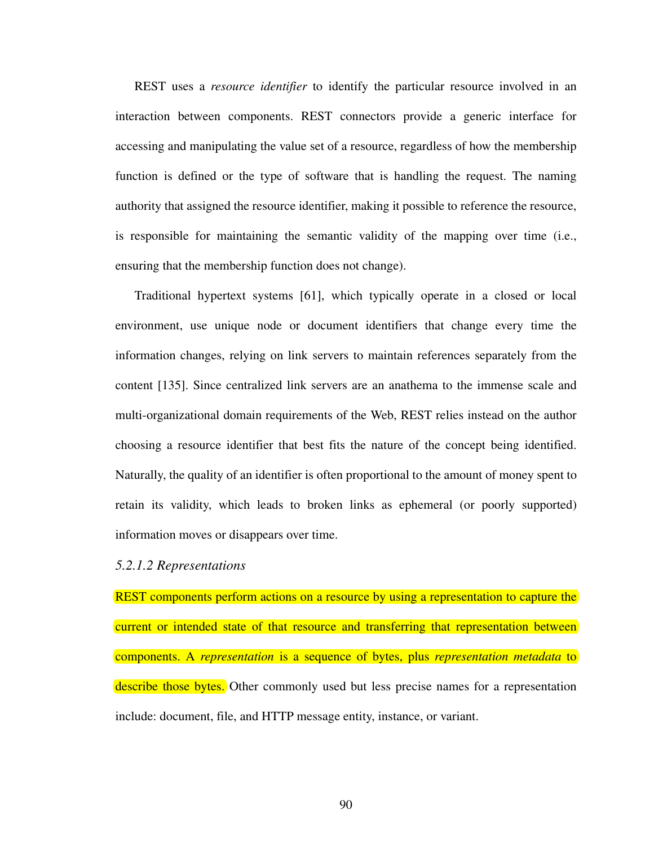REST uses a *resource identifier* to identify the particular resource involved in an interaction between components. REST connectors provide a generic interface for accessing and manipulating the value set of a resource, regardless of how the membership function is defined or the type of software that is handling the request. The naming authority that assigned the resource identifier, making it possible to reference the resource, is responsible for maintaining the semantic validity of the mapping over time (i.e., ensuring that the membership function does not change).

Traditional hypertext systems [[61\]](#page-173-5), which typically operate in a closed or local environment, use unique node or document identifiers that change every time the information changes, relying on link servers to maintain references separately from the content [[135\]](#page-179-5). Since centralized link servers are an anathema to the immense scale and multi-organizational domain requirements of the Web, REST relies instead on the author choosing a resource identifier that best fits the nature of the concept being identified. Naturally, the quality of an identifier is often proportional to the amount of money spent to retain its validity, which leads to broken links as ephemeral (or poorly supported) information moves or disappears over time.

### *5.2.1.2 Representations*

REST components perform actions on a resource by using a representation to capture the current or intended state of that resource and transferring that representation between components. A *representation* is a sequence of bytes, plus *representation metadata* to describe those bytes. Other commonly used but less precise names for a representation include: document, file, and HTTP message entity, instance, or variant.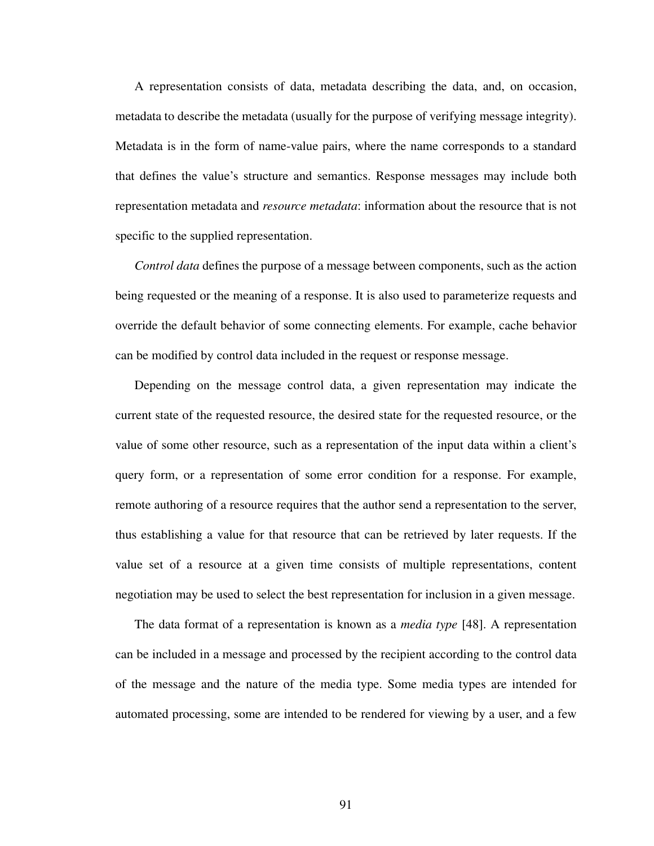A representation consists of data, metadata describing the data, and, on occasion, metadata to describe the metadata (usually for the purpose of verifying message integrity). Metadata is in the form of name-value pairs, where the name corresponds to a standard that defines the value's structure and semantics. Response messages may include both representation metadata and *resource metadata*: information about the resource that is not specific to the supplied representation.

*Control data* defines the purpose of a message between components, such as the action being requested or the meaning of a response. It is also used to parameterize requests and override the default behavior of some connecting elements. For example, cache behavior can be modified by control data included in the request or response message.

Depending on the message control data, a given representation may indicate the current state of the requested resource, the desired state for the requested resource, or the value of some other resource, such as a representation of the input data within a client's query form, or a representation of some error condition for a response. For example, remote authoring of a resource requires that the author send a representation to the server, thus establishing a value for that resource that can be retrieved by later requests. If the value set of a resource at a given time consists of multiple representations, content negotiation may be used to select the best representation for inclusion in a given message.

The data format of a representation is known as a *media type* [\[48](#page-172-0)]. A representation can be included in a message and processed by the recipient according to the control data of the message and the nature of the media type. Some media types are intended for automated processing, some are intended to be rendered for viewing by a user, and a few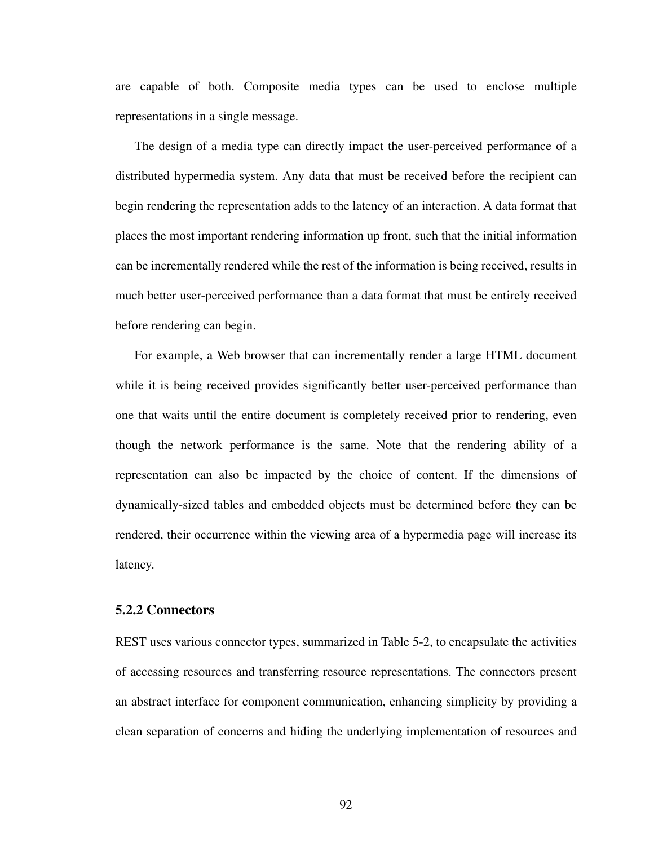are capable of both. Composite media types can be used to enclose multiple representations in a single message.

The design of a media type can directly impact the user-perceived performance of a distributed hypermedia system. Any data that must be received before the recipient can begin rendering the representation adds to the latency of an interaction. A data format that places the most important rendering information up front, such that the initial information can be incrementally rendered while the rest of the information is being received, results in much better user-perceived performance than a data format that must be entirely received before rendering can begin.

For example, a Web browser that can incrementally render a large HTML document while it is being received provides significantly better user-perceived performance than one that waits until the entire document is completely received prior to rendering, even though the network performance is the same. Note that the rendering ability of a representation can also be impacted by the choice of content. If the dimensions of dynamically-sized tables and embedded objects must be determined before they can be rendered, their occurrence within the viewing area of a hypermedia page will increase its latency.

#### **5.2.2 Connectors**

REST uses various connector types, summarized in [Table 5-2](#page-110-0), to encapsulate the activities of accessing resources and transferring resource representations. The connectors present an abstract interface for component communication, enhancing simplicity by providing a clean separation of concerns and hiding the underlying implementation of resources and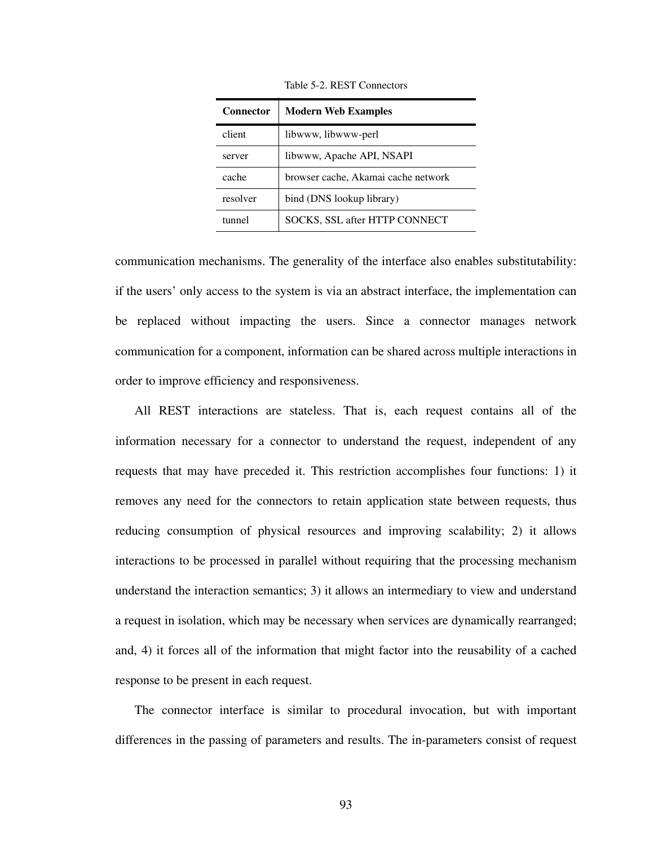<span id="page-110-0"></span>

| <b>Connector</b> | <b>Modern Web Examples</b>           |
|------------------|--------------------------------------|
| client           | libwww, libwww-perl                  |
| server           | libwww, Apache API, NSAPI            |
| cache            | browser cache, Akamai cache network  |
| resolver         | bind (DNS lookup library)            |
| tunnel           | <b>SOCKS, SSL after HTTP CONNECT</b> |

Table 5-2. REST Connectors

communication mechanisms. The generality of the interface also enables substitutability: if the users' only access to the system is via an abstract interface, the implementation can be replaced without impacting the users. Since a connector manages network communication for a component, information can be shared across multiple interactions in order to improve efficiency and responsiveness.

All REST interactions are stateless. That is, each request contains all of the information necessary for a connector to understand the request, independent of any requests that may have preceded it. This restriction accomplishes four functions: 1) it removes any need for the connectors to retain application state between requests, thus reducing consumption of physical resources and improving scalability; 2) it allows interactions to be processed in parallel without requiring that the processing mechanism understand the interaction semantics; 3) it allows an intermediary to view and understand a request in isolation, which may be necessary when services are dynamically rearranged; and, 4) it forces all of the information that might factor into the reusability of a cached response to be present in each request.

The connector interface is similar to procedural invocation, but with important differences in the passing of parameters and results. The in-parameters consist of request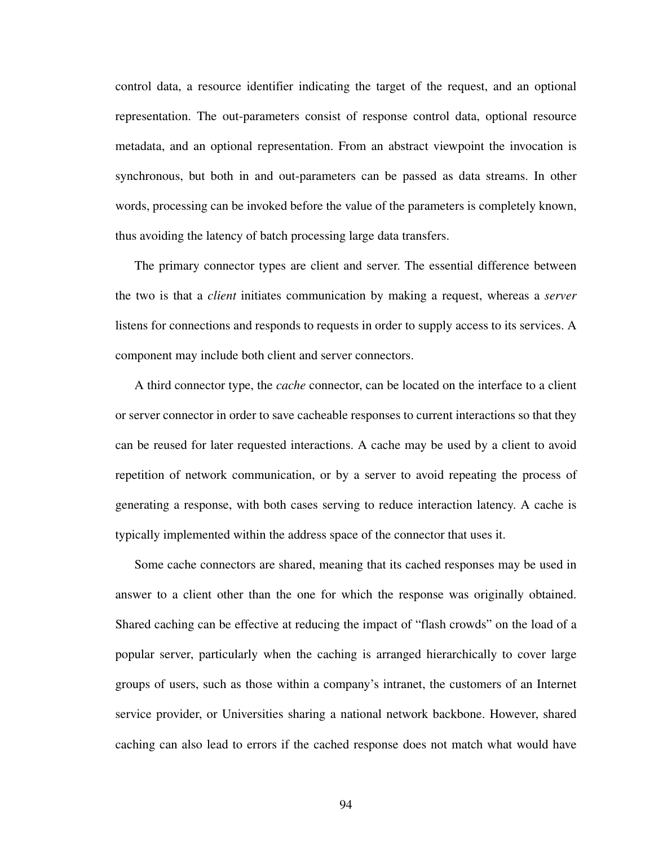control data, a resource identifier indicating the target of the request, and an optional representation. The out-parameters consist of response control data, optional resource metadata, and an optional representation. From an abstract viewpoint the invocation is synchronous, but both in and out-parameters can be passed as data streams. In other words, processing can be invoked before the value of the parameters is completely known, thus avoiding the latency of batch processing large data transfers.

The primary connector types are client and server. The essential difference between the two is that a *client* initiates communication by making a request, whereas a *server* listens for connections and responds to requests in order to supply access to its services. A component may include both client and server connectors.

A third connector type, the *cache* connector, can be located on the interface to a client or server connector in order to save cacheable responses to current interactions so that they can be reused for later requested interactions. A cache may be used by a client to avoid repetition of network communication, or by a server to avoid repeating the process of generating a response, with both cases serving to reduce interaction latency. A cache is typically implemented within the address space of the connector that uses it.

Some cache connectors are shared, meaning that its cached responses may be used in answer to a client other than the one for which the response was originally obtained. Shared caching can be effective at reducing the impact of "flash crowds" on the load of a popular server, particularly when the caching is arranged hierarchically to cover large groups of users, such as those within a company's intranet, the customers of an Internet service provider, or Universities sharing a national network backbone. However, shared caching can also lead to errors if the cached response does not match what would have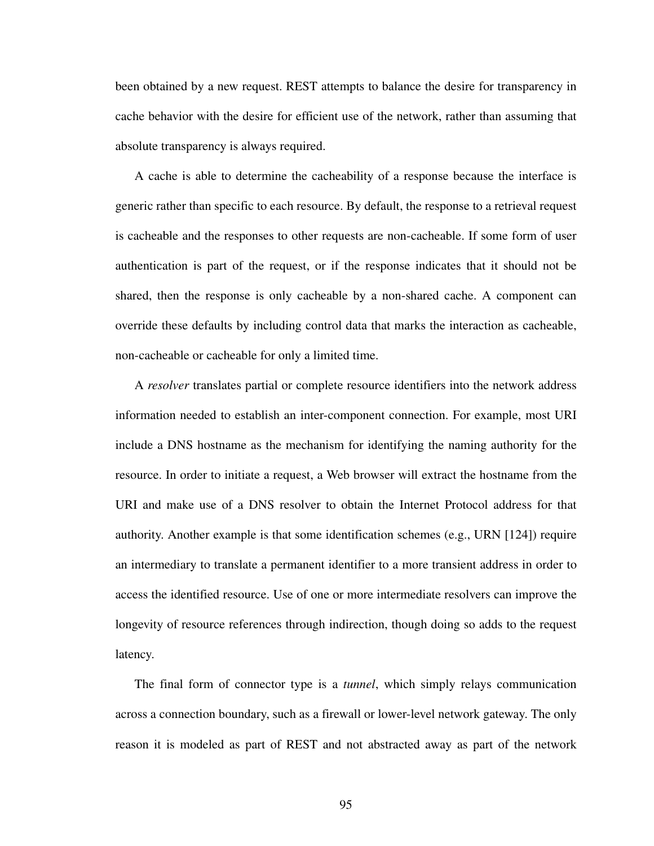been obtained by a new request. REST attempts to balance the desire for transparency in cache behavior with the desire for efficient use of the network, rather than assuming that absolute transparency is always required.

A cache is able to determine the cacheability of a response because the interface is generic rather than specific to each resource. By default, the response to a retrieval request is cacheable and the responses to other requests are non-cacheable. If some form of user authentication is part of the request, or if the response indicates that it should not be shared, then the response is only cacheable by a non-shared cache. A component can override these defaults by including control data that marks the interaction as cacheable, non-cacheable or cacheable for only a limited time.

A *resolver* translates partial or complete resource identifiers into the network address information needed to establish an inter-component connection. For example, most URI include a DNS hostname as the mechanism for identifying the naming authority for the resource. In order to initiate a request, a Web browser will extract the hostname from the URI and make use of a DNS resolver to obtain the Internet Protocol address for that authority. Another example is that some identification schemes (e.g., URN [[124\]](#page-178-0)) require an intermediary to translate a permanent identifier to a more transient address in order to access the identified resource. Use of one or more intermediate resolvers can improve the longevity of resource references through indirection, though doing so adds to the request latency.

The final form of connector type is a *tunnel*, which simply relays communication across a connection boundary, such as a firewall or lower-level network gateway. The only reason it is modeled as part of REST and not abstracted away as part of the network

95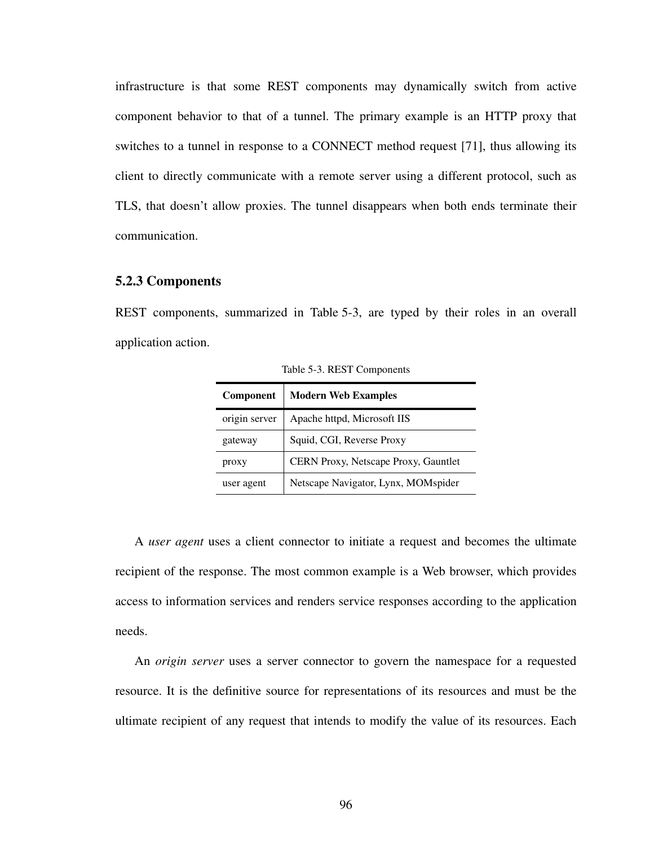infrastructure is that some REST components may dynamically switch from active component behavior to that of a tunnel. The primary example is an HTTP proxy that switches to a tunnel in response to a CONNECT method request [[71\]](#page-174-0), thus allowing its client to directly communicate with a remote server using a different protocol, such as TLS, that doesn't allow proxies. The tunnel disappears when both ends terminate their communication.

## **5.2.3 Components**

<span id="page-113-0"></span>REST components, summarized in [Table 5-3](#page-113-0), are typed by their roles in an overall application action.

| <b>Component</b> | <b>Modern Web Examples</b>           |
|------------------|--------------------------------------|
| origin server    | Apache httpd, Microsoft IIS          |
| gateway          | Squid, CGI, Reverse Proxy            |
| proxy            | CERN Proxy, Netscape Proxy, Gauntlet |
| user agent       | Netscape Navigator, Lynx, MOMspider  |

Table 5-3. REST Components

A *user agent* uses a client connector to initiate a request and becomes the ultimate recipient of the response. The most common example is a Web browser, which provides access to information services and renders service responses according to the application needs.

An *origin server* uses a server connector to govern the namespace for a requested resource. It is the definitive source for representations of its resources and must be the ultimate recipient of any request that intends to modify the value of its resources. Each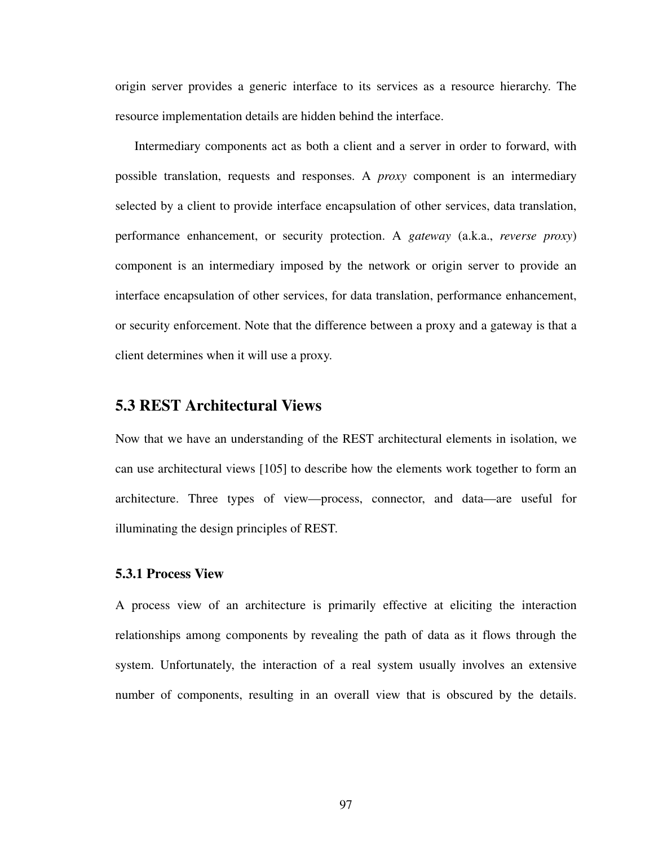origin server provides a generic interface to its services as a resource hierarchy. The resource implementation details are hidden behind the interface.

Intermediary components act as both a client and a server in order to forward, with possible translation, requests and responses. A *proxy* component is an intermediary selected by a client to provide interface encapsulation of other services, data translation, performance enhancement, or security protection. A *gateway* (a.k.a., *reverse proxy*) component is an intermediary imposed by the network or origin server to provide an interface encapsulation of other services, for data translation, performance enhancement, or security enforcement. Note that the difference between a proxy and a gateway is that a client determines when it will use a proxy.

# **5.3 REST Architectural Views**

Now that we have an understanding of the REST architectural elements in isolation, we can use architectural views [[105\]](#page-177-0) to describe how the elements work together to form an architecture. Three types of view—process, connector, and data—are useful for illuminating the design principles of REST.

## **5.3.1 Process View**

A process view of an architecture is primarily effective at eliciting the interaction relationships among components by revealing the path of data as it flows through the system. Unfortunately, the interaction of a real system usually involves an extensive number of components, resulting in an overall view that is obscured by the details.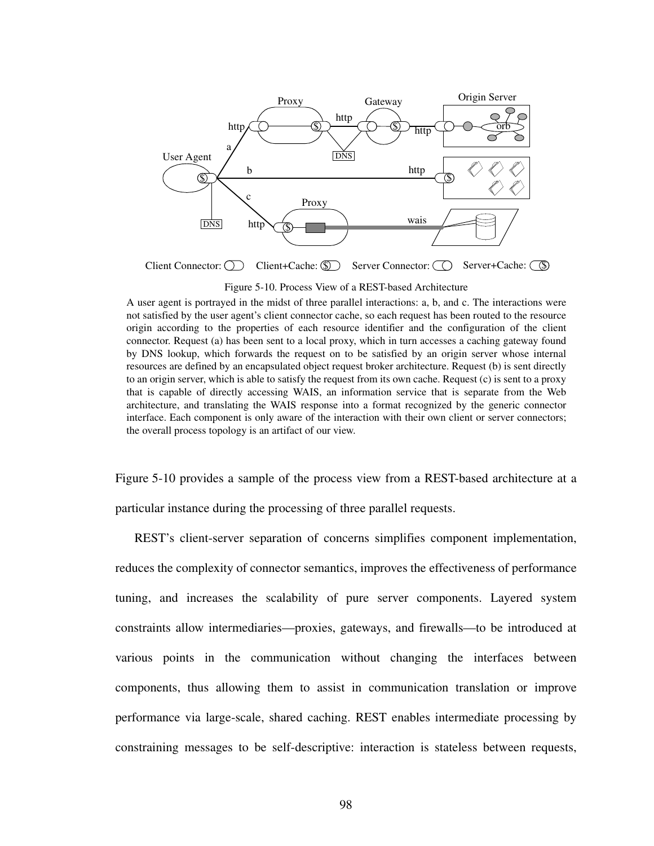

Figure 5-10. Process View of a REST-based Architecture

<span id="page-115-0"></span>A user agent is portrayed in the midst of three parallel interactions: a, b, and c. The interactions were not satisfied by the user agent's client connector cache, so each request has been routed to the resource origin according to the properties of each resource identifier and the configuration of the client connector. Request (a) has been sent to a local proxy, which in turn accesses a caching gateway found by DNS lookup, which forwards the request on to be satisfied by an origin server whose internal resources are defined by an encapsulated object request broker architecture. Request (b) is sent directly to an origin server, which is able to satisfy the request from its own cache. Request (c) is sent to a proxy that is capable of directly accessing WAIS, an information service that is separate from the Web architecture, and translating the WAIS response into a format recognized by the generic connector interface. Each component is only aware of the interaction with their own client or server connectors; the overall process topology is an artifact of our view.

Figure [5-10](#page-115-0) provides a sample of the process view from a REST-based architecture at a particular instance during the processing of three parallel requests.

REST's client-server separation of concerns simplifies component implementation, reduces the complexity of connector semantics, improves the effectiveness of performance tuning, and increases the scalability of pure server components. Layered system constraints allow intermediaries—proxies, gateways, and firewalls—to be introduced at various points in the communication without changing the interfaces between components, thus allowing them to assist in communication translation or improve performance via large-scale, shared caching. REST enables intermediate processing by constraining messages to be self-descriptive: interaction is stateless between requests,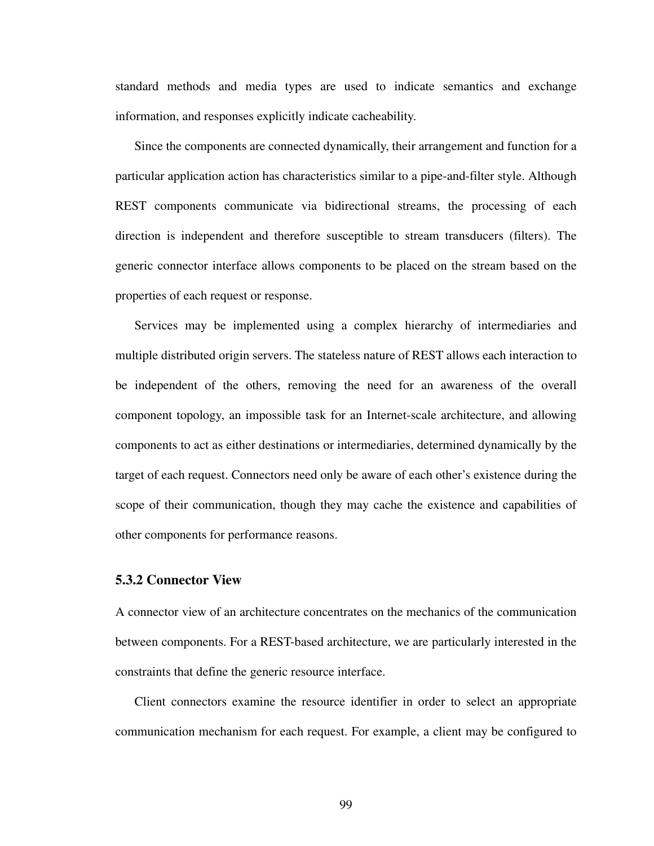standard methods and media types are used to indicate semantics and exchange information, and responses explicitly indicate cacheability.

Since the components are connected dynamically, their arrangement and function for a particular application action has characteristics similar to a pipe-and-filter style. Although REST components communicate via bidirectional streams, the processing of each direction is independent and therefore susceptible to stream transducers (filters). The generic connector interface allows components to be placed on the stream based on the properties of each request or response.

Services may be implemented using a complex hierarchy of intermediaries and multiple distributed origin servers. The stateless nature of REST allows each interaction to be independent of the others, removing the need for an awareness of the overall component topology, an impossible task for an Internet-scale architecture, and allowing components to act as either destinations or intermediaries, determined dynamically by the target of each request. Connectors need only be aware of each other's existence during the scope of their communication, though they may cache the existence and capabilities of other components for performance reasons.

## **5.3.2 Connector View**

A connector view of an architecture concentrates on the mechanics of the communication between components. For a REST-based architecture, we are particularly interested in the constraints that define the generic resource interface.

Client connectors examine the resource identifier in order to select an appropriate communication mechanism for each request. For example, a client may be configured to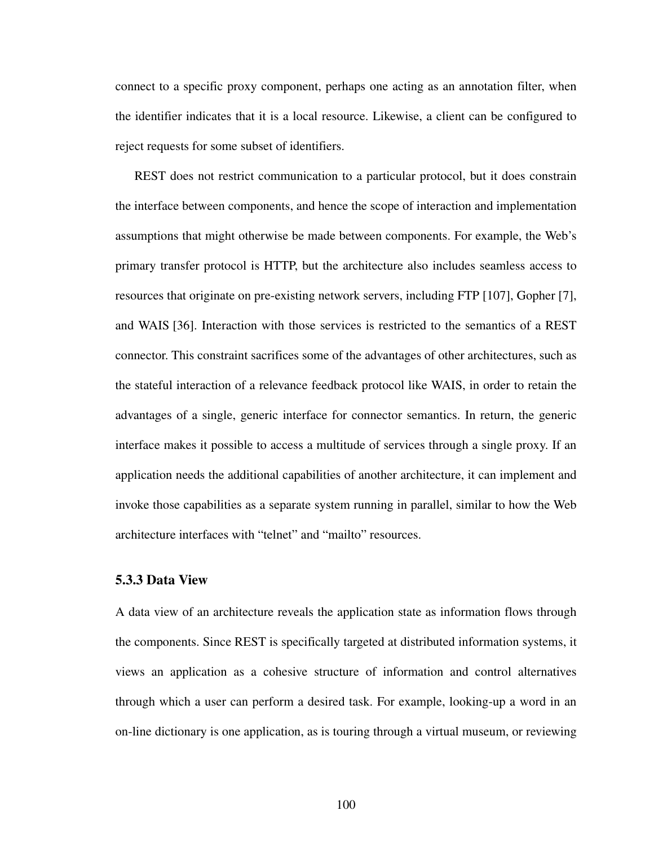connect to a specific proxy component, perhaps one acting as an annotation filter, when the identifier indicates that it is a local resource. Likewise, a client can be configured to reject requests for some subset of identifiers.

REST does not restrict communication to a particular protocol, but it does constrain the interface between components, and hence the scope of interaction and implementation assumptions that might otherwise be made between components. For example, the Web's primary transfer protocol is HTTP, but the architecture also includes seamless access to resources that originate on pre-existing network servers, including FTP [[107\]](#page-177-1), Gopher [[7](#page-169-0)], and WAIS [[36\]](#page-171-0). Interaction with those services is restricted to the semantics of a REST connector. This constraint sacrifices some of the advantages of other architectures, such as the stateful interaction of a relevance feedback protocol like WAIS, in order to retain the advantages of a single, generic interface for connector semantics. In return, the generic interface makes it possible to access a multitude of services through a single proxy. If an application needs the additional capabilities of another architecture, it can implement and invoke those capabilities as a separate system running in parallel, similar to how the Web architecture interfaces with "telnet" and "mailto" resources.

## **5.3.3 Data View**

A data view of an architecture reveals the application state as information flows through the components. Since REST is specifically targeted at distributed information systems, it views an application as a cohesive structure of information and control alternatives through which a user can perform a desired task. For example, looking-up a word in an on-line dictionary is one application, as is touring through a virtual museum, or reviewing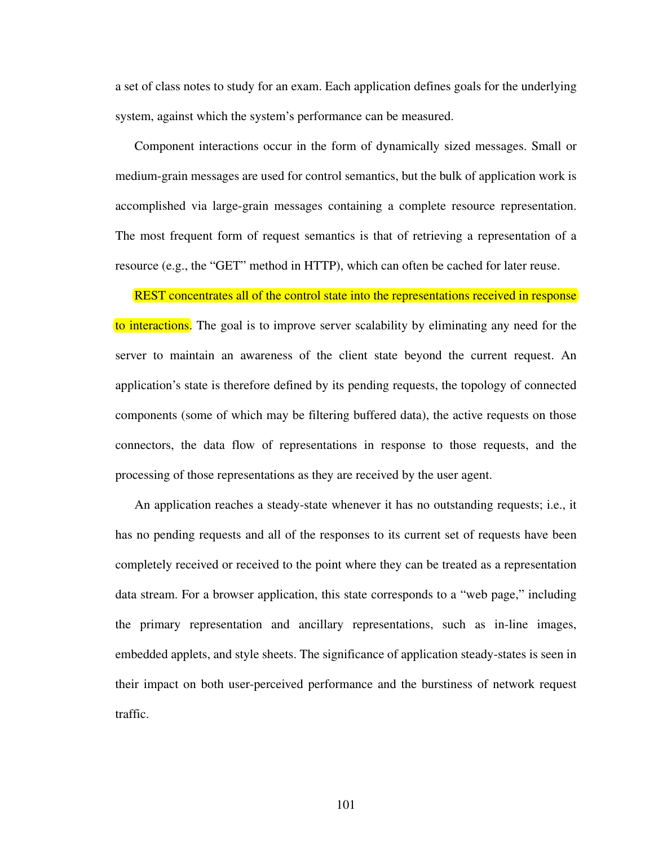a set of class notes to study for an exam. Each application defines goals for the underlying system, against which the system's performance can be measured.

Component interactions occur in the form of dynamically sized messages. Small or medium-grain messages are used for control semantics, but the bulk of application work is accomplished via large-grain messages containing a complete resource representation. The most frequent form of request semantics is that of retrieving a representation of a resource (e.g., the "GET" method in HTTP), which can often be cached for later reuse.

REST concentrates all of the control state into the representations received in response to interactions. The goal is to improve server scalability by eliminating any need for the server to maintain an awareness of the client state beyond the current request. An application's state is therefore defined by its pending requests, the topology of connected components (some of which may be filtering buffered data), the active requests on those connectors, the data flow of representations in response to those requests, and the processing of those representations as they are received by the user agent.

An application reaches a steady-state whenever it has no outstanding requests; i.e., it has no pending requests and all of the responses to its current set of requests have been completely received or received to the point where they can be treated as a representation data stream. For a browser application, this state corresponds to a "web page," including the primary representation and ancillary representations, such as in-line images, embedded applets, and style sheets. The significance of application steady-states is seen in their impact on both user-perceived performance and the burstiness of network request traffic.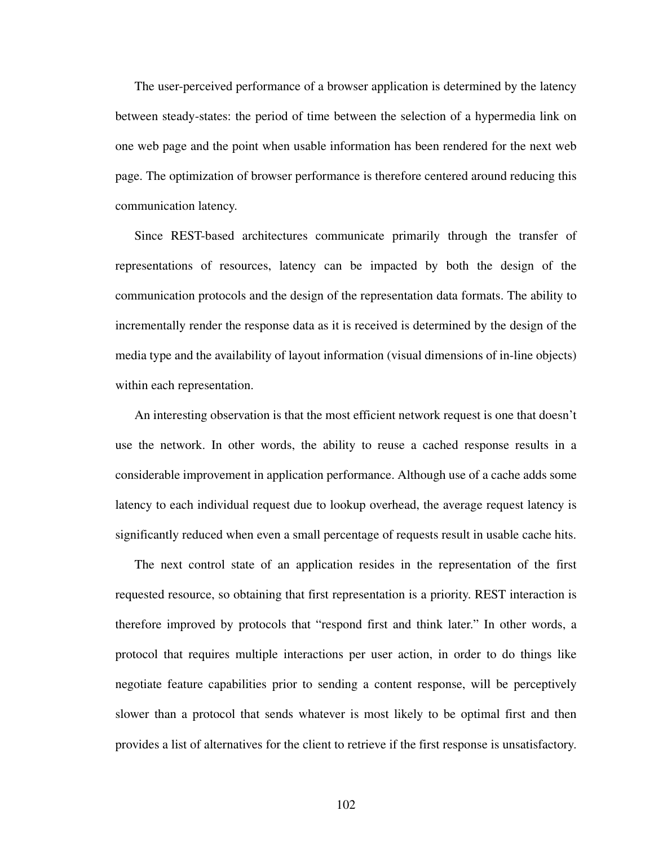The user-perceived performance of a browser application is determined by the latency between steady-states: the period of time between the selection of a hypermedia link on one web page and the point when usable information has been rendered for the next web page. The optimization of browser performance is therefore centered around reducing this communication latency.

Since REST-based architectures communicate primarily through the transfer of representations of resources, latency can be impacted by both the design of the communication protocols and the design of the representation data formats. The ability to incrementally render the response data as it is received is determined by the design of the media type and the availability of layout information (visual dimensions of in-line objects) within each representation.

An interesting observation is that the most efficient network request is one that doesn't use the network. In other words, the ability to reuse a cached response results in a considerable improvement in application performance. Although use of a cache adds some latency to each individual request due to lookup overhead, the average request latency is significantly reduced when even a small percentage of requests result in usable cache hits.

The next control state of an application resides in the representation of the first requested resource, so obtaining that first representation is a priority. REST interaction is therefore improved by protocols that "respond first and think later." In other words, a protocol that requires multiple interactions per user action, in order to do things like negotiate feature capabilities prior to sending a content response, will be perceptively slower than a protocol that sends whatever is most likely to be optimal first and then provides a list of alternatives for the client to retrieve if the first response is unsatisfactory.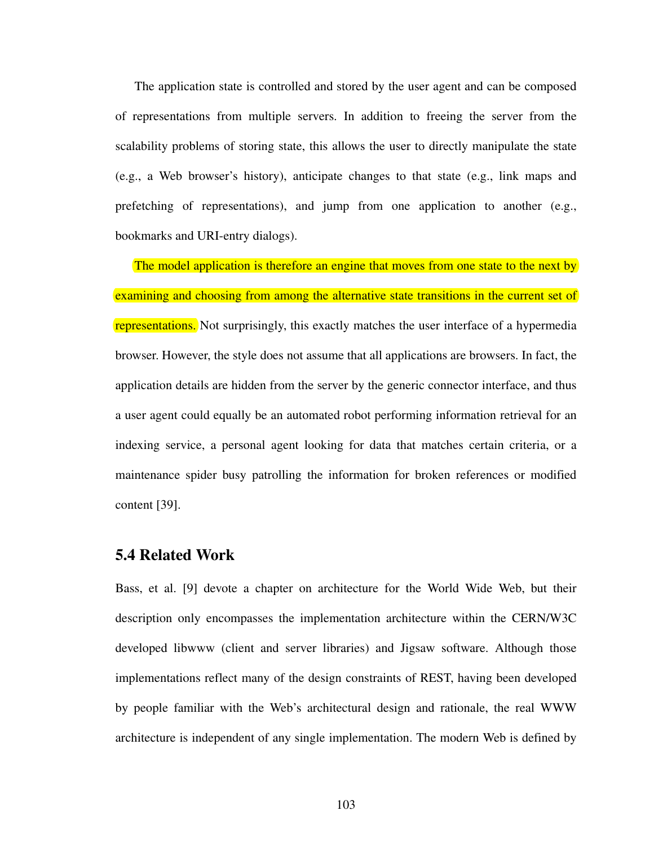The application state is controlled and stored by the user agent and can be composed of representations from multiple servers. In addition to freeing the server from the scalability problems of storing state, this allows the user to directly manipulate the state (e.g., a Web browser's history), anticipate changes to that state (e.g., link maps and prefetching of representations), and jump from one application to another (e.g., bookmarks and URI-entry dialogs).

The model application is therefore an engine that moves from one state to the next by examining and choosing from among the alternative state transitions in the current set of representations. Not surprisingly, this exactly matches the user interface of a hypermedia browser. However, the style does not assume that all applications are browsers. In fact, the application details are hidden from the server by the generic connector interface, and thus a user agent could equally be an automated robot performing information retrieval for an indexing service, a personal agent looking for data that matches certain criteria, or a maintenance spider busy patrolling the information for broken references or modified content [\[39](#page-172-1)].

# **5.4 Related Work**

Bass, et al. [\[9](#page-169-1)] devote a chapter on architecture for the World Wide Web, but their description only encompasses the implementation architecture within the CERN/W3C developed libwww (client and server libraries) and Jigsaw software. Although those implementations reflect many of the design constraints of REST, having been developed by people familiar with the Web's architectural design and rationale, the real WWW architecture is independent of any single implementation. The modern Web is defined by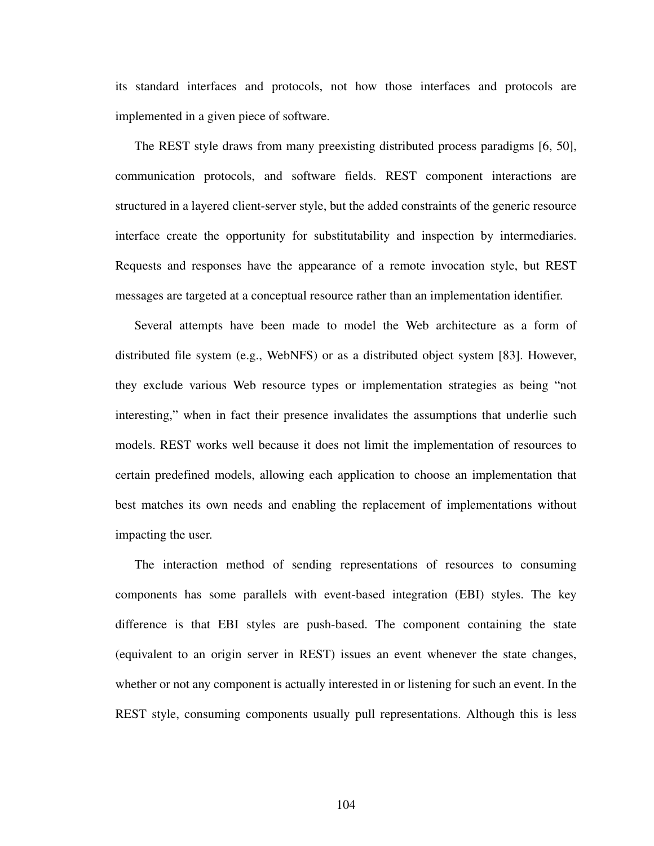its standard interfaces and protocols, not how those interfaces and protocols are implemented in a given piece of software.

The REST style draws from many preexisting distributed process paradigms [\[6](#page-169-2), [50](#page-172-2)], communication protocols, and software fields. REST component interactions are structured in a layered client-server style, but the added constraints of the generic resource interface create the opportunity for substitutability and inspection by intermediaries. Requests and responses have the appearance of a remote invocation style, but REST messages are targeted at a conceptual resource rather than an implementation identifier.

Several attempts have been made to model the Web architecture as a form of distributed file system (e.g., WebNFS) or as a distributed object system [[83\]](#page-175-0). However, they exclude various Web resource types or implementation strategies as being "not interesting," when in fact their presence invalidates the assumptions that underlie such models. REST works well because it does not limit the implementation of resources to certain predefined models, allowing each application to choose an implementation that best matches its own needs and enabling the replacement of implementations without impacting the user.

The interaction method of sending representations of resources to consuming components has some parallels with event-based integration (EBI) styles. The key difference is that EBI styles are push-based. The component containing the state (equivalent to an origin server in REST) issues an event whenever the state changes, whether or not any component is actually interested in or listening for such an event. In the REST style, consuming components usually pull representations. Although this is less

104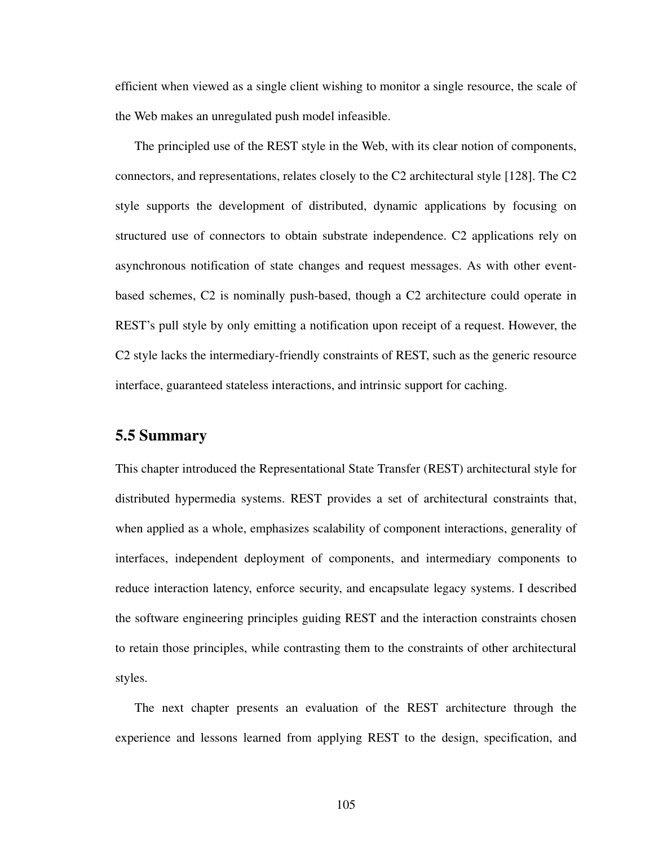efficient when viewed as a single client wishing to monitor a single resource, the scale of the Web makes an unregulated push model infeasible.

The principled use of the REST style in the Web, with its clear notion of components, connectors, and representations, relates closely to the C2 architectural style [\[128](#page-179-0)]. The C2 style supports the development of distributed, dynamic applications by focusing on structured use of connectors to obtain substrate independence. C2 applications rely on asynchronous notification of state changes and request messages. As with other eventbased schemes, C2 is nominally push-based, though a C2 architecture could operate in REST's pull style by only emitting a notification upon receipt of a request. However, the C2 style lacks the intermediary-friendly constraints of REST, such as the generic resource interface, guaranteed stateless interactions, and intrinsic support for caching.

# **5.5 Summary**

This chapter introduced the Representational State Transfer (REST) architectural style for distributed hypermedia systems. REST provides a set of architectural constraints that, when applied as a whole, emphasizes scalability of component interactions, generality of interfaces, independent deployment of components, and intermediary components to reduce interaction latency, enforce security, and encapsulate legacy systems. I described the software engineering principles guiding REST and the interaction constraints chosen to retain those principles, while contrasting them to the constraints of other architectural styles.

The next chapter presents an evaluation of the REST architecture through the experience and lessons learned from applying REST to the design, specification, and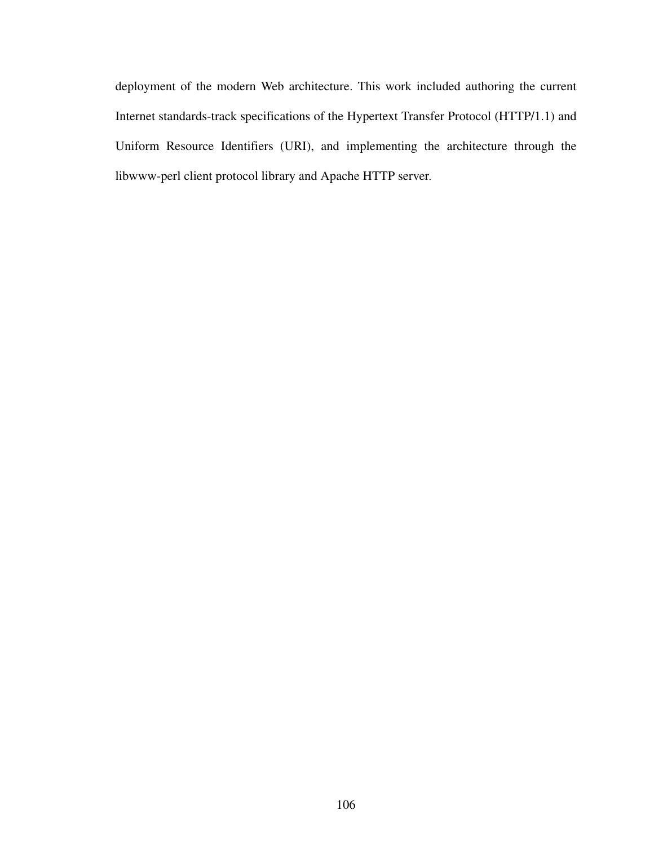deployment of the modern Web architecture. This work included authoring the current Internet standards-track specifications of the Hypertext Transfer Protocol (HTTP/1.1) and Uniform Resource Identifiers (URI), and implementing the architecture through the libwww-perl client protocol library and Apache HTTP server.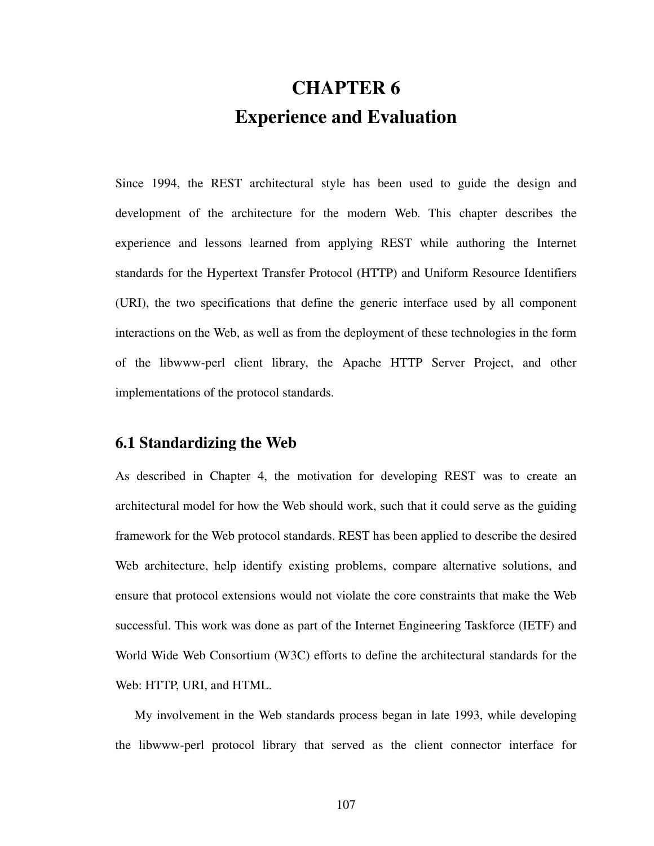# **CHAPTER 6 Experience and Evaluation**

Since 1994, the REST architectural style has been used to guide the design and development of the architecture for the modern Web. This chapter describes the experience and lessons learned from applying REST while authoring the Internet standards for the Hypertext Transfer Protocol (HTTP) and Uniform Resource Identifiers (URI), the two specifications that define the generic interface used by all component interactions on the Web, as well as from the deployment of these technologies in the form of the libwww-perl client library, the Apache HTTP Server Project, and other implementations of the protocol standards.

# **6.1 Standardizing the Web**

As described in Chapter 4, the motivation for developing REST was to create an architectural model for how the Web should work, such that it could serve as the guiding framework for the Web protocol standards. REST has been applied to describe the desired Web architecture, help identify existing problems, compare alternative solutions, and ensure that protocol extensions would not violate the core constraints that make the Web successful. This work was done as part of the Internet Engineering Taskforce (IETF) and World Wide Web Consortium (W3C) efforts to define the architectural standards for the Web: HTTP, URI, and HTML.

My involvement in the Web standards process began in late 1993, while developing the libwww-perl protocol library that served as the client connector interface for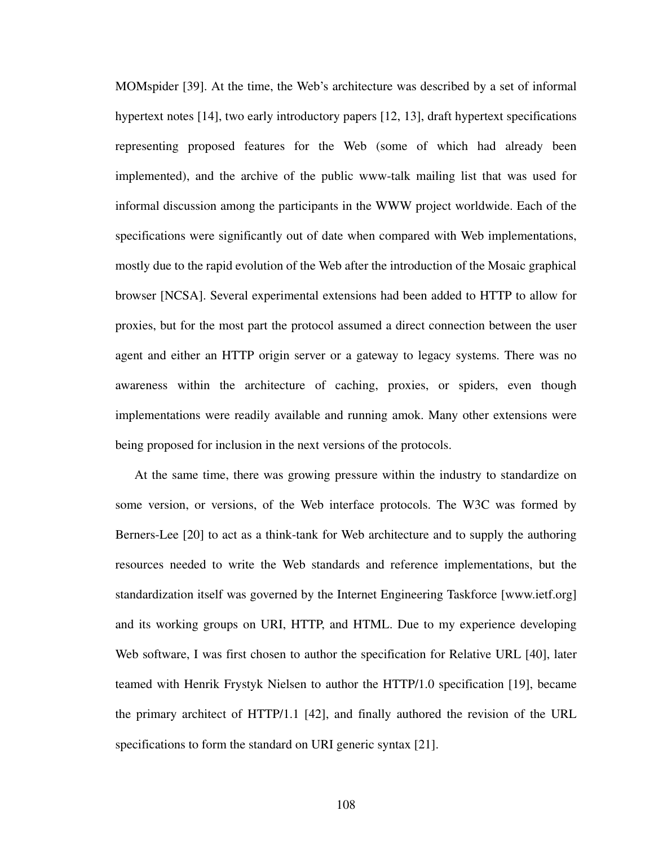MOMspider [\[39](#page-172-1)]. At the time, the Web's architecture was described by a set of informal hypertext notes [[14\]](#page-170-2), two early introductory papers [\[12](#page-170-3), [13](#page-170-4)], draft hypertext specifications representing proposed features for the Web (some of which had already been implemented), and the archive of the public www-talk mailing list that was used for informal discussion among the participants in the WWW project worldwide. Each of the specifications were significantly out of date when compared with Web implementations, mostly due to the rapid evolution of the Web after the introduction of the Mosaic graphical browser [NCSA]. Several experimental extensions had been added to HTTP to allow for proxies, but for the most part the protocol assumed a direct connection between the user agent and either an HTTP origin server or a gateway to legacy systems. There was no awareness within the architecture of caching, proxies, or spiders, even though implementations were readily available and running amok. Many other extensions were being proposed for inclusion in the next versions of the protocols.

At the same time, there was growing pressure within the industry to standardize on some version, or versions, of the Web interface protocols. The W3C was formed by Berners-Lee [\[20](#page-170-5)] to act as a think-tank for Web architecture and to supply the authoring resources needed to write the Web standards and reference implementations, but the standardization itself was governed by the Internet Engineering Taskforce [www.ietf.org] and its working groups on URI, HTTP, and HTML. Due to my experience developing Web software, I was first chosen to author the specification for Relative URL [[40\]](#page-172-3), later teamed with Henrik Frystyk Nielsen to author the HTTP/1.0 specification [\[19](#page-170-0)], became the primary architect of HTTP/1.1 [\[42](#page-172-4)], and finally authored the revision of the URL specifications to form the standard on URI generic syntax [[21\]](#page-170-1).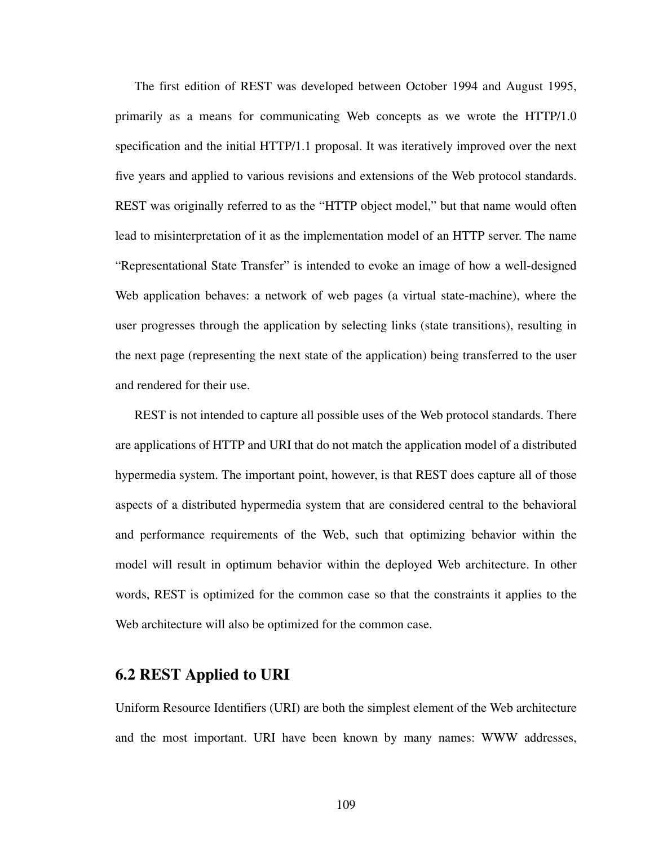The first edition of REST was developed between October 1994 and August 1995, primarily as a means for communicating Web concepts as we wrote the HTTP/1.0 specification and the initial HTTP/1.1 proposal. It was iteratively improved over the next five years and applied to various revisions and extensions of the Web protocol standards. REST was originally referred to as the "HTTP object model," but that name would often lead to misinterpretation of it as the implementation model of an HTTP server. The name "Representational State Transfer" is intended to evoke an image of how a well-designed Web application behaves: a network of web pages (a virtual state-machine), where the user progresses through the application by selecting links (state transitions), resulting in the next page (representing the next state of the application) being transferred to the user and rendered for their use.

REST is not intended to capture all possible uses of the Web protocol standards. There are applications of HTTP and URI that do not match the application model of a distributed hypermedia system. The important point, however, is that REST does capture all of those aspects of a distributed hypermedia system that are considered central to the behavioral and performance requirements of the Web, such that optimizing behavior within the model will result in optimum behavior within the deployed Web architecture. In other words, REST is optimized for the common case so that the constraints it applies to the Web architecture will also be optimized for the common case.

# **6.2 REST Applied to URI**

Uniform Resource Identifiers (URI) are both the simplest element of the Web architecture and the most important. URI have been known by many names: WWW addresses,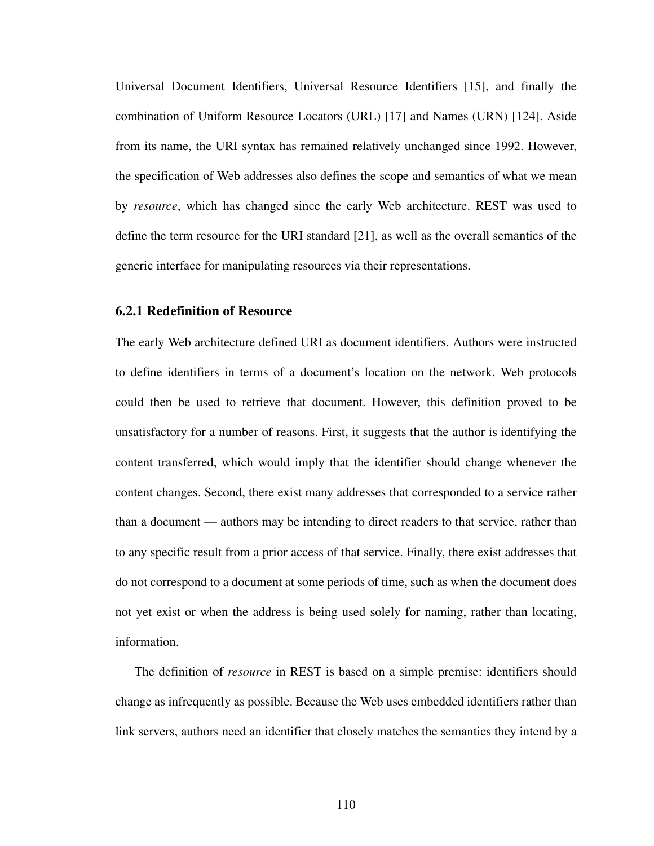Universal Document Identifiers, Universal Resource Identifiers [[15\]](#page-170-6), and finally the combination of Uniform Resource Locators (URL) [\[17](#page-170-7)] and Names (URN) [\[124](#page-178-0)]. Aside from its name, the URI syntax has remained relatively unchanged since 1992. However, the specification of Web addresses also defines the scope and semantics of what we mean by *resource*, which has changed since the early Web architecture. REST was used to define the term resource for the URI standard [\[21\]](#page-170-1), as well as the overall semantics of the generic interface for manipulating resources via their representations.

## **6.2.1 Redefinition of Resource**

The early Web architecture defined URI as document identifiers. Authors were instructed to define identifiers in terms of a document's location on the network. Web protocols could then be used to retrieve that document. However, this definition proved to be unsatisfactory for a number of reasons. First, it suggests that the author is identifying the content transferred, which would imply that the identifier should change whenever the content changes. Second, there exist many addresses that corresponded to a service rather than a document — authors may be intending to direct readers to that service, rather than to any specific result from a prior access of that service. Finally, there exist addresses that do not correspond to a document at some periods of time, such as when the document does not yet exist or when the address is being used solely for naming, rather than locating, information.

The definition of *resource* in REST is based on a simple premise: identifiers should change as infrequently as possible. Because the Web uses embedded identifiers rather than link servers, authors need an identifier that closely matches the semantics they intend by a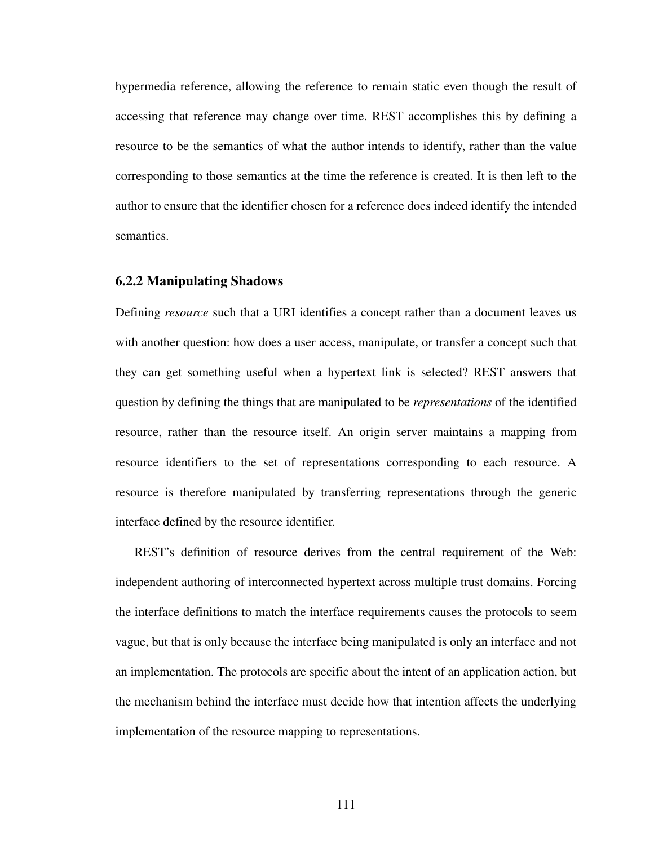hypermedia reference, allowing the reference to remain static even though the result of accessing that reference may change over time. REST accomplishes this by defining a resource to be the semantics of what the author intends to identify, rather than the value corresponding to those semantics at the time the reference is created. It is then left to the author to ensure that the identifier chosen for a reference does indeed identify the intended semantics.

#### **6.2.2 Manipulating Shadows**

Defining *resource* such that a URI identifies a concept rather than a document leaves us with another question: how does a user access, manipulate, or transfer a concept such that they can get something useful when a hypertext link is selected? REST answers that question by defining the things that are manipulated to be *representations* of the identified resource, rather than the resource itself. An origin server maintains a mapping from resource identifiers to the set of representations corresponding to each resource. A resource is therefore manipulated by transferring representations through the generic interface defined by the resource identifier.

REST's definition of resource derives from the central requirement of the Web: independent authoring of interconnected hypertext across multiple trust domains. Forcing the interface definitions to match the interface requirements causes the protocols to seem vague, but that is only because the interface being manipulated is only an interface and not an implementation. The protocols are specific about the intent of an application action, but the mechanism behind the interface must decide how that intention affects the underlying implementation of the resource mapping to representations.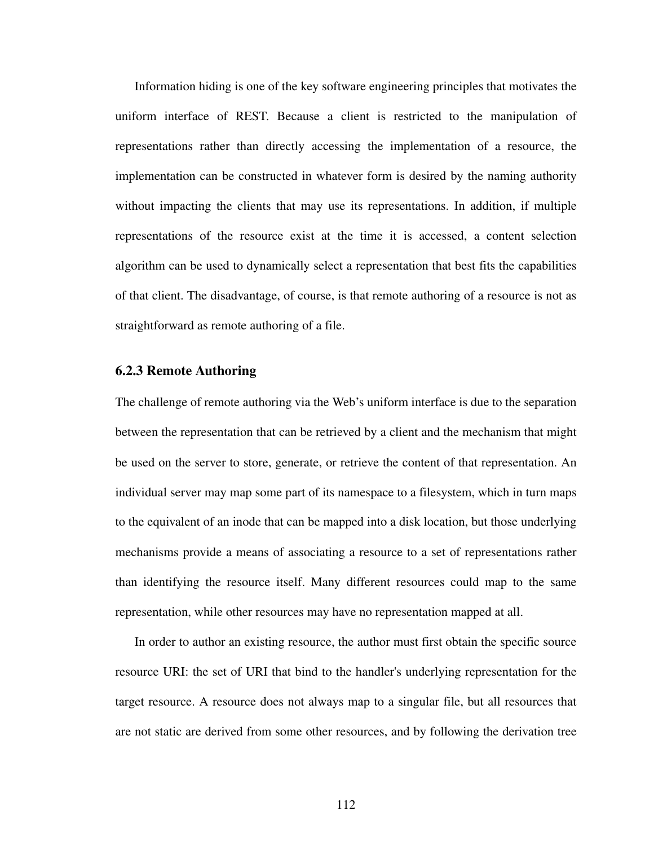Information hiding is one of the key software engineering principles that motivates the uniform interface of REST. Because a client is restricted to the manipulation of representations rather than directly accessing the implementation of a resource, the implementation can be constructed in whatever form is desired by the naming authority without impacting the clients that may use its representations. In addition, if multiple representations of the resource exist at the time it is accessed, a content selection algorithm can be used to dynamically select a representation that best fits the capabilities of that client. The disadvantage, of course, is that remote authoring of a resource is not as straightforward as remote authoring of a file.

#### **6.2.3 Remote Authoring**

The challenge of remote authoring via the Web's uniform interface is due to the separation between the representation that can be retrieved by a client and the mechanism that might be used on the server to store, generate, or retrieve the content of that representation. An individual server may map some part of its namespace to a filesystem, which in turn maps to the equivalent of an inode that can be mapped into a disk location, but those underlying mechanisms provide a means of associating a resource to a set of representations rather than identifying the resource itself. Many different resources could map to the same representation, while other resources may have no representation mapped at all.

In order to author an existing resource, the author must first obtain the specific source resource URI: the set of URI that bind to the handler's underlying representation for the target resource. A resource does not always map to a singular file, but all resources that are not static are derived from some other resources, and by following the derivation tree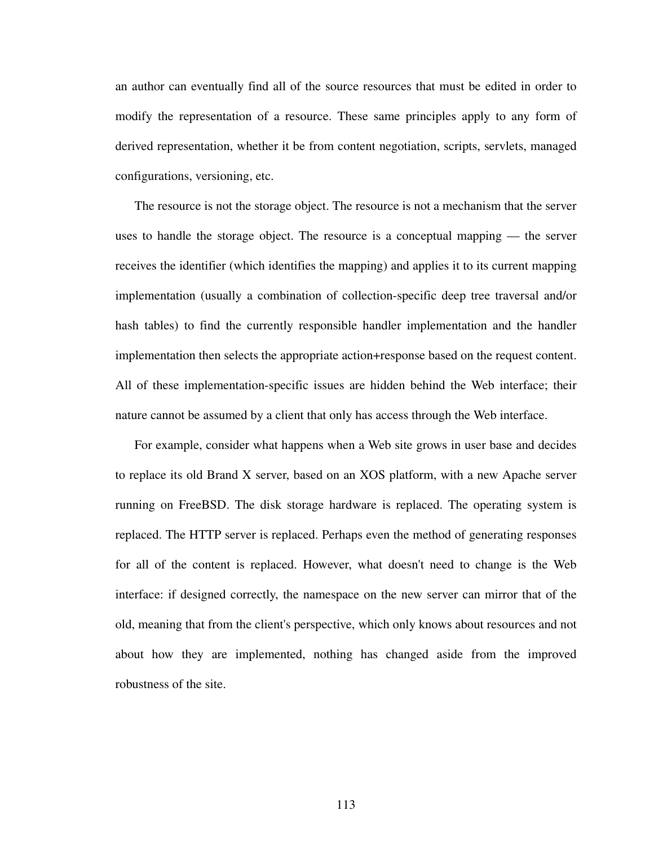an author can eventually find all of the source resources that must be edited in order to modify the representation of a resource. These same principles apply to any form of derived representation, whether it be from content negotiation, scripts, servlets, managed configurations, versioning, etc.

The resource is not the storage object. The resource is not a mechanism that the server uses to handle the storage object. The resource is a conceptual mapping — the server receives the identifier (which identifies the mapping) and applies it to its current mapping implementation (usually a combination of collection-specific deep tree traversal and/or hash tables) to find the currently responsible handler implementation and the handler implementation then selects the appropriate action+response based on the request content. All of these implementation-specific issues are hidden behind the Web interface; their nature cannot be assumed by a client that only has access through the Web interface.

For example, consider what happens when a Web site grows in user base and decides to replace its old Brand X server, based on an XOS platform, with a new Apache server running on FreeBSD. The disk storage hardware is replaced. The operating system is replaced. The HTTP server is replaced. Perhaps even the method of generating responses for all of the content is replaced. However, what doesn't need to change is the Web interface: if designed correctly, the namespace on the new server can mirror that of the old, meaning that from the client's perspective, which only knows about resources and not about how they are implemented, nothing has changed aside from the improved robustness of the site.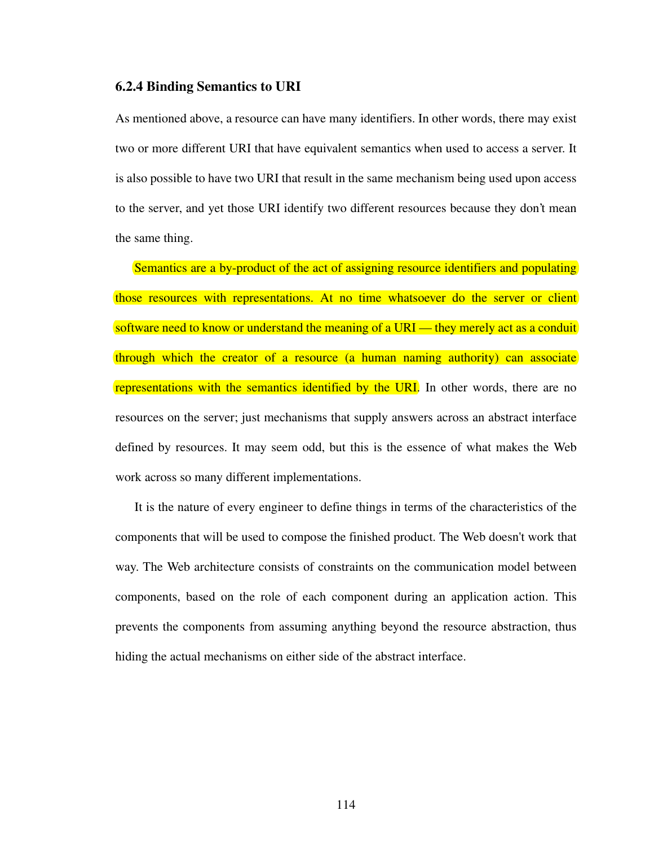#### **6.2.4 Binding Semantics to URI**

As mentioned above, a resource can have many identifiers. In other words, there may exist two or more different URI that have equivalent semantics when used to access a server. It is also possible to have two URI that result in the same mechanism being used upon access to the server, and yet those URI identify two different resources because they don't mean the same thing.

Semantics are a by-product of the act of assigning resource identifiers and populating those resources with representations. At no time whatsoever do the server or client software need to know or understand the meaning of a URI — they merely act as a conduit through which the creator of a resource (a human naming authority) can associate representations with the semantics identified by the URI. In other words, there are no resources on the server; just mechanisms that supply answers across an abstract interface defined by resources. It may seem odd, but this is the essence of what makes the Web work across so many different implementations.

It is the nature of every engineer to define things in terms of the characteristics of the components that will be used to compose the finished product. The Web doesn't work that way. The Web architecture consists of constraints on the communication model between components, based on the role of each component during an application action. This prevents the components from assuming anything beyond the resource abstraction, thus hiding the actual mechanisms on either side of the abstract interface.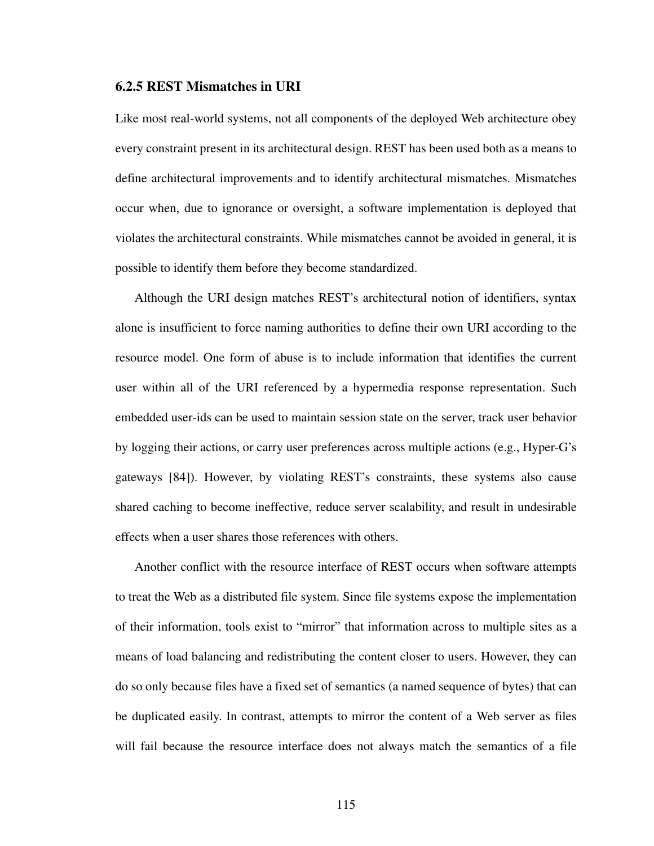#### **6.2.5 REST Mismatches in URI**

Like most real-world systems, not all components of the deployed Web architecture obey every constraint present in its architectural design. REST has been used both as a means to define architectural improvements and to identify architectural mismatches. Mismatches occur when, due to ignorance or oversight, a software implementation is deployed that violates the architectural constraints. While mismatches cannot be avoided in general, it is possible to identify them before they become standardized.

Although the URI design matches REST's architectural notion of identifiers, syntax alone is insufficient to force naming authorities to define their own URI according to the resource model. One form of abuse is to include information that identifies the current user within all of the URI referenced by a hypermedia response representation. Such embedded user-ids can be used to maintain session state on the server, track user behavior by logging their actions, or carry user preferences across multiple actions (e.g., Hyper-G's gateways [\[84](#page-175-1)]). However, by violating REST's constraints, these systems also cause shared caching to become ineffective, reduce server scalability, and result in undesirable effects when a user shares those references with others.

Another conflict with the resource interface of REST occurs when software attempts to treat the Web as a distributed file system. Since file systems expose the implementation of their information, tools exist to "mirror" that information across to multiple sites as a means of load balancing and redistributing the content closer to users. However, they can do so only because files have a fixed set of semantics (a named sequence of bytes) that can be duplicated easily. In contrast, attempts to mirror the content of a Web server as files will fail because the resource interface does not always match the semantics of a file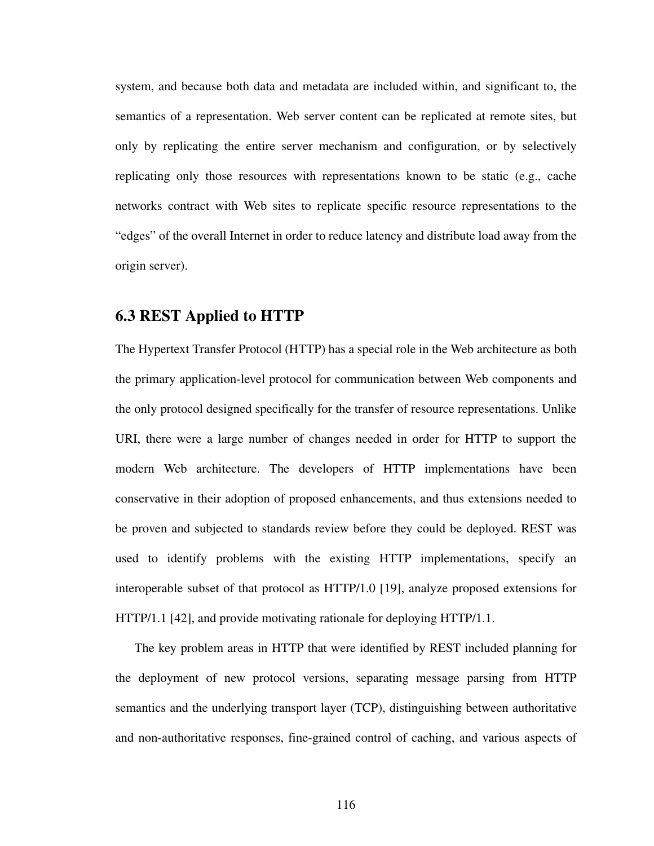system, and because both data and metadata are included within, and significant to, the semantics of a representation. Web server content can be replicated at remote sites, but only by replicating the entire server mechanism and configuration, or by selectively replicating only those resources with representations known to be static (e.g., cache networks contract with Web sites to replicate specific resource representations to the "edges" of the overall Internet in order to reduce latency and distribute load away from the origin server).

# **6.3 REST Applied to HTTP**

The Hypertext Transfer Protocol (HTTP) has a special role in the Web architecture as both the primary application-level protocol for communication between Web components and the only protocol designed specifically for the transfer of resource representations. Unlike URI, there were a large number of changes needed in order for HTTP to support the modern Web architecture. The developers of HTTP implementations have been conservative in their adoption of proposed enhancements, and thus extensions needed to be proven and subjected to standards review before they could be deployed. REST was used to identify problems with the existing HTTP implementations, specify an interoperable subset of that protocol as HTTP/1.0 [[19\]](#page-170-0), analyze proposed extensions for HTTP/1.1 [\[42](#page-172-4)], and provide motivating rationale for deploying HTTP/1.1.

The key problem areas in HTTP that were identified by REST included planning for the deployment of new protocol versions, separating message parsing from HTTP semantics and the underlying transport layer (TCP), distinguishing between authoritative and non-authoritative responses, fine-grained control of caching, and various aspects of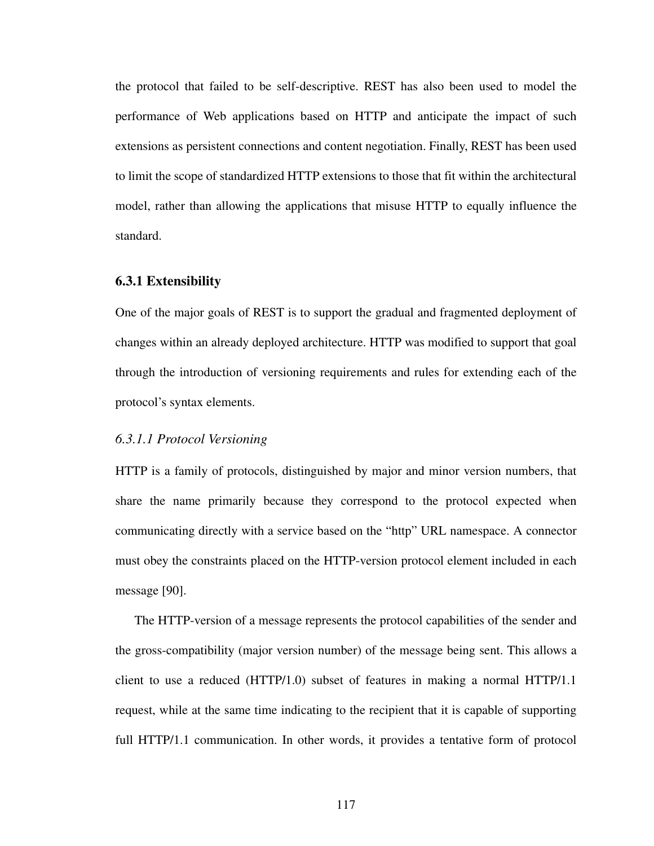the protocol that failed to be self-descriptive. REST has also been used to model the performance of Web applications based on HTTP and anticipate the impact of such extensions as persistent connections and content negotiation. Finally, REST has been used to limit the scope of standardized HTTP extensions to those that fit within the architectural model, rather than allowing the applications that misuse HTTP to equally influence the standard.

#### **6.3.1 Extensibility**

One of the major goals of REST is to support the gradual and fragmented deployment of changes within an already deployed architecture. HTTP was modified to support that goal through the introduction of versioning requirements and rules for extending each of the protocol's syntax elements.

## *6.3.1.1 Protocol Versioning*

HTTP is a family of protocols, distinguished by major and minor version numbers, that share the name primarily because they correspond to the protocol expected when communicating directly with a service based on the "http" URL namespace. A connector must obey the constraints placed on the HTTP-version protocol element included in each message [[90\]](#page-176-0).

The HTTP-version of a message represents the protocol capabilities of the sender and the gross-compatibility (major version number) of the message being sent. This allows a client to use a reduced (HTTP/1.0) subset of features in making a normal HTTP/1.1 request, while at the same time indicating to the recipient that it is capable of supporting full HTTP/1.1 communication. In other words, it provides a tentative form of protocol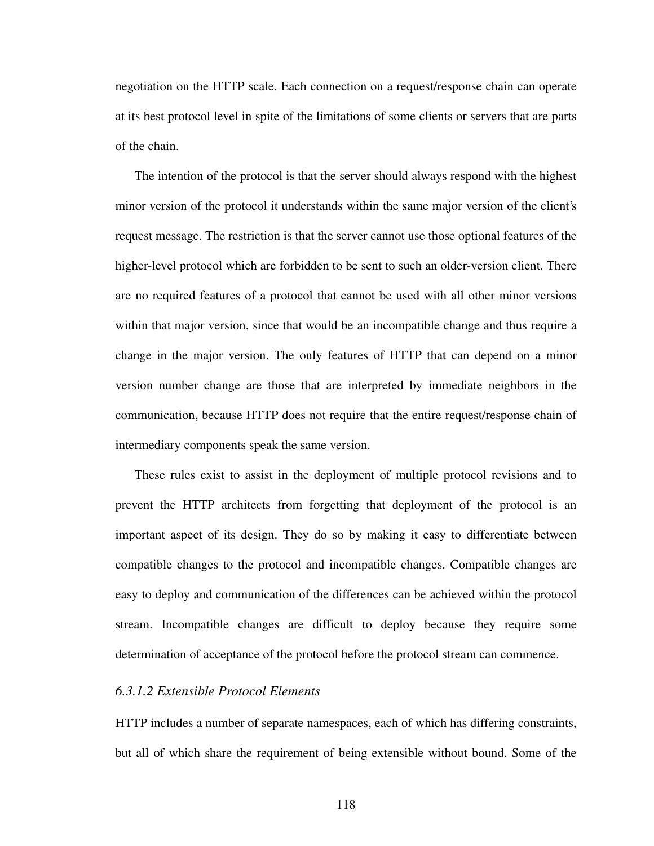negotiation on the HTTP scale. Each connection on a request/response chain can operate at its best protocol level in spite of the limitations of some clients or servers that are parts of the chain.

The intention of the protocol is that the server should always respond with the highest minor version of the protocol it understands within the same major version of the client's request message. The restriction is that the server cannot use those optional features of the higher-level protocol which are forbidden to be sent to such an older-version client. There are no required features of a protocol that cannot be used with all other minor versions within that major version, since that would be an incompatible change and thus require a change in the major version. The only features of HTTP that can depend on a minor version number change are those that are interpreted by immediate neighbors in the communication, because HTTP does not require that the entire request/response chain of intermediary components speak the same version.

These rules exist to assist in the deployment of multiple protocol revisions and to prevent the HTTP architects from forgetting that deployment of the protocol is an important aspect of its design. They do so by making it easy to differentiate between compatible changes to the protocol and incompatible changes. Compatible changes are easy to deploy and communication of the differences can be achieved within the protocol stream. Incompatible changes are difficult to deploy because they require some determination of acceptance of the protocol before the protocol stream can commence.

#### *6.3.1.2 Extensible Protocol Elements*

HTTP includes a number of separate namespaces, each of which has differing constraints, but all of which share the requirement of being extensible without bound. Some of the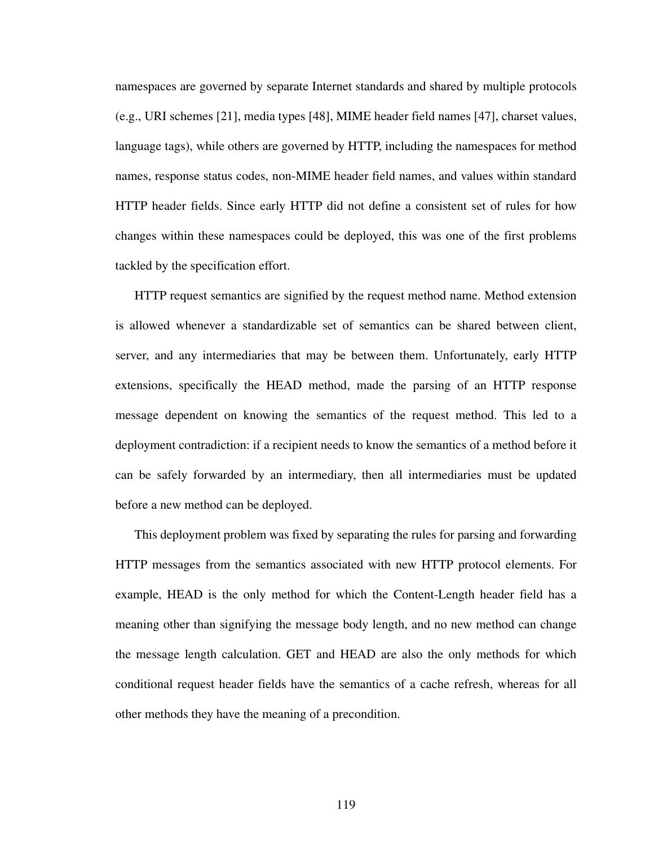namespaces are governed by separate Internet standards and shared by multiple protocols (e.g., URI schemes [[21\]](#page-170-1), media types [[48\]](#page-172-0), MIME header field names [[47\]](#page-172-5), charset values, language tags), while others are governed by HTTP, including the namespaces for method names, response status codes, non-MIME header field names, and values within standard HTTP header fields. Since early HTTP did not define a consistent set of rules for how changes within these namespaces could be deployed, this was one of the first problems tackled by the specification effort.

HTTP request semantics are signified by the request method name. Method extension is allowed whenever a standardizable set of semantics can be shared between client, server, and any intermediaries that may be between them. Unfortunately, early HTTP extensions, specifically the HEAD method, made the parsing of an HTTP response message dependent on knowing the semantics of the request method. This led to a deployment contradiction: if a recipient needs to know the semantics of a method before it can be safely forwarded by an intermediary, then all intermediaries must be updated before a new method can be deployed.

This deployment problem was fixed by separating the rules for parsing and forwarding HTTP messages from the semantics associated with new HTTP protocol elements. For example, HEAD is the only method for which the Content-Length header field has a meaning other than signifying the message body length, and no new method can change the message length calculation. GET and HEAD are also the only methods for which conditional request header fields have the semantics of a cache refresh, whereas for all other methods they have the meaning of a precondition.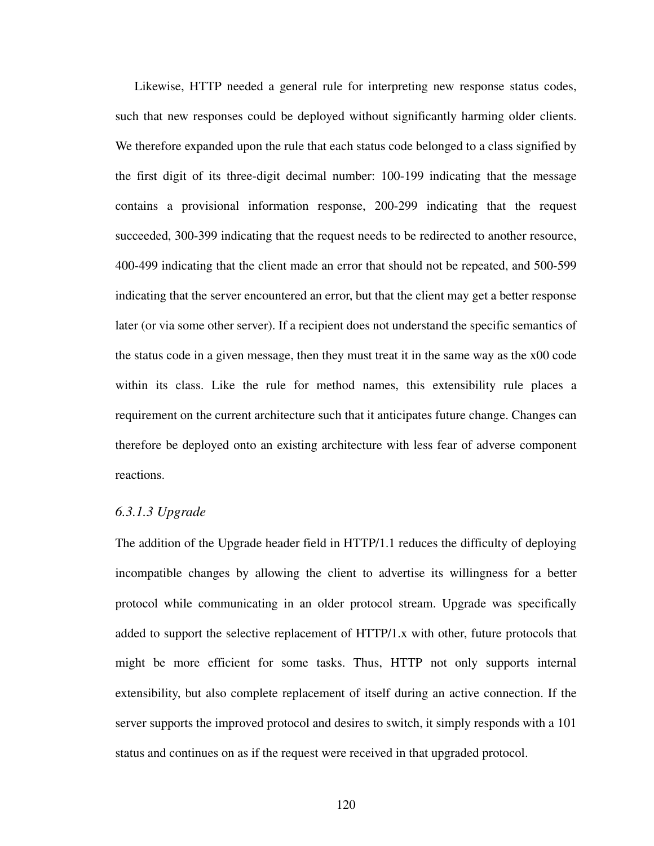Likewise, HTTP needed a general rule for interpreting new response status codes, such that new responses could be deployed without significantly harming older clients. We therefore expanded upon the rule that each status code belonged to a class signified by the first digit of its three-digit decimal number: 100-199 indicating that the message contains a provisional information response, 200-299 indicating that the request succeeded, 300-399 indicating that the request needs to be redirected to another resource, 400-499 indicating that the client made an error that should not be repeated, and 500-599 indicating that the server encountered an error, but that the client may get a better response later (or via some other server). If a recipient does not understand the specific semantics of the status code in a given message, then they must treat it in the same way as the x00 code within its class. Like the rule for method names, this extensibility rule places a requirement on the current architecture such that it anticipates future change. Changes can therefore be deployed onto an existing architecture with less fear of adverse component reactions.

#### *6.3.1.3 Upgrade*

The addition of the Upgrade header field in HTTP/1.1 reduces the difficulty of deploying incompatible changes by allowing the client to advertise its willingness for a better protocol while communicating in an older protocol stream. Upgrade was specifically added to support the selective replacement of HTTP/1.x with other, future protocols that might be more efficient for some tasks. Thus, HTTP not only supports internal extensibility, but also complete replacement of itself during an active connection. If the server supports the improved protocol and desires to switch, it simply responds with a 101 status and continues on as if the request were received in that upgraded protocol.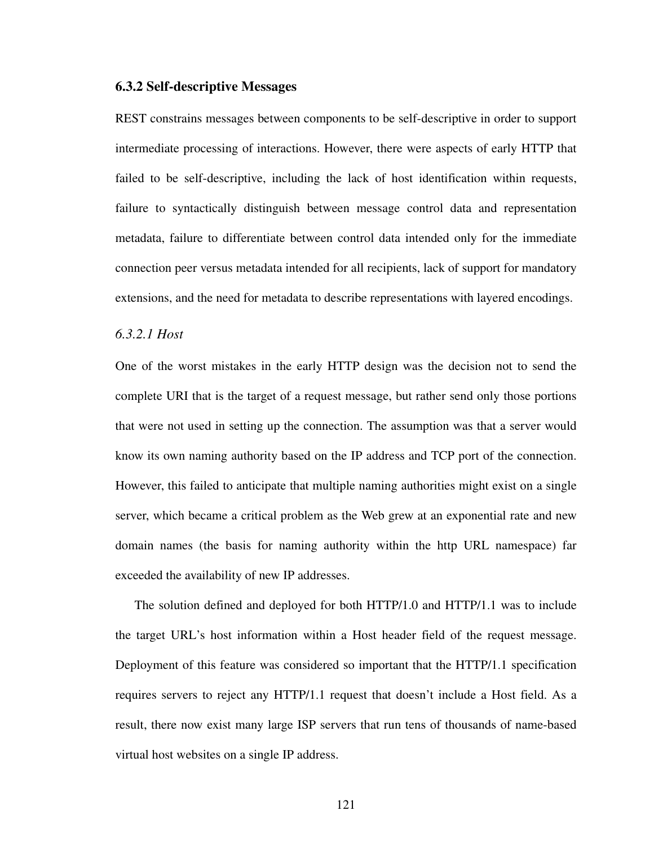#### **6.3.2 Self-descriptive Messages**

REST constrains messages between components to be self-descriptive in order to support intermediate processing of interactions. However, there were aspects of early HTTP that failed to be self-descriptive, including the lack of host identification within requests, failure to syntactically distinguish between message control data and representation metadata, failure to differentiate between control data intended only for the immediate connection peer versus metadata intended for all recipients, lack of support for mandatory extensions, and the need for metadata to describe representations with layered encodings.

### *6.3.2.1 Host*

One of the worst mistakes in the early HTTP design was the decision not to send the complete URI that is the target of a request message, but rather send only those portions that were not used in setting up the connection. The assumption was that a server would know its own naming authority based on the IP address and TCP port of the connection. However, this failed to anticipate that multiple naming authorities might exist on a single server, which became a critical problem as the Web grew at an exponential rate and new domain names (the basis for naming authority within the http URL namespace) far exceeded the availability of new IP addresses.

The solution defined and deployed for both HTTP/1.0 and HTTP/1.1 was to include the target URL's host information within a Host header field of the request message. Deployment of this feature was considered so important that the HTTP/1.1 specification requires servers to reject any HTTP/1.1 request that doesn't include a Host field. As a result, there now exist many large ISP servers that run tens of thousands of name-based virtual host websites on a single IP address.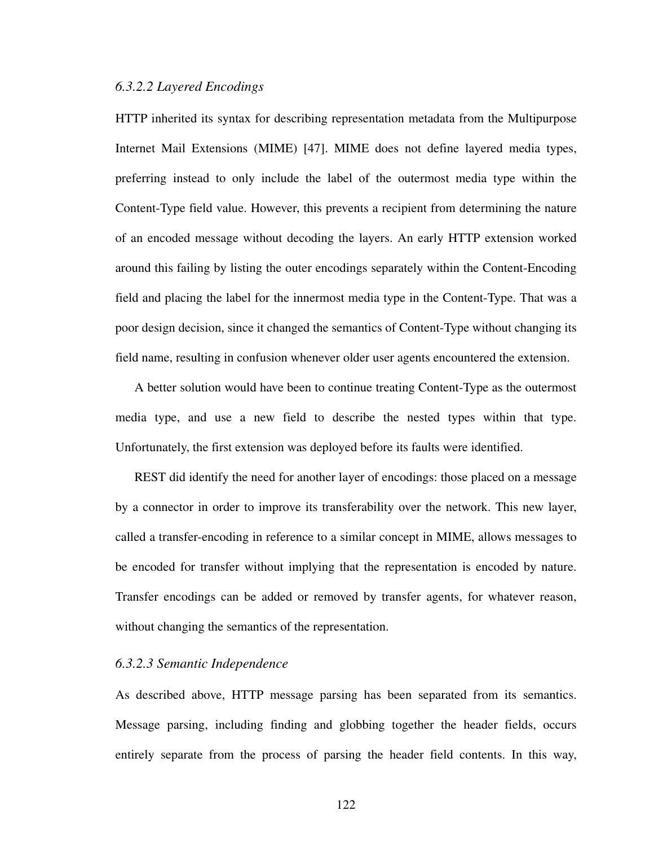#### *6.3.2.2 Layered Encodings*

HTTP inherited its syntax for describing representation metadata from the Multipurpose Internet Mail Extensions (MIME) [\[47](#page-172-5)]. MIME does not define layered media types, preferring instead to only include the label of the outermost media type within the Content-Type field value. However, this prevents a recipient from determining the nature of an encoded message without decoding the layers. An early HTTP extension worked around this failing by listing the outer encodings separately within the Content-Encoding field and placing the label for the innermost media type in the Content-Type. That was a poor design decision, since it changed the semantics of Content-Type without changing its field name, resulting in confusion whenever older user agents encountered the extension.

A better solution would have been to continue treating Content-Type as the outermost media type, and use a new field to describe the nested types within that type. Unfortunately, the first extension was deployed before its faults were identified.

REST did identify the need for another layer of encodings: those placed on a message by a connector in order to improve its transferability over the network. This new layer, called a transfer-encoding in reference to a similar concept in MIME, allows messages to be encoded for transfer without implying that the representation is encoded by nature. Transfer encodings can be added or removed by transfer agents, for whatever reason, without changing the semantics of the representation.

#### *6.3.2.3 Semantic Independence*

As described above, HTTP message parsing has been separated from its semantics. Message parsing, including finding and globbing together the header fields, occurs entirely separate from the process of parsing the header field contents. In this way,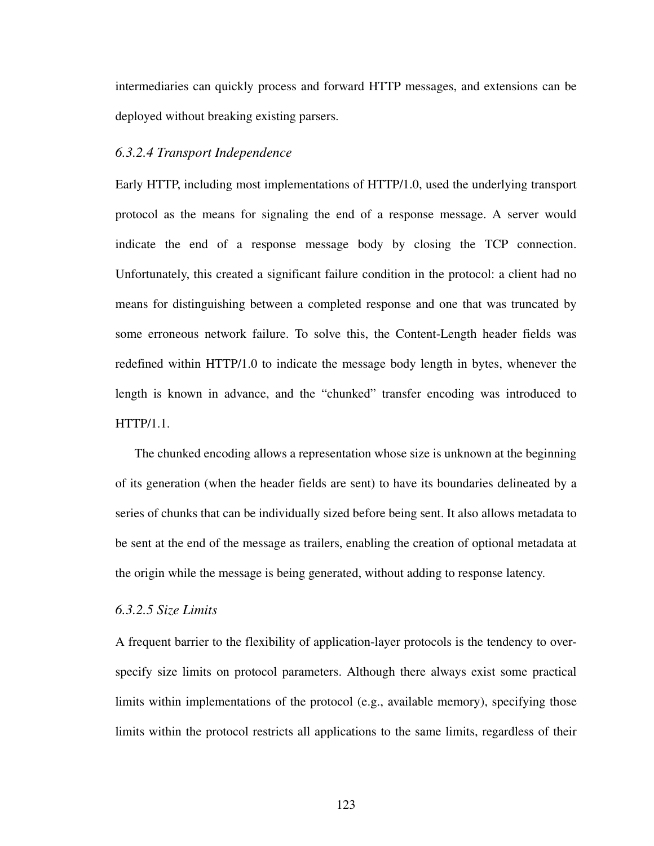intermediaries can quickly process and forward HTTP messages, and extensions can be deployed without breaking existing parsers.

### *6.3.2.4 Transport Independence*

Early HTTP, including most implementations of HTTP/1.0, used the underlying transport protocol as the means for signaling the end of a response message. A server would indicate the end of a response message body by closing the TCP connection. Unfortunately, this created a significant failure condition in the protocol: a client had no means for distinguishing between a completed response and one that was truncated by some erroneous network failure. To solve this, the Content-Length header fields was redefined within HTTP/1.0 to indicate the message body length in bytes, whenever the length is known in advance, and the "chunked" transfer encoding was introduced to HTTP/1.1.

The chunked encoding allows a representation whose size is unknown at the beginning of its generation (when the header fields are sent) to have its boundaries delineated by a series of chunks that can be individually sized before being sent. It also allows metadata to be sent at the end of the message as trailers, enabling the creation of optional metadata at the origin while the message is being generated, without adding to response latency.

#### *6.3.2.5 Size Limits*

A frequent barrier to the flexibility of application-layer protocols is the tendency to overspecify size limits on protocol parameters. Although there always exist some practical limits within implementations of the protocol (e.g., available memory), specifying those limits within the protocol restricts all applications to the same limits, regardless of their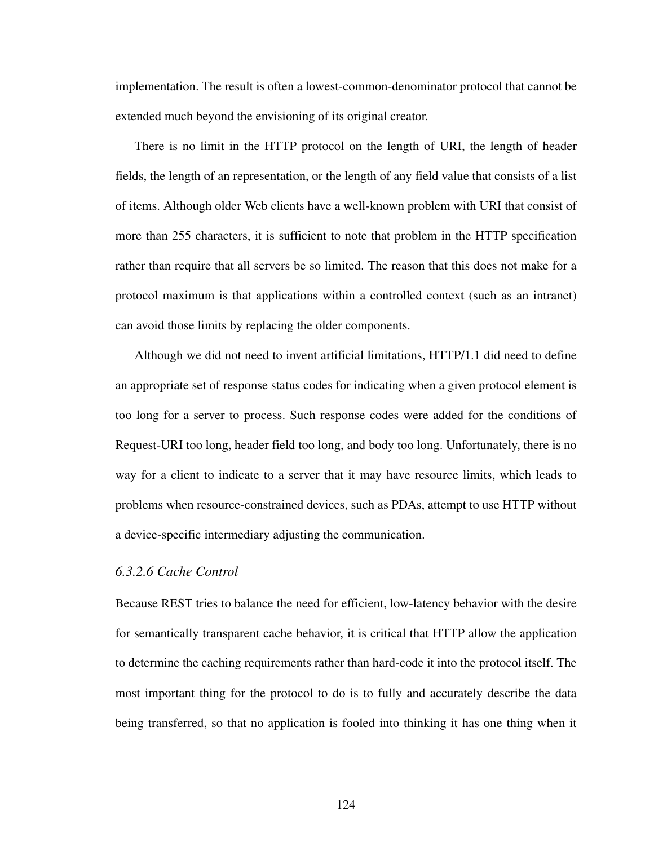implementation. The result is often a lowest-common-denominator protocol that cannot be extended much beyond the envisioning of its original creator.

There is no limit in the HTTP protocol on the length of URI, the length of header fields, the length of an representation, or the length of any field value that consists of a list of items. Although older Web clients have a well-known problem with URI that consist of more than 255 characters, it is sufficient to note that problem in the HTTP specification rather than require that all servers be so limited. The reason that this does not make for a protocol maximum is that applications within a controlled context (such as an intranet) can avoid those limits by replacing the older components.

Although we did not need to invent artificial limitations, HTTP/1.1 did need to define an appropriate set of response status codes for indicating when a given protocol element is too long for a server to process. Such response codes were added for the conditions of Request-URI too long, header field too long, and body too long. Unfortunately, there is no way for a client to indicate to a server that it may have resource limits, which leads to problems when resource-constrained devices, such as PDAs, attempt to use HTTP without a device-specific intermediary adjusting the communication.

## *6.3.2.6 Cache Control*

Because REST tries to balance the need for efficient, low-latency behavior with the desire for semantically transparent cache behavior, it is critical that HTTP allow the application to determine the caching requirements rather than hard-code it into the protocol itself. The most important thing for the protocol to do is to fully and accurately describe the data being transferred, so that no application is fooled into thinking it has one thing when it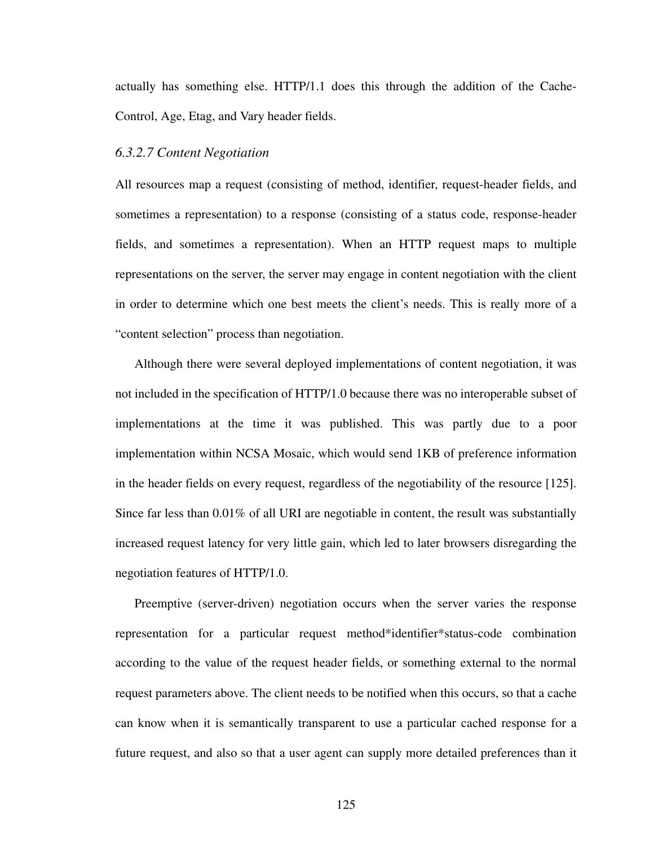actually has something else. HTTP/1.1 does this through the addition of the Cache-Control, Age, Etag, and Vary header fields.

#### *6.3.2.7 Content Negotiation*

All resources map a request (consisting of method, identifier, request-header fields, and sometimes a representation) to a response (consisting of a status code, response-header fields, and sometimes a representation). When an HTTP request maps to multiple representations on the server, the server may engage in content negotiation with the client in order to determine which one best meets the client's needs. This is really more of a "content selection" process than negotiation.

Although there were several deployed implementations of content negotiation, it was not included in the specification of HTTP/1.0 because there was no interoperable subset of implementations at the time it was published. This was partly due to a poor implementation within NCSA Mosaic, which would send 1KB of preference information in the header fields on every request, regardless of the negotiability of the resource [[125\]](#page-178-1). Since far less than 0.01% of all URI are negotiable in content, the result was substantially increased request latency for very little gain, which led to later browsers disregarding the negotiation features of HTTP/1.0.

Preemptive (server-driven) negotiation occurs when the server varies the response representation for a particular request method\*identifier\*status-code combination according to the value of the request header fields, or something external to the normal request parameters above. The client needs to be notified when this occurs, so that a cache can know when it is semantically transparent to use a particular cached response for a future request, and also so that a user agent can supply more detailed preferences than it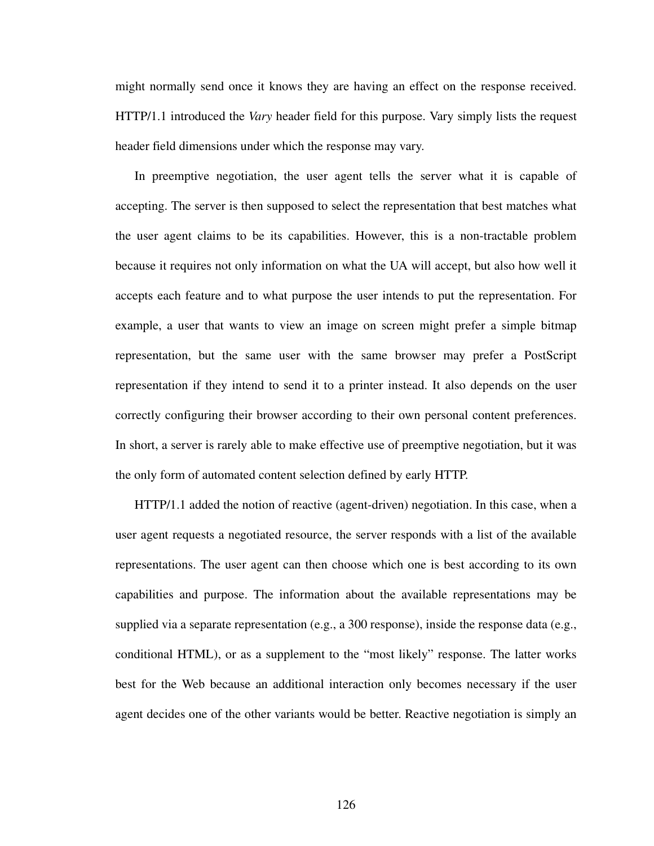might normally send once it knows they are having an effect on the response received. HTTP/1.1 introduced the *Vary* header field for this purpose. Vary simply lists the request header field dimensions under which the response may vary.

In preemptive negotiation, the user agent tells the server what it is capable of accepting. The server is then supposed to select the representation that best matches what the user agent claims to be its capabilities. However, this is a non-tractable problem because it requires not only information on what the UA will accept, but also how well it accepts each feature and to what purpose the user intends to put the representation. For example, a user that wants to view an image on screen might prefer a simple bitmap representation, but the same user with the same browser may prefer a PostScript representation if they intend to send it to a printer instead. It also depends on the user correctly configuring their browser according to their own personal content preferences. In short, a server is rarely able to make effective use of preemptive negotiation, but it was the only form of automated content selection defined by early HTTP.

HTTP/1.1 added the notion of reactive (agent-driven) negotiation. In this case, when a user agent requests a negotiated resource, the server responds with a list of the available representations. The user agent can then choose which one is best according to its own capabilities and purpose. The information about the available representations may be supplied via a separate representation (e.g., a 300 response), inside the response data (e.g., conditional HTML), or as a supplement to the "most likely" response. The latter works best for the Web because an additional interaction only becomes necessary if the user agent decides one of the other variants would be better. Reactive negotiation is simply an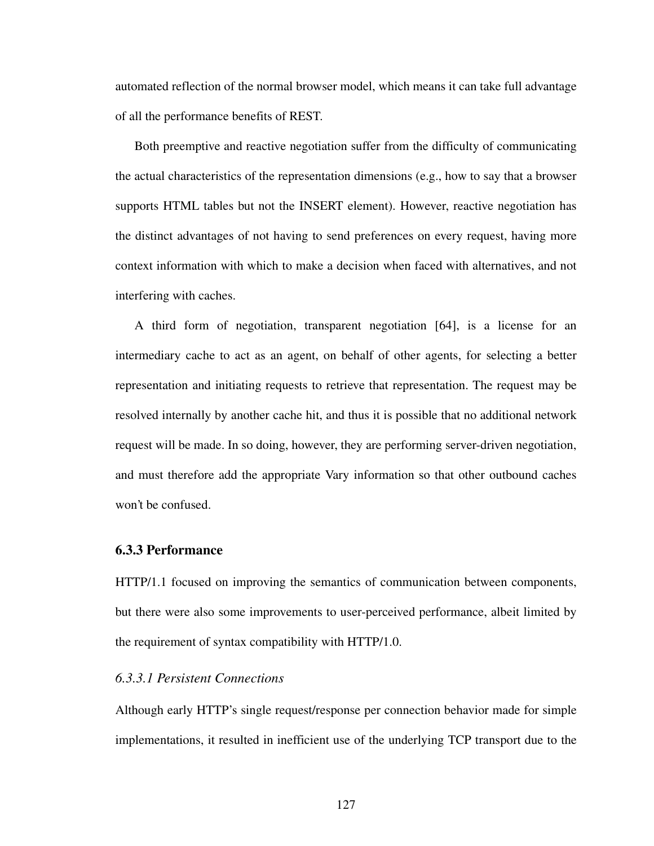automated reflection of the normal browser model, which means it can take full advantage of all the performance benefits of REST.

Both preemptive and reactive negotiation suffer from the difficulty of communicating the actual characteristics of the representation dimensions (e.g., how to say that a browser supports HTML tables but not the INSERT element). However, reactive negotiation has the distinct advantages of not having to send preferences on every request, having more context information with which to make a decision when faced with alternatives, and not interfering with caches.

A third form of negotiation, transparent negotiation [\[64](#page-174-0)], is a license for an intermediary cache to act as an agent, on behalf of other agents, for selecting a better representation and initiating requests to retrieve that representation. The request may be resolved internally by another cache hit, and thus it is possible that no additional network request will be made. In so doing, however, they are performing server-driven negotiation, and must therefore add the appropriate Vary information so that other outbound caches won't be confused.

#### **6.3.3 Performance**

HTTP/1.1 focused on improving the semantics of communication between components, but there were also some improvements to user-perceived performance, albeit limited by the requirement of syntax compatibility with HTTP/1.0.

#### *6.3.3.1 Persistent Connections*

Although early HTTP's single request/response per connection behavior made for simple implementations, it resulted in inefficient use of the underlying TCP transport due to the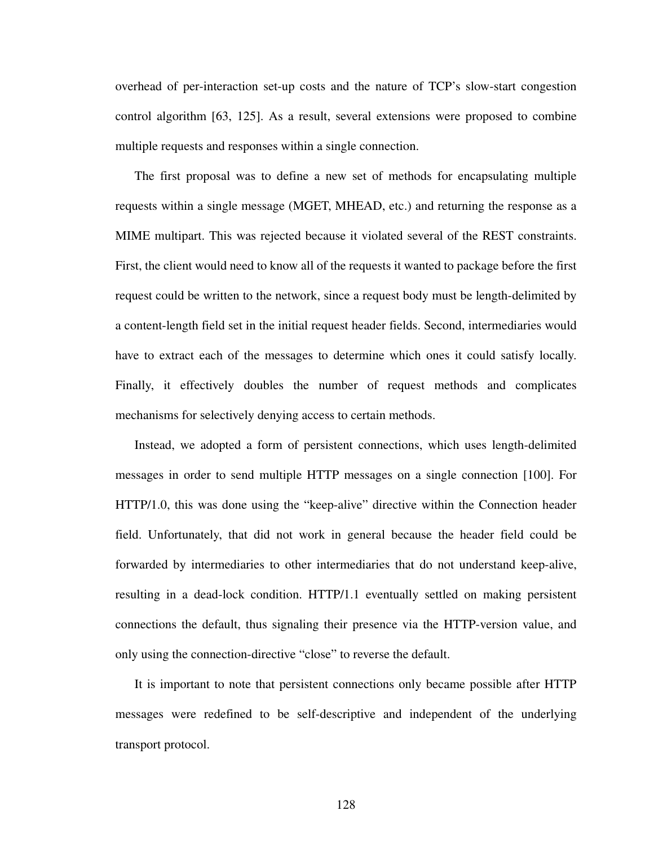overhead of per-interaction set-up costs and the nature of TCP's slow-start congestion control algorithm [\[63](#page-174-1), [125\]](#page-178-0). As a result, several extensions were proposed to combine multiple requests and responses within a single connection.

The first proposal was to define a new set of methods for encapsulating multiple requests within a single message (MGET, MHEAD, etc.) and returning the response as a MIME multipart. This was rejected because it violated several of the REST constraints. First, the client would need to know all of the requests it wanted to package before the first request could be written to the network, since a request body must be length-delimited by a content-length field set in the initial request header fields. Second, intermediaries would have to extract each of the messages to determine which ones it could satisfy locally. Finally, it effectively doubles the number of request methods and complicates mechanisms for selectively denying access to certain methods.

Instead, we adopted a form of persistent connections, which uses length-delimited messages in order to send multiple HTTP messages on a single connection [[100\]](#page-176-0). For HTTP/1.0, this was done using the "keep-alive" directive within the Connection header field. Unfortunately, that did not work in general because the header field could be forwarded by intermediaries to other intermediaries that do not understand keep-alive, resulting in a dead-lock condition. HTTP/1.1 eventually settled on making persistent connections the default, thus signaling their presence via the HTTP-version value, and only using the connection-directive "close" to reverse the default.

It is important to note that persistent connections only became possible after HTTP messages were redefined to be self-descriptive and independent of the underlying transport protocol.

128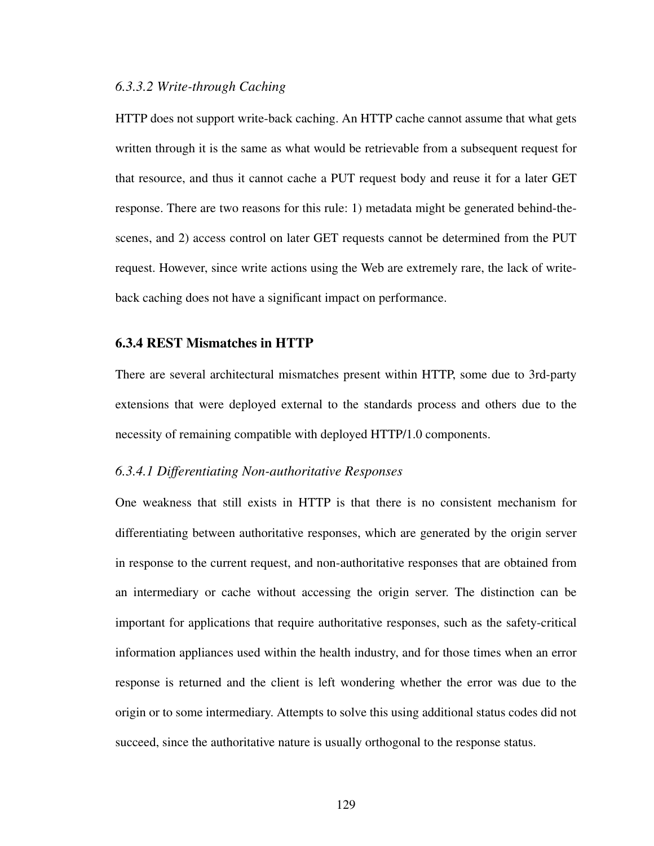#### *6.3.3.2 Write-through Caching*

HTTP does not support write-back caching. An HTTP cache cannot assume that what gets written through it is the same as what would be retrievable from a subsequent request for that resource, and thus it cannot cache a PUT request body and reuse it for a later GET response. There are two reasons for this rule: 1) metadata might be generated behind-thescenes, and 2) access control on later GET requests cannot be determined from the PUT request. However, since write actions using the Web are extremely rare, the lack of writeback caching does not have a significant impact on performance.

#### **6.3.4 REST Mismatches in HTTP**

There are several architectural mismatches present within HTTP, some due to 3rd-party extensions that were deployed external to the standards process and others due to the necessity of remaining compatible with deployed HTTP/1.0 components.

#### *6.3.4.1 Differentiating Non-authoritative Responses*

One weakness that still exists in HTTP is that there is no consistent mechanism for differentiating between authoritative responses, which are generated by the origin server in response to the current request, and non-authoritative responses that are obtained from an intermediary or cache without accessing the origin server. The distinction can be important for applications that require authoritative responses, such as the safety-critical information appliances used within the health industry, and for those times when an error response is returned and the client is left wondering whether the error was due to the origin or to some intermediary. Attempts to solve this using additional status codes did not succeed, since the authoritative nature is usually orthogonal to the response status.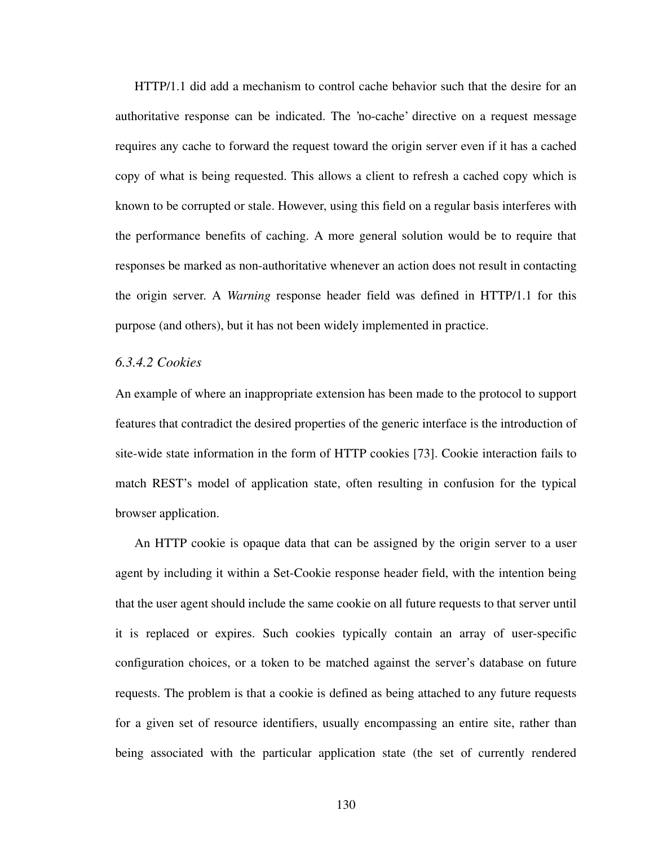HTTP/1.1 did add a mechanism to control cache behavior such that the desire for an authoritative response can be indicated. The 'no-cache' directive on a request message requires any cache to forward the request toward the origin server even if it has a cached copy of what is being requested. This allows a client to refresh a cached copy which is known to be corrupted or stale. However, using this field on a regular basis interferes with the performance benefits of caching. A more general solution would be to require that responses be marked as non-authoritative whenever an action does not result in contacting the origin server. A *Warning* response header field was defined in HTTP/1.1 for this purpose (and others), but it has not been widely implemented in practice.

#### *6.3.4.2 Cookies*

An example of where an inappropriate extension has been made to the protocol to support features that contradict the desired properties of the generic interface is the introduction of site-wide state information in the form of HTTP cookies [[73\]](#page-174-2). Cookie interaction fails to match REST's model of application state, often resulting in confusion for the typical browser application.

An HTTP cookie is opaque data that can be assigned by the origin server to a user agent by including it within a Set-Cookie response header field, with the intention being that the user agent should include the same cookie on all future requests to that server until it is replaced or expires. Such cookies typically contain an array of user-specific configuration choices, or a token to be matched against the server's database on future requests. The problem is that a cookie is defined as being attached to any future requests for a given set of resource identifiers, usually encompassing an entire site, rather than being associated with the particular application state (the set of currently rendered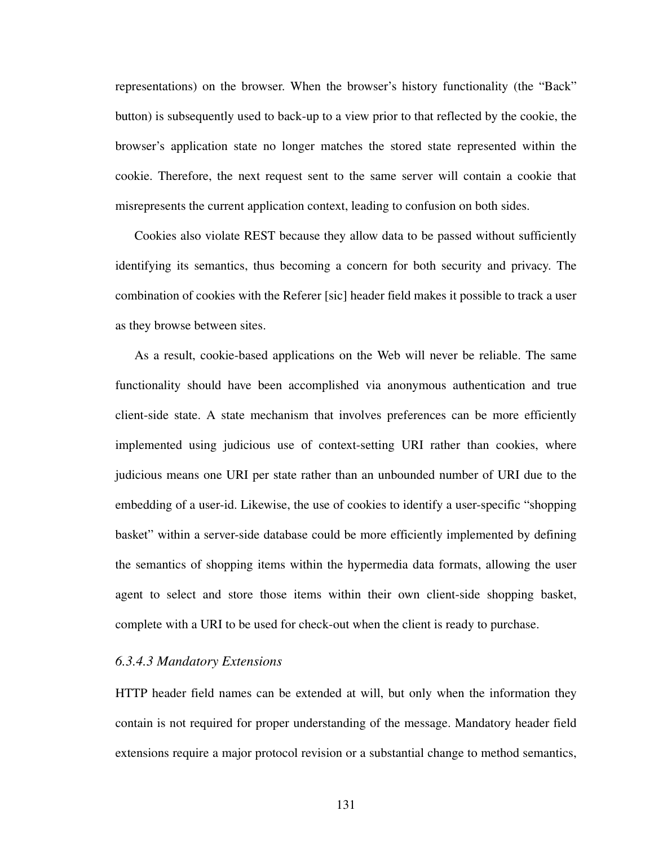representations) on the browser. When the browser's history functionality (the "Back" button) is subsequently used to back-up to a view prior to that reflected by the cookie, the browser's application state no longer matches the stored state represented within the cookie. Therefore, the next request sent to the same server will contain a cookie that misrepresents the current application context, leading to confusion on both sides.

Cookies also violate REST because they allow data to be passed without sufficiently identifying its semantics, thus becoming a concern for both security and privacy. The combination of cookies with the Referer [sic] header field makes it possible to track a user as they browse between sites.

As a result, cookie-based applications on the Web will never be reliable. The same functionality should have been accomplished via anonymous authentication and true client-side state. A state mechanism that involves preferences can be more efficiently implemented using judicious use of context-setting URI rather than cookies, where judicious means one URI per state rather than an unbounded number of URI due to the embedding of a user-id. Likewise, the use of cookies to identify a user-specific "shopping basket" within a server-side database could be more efficiently implemented by defining the semantics of shopping items within the hypermedia data formats, allowing the user agent to select and store those items within their own client-side shopping basket, complete with a URI to be used for check-out when the client is ready to purchase.

#### *6.3.4.3 Mandatory Extensions*

HTTP header field names can be extended at will, but only when the information they contain is not required for proper understanding of the message. Mandatory header field extensions require a major protocol revision or a substantial change to method semantics,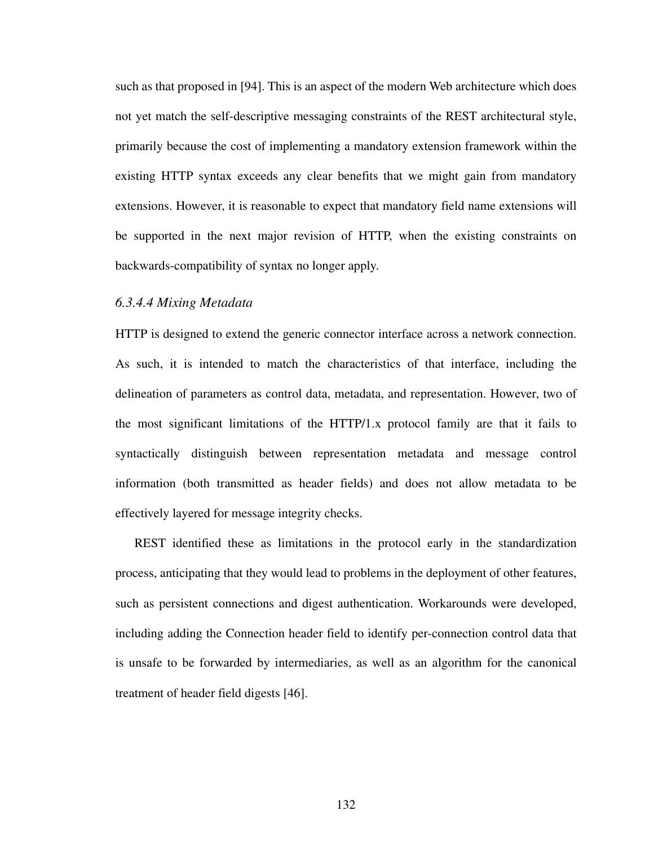such as that proposed in [\[94](#page-176-1)]. This is an aspect of the modern Web architecture which does not yet match the self-descriptive messaging constraints of the REST architectural style, primarily because the cost of implementing a mandatory extension framework within the existing HTTP syntax exceeds any clear benefits that we might gain from mandatory extensions. However, it is reasonable to expect that mandatory field name extensions will be supported in the next major revision of HTTP, when the existing constraints on backwards-compatibility of syntax no longer apply.

#### *6.3.4.4 Mixing Metadata*

HTTP is designed to extend the generic connector interface across a network connection. As such, it is intended to match the characteristics of that interface, including the delineation of parameters as control data, metadata, and representation. However, two of the most significant limitations of the HTTP/1.x protocol family are that it fails to syntactically distinguish between representation metadata and message control information (both transmitted as header fields) and does not allow metadata to be effectively layered for message integrity checks.

REST identified these as limitations in the protocol early in the standardization process, anticipating that they would lead to problems in the deployment of other features, such as persistent connections and digest authentication. Workarounds were developed, including adding the Connection header field to identify per-connection control data that is unsafe to be forwarded by intermediaries, as well as an algorithm for the canonical treatment of header field digests [\[46](#page-172-0)].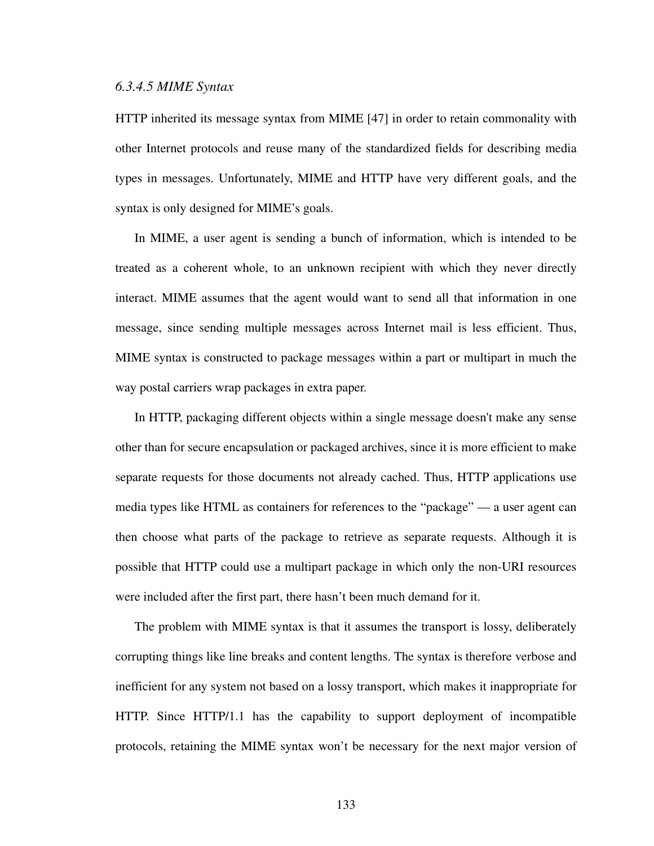#### *6.3.4.5 MIME Syntax*

HTTP inherited its message syntax from MIME [[47\]](#page-172-1) in order to retain commonality with other Internet protocols and reuse many of the standardized fields for describing media types in messages. Unfortunately, MIME and HTTP have very different goals, and the syntax is only designed for MIME's goals.

In MIME, a user agent is sending a bunch of information, which is intended to be treated as a coherent whole, to an unknown recipient with which they never directly interact. MIME assumes that the agent would want to send all that information in one message, since sending multiple messages across Internet mail is less efficient. Thus, MIME syntax is constructed to package messages within a part or multipart in much the way postal carriers wrap packages in extra paper.

In HTTP, packaging different objects within a single message doesn't make any sense other than for secure encapsulation or packaged archives, since it is more efficient to make separate requests for those documents not already cached. Thus, HTTP applications use media types like HTML as containers for references to the "package" — a user agent can then choose what parts of the package to retrieve as separate requests. Although it is possible that HTTP could use a multipart package in which only the non-URI resources were included after the first part, there hasn't been much demand for it.

The problem with MIME syntax is that it assumes the transport is lossy, deliberately corrupting things like line breaks and content lengths. The syntax is therefore verbose and inefficient for any system not based on a lossy transport, which makes it inappropriate for HTTP. Since HTTP/1.1 has the capability to support deployment of incompatible protocols, retaining the MIME syntax won't be necessary for the next major version of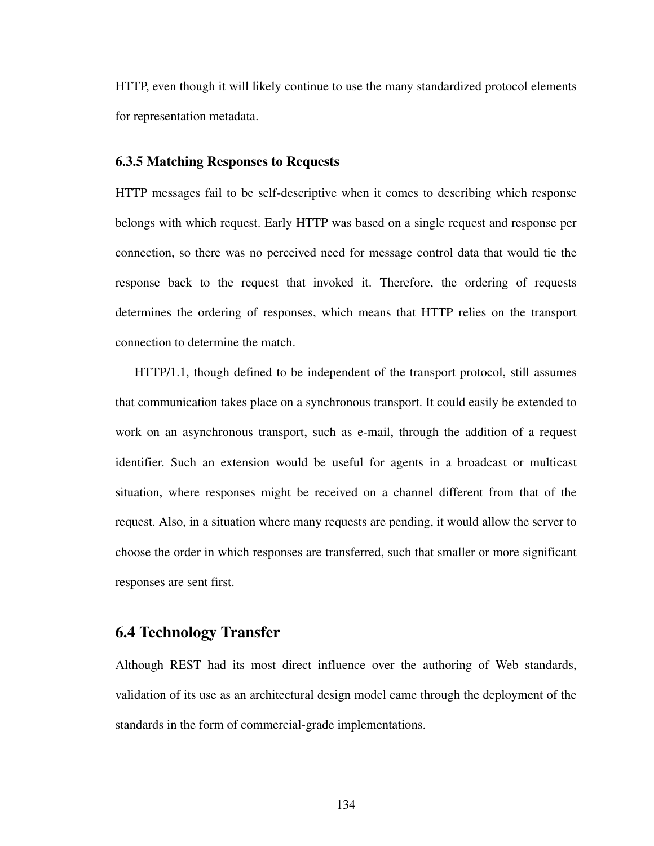HTTP, even though it will likely continue to use the many standardized protocol elements for representation metadata.

#### **6.3.5 Matching Responses to Requests**

HTTP messages fail to be self-descriptive when it comes to describing which response belongs with which request. Early HTTP was based on a single request and response per connection, so there was no perceived need for message control data that would tie the response back to the request that invoked it. Therefore, the ordering of requests determines the ordering of responses, which means that HTTP relies on the transport connection to determine the match.

HTTP/1.1, though defined to be independent of the transport protocol, still assumes that communication takes place on a synchronous transport. It could easily be extended to work on an asynchronous transport, such as e-mail, through the addition of a request identifier. Such an extension would be useful for agents in a broadcast or multicast situation, where responses might be received on a channel different from that of the request. Also, in a situation where many requests are pending, it would allow the server to choose the order in which responses are transferred, such that smaller or more significant responses are sent first.

### **6.4 Technology Transfer**

Although REST had its most direct influence over the authoring of Web standards, validation of its use as an architectural design model came through the deployment of the standards in the form of commercial-grade implementations.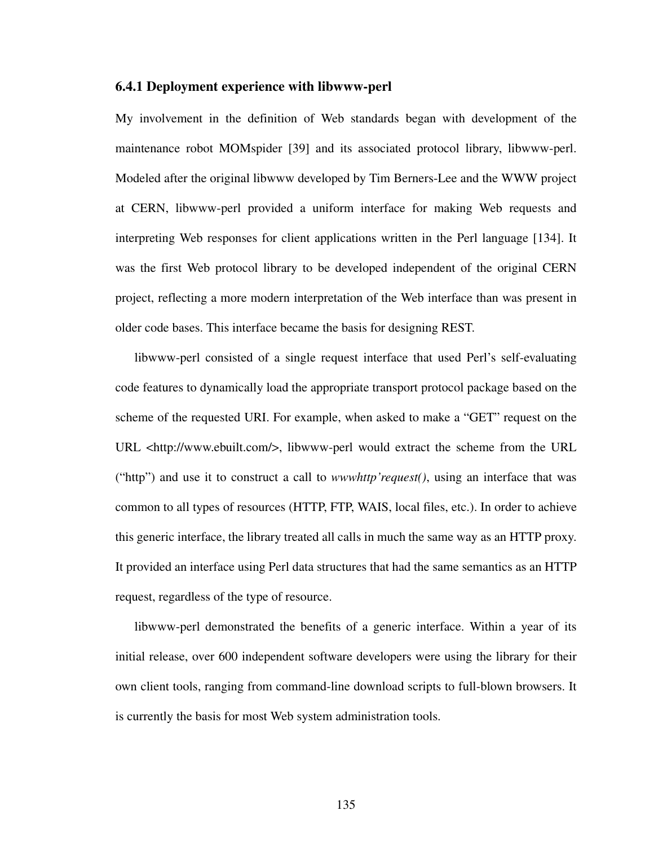#### **6.4.1 Deployment experience with libwww-perl**

My involvement in the definition of Web standards began with development of the maintenance robot MOMspider [\[39](#page-172-2)] and its associated protocol library, libwww-perl. Modeled after the original libwww developed by Tim Berners-Lee and the WWW project at CERN, libwww-perl provided a uniform interface for making Web requests and interpreting Web responses for client applications written in the Perl language [\[134](#page-179-0)]. It was the first Web protocol library to be developed independent of the original CERN project, reflecting a more modern interpretation of the Web interface than was present in older code bases. This interface became the basis for designing REST.

libwww-perl consisted of a single request interface that used Perl's self-evaluating code features to dynamically load the appropriate transport protocol package based on the scheme of the requested URI. For example, when asked to make a "GET" request on the URL <http://www.ebuilt.com/>, libwww-perl would extract the scheme from the URL ("http") and use it to construct a call to *wwwhttp'request()*, using an interface that was common to all types of resources (HTTP, FTP, WAIS, local files, etc.). In order to achieve this generic interface, the library treated all calls in much the same way as an HTTP proxy. It provided an interface using Perl data structures that had the same semantics as an HTTP request, regardless of the type of resource.

libwww-perl demonstrated the benefits of a generic interface. Within a year of its initial release, over 600 independent software developers were using the library for their own client tools, ranging from command-line download scripts to full-blown browsers. It is currently the basis for most Web system administration tools.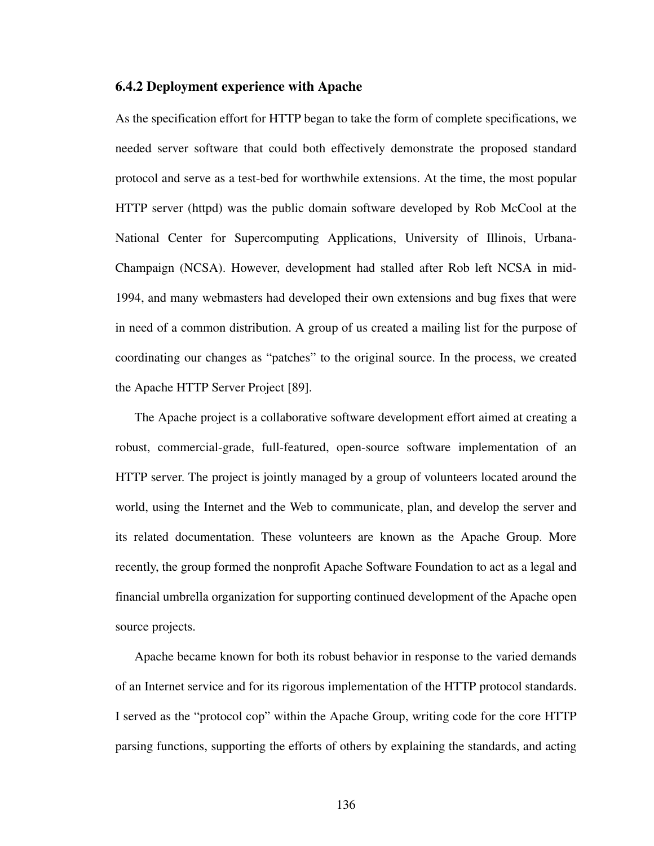#### **6.4.2 Deployment experience with Apache**

As the specification effort for HTTP began to take the form of complete specifications, we needed server software that could both effectively demonstrate the proposed standard protocol and serve as a test-bed for worthwhile extensions. At the time, the most popular HTTP server (httpd) was the public domain software developed by Rob McCool at the National Center for Supercomputing Applications, University of Illinois, Urbana-Champaign (NCSA). However, development had stalled after Rob left NCSA in mid-1994, and many webmasters had developed their own extensions and bug fixes that were in need of a common distribution. A group of us created a mailing list for the purpose of coordinating our changes as "patches" to the original source. In the process, we created the Apache HTTP Server Project [\[89](#page-176-2)].

The Apache project is a collaborative software development effort aimed at creating a robust, commercial-grade, full-featured, open-source software implementation of an HTTP server. The project is jointly managed by a group of volunteers located around the world, using the Internet and the Web to communicate, plan, and develop the server and its related documentation. These volunteers are known as the Apache Group. More recently, the group formed the nonprofit Apache Software Foundation to act as a legal and financial umbrella organization for supporting continued development of the Apache open source projects.

Apache became known for both its robust behavior in response to the varied demands of an Internet service and for its rigorous implementation of the HTTP protocol standards. I served as the "protocol cop" within the Apache Group, writing code for the core HTTP parsing functions, supporting the efforts of others by explaining the standards, and acting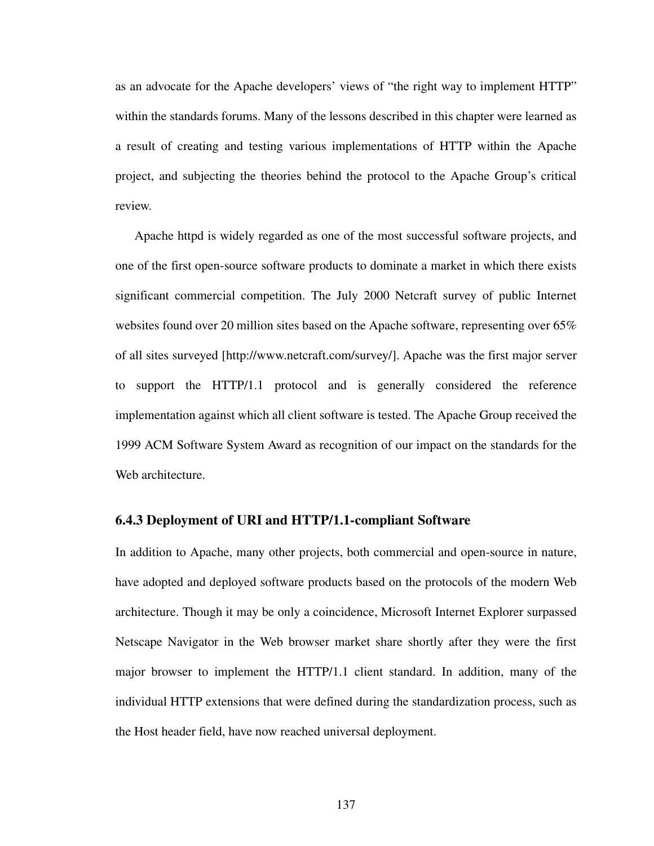as an advocate for the Apache developers' views of "the right way to implement HTTP" within the standards forums. Many of the lessons described in this chapter were learned as a result of creating and testing various implementations of HTTP within the Apache project, and subjecting the theories behind the protocol to the Apache Group's critical review.

Apache httpd is widely regarded as one of the most successful software projects, and one of the first open-source software products to dominate a market in which there exists significant commercial competition. The July 2000 Netcraft survey of public Internet websites found over 20 million sites based on the Apache software, representing over 65% of all sites surveyed [http://www.netcraft.com/survey/]. Apache was the first major server to support the HTTP/1.1 protocol and is generally considered the reference implementation against which all client software is tested. The Apache Group received the 1999 ACM Software System Award as recognition of our impact on the standards for the Web architecture.

#### **6.4.3 Deployment of URI and HTTP/1.1-compliant Software**

In addition to Apache, many other projects, both commercial and open-source in nature, have adopted and deployed software products based on the protocols of the modern Web architecture. Though it may be only a coincidence, Microsoft Internet Explorer surpassed Netscape Navigator in the Web browser market share shortly after they were the first major browser to implement the HTTP/1.1 client standard. In addition, many of the individual HTTP extensions that were defined during the standardization process, such as the Host header field, have now reached universal deployment.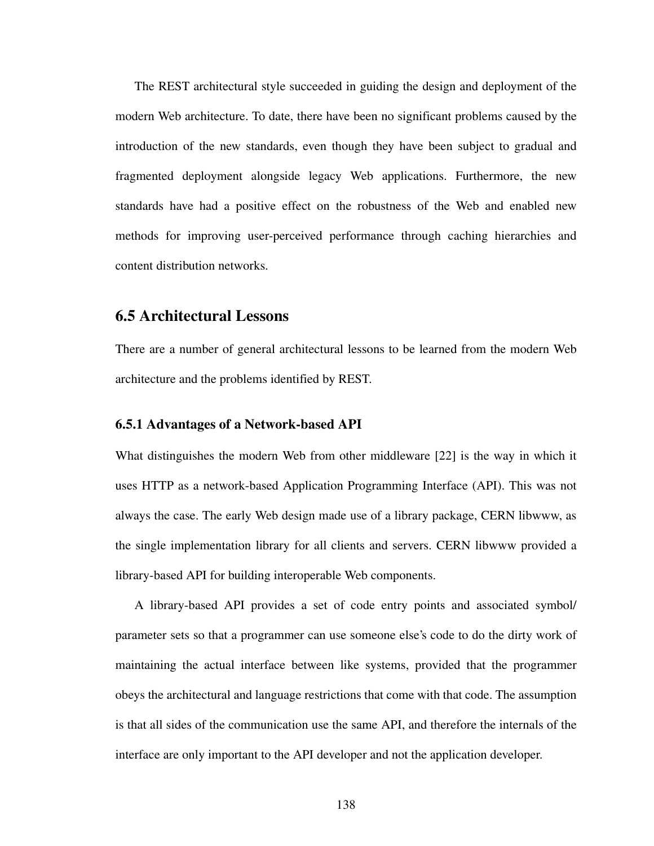The REST architectural style succeeded in guiding the design and deployment of the modern Web architecture. To date, there have been no significant problems caused by the introduction of the new standards, even though they have been subject to gradual and fragmented deployment alongside legacy Web applications. Furthermore, the new standards have had a positive effect on the robustness of the Web and enabled new methods for improving user-perceived performance through caching hierarchies and content distribution networks.

### **6.5 Architectural Lessons**

There are a number of general architectural lessons to be learned from the modern Web architecture and the problems identified by REST.

#### **6.5.1 Advantages of a Network-based API**

What distinguishes the modern Web from other middleware [\[22](#page-170-0)] is the way in which it uses HTTP as a network-based Application Programming Interface (API). This was not always the case. The early Web design made use of a library package, CERN libwww, as the single implementation library for all clients and servers. CERN libwww provided a library-based API for building interoperable Web components.

A library-based API provides a set of code entry points and associated symbol/ parameter sets so that a programmer can use someone else's code to do the dirty work of maintaining the actual interface between like systems, provided that the programmer obeys the architectural and language restrictions that come with that code. The assumption is that all sides of the communication use the same API, and therefore the internals of the interface are only important to the API developer and not the application developer.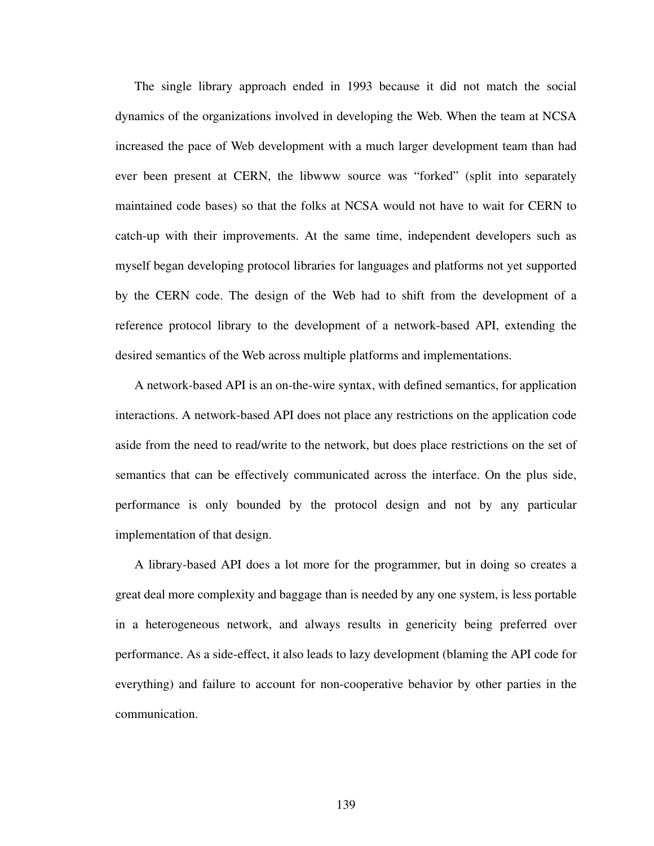The single library approach ended in 1993 because it did not match the social dynamics of the organizations involved in developing the Web. When the team at NCSA increased the pace of Web development with a much larger development team than had ever been present at CERN, the libwww source was "forked" (split into separately maintained code bases) so that the folks at NCSA would not have to wait for CERN to catch-up with their improvements. At the same time, independent developers such as myself began developing protocol libraries for languages and platforms not yet supported by the CERN code. The design of the Web had to shift from the development of a reference protocol library to the development of a network-based API, extending the desired semantics of the Web across multiple platforms and implementations.

A network-based API is an on-the-wire syntax, with defined semantics, for application interactions. A network-based API does not place any restrictions on the application code aside from the need to read/write to the network, but does place restrictions on the set of semantics that can be effectively communicated across the interface. On the plus side, performance is only bounded by the protocol design and not by any particular implementation of that design.

A library-based API does a lot more for the programmer, but in doing so creates a great deal more complexity and baggage than is needed by any one system, is less portable in a heterogeneous network, and always results in genericity being preferred over performance. As a side-effect, it also leads to lazy development (blaming the API code for everything) and failure to account for non-cooperative behavior by other parties in the communication.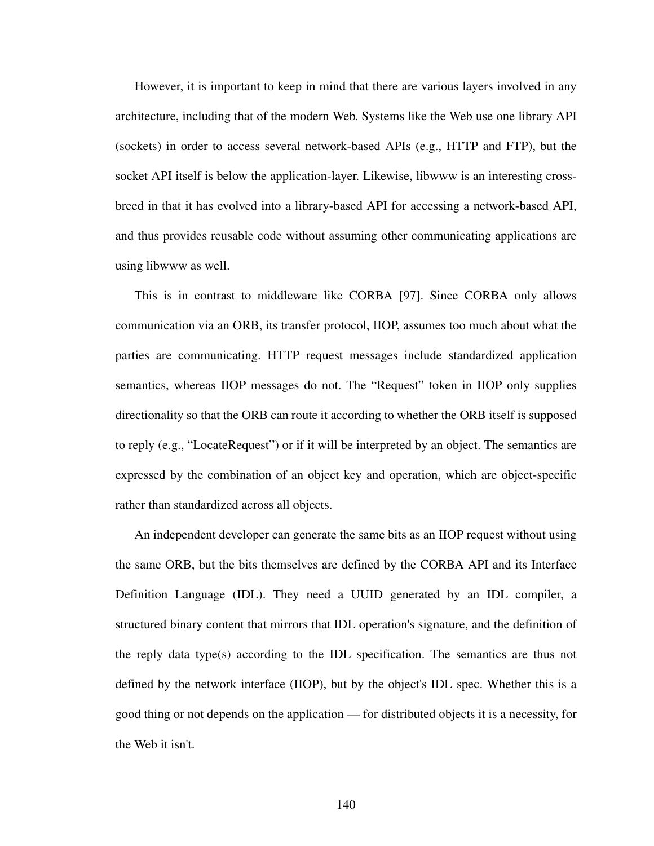However, it is important to keep in mind that there are various layers involved in any architecture, including that of the modern Web. Systems like the Web use one library API (sockets) in order to access several network-based APIs (e.g., HTTP and FTP), but the socket API itself is below the application-layer. Likewise, libwww is an interesting crossbreed in that it has evolved into a library-based API for accessing a network-based API, and thus provides reusable code without assuming other communicating applications are using libwww as well.

This is in contrast to middleware like CORBA [[97\]](#page-176-3). Since CORBA only allows communication via an ORB, its transfer protocol, IIOP, assumes too much about what the parties are communicating. HTTP request messages include standardized application semantics, whereas IIOP messages do not. The "Request" token in IIOP only supplies directionality so that the ORB can route it according to whether the ORB itself is supposed to reply (e.g., "LocateRequest") or if it will be interpreted by an object. The semantics are expressed by the combination of an object key and operation, which are object-specific rather than standardized across all objects.

An independent developer can generate the same bits as an IIOP request without using the same ORB, but the bits themselves are defined by the CORBA API and its Interface Definition Language (IDL). They need a UUID generated by an IDL compiler, a structured binary content that mirrors that IDL operation's signature, and the definition of the reply data type(s) according to the IDL specification. The semantics are thus not defined by the network interface (IIOP), but by the object's IDL spec. Whether this is a good thing or not depends on the application — for distributed objects it is a necessity, for the Web it isn't.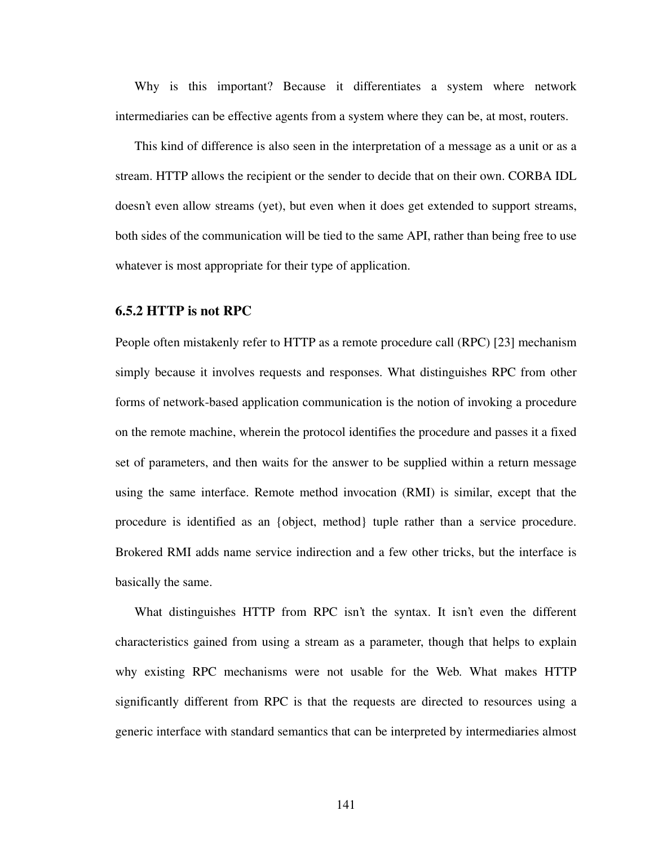Why is this important? Because it differentiates a system where network intermediaries can be effective agents from a system where they can be, at most, routers.

This kind of difference is also seen in the interpretation of a message as a unit or as a stream. HTTP allows the recipient or the sender to decide that on their own. CORBA IDL doesn't even allow streams (yet), but even when it does get extended to support streams, both sides of the communication will be tied to the same API, rather than being free to use whatever is most appropriate for their type of application.

#### **6.5.2 HTTP is not RPC**

People often mistakenly refer to HTTP as a remote procedure call (RPC) [\[23](#page-170-1)] mechanism simply because it involves requests and responses. What distinguishes RPC from other forms of network-based application communication is the notion of invoking a procedure on the remote machine, wherein the protocol identifies the procedure and passes it a fixed set of parameters, and then waits for the answer to be supplied within a return message using the same interface. Remote method invocation (RMI) is similar, except that the procedure is identified as an {object, method} tuple rather than a service procedure. Brokered RMI adds name service indirection and a few other tricks, but the interface is basically the same.

What distinguishes HTTP from RPC isn't the syntax. It isn't even the different characteristics gained from using a stream as a parameter, though that helps to explain why existing RPC mechanisms were not usable for the Web. What makes HTTP significantly different from RPC is that the requests are directed to resources using a generic interface with standard semantics that can be interpreted by intermediaries almost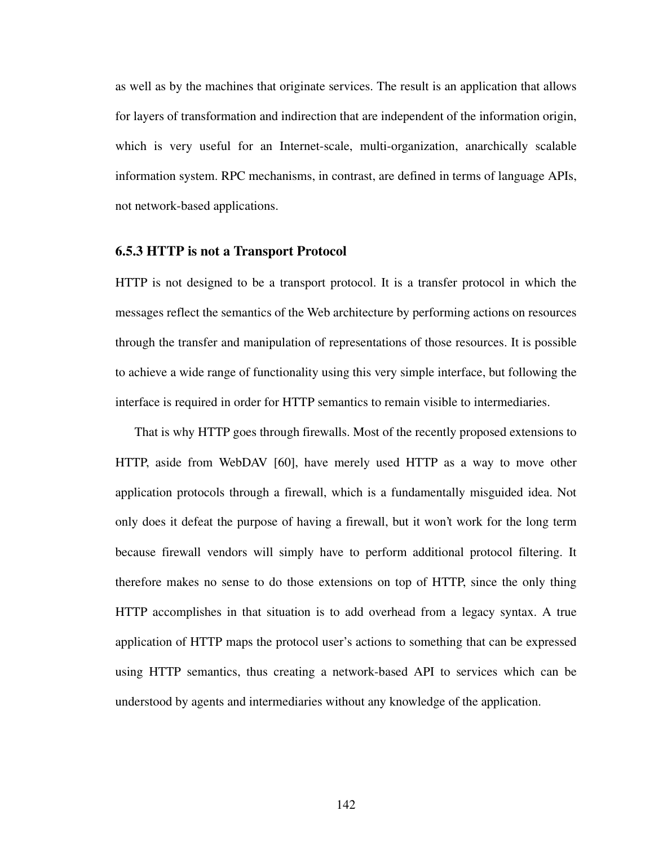as well as by the machines that originate services. The result is an application that allows for layers of transformation and indirection that are independent of the information origin, which is very useful for an Internet-scale, multi-organization, anarchically scalable information system. RPC mechanisms, in contrast, are defined in terms of language APIs, not network-based applications.

#### **6.5.3 HTTP is not a Transport Protocol**

HTTP is not designed to be a transport protocol. It is a transfer protocol in which the messages reflect the semantics of the Web architecture by performing actions on resources through the transfer and manipulation of representations of those resources. It is possible to achieve a wide range of functionality using this very simple interface, but following the interface is required in order for HTTP semantics to remain visible to intermediaries.

That is why HTTP goes through firewalls. Most of the recently proposed extensions to HTTP, aside from WebDAV [\[60](#page-173-0)], have merely used HTTP as a way to move other application protocols through a firewall, which is a fundamentally misguided idea. Not only does it defeat the purpose of having a firewall, but it won't work for the long term because firewall vendors will simply have to perform additional protocol filtering. It therefore makes no sense to do those extensions on top of HTTP, since the only thing HTTP accomplishes in that situation is to add overhead from a legacy syntax. A true application of HTTP maps the protocol user's actions to something that can be expressed using HTTP semantics, thus creating a network-based API to services which can be understood by agents and intermediaries without any knowledge of the application.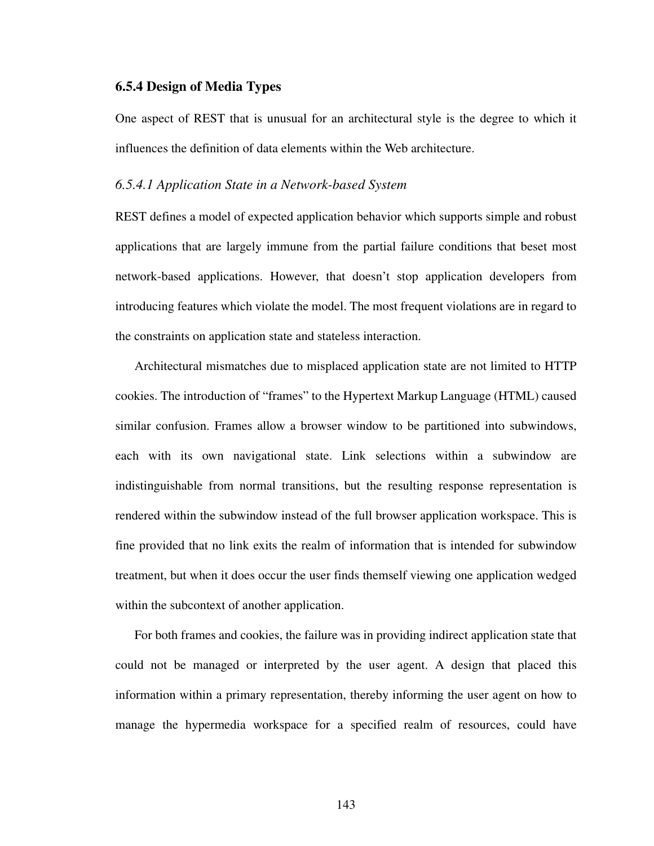#### **6.5.4 Design of Media Types**

One aspect of REST that is unusual for an architectural style is the degree to which it influences the definition of data elements within the Web architecture.

#### *6.5.4.1 Application State in a Network-based System*

REST defines a model of expected application behavior which supports simple and robust applications that are largely immune from the partial failure conditions that beset most network-based applications. However, that doesn't stop application developers from introducing features which violate the model. The most frequent violations are in regard to the constraints on application state and stateless interaction.

Architectural mismatches due to misplaced application state are not limited to HTTP cookies. The introduction of "frames" to the Hypertext Markup Language (HTML) caused similar confusion. Frames allow a browser window to be partitioned into subwindows, each with its own navigational state. Link selections within a subwindow are indistinguishable from normal transitions, but the resulting response representation is rendered within the subwindow instead of the full browser application workspace. This is fine provided that no link exits the realm of information that is intended for subwindow treatment, but when it does occur the user finds themself viewing one application wedged within the subcontext of another application.

For both frames and cookies, the failure was in providing indirect application state that could not be managed or interpreted by the user agent. A design that placed this information within a primary representation, thereby informing the user agent on how to manage the hypermedia workspace for a specified realm of resources, could have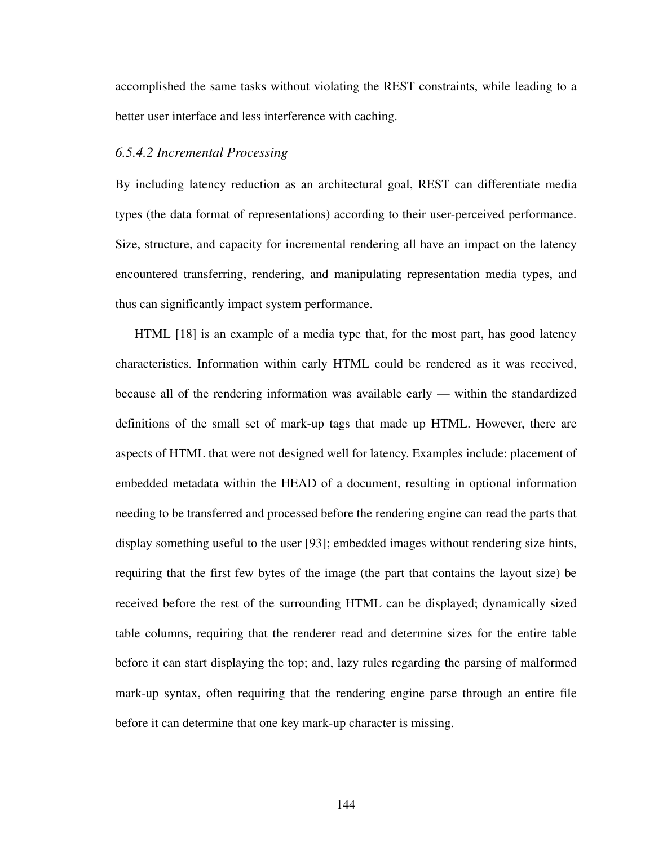accomplished the same tasks without violating the REST constraints, while leading to a better user interface and less interference with caching.

#### *6.5.4.2 Incremental Processing*

By including latency reduction as an architectural goal, REST can differentiate media types (the data format of representations) according to their user-perceived performance. Size, structure, and capacity for incremental rendering all have an impact on the latency encountered transferring, rendering, and manipulating representation media types, and thus can significantly impact system performance.

HTML [\[18](#page-170-2)] is an example of a media type that, for the most part, has good latency characteristics. Information within early HTML could be rendered as it was received, because all of the rendering information was available early — within the standardized definitions of the small set of mark-up tags that made up HTML. However, there are aspects of HTML that were not designed well for latency. Examples include: placement of embedded metadata within the HEAD of a document, resulting in optional information needing to be transferred and processed before the rendering engine can read the parts that display something useful to the user [[93\]](#page-176-4); embedded images without rendering size hints, requiring that the first few bytes of the image (the part that contains the layout size) be received before the rest of the surrounding HTML can be displayed; dynamically sized table columns, requiring that the renderer read and determine sizes for the entire table before it can start displaying the top; and, lazy rules regarding the parsing of malformed mark-up syntax, often requiring that the rendering engine parse through an entire file before it can determine that one key mark-up character is missing.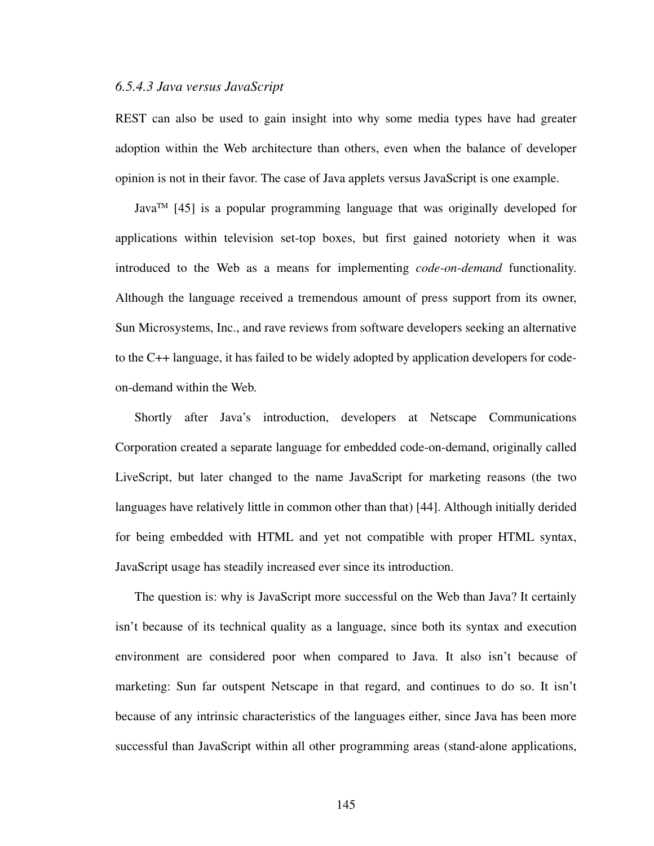#### *6.5.4.3 Java versus JavaScript*

REST can also be used to gain insight into why some media types have had greater adoption within the Web architecture than others, even when the balance of developer opinion is not in their favor. The case of Java applets versus JavaScript is one example.

Java<sup>TM</sup> [[45\]](#page-172-3) is a popular programming language that was originally developed for applications within television set-top boxes, but first gained notoriety when it was introduced to the Web as a means for implementing *code-on-demand* functionality. Although the language received a tremendous amount of press support from its owner, Sun Microsystems, Inc., and rave reviews from software developers seeking an alternative to the C++ language, it has failed to be widely adopted by application developers for codeon-demand within the Web.

Shortly after Java's introduction, developers at Netscape Communications Corporation created a separate language for embedded code-on-demand, originally called LiveScript, but later changed to the name JavaScript for marketing reasons (the two languages have relatively little in common other than that) [[44\]](#page-172-4). Although initially derided for being embedded with HTML and yet not compatible with proper HTML syntax, JavaScript usage has steadily increased ever since its introduction.

The question is: why is JavaScript more successful on the Web than Java? It certainly isn't because of its technical quality as a language, since both its syntax and execution environment are considered poor when compared to Java. It also isn't because of marketing: Sun far outspent Netscape in that regard, and continues to do so. It isn't because of any intrinsic characteristics of the languages either, since Java has been more successful than JavaScript within all other programming areas (stand-alone applications,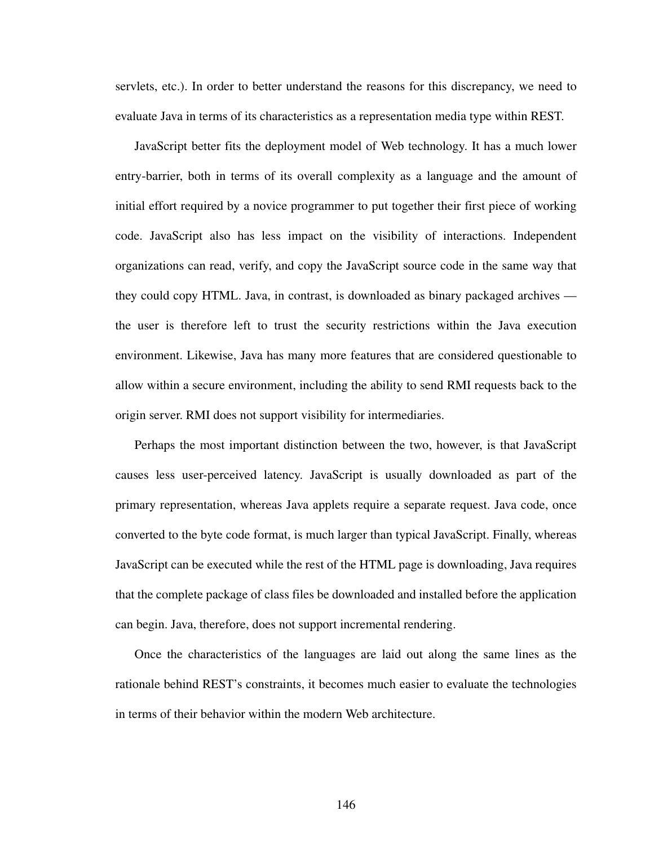servlets, etc.). In order to better understand the reasons for this discrepancy, we need to evaluate Java in terms of its characteristics as a representation media type within REST.

JavaScript better fits the deployment model of Web technology. It has a much lower entry-barrier, both in terms of its overall complexity as a language and the amount of initial effort required by a novice programmer to put together their first piece of working code. JavaScript also has less impact on the visibility of interactions. Independent organizations can read, verify, and copy the JavaScript source code in the same way that they could copy HTML. Java, in contrast, is downloaded as binary packaged archives the user is therefore left to trust the security restrictions within the Java execution environment. Likewise, Java has many more features that are considered questionable to allow within a secure environment, including the ability to send RMI requests back to the origin server. RMI does not support visibility for intermediaries.

Perhaps the most important distinction between the two, however, is that JavaScript causes less user-perceived latency. JavaScript is usually downloaded as part of the primary representation, whereas Java applets require a separate request. Java code, once converted to the byte code format, is much larger than typical JavaScript. Finally, whereas JavaScript can be executed while the rest of the HTML page is downloading, Java requires that the complete package of class files be downloaded and installed before the application can begin. Java, therefore, does not support incremental rendering.

Once the characteristics of the languages are laid out along the same lines as the rationale behind REST's constraints, it becomes much easier to evaluate the technologies in terms of their behavior within the modern Web architecture.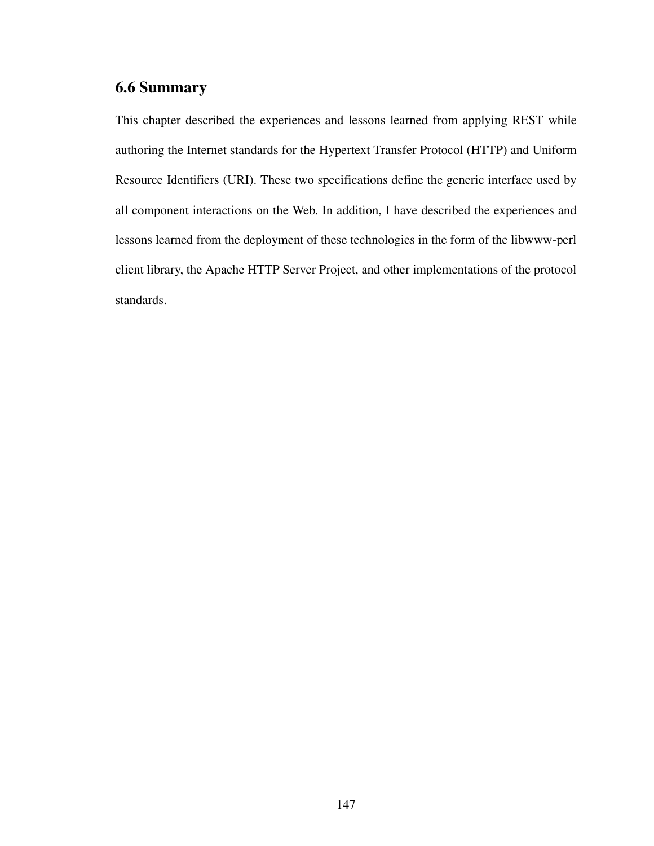## **6.6 Summary**

This chapter described the experiences and lessons learned from applying REST while authoring the Internet standards for the Hypertext Transfer Protocol (HTTP) and Uniform Resource Identifiers (URI). These two specifications define the generic interface used by all component interactions on the Web. In addition, I have described the experiences and lessons learned from the deployment of these technologies in the form of the libwww-perl client library, the Apache HTTP Server Project, and other implementations of the protocol standards.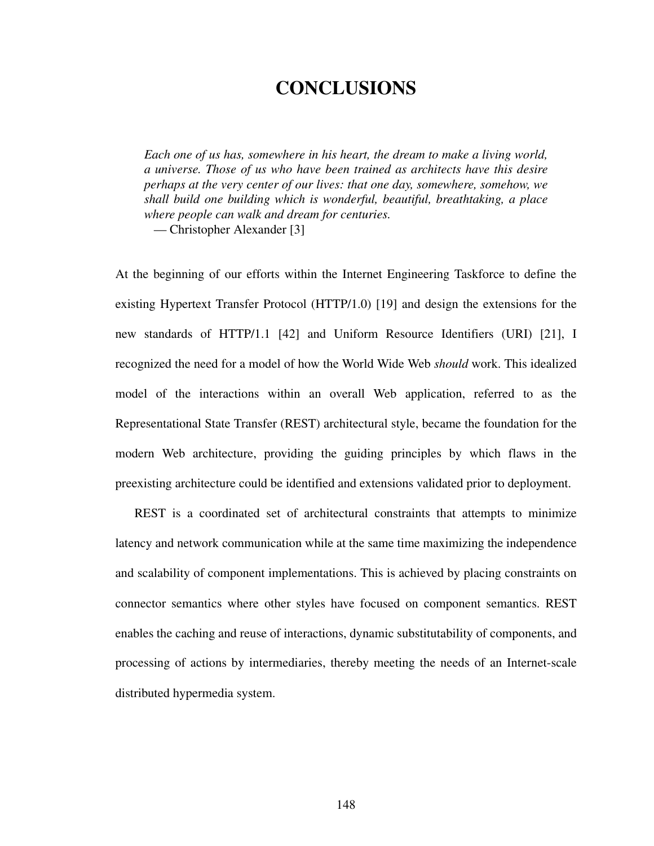# **CONCLUSIONS**

*Each one of us has, somewhere in his heart, the dream to make a living world, a universe. Those of us who have been trained as architects have this desire perhaps at the very center of our lives: that one day, somewhere, somehow, we shall build one building which is wonderful, beautiful, breathtaking, a place where people can walk and dream for centuries.*

— Christopher Alexander [\[3](#page-169-0)]

At the beginning of our efforts within the Internet Engineering Taskforce to define the existing Hypertext Transfer Protocol (HTTP/1.0) [\[19](#page-170-3)] and design the extensions for the new standards of HTTP/1.1 [[42\]](#page-172-5) and Uniform Resource Identifiers (URI) [[21\]](#page-170-4), I recognized the need for a model of how the World Wide Web *should* work. This idealized model of the interactions within an overall Web application, referred to as the Representational State Transfer (REST) architectural style, became the foundation for the modern Web architecture, providing the guiding principles by which flaws in the preexisting architecture could be identified and extensions validated prior to deployment.

REST is a coordinated set of architectural constraints that attempts to minimize latency and network communication while at the same time maximizing the independence and scalability of component implementations. This is achieved by placing constraints on connector semantics where other styles have focused on component semantics. REST enables the caching and reuse of interactions, dynamic substitutability of components, and processing of actions by intermediaries, thereby meeting the needs of an Internet-scale distributed hypermedia system.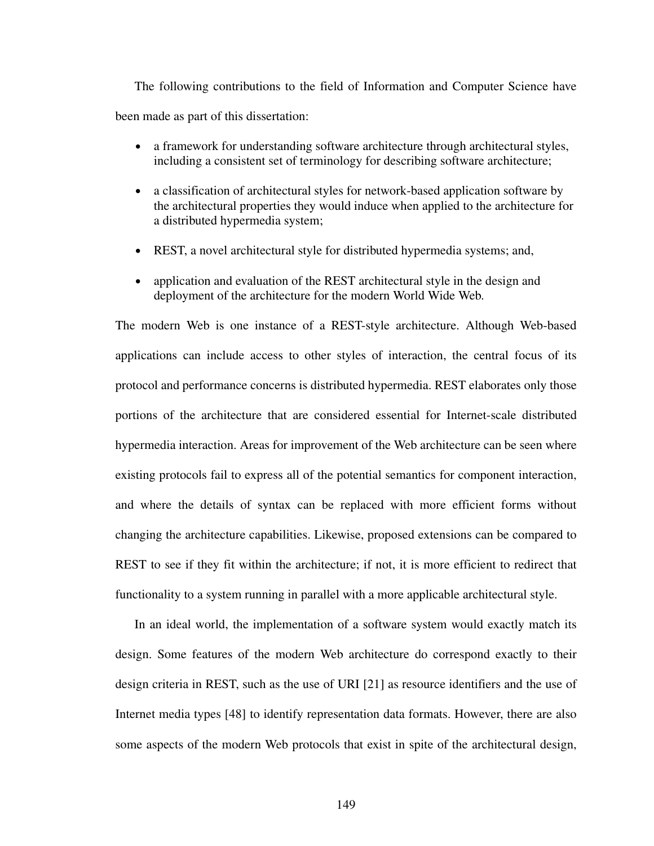The following contributions to the field of Information and Computer Science have been made as part of this dissertation:

- **•** a framework for understanding software architecture through architectural styles, including a consistent set of terminology for describing software architecture;
- **•** a classification of architectural styles for network-based application software by the architectural properties they would induce when applied to the architecture for a distributed hypermedia system;
- **•** REST, a novel architectural style for distributed hypermedia systems; and,
- application and evaluation of the REST architectural style in the design and deployment of the architecture for the modern World Wide Web.

The modern Web is one instance of a REST-style architecture. Although Web-based applications can include access to other styles of interaction, the central focus of its protocol and performance concerns is distributed hypermedia. REST elaborates only those portions of the architecture that are considered essential for Internet-scale distributed hypermedia interaction. Areas for improvement of the Web architecture can be seen where existing protocols fail to express all of the potential semantics for component interaction, and where the details of syntax can be replaced with more efficient forms without changing the architecture capabilities. Likewise, proposed extensions can be compared to REST to see if they fit within the architecture; if not, it is more efficient to redirect that functionality to a system running in parallel with a more applicable architectural style.

In an ideal world, the implementation of a software system would exactly match its design. Some features of the modern Web architecture do correspond exactly to their design criteria in REST, such as the use of URI [\[21](#page-170-4)] as resource identifiers and the use of Internet media types [\[48](#page-172-6)] to identify representation data formats. However, there are also some aspects of the modern Web protocols that exist in spite of the architectural design,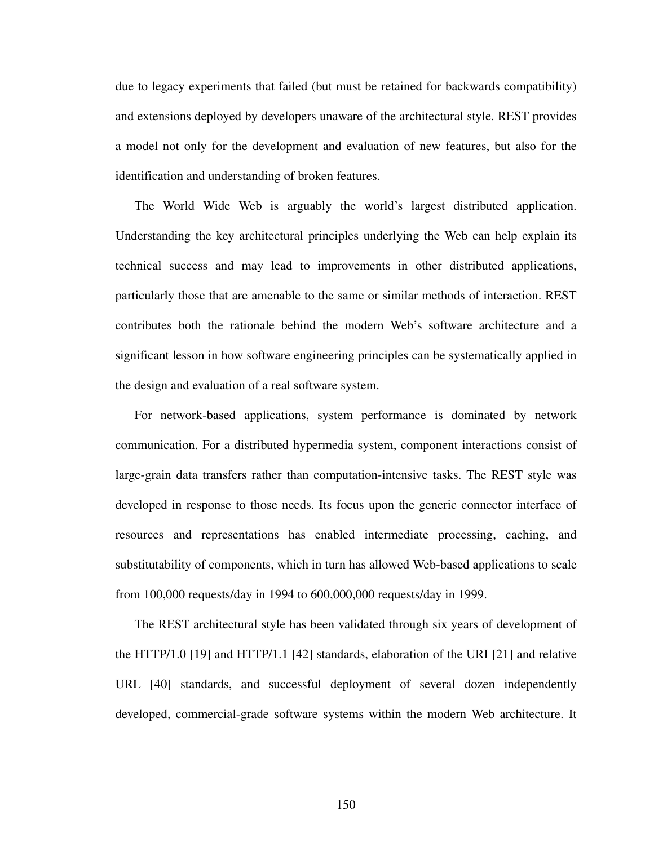due to legacy experiments that failed (but must be retained for backwards compatibility) and extensions deployed by developers unaware of the architectural style. REST provides a model not only for the development and evaluation of new features, but also for the identification and understanding of broken features.

The World Wide Web is arguably the world's largest distributed application. Understanding the key architectural principles underlying the Web can help explain its technical success and may lead to improvements in other distributed applications, particularly those that are amenable to the same or similar methods of interaction. REST contributes both the rationale behind the modern Web's software architecture and a significant lesson in how software engineering principles can be systematically applied in the design and evaluation of a real software system.

For network-based applications, system performance is dominated by network communication. For a distributed hypermedia system, component interactions consist of large-grain data transfers rather than computation-intensive tasks. The REST style was developed in response to those needs. Its focus upon the generic connector interface of resources and representations has enabled intermediate processing, caching, and substitutability of components, which in turn has allowed Web-based applications to scale from 100,000 requests/day in 1994 to 600,000,000 requests/day in 1999.

The REST architectural style has been validated through six years of development of the HTTP/1.0 [[19\]](#page-170-3) and HTTP/1.1 [\[42](#page-172-5)] standards, elaboration of the URI [[21\]](#page-170-4) and relative URL [[40\]](#page-172-7) standards, and successful deployment of several dozen independently developed, commercial-grade software systems within the modern Web architecture. It

150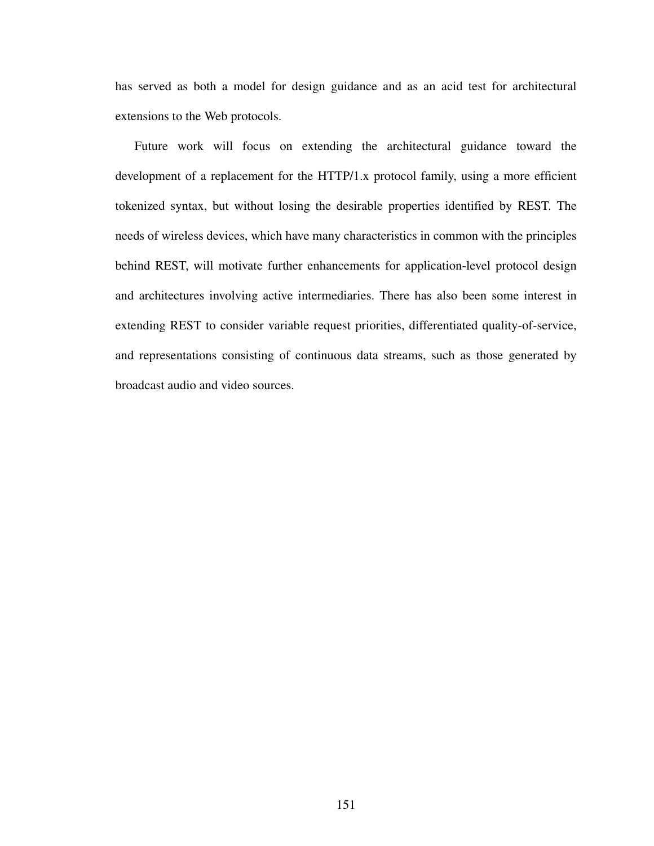has served as both a model for design guidance and as an acid test for architectural extensions to the Web protocols.

Future work will focus on extending the architectural guidance toward the development of a replacement for the HTTP/1.x protocol family, using a more efficient tokenized syntax, but without losing the desirable properties identified by REST. The needs of wireless devices, which have many characteristics in common with the principles behind REST, will motivate further enhancements for application-level protocol design and architectures involving active intermediaries. There has also been some interest in extending REST to consider variable request priorities, differentiated quality-of-service, and representations consisting of continuous data streams, such as those generated by broadcast audio and video sources.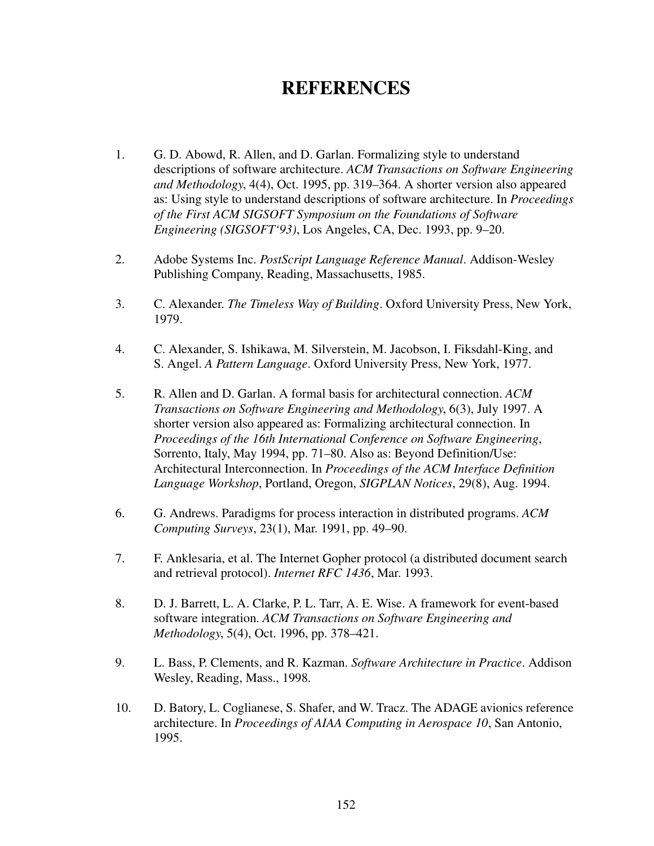# **REFERENCES**

- 1. G. D. Abowd, R. Allen, and D. Garlan. Formalizing style to understand descriptions of software architecture. *ACM Transactions on Software Engineering and Methodology*, 4(4), Oct. 1995, pp. 319–364. A shorter version also appeared as: Using style to understand descriptions of software architecture. In *Proceedings of the First ACM SIGSOFT Symposium on the Foundations of Software Engineering (SIGSOFT'93)*, Los Angeles, CA, Dec. 1993, pp. 9–20.
- 2. Adobe Systems Inc. *PostScript Language Reference Manual*. Addison-Wesley Publishing Company, Reading, Massachusetts, 1985.
- <span id="page-169-0"></span>3. C. Alexander. *The Timeless Way of Building*. Oxford University Press, New York, 1979.
- 4. C. Alexander, S. Ishikawa, M. Silverstein, M. Jacobson, I. Fiksdahl-King, and S. Angel. *A Pattern Language*. Oxford University Press, New York, 1977.
- 5. R. Allen and D. Garlan. A formal basis for architectural connection. *ACM Transactions on Software Engineering and Methodology*, 6(3), July 1997. A shorter version also appeared as: Formalizing architectural connection. In *Proceedings of the 16th International Conference on Software Engineering*, Sorrento, Italy, May 1994, pp. 71–80. Also as: Beyond Definition/Use: Architectural Interconnection. In *Proceedings of the ACM Interface Definition Language Workshop*, Portland, Oregon, *SIGPLAN Notices*, 29(8), Aug. 1994.
- 6. G. Andrews. Paradigms for process interaction in distributed programs. *ACM Computing Surveys*, 23(1), Mar. 1991, pp. 49–90.
- 7. F. Anklesaria, et al. The Internet Gopher protocol (a distributed document search and retrieval protocol). *Internet RFC 1436*, Mar. 1993.
- 8. D. J. Barrett, L. A. Clarke, P. L. Tarr, A. E. Wise. A framework for event-based software integration. *ACM Transactions on Software Engineering and Methodology*, 5(4), Oct. 1996, pp. 378–421.
- 9. L. Bass, P. Clements, and R. Kazman. *Software Architecture in Practice*. Addison Wesley, Reading, Mass., 1998.
- 10. D. Batory, L. Coglianese, S. Shafer, and W. Tracz. The ADAGE avionics reference architecture. In *Proceedings of AIAA Computing in Aerospace 10*, San Antonio, 1995.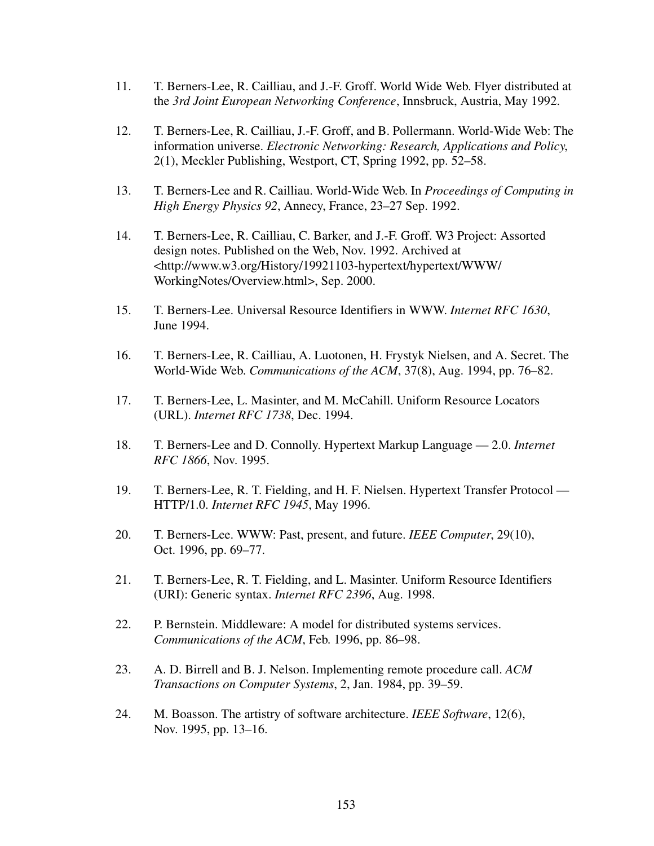- 11. T. Berners-Lee, R. Cailliau, and J.-F. Groff. World Wide Web. Flyer distributed at the *3rd Joint European Networking Conference*, Innsbruck, Austria, May 1992.
- 12. T. Berners-Lee, R. Cailliau, J.-F. Groff, and B. Pollermann. World-Wide Web: The information universe. *Electronic Networking: Research, Applications and Policy*, 2(1), Meckler Publishing, Westport, CT, Spring 1992, pp. 52–58.
- 13. T. Berners-Lee and R. Cailliau. World-Wide Web. In *Proceedings of Computing in High Energy Physics 92*, Annecy, France, 23–27 Sep. 1992.
- 14. T. Berners-Lee, R. Cailliau, C. Barker, and J.-F. Groff. W3 Project: Assorted design notes. Published on the Web, Nov. 1992. Archived at <http://www.w3.org/History/19921103-hypertext/hypertext/WWW/ WorkingNotes/Overview.html>, Sep. 2000.
- 15. T. Berners-Lee. Universal Resource Identifiers in WWW. *Internet RFC 1630*, June 1994.
- 16. T. Berners-Lee, R. Cailliau, A. Luotonen, H. Frystyk Nielsen, and A. Secret. The World-Wide Web. *Communications of the ACM*, 37(8), Aug. 1994, pp. 76–82.
- 17. T. Berners-Lee, L. Masinter, and M. McCahill. Uniform Resource Locators (URL). *Internet RFC 1738*, Dec. 1994.
- <span id="page-170-2"></span>18. T. Berners-Lee and D. Connolly. Hypertext Markup Language — 2.0. *Internet RFC 1866*, Nov. 1995.
- <span id="page-170-3"></span>19. T. Berners-Lee, R. T. Fielding, and H. F. Nielsen. Hypertext Transfer Protocol — HTTP/1.0. *Internet RFC 1945*, May 1996.
- 20. T. Berners-Lee. WWW: Past, present, and future. *IEEE Computer*, 29(10), Oct. 1996, pp. 69–77.
- <span id="page-170-4"></span>21. T. Berners-Lee, R. T. Fielding, and L. Masinter. Uniform Resource Identifiers (URI): Generic syntax. *Internet RFC 2396*, Aug. 1998.
- <span id="page-170-0"></span>22. P. Bernstein. Middleware: A model for distributed systems services. *Communications of the ACM*, Feb. 1996, pp. 86–98.
- <span id="page-170-1"></span>23. A. D. Birrell and B. J. Nelson. Implementing remote procedure call. *ACM Transactions on Computer Systems*, 2, Jan. 1984, pp. 39–59.
- 24. M. Boasson. The artistry of software architecture. *IEEE Software*, 12(6), Nov. 1995, pp. 13–16.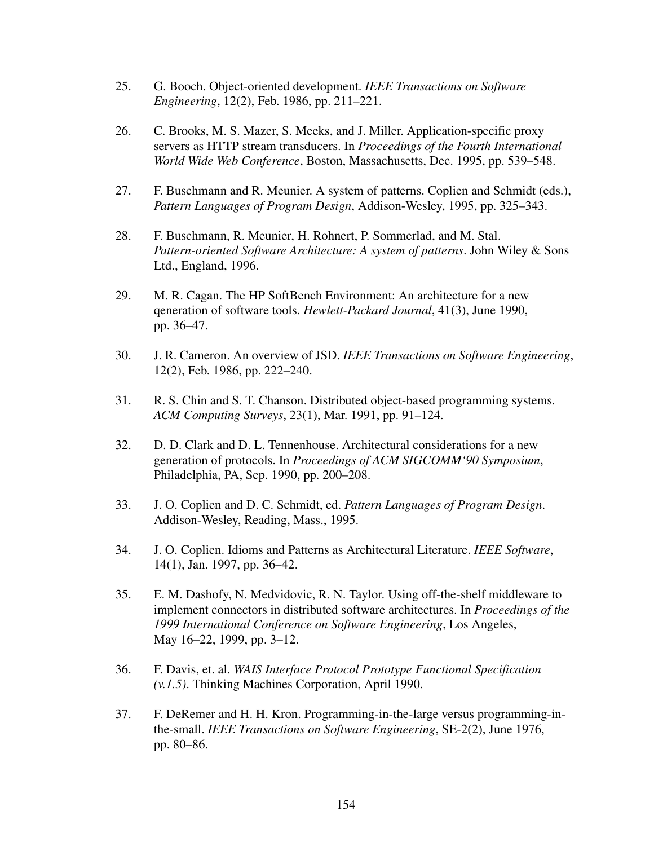- 25. G. Booch. Object-oriented development. *IEEE Transactions on Software Engineering*, 12(2), Feb. 1986, pp. 211–221.
- 26. C. Brooks, M. S. Mazer, S. Meeks, and J. Miller. Application-specific proxy servers as HTTP stream transducers. In *Proceedings of the Fourth International World Wide Web Conference*, Boston, Massachusetts, Dec. 1995, pp. 539–548.
- 27. F. Buschmann and R. Meunier. A system of patterns. Coplien and Schmidt (eds.), *Pattern Languages of Program Design*, Addison-Wesley, 1995, pp. 325–343.
- 28. F. Buschmann, R. Meunier, H. Rohnert, P. Sommerlad, and M. Stal. *Pattern-oriented Software Architecture: A system of patterns*. John Wiley & Sons Ltd., England, 1996.
- 29. M. R. Cagan. The HP SoftBench Environment: An architecture for a new qeneration of software tools. *Hewlett-Packard Journal*, 41(3), June 1990, pp. 36–47.
- 30. J. R. Cameron. An overview of JSD. *IEEE Transactions on Software Engineering*, 12(2), Feb. 1986, pp. 222–240.
- 31. R. S. Chin and S. T. Chanson. Distributed object-based programming systems. *ACM Computing Surveys*, 23(1), Mar. 1991, pp. 91–124.
- 32. D. D. Clark and D. L. Tennenhouse. Architectural considerations for a new generation of protocols. In *Proceedings of ACM SIGCOMM'90 Symposium*, Philadelphia, PA, Sep. 1990, pp. 200–208.
- 33. J. O. Coplien and D. C. Schmidt, ed. *Pattern Languages of Program Design*. Addison-Wesley, Reading, Mass., 1995.
- 34. J. O. Coplien. Idioms and Patterns as Architectural Literature. *IEEE Software*, 14(1), Jan. 1997, pp. 36–42.
- 35. E. M. Dashofy, N. Medvidovic, R. N. Taylor. Using off-the-shelf middleware to implement connectors in distributed software architectures. In *Proceedings of the 1999 International Conference on Software Engineering*, Los Angeles, May 16–22, 1999, pp. 3–12.
- 36. F. Davis, et. al. *WAIS Interface Protocol Prototype Functional Specification (v.1.5)*. Thinking Machines Corporation, April 1990.
- 37. F. DeRemer and H. H. Kron. Programming-in-the-large versus programming-inthe-small. *IEEE Transactions on Software Engineering*, SE-2(2), June 1976, pp. 80–86.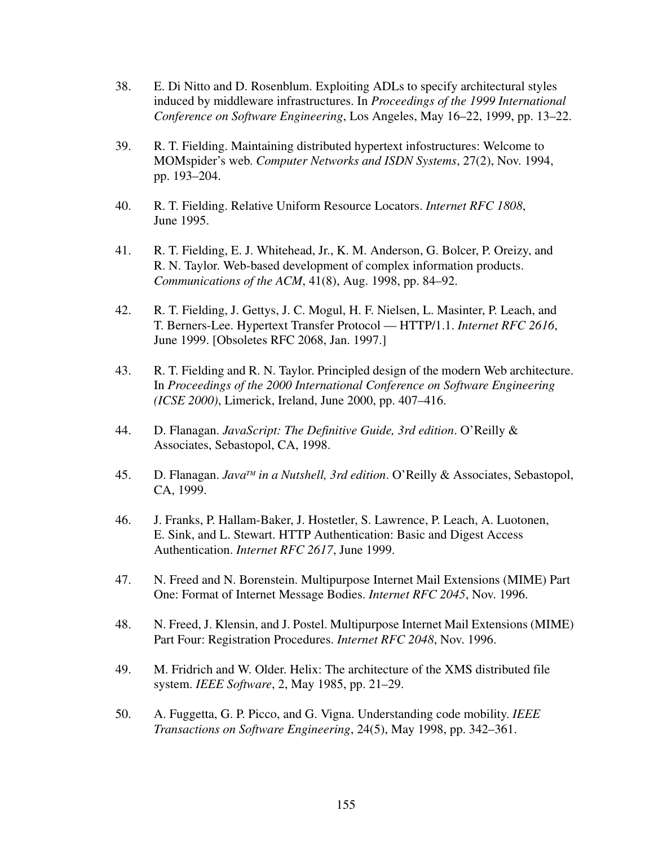- 38. E. Di Nitto and D. Rosenblum. Exploiting ADLs to specify architectural styles induced by middleware infrastructures. In *Proceedings of the 1999 International Conference on Software Engineering*, Los Angeles, May 16–22, 1999, pp. 13–22.
- <span id="page-172-2"></span>39. R. T. Fielding. Maintaining distributed hypertext infostructures: Welcome to MOMspider's web. *Computer Networks and ISDN Systems*, 27(2), Nov. 1994, pp. 193–204.
- <span id="page-172-7"></span>40. R. T. Fielding. Relative Uniform Resource Locators. *Internet RFC 1808*, June 1995.
- 41. R. T. Fielding, E. J. Whitehead, Jr., K. M. Anderson, G. Bolcer, P. Oreizy, and R. N. Taylor. Web-based development of complex information products. *Communications of the ACM*, 41(8), Aug. 1998, pp. 84–92.
- <span id="page-172-5"></span>42. R. T. Fielding, J. Gettys, J. C. Mogul, H. F. Nielsen, L. Masinter, P. Leach, and T. Berners-Lee. Hypertext Transfer Protocol — HTTP/1.1. *Internet RFC 2616*, June 1999. [Obsoletes RFC 2068, Jan. 1997.]
- 43. R. T. Fielding and R. N. Taylor. Principled design of the modern Web architecture. In *Proceedings of the 2000 International Conference on Software Engineering (ICSE 2000)*, Limerick, Ireland, June 2000, pp. 407–416.
- <span id="page-172-4"></span>44. D. Flanagan. *JavaScript: The Definitive Guide, 3rd edition*. O'Reilly & Associates, Sebastopol, CA, 1998.
- <span id="page-172-3"></span>45. D. Flanagan. *JavaTM in a Nutshell, 3rd edition*. O'Reilly & Associates, Sebastopol, CA, 1999.
- <span id="page-172-0"></span>46. J. Franks, P. Hallam-Baker, J. Hostetler, S. Lawrence, P. Leach, A. Luotonen, E. Sink, and L. Stewart. HTTP Authentication: Basic and Digest Access Authentication. *Internet RFC 2617*, June 1999.
- <span id="page-172-1"></span>47. N. Freed and N. Borenstein. Multipurpose Internet Mail Extensions (MIME) Part One: Format of Internet Message Bodies. *Internet RFC 2045*, Nov. 1996.
- <span id="page-172-6"></span>48. N. Freed, J. Klensin, and J. Postel. Multipurpose Internet Mail Extensions (MIME) Part Four: Registration Procedures. *Internet RFC 2048*, Nov. 1996.
- 49. M. Fridrich and W. Older. Helix: The architecture of the XMS distributed file system. *IEEE Software*, 2, May 1985, pp. 21–29.
- 50. A. Fuggetta, G. P. Picco, and G. Vigna. Understanding code mobility. *IEEE Transactions on Software Engineering*, 24(5), May 1998, pp. 342–361.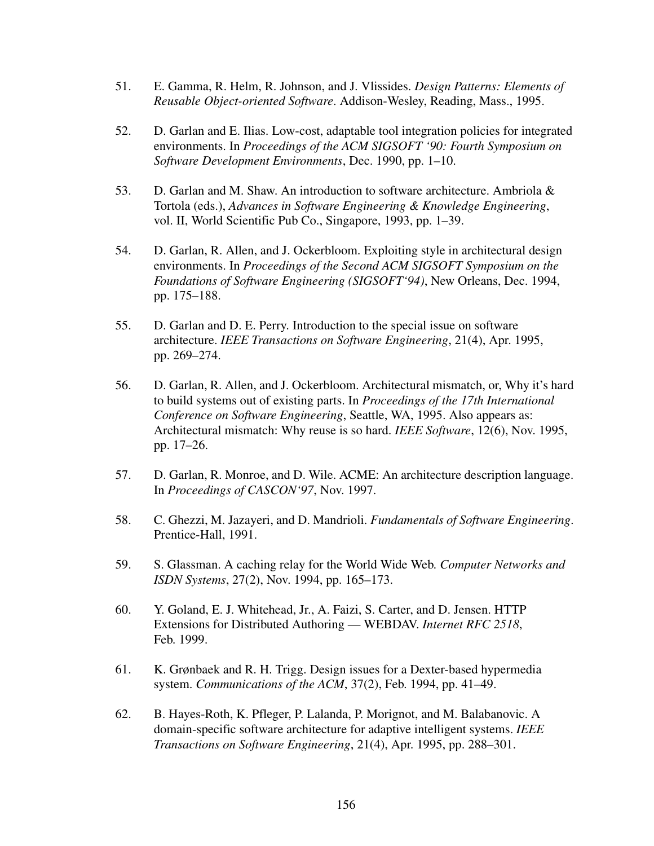- 51. E. Gamma, R. Helm, R. Johnson, and J. Vlissides. *Design Patterns: Elements of Reusable Object-oriented Software*. Addison-Wesley, Reading, Mass., 1995.
- 52. D. Garlan and E. Ilias. Low-cost, adaptable tool integration policies for integrated environments. In *Proceedings of the ACM SIGSOFT '90: Fourth Symposium on Software Development Environments*, Dec. 1990, pp. 1–10.
- 53. D. Garlan and M. Shaw. An introduction to software architecture. Ambriola & Tortola (eds.), *Advances in Software Engineering & Knowledge Engineering*, vol. II, World Scientific Pub Co., Singapore, 1993, pp. 1–39.
- 54. D. Garlan, R. Allen, and J. Ockerbloom. Exploiting style in architectural design environments. In *Proceedings of the Second ACM SIGSOFT Symposium on the Foundations of Software Engineering (SIGSOFT'94)*, New Orleans, Dec. 1994, pp. 175–188.
- 55. D. Garlan and D. E. Perry. Introduction to the special issue on software architecture. *IEEE Transactions on Software Engineering*, 21(4), Apr. 1995, pp. 269–274.
- 56. D. Garlan, R. Allen, and J. Ockerbloom. Architectural mismatch, or, Why it's hard to build systems out of existing parts. In *Proceedings of the 17th International Conference on Software Engineering*, Seattle, WA, 1995. Also appears as: Architectural mismatch: Why reuse is so hard. *IEEE Software*, 12(6), Nov. 1995, pp. 17–26.
- 57. D. Garlan, R. Monroe, and D. Wile. ACME: An architecture description language. In *Proceedings of CASCON'97*, Nov. 1997.
- 58. C. Ghezzi, M. Jazayeri, and D. Mandrioli. *Fundamentals of Software Engineering*. Prentice-Hall, 1991.
- 59. S. Glassman. A caching relay for the World Wide Web. *Computer Networks and ISDN Systems*, 27(2), Nov. 1994, pp. 165–173.
- <span id="page-173-0"></span>60. Y. Goland, E. J. Whitehead, Jr., A. Faizi, S. Carter, and D. Jensen. HTTP Extensions for Distributed Authoring — WEBDAV. *Internet RFC 2518*, Feb. 1999.
- 61. K. Grønbaek and R. H. Trigg. Design issues for a Dexter-based hypermedia system. *Communications of the ACM*, 37(2), Feb. 1994, pp. 41–49.
- 62. B. Hayes-Roth, K. Pfleger, P. Lalanda, P. Morignot, and M. Balabanovic. A domain-specific software architecture for adaptive intelligent systems. *IEEE Transactions on Software Engineering*, 21(4), Apr. 1995, pp. 288–301.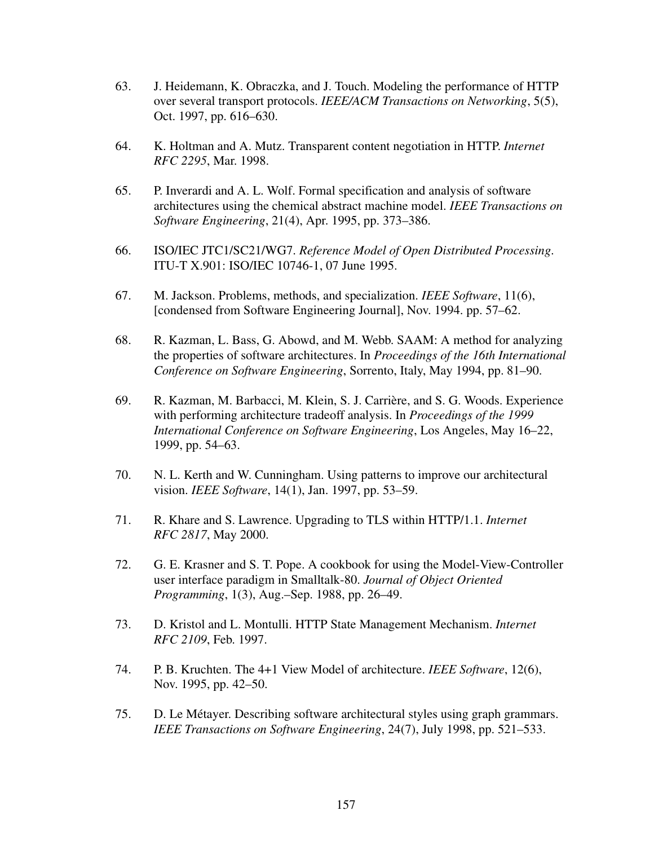- <span id="page-174-1"></span>63. J. Heidemann, K. Obraczka, and J. Touch. Modeling the performance of HTTP over several transport protocols. *IEEE/ACM Transactions on Networking*, 5(5), Oct. 1997, pp. 616–630.
- <span id="page-174-0"></span>64. K. Holtman and A. Mutz. Transparent content negotiation in HTTP. *Internet RFC 2295*, Mar. 1998.
- 65. P. Inverardi and A. L. Wolf. Formal specification and analysis of software architectures using the chemical abstract machine model. *IEEE Transactions on Software Engineering*, 21(4), Apr. 1995, pp. 373–386.
- 66. ISO/IEC JTC1/SC21/WG7. *Reference Model of Open Distributed Processing*. ITU-T X.901: ISO/IEC 10746-1, 07 June 1995.
- 67. M. Jackson. Problems, methods, and specialization. *IEEE Software*, 11(6), [condensed from Software Engineering Journal], Nov. 1994. pp. 57–62.
- 68. R. Kazman, L. Bass, G. Abowd, and M. Webb. SAAM: A method for analyzing the properties of software architectures. In *Proceedings of the 16th International Conference on Software Engineering*, Sorrento, Italy, May 1994, pp. 81–90.
- 69. R. Kazman, M. Barbacci, M. Klein, S. J. Carrière, and S. G. Woods. Experience with performing architecture tradeoff analysis. In *Proceedings of the 1999 International Conference on Software Engineering*, Los Angeles, May 16–22, 1999, pp. 54–63.
- 70. N. L. Kerth and W. Cunningham. Using patterns to improve our architectural vision. *IEEE Software*, 14(1), Jan. 1997, pp. 53–59.
- 71. R. Khare and S. Lawrence. Upgrading to TLS within HTTP/1.1. *Internet RFC 2817*, May 2000.
- 72. G. E. Krasner and S. T. Pope. A cookbook for using the Model-View-Controller user interface paradigm in Smalltalk-80. *Journal of Object Oriented Programming*, 1(3), Aug.–Sep. 1988, pp. 26–49.
- <span id="page-174-2"></span>73. D. Kristol and L. Montulli. HTTP State Management Mechanism. *Internet RFC 2109*, Feb. 1997.
- 74. P. B. Kruchten. The 4+1 View Model of architecture. *IEEE Software*, 12(6), Nov. 1995, pp. 42–50.
- 75. D. Le Métayer. Describing software architectural styles using graph grammars. *IEEE Transactions on Software Engineering*, 24(7), July 1998, pp. 521–533.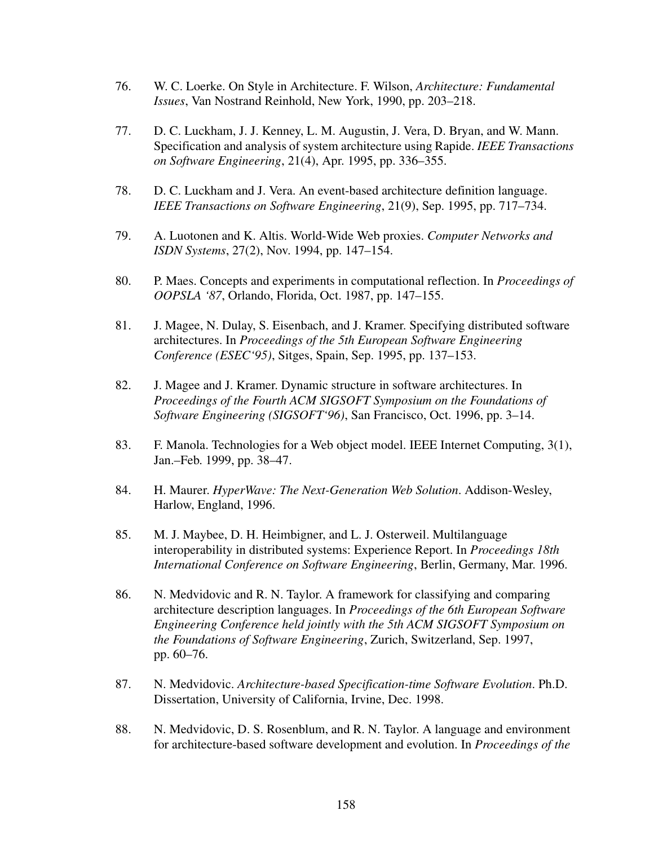- 76. W. C. Loerke. On Style in Architecture. F. Wilson, *Architecture: Fundamental Issues*, Van Nostrand Reinhold, New York, 1990, pp. 203–218.
- 77. D. C. Luckham, J. J. Kenney, L. M. Augustin, J. Vera, D. Bryan, and W. Mann. Specification and analysis of system architecture using Rapide. *IEEE Transactions on Software Engineering*, 21(4), Apr. 1995, pp. 336–355.
- 78. D. C. Luckham and J. Vera. An event-based architecture definition language. *IEEE Transactions on Software Engineering*, 21(9), Sep. 1995, pp. 717–734.
- 79. A. Luotonen and K. Altis. World-Wide Web proxies. *Computer Networks and ISDN Systems*, 27(2), Nov. 1994, pp. 147–154.
- 80. P. Maes. Concepts and experiments in computational reflection. In *Proceedings of OOPSLA '87*, Orlando, Florida, Oct. 1987, pp. 147–155.
- 81. J. Magee, N. Dulay, S. Eisenbach, and J. Kramer. Specifying distributed software architectures. In *Proceedings of the 5th European Software Engineering Conference (ESEC'95)*, Sitges, Spain, Sep. 1995, pp. 137–153.
- 82. J. Magee and J. Kramer. Dynamic structure in software architectures. In *Proceedings of the Fourth ACM SIGSOFT Symposium on the Foundations of Software Engineering (SIGSOFT'96)*, San Francisco, Oct. 1996, pp. 3–14.
- 83. F. Manola. Technologies for a Web object model. IEEE Internet Computing, 3(1), Jan.–Feb. 1999, pp. 38–47.
- 84. H. Maurer. *HyperWave: The Next-Generation Web Solution*. Addison-Wesley, Harlow, England, 1996.
- 85. M. J. Maybee, D. H. Heimbigner, and L. J. Osterweil. Multilanguage interoperability in distributed systems: Experience Report. In *Proceedings 18th International Conference on Software Engineering*, Berlin, Germany, Mar. 1996.
- 86. N. Medvidovic and R. N. Taylor. A framework for classifying and comparing architecture description languages. In *Proceedings of the 6th European Software Engineering Conference held jointly with the 5th ACM SIGSOFT Symposium on the Foundations of Software Engineering*, Zurich, Switzerland, Sep. 1997, pp. 60–76.
- 87. N. Medvidovic. *Architecture-based Specification-time Software Evolution*. Ph.D. Dissertation, University of California, Irvine, Dec. 1998.
- 88. N. Medvidovic, D. S. Rosenblum, and R. N. Taylor. A language and environment for architecture-based software development and evolution. In *Proceedings of the*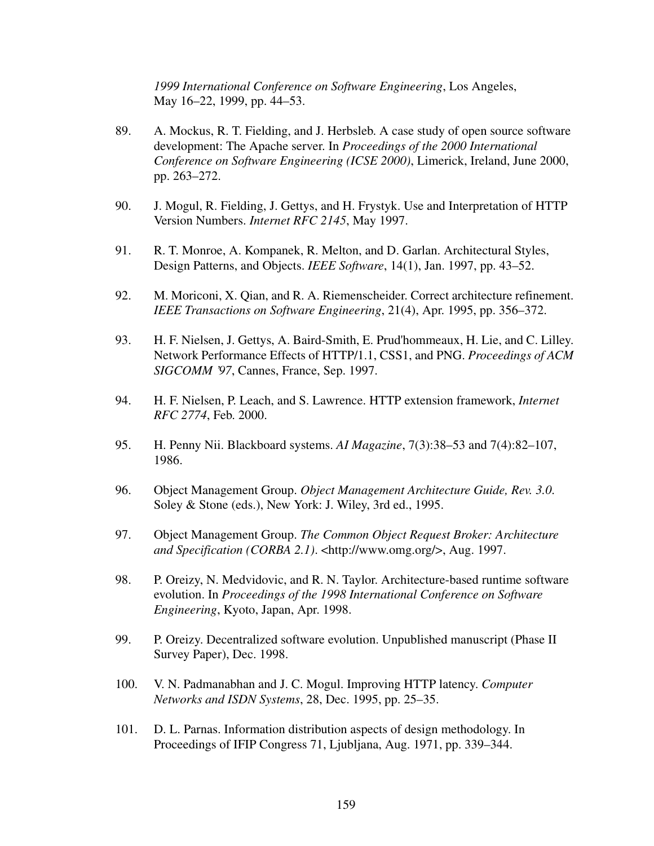<span id="page-176-2"></span>*1999 International Conference on Software Engineering*, Los Angeles, May 16–22, 1999, pp. 44–53.

- 89. A. Mockus, R. T. Fielding, and J. Herbsleb. A case study of open source software development: The Apache server. In *Proceedings of the 2000 International Conference on Software Engineering (ICSE 2000)*, Limerick, Ireland, June 2000, pp. 263–272.
- 90. J. Mogul, R. Fielding, J. Gettys, and H. Frystyk. Use and Interpretation of HTTP Version Numbers. *Internet RFC 2145*, May 1997.
- 91. R. T. Monroe, A. Kompanek, R. Melton, and D. Garlan. Architectural Styles, Design Patterns, and Objects. *IEEE Software*, 14(1), Jan. 1997, pp. 43–52.
- 92. M. Moriconi, X. Qian, and R. A. Riemenscheider. Correct architecture refinement. *IEEE Transactions on Software Engineering*, 21(4), Apr. 1995, pp. 356–372.
- <span id="page-176-4"></span>93. H. F. Nielsen, J. Gettys, A. Baird-Smith, E. Prud'hommeaux, H. Lie, and C. Lilley. Network Performance Effects of HTTP/1.1, CSS1, and PNG. *Proceedings of ACM SIGCOMM '97*, Cannes, France, Sep. 1997.
- <span id="page-176-1"></span>94. H. F. Nielsen, P. Leach, and S. Lawrence. HTTP extension framework, *Internet RFC 2774*, Feb. 2000.
- 95. H. Penny Nii. Blackboard systems. *AI Magazine*, 7(3):38–53 and 7(4):82–107, 1986.
- 96. Object Management Group. *Object Management Architecture Guide, Rev. 3.0*. Soley & Stone (eds.), New York: J. Wiley, 3rd ed., 1995.
- <span id="page-176-3"></span>97. Object Management Group. *The Common Object Request Broker: Architecture and Specification (CORBA 2.1)*. <http://www.omg.org/>, Aug. 1997.
- 98. P. Oreizy, N. Medvidovic, and R. N. Taylor. Architecture-based runtime software evolution. In *Proceedings of the 1998 International Conference on Software Engineering*, Kyoto, Japan, Apr. 1998.
- 99. P. Oreizy. Decentralized software evolution. Unpublished manuscript (Phase II Survey Paper), Dec. 1998.
- <span id="page-176-0"></span>100. V. N. Padmanabhan and J. C. Mogul. Improving HTTP latency. *Computer Networks and ISDN Systems*, 28, Dec. 1995, pp. 25–35.
- 101. D. L. Parnas. Information distribution aspects of design methodology. In Proceedings of IFIP Congress 71, Ljubljana, Aug. 1971, pp. 339–344.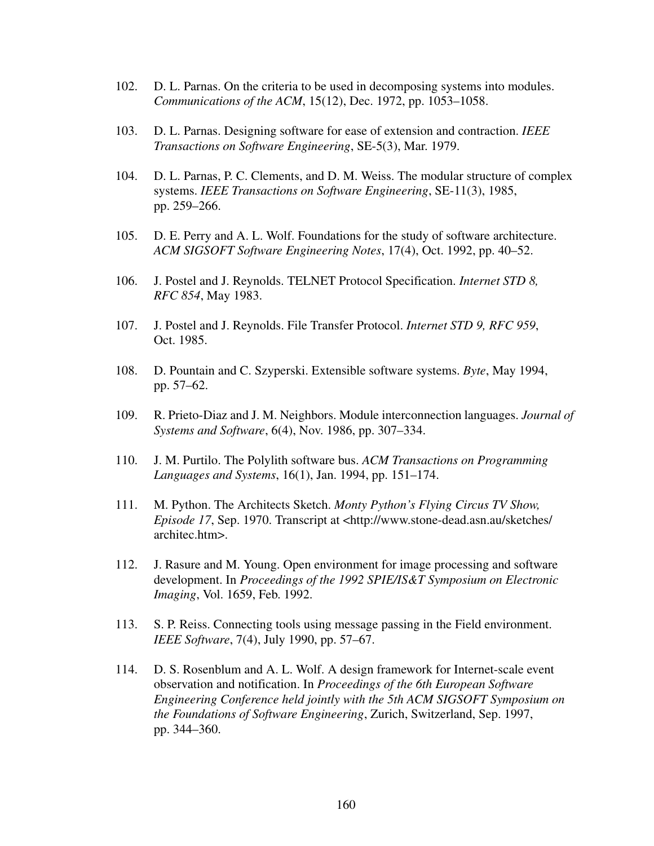- 102. D. L. Parnas. On the criteria to be used in decomposing systems into modules. *Communications of the ACM*, 15(12), Dec. 1972, pp. 1053–1058.
- 103. D. L. Parnas. Designing software for ease of extension and contraction. *IEEE Transactions on Software Engineering*, SE-5(3), Mar. 1979.
- 104. D. L. Parnas, P. C. Clements, and D. M. Weiss. The modular structure of complex systems. *IEEE Transactions on Software Engineering*, SE-11(3), 1985, pp. 259–266.
- 105. D. E. Perry and A. L. Wolf. Foundations for the study of software architecture. *ACM SIGSOFT Software Engineering Notes*, 17(4), Oct. 1992, pp. 40–52.
- 106. J. Postel and J. Reynolds. TELNET Protocol Specification. *Internet STD 8, RFC 854*, May 1983.
- 107. J. Postel and J. Reynolds. File Transfer Protocol. *Internet STD 9, RFC 959*, Oct. 1985.
- 108. D. Pountain and C. Szyperski. Extensible software systems. *Byte*, May 1994, pp. 57–62.
- 109. R. Prieto-Diaz and J. M. Neighbors. Module interconnection languages. *Journal of Systems and Software*, 6(4), Nov. 1986, pp. 307–334.
- 110. J. M. Purtilo. The Polylith software bus. *ACM Transactions on Programming Languages and Systems*, 16(1), Jan. 1994, pp. 151–174.
- 111. M. Python. The Architects Sketch. *Monty Python's Flying Circus TV Show, Episode 17*, Sep. 1970. Transcript at <http://www.stone-dead.asn.au/sketches/ architec.htm>.
- 112. J. Rasure and M. Young. Open environment for image processing and software development. In *Proceedings of the 1992 SPIE/IS&T Symposium on Electronic Imaging*, Vol. 1659, Feb. 1992.
- 113. S. P. Reiss. Connecting tools using message passing in the Field environment. *IEEE Software*, 7(4), July 1990, pp. 57–67.
- 114. D. S. Rosenblum and A. L. Wolf. A design framework for Internet-scale event observation and notification. In *Proceedings of the 6th European Software Engineering Conference held jointly with the 5th ACM SIGSOFT Symposium on the Foundations of Software Engineering*, Zurich, Switzerland, Sep. 1997, pp. 344–360.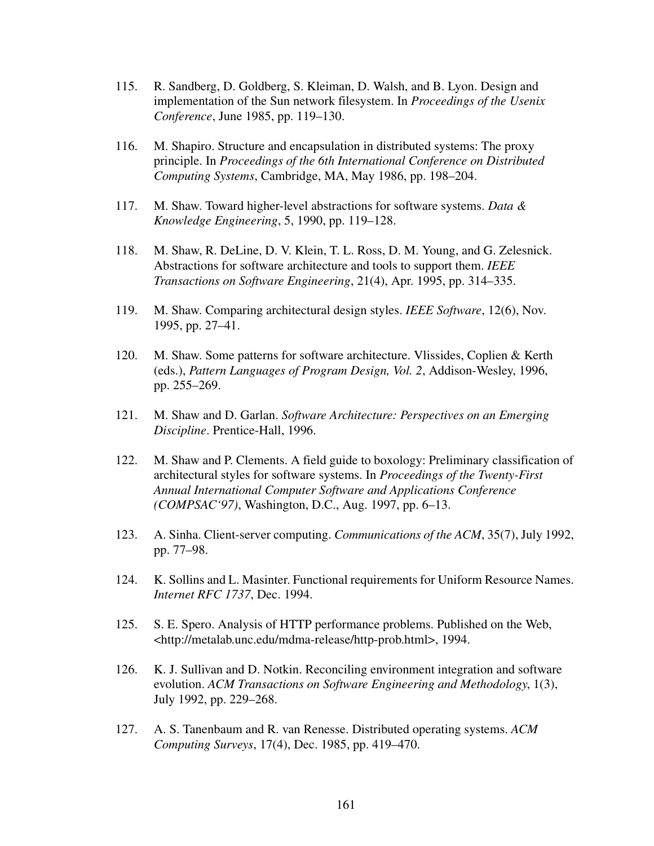- 115. R. Sandberg, D. Goldberg, S. Kleiman, D. Walsh, and B. Lyon. Design and implementation of the Sun network filesystem. In *Proceedings of the Usenix Conference*, June 1985, pp. 119–130.
- 116. M. Shapiro. Structure and encapsulation in distributed systems: The proxy principle. In *Proceedings of the 6th International Conference on Distributed Computing Systems*, Cambridge, MA, May 1986, pp. 198–204.
- 117. M. Shaw. Toward higher-level abstractions for software systems. *Data & Knowledge Engineering*, 5, 1990, pp. 119–128.
- 118. M. Shaw, R. DeLine, D. V. Klein, T. L. Ross, D. M. Young, and G. Zelesnick. Abstractions for software architecture and tools to support them. *IEEE Transactions on Software Engineering*, 21(4), Apr. 1995, pp. 314–335.
- 119. M. Shaw. Comparing architectural design styles. *IEEE Software*, 12(6), Nov. 1995, pp. 27–41.
- 120. M. Shaw. Some patterns for software architecture. Vlissides, Coplien & Kerth (eds.), *Pattern Languages of Program Design, Vol. 2*, Addison-Wesley, 1996, pp. 255–269.
- 121. M. Shaw and D. Garlan. *Software Architecture: Perspectives on an Emerging Discipline*. Prentice-Hall, 1996.
- 122. M. Shaw and P. Clements. A field guide to boxology: Preliminary classification of architectural styles for software systems. In *Proceedings of the Twenty-First Annual International Computer Software and Applications Conference (COMPSAC'97)*, Washington, D.C., Aug. 1997, pp. 6–13.
- 123. A. Sinha. Client-server computing. *Communications of the ACM*, 35(7), July 1992, pp. 77–98.
- 124. K. Sollins and L. Masinter. Functional requirements for Uniform Resource Names. *Internet RFC 1737*, Dec. 1994.
- <span id="page-178-0"></span>125. S. E. Spero. Analysis of HTTP performance problems. Published on the Web, <http://metalab.unc.edu/mdma-release/http-prob.html>, 1994.
- 126. K. J. Sullivan and D. Notkin. Reconciling environment integration and software evolution. *ACM Transactions on Software Engineering and Methodology*, 1(3), July 1992, pp. 229–268.
- 127. A. S. Tanenbaum and R. van Renesse. Distributed operating systems. *ACM Computing Surveys*, 17(4), Dec. 1985, pp. 419–470.